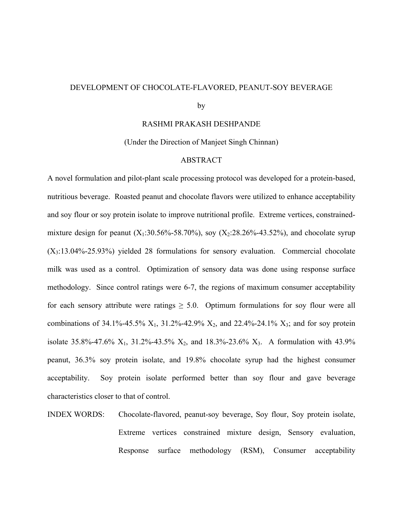#### DEVELOPMENT OF CHOCOLATE-FLAVORED, PEANUT-SOY BEVERAGE

by

RASHMI PRAKASH DESHPANDE

(Under the Direction of Manjeet Singh Chinnan)

#### ABSTRACT

A novel formulation and pilot-plant scale processing protocol was developed for a protein-based, nutritious beverage. Roasted peanut and chocolate flavors were utilized to enhance acceptability and soy flour or soy protein isolate to improve nutritional profile. Extreme vertices, constrainedmixture design for peanut  $(X_1:30.56\% - 58.70\%)$ , soy  $(X_2:28.26\% - 43.52\%)$ , and chocolate syrup  $(X<sub>3</sub>:13.04\% - 25.93\%)$  yielded 28 formulations for sensory evaluation. Commercial chocolate milk was used as a control. Optimization of sensory data was done using response surface methodology. Since control ratings were 6-7, the regions of maximum consumer acceptability for each sensory attribute were ratings  $\geq 5.0$ . Optimum formulations for soy flour were all combinations of 34.1%-45.5%  $X_1$ , 31.2%-42.9%  $X_2$ , and 22.4%-24.1%  $X_3$ ; and for soy protein isolate 35.8%-47.6%  $X_1$ , 31.2%-43.5%  $X_2$ , and 18.3%-23.6%  $X_3$ . A formulation with 43.9% peanut, 36.3% soy protein isolate, and 19.8% chocolate syrup had the highest consumer acceptability. Soy protein isolate performed better than soy flour and gave beverage characteristics closer to that of control.

INDEX WORDS: Chocolate-flavored, peanut-soy beverage, Soy flour, Soy protein isolate, Extreme vertices constrained mixture design, Sensory evaluation, Response surface methodology (RSM), Consumer acceptability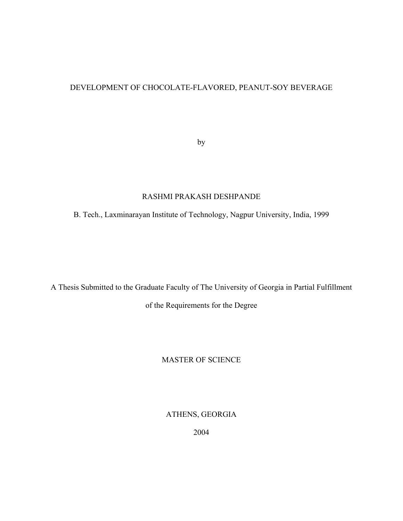# DEVELOPMENT OF CHOCOLATE-FLAVORED, PEANUT-SOY BEVERAGE

by

# RASHMI PRAKASH DESHPANDE

B. Tech., Laxminarayan Institute of Technology, Nagpur University, India, 1999

A Thesis Submitted to the Graduate Faculty of The University of Georgia in Partial Fulfillment of the Requirements for the Degree

### MASTER OF SCIENCE

ATHENS, GEORGIA

2004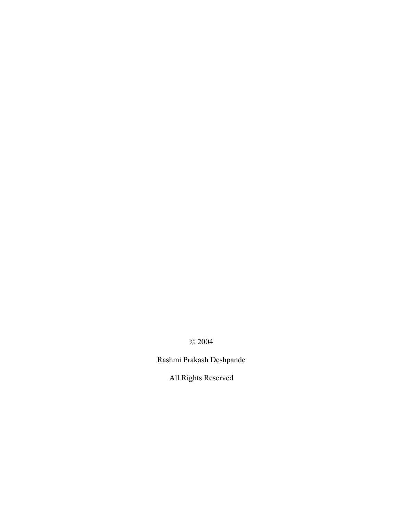© 2004

Rashmi Prakash Deshpande

All Rights Reserved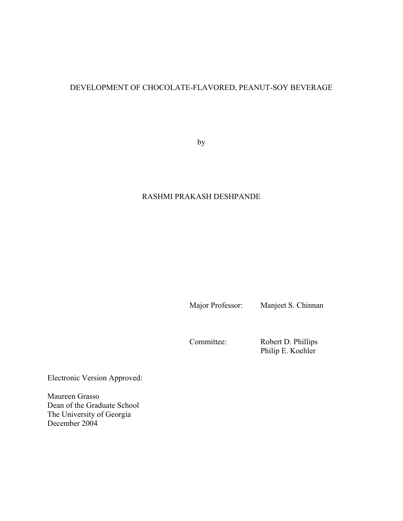# DEVELOPMENT OF CHOCOLATE-FLAVORED, PEANUT-SOY BEVERAGE

by

# RASHMI PRAKASH DESHPANDE

Major Professor: Manjeet S. Chinnan

Committee: Robert D. Phillips Philip E. Koehler

Electronic Version Approved:

Maureen Grasso Dean of the Graduate School The University of Georgia December 2004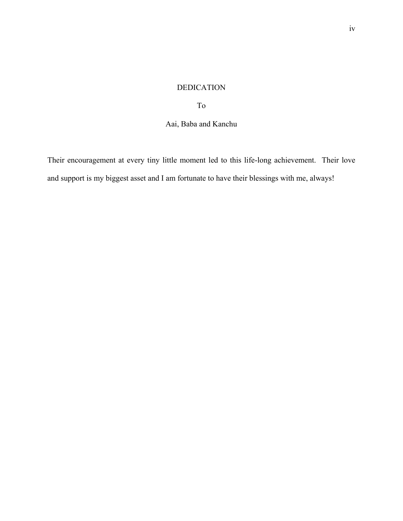# DEDICATION

To

# Aai, Baba and Kanchu

Their encouragement at every tiny little moment led to this life-long achievement. Their love and support is my biggest asset and I am fortunate to have their blessings with me, always!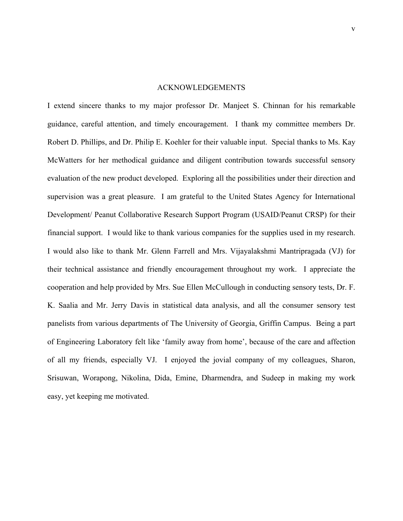#### ACKNOWLEDGEMENTS

I extend sincere thanks to my major professor Dr. Manjeet S. Chinnan for his remarkable guidance, careful attention, and timely encouragement. I thank my committee members Dr. Robert D. Phillips, and Dr. Philip E. Koehler for their valuable input. Special thanks to Ms. Kay McWatters for her methodical guidance and diligent contribution towards successful sensory evaluation of the new product developed. Exploring all the possibilities under their direction and supervision was a great pleasure. I am grateful to the United States Agency for International Development/ Peanut Collaborative Research Support Program (USAID/Peanut CRSP) for their financial support. I would like to thank various companies for the supplies used in my research. I would also like to thank Mr. Glenn Farrell and Mrs. Vijayalakshmi Mantripragada (VJ) for their technical assistance and friendly encouragement throughout my work. I appreciate the cooperation and help provided by Mrs. Sue Ellen McCullough in conducting sensory tests, Dr. F. K. Saalia and Mr. Jerry Davis in statistical data analysis, and all the consumer sensory test panelists from various departments of The University of Georgia, Griffin Campus. Being a part of Engineering Laboratory felt like 'family away from home', because of the care and affection of all my friends, especially VJ. I enjoyed the jovial company of my colleagues, Sharon, Srisuwan, Worapong, Nikolina, Dida, Emine, Dharmendra, and Sudeep in making my work easy, yet keeping me motivated.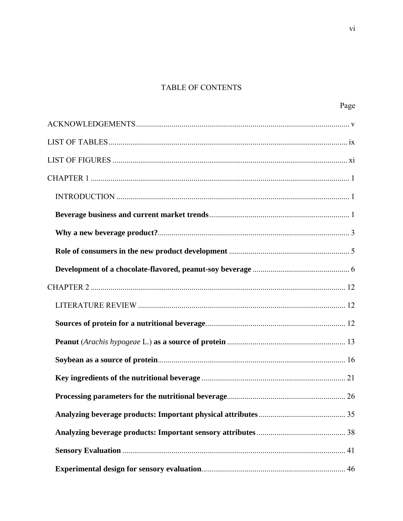# TABLE OF CONTENTS

| Page |
|------|
|      |
|      |
|      |
|      |
|      |
|      |
|      |
|      |
|      |
|      |
|      |
|      |
|      |
|      |
|      |
| 26   |
|      |
|      |
|      |
|      |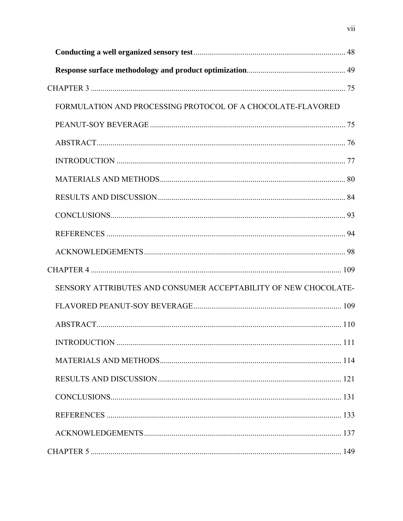| FORMULATION AND PROCESSING PROTOCOL OF A CHOCOLATE-FLAVORED     |  |
|-----------------------------------------------------------------|--|
|                                                                 |  |
|                                                                 |  |
|                                                                 |  |
|                                                                 |  |
|                                                                 |  |
|                                                                 |  |
|                                                                 |  |
|                                                                 |  |
|                                                                 |  |
| SENSORY ATTRIBUTES AND CONSUMER ACCEPTABILITY OF NEW CHOCOLATE- |  |
|                                                                 |  |
|                                                                 |  |
|                                                                 |  |
|                                                                 |  |
|                                                                 |  |
|                                                                 |  |
|                                                                 |  |
|                                                                 |  |
|                                                                 |  |

vii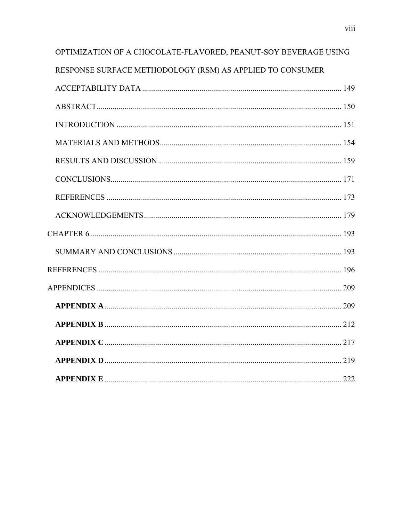| OPTIMIZATION OF A CHOCOLATE-FLAVORED, PEANUT-SOY BEVERAGE USING |  |
|-----------------------------------------------------------------|--|
| RESPONSE SURFACE METHODOLOGY (RSM) AS APPLIED TO CONSUMER       |  |
|                                                                 |  |
|                                                                 |  |
|                                                                 |  |
|                                                                 |  |
|                                                                 |  |
|                                                                 |  |
|                                                                 |  |
|                                                                 |  |
|                                                                 |  |
|                                                                 |  |
|                                                                 |  |
|                                                                 |  |
|                                                                 |  |
|                                                                 |  |
|                                                                 |  |
|                                                                 |  |
|                                                                 |  |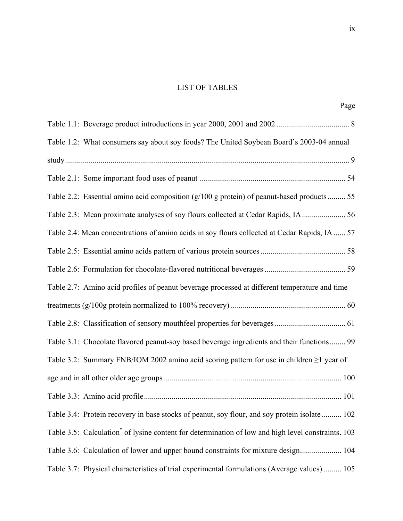# LIST OF TABLES

| Page                                                                                                           |
|----------------------------------------------------------------------------------------------------------------|
|                                                                                                                |
| Table 1.2: What consumers say about soy foods? The United Soybean Board's 2003-04 annual                       |
|                                                                                                                |
|                                                                                                                |
| Table 2.2: Essential amino acid composition (g/100 g protein) of peanut-based products  55                     |
| Table 2.3: Mean proximate analyses of soy flours collected at Cedar Rapids, IA  56                             |
| Table 2.4: Mean concentrations of amino acids in soy flours collected at Cedar Rapids, IA  57                  |
|                                                                                                                |
|                                                                                                                |
| Table 2.7: Amino acid profiles of peanut beverage processed at different temperature and time                  |
|                                                                                                                |
|                                                                                                                |
| Table 3.1: Chocolate flavored peanut-soy based beverage ingredients and their functions 99                     |
| Table 3.2: Summary FNB/IOM 2002 amino acid scoring pattern for use in children $\geq$ 1 year of                |
|                                                                                                                |
| .101                                                                                                           |
| Table 3.4: Protein recovery in base stocks of peanut, soy flour, and soy protein isolate  102                  |
| Table 3.5: Calculation <sup>*</sup> of lysine content for determination of low and high level constraints. 103 |
| Table 3.6: Calculation of lower and upper bound constraints for mixture design 104                             |
| Table 3.7: Physical characteristics of trial experimental formulations (Average values)  105                   |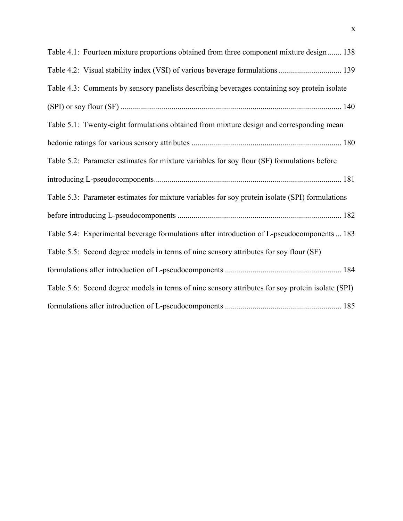| Table 4.1: Fourteen mixture proportions obtained from three component mixture design 138          |
|---------------------------------------------------------------------------------------------------|
|                                                                                                   |
| Table 4.3: Comments by sensory panelists describing beverages containing soy protein isolate      |
|                                                                                                   |
| Table 5.1: Twenty-eight formulations obtained from mixture design and corresponding mean          |
|                                                                                                   |
| Table 5.2: Parameter estimates for mixture variables for soy flour (SF) formulations before       |
|                                                                                                   |
| Table 5.3: Parameter estimates for mixture variables for soy protein isolate (SPI) formulations   |
|                                                                                                   |
| Table 5.4: Experimental beverage formulations after introduction of L-pseudocomponents  183       |
| Table 5.5: Second degree models in terms of nine sensory attributes for soy flour (SF)            |
|                                                                                                   |
| Table 5.6: Second degree models in terms of nine sensory attributes for soy protein isolate (SPI) |
|                                                                                                   |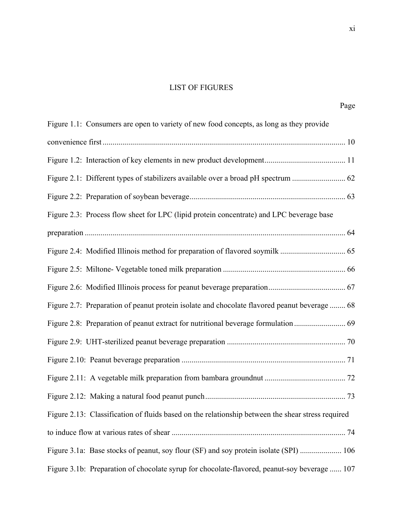# LIST OF FIGURES

| Figure 1.1: Consumers are open to variety of new food concepts, as long as they provide           |  |
|---------------------------------------------------------------------------------------------------|--|
|                                                                                                   |  |
|                                                                                                   |  |
|                                                                                                   |  |
|                                                                                                   |  |
| Figure 2.3: Process flow sheet for LPC (lipid protein concentrate) and LPC beverage base          |  |
|                                                                                                   |  |
|                                                                                                   |  |
|                                                                                                   |  |
|                                                                                                   |  |
| Figure 2.7: Preparation of peanut protein isolate and chocolate flavored peanut beverage  68      |  |
|                                                                                                   |  |
|                                                                                                   |  |
|                                                                                                   |  |
|                                                                                                   |  |
|                                                                                                   |  |
| Figure 2.13: Classification of fluids based on the relationship between the shear stress required |  |
|                                                                                                   |  |
| Figure 3.1a: Base stocks of peanut, soy flour (SF) and soy protein isolate (SPI)  106             |  |
| Figure 3.1b: Preparation of chocolate syrup for chocolate-flavored, peanut-soy beverage  107      |  |

Page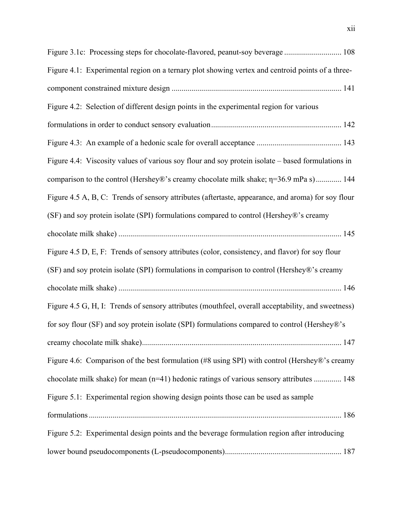| Figure 3.1c: Processing steps for chocolate-flavored, peanut-soy beverage  108                     |
|----------------------------------------------------------------------------------------------------|
| Figure 4.1: Experimental region on a ternary plot showing vertex and centroid points of a three-   |
|                                                                                                    |
| Figure 4.2: Selection of different design points in the experimental region for various            |
|                                                                                                    |
|                                                                                                    |
| Figure 4.4: Viscosity values of various soy flour and soy protein isolate – based formulations in  |
| comparison to the control (Hershey®'s creamy chocolate milk shake; η=36.9 mPa s) 144               |
| Figure 4.5 A, B, C: Trends of sensory attributes (aftertaste, appearance, and aroma) for soy flour |
| (SF) and soy protein isolate (SPI) formulations compared to control (Hershey®'s creamy             |
|                                                                                                    |
| Figure 4.5 D, E, F: Trends of sensory attributes (color, consistency, and flavor) for soy flour    |
| (SF) and soy protein isolate (SPI) formulations in comparison to control (Hershey®'s creamy        |
|                                                                                                    |
| Figure 4.5 G, H, I: Trends of sensory attributes (mouthfeel, overall acceptability, and sweetness) |
| for soy flour (SF) and soy protein isolate (SPI) formulations compared to control (Hershey®'s      |
|                                                                                                    |
| Figure 4.6: Comparison of the best formulation (#8 using SPI) with control (Hershey®'s creamy      |
| chocolate milk shake) for mean (n=41) hedonic ratings of various sensory attributes  148           |
| Figure 5.1: Experimental region showing design points those can be used as sample                  |
|                                                                                                    |
| Figure 5.2: Experimental design points and the beverage formulation region after introducing       |
|                                                                                                    |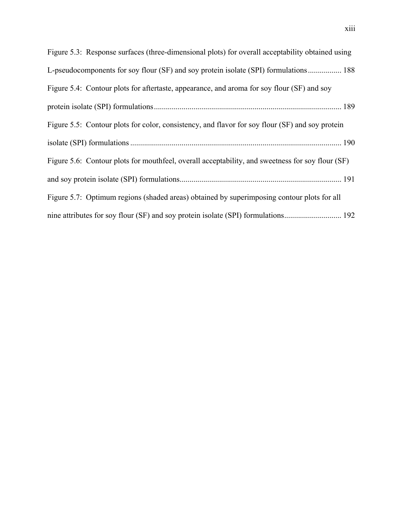| Figure 5.3: Response surfaces (three-dimensional plots) for overall acceptability obtained using |
|--------------------------------------------------------------------------------------------------|
| L-pseudocomponents for soy flour (SF) and soy protein isolate (SPI) formulations 188             |
| Figure 5.4: Contour plots for aftertaste, appearance, and aroma for soy flour (SF) and soy       |
|                                                                                                  |
| Figure 5.5: Contour plots for color, consistency, and flavor for soy flour (SF) and soy protein  |
|                                                                                                  |
| Figure 5.6: Contour plots for mouthfeel, overall acceptability, and sweetness for soy flour (SF) |
|                                                                                                  |
| Figure 5.7: Optimum regions (shaded areas) obtained by superimposing contour plots for all       |
|                                                                                                  |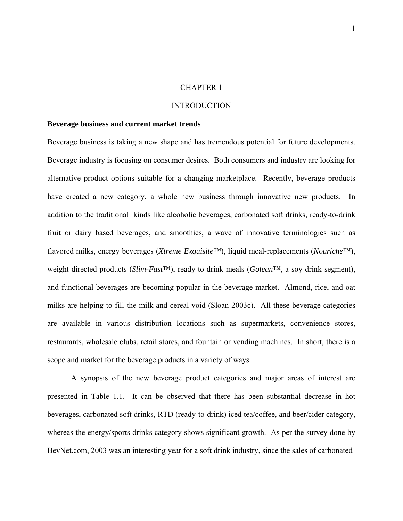#### CHAPTER 1

#### INTRODUCTION

#### **Beverage business and current market trends**

Beverage business is taking a new shape and has tremendous potential for future developments. Beverage industry is focusing on consumer desires. Both consumers and industry are looking for alternative product options suitable for a changing marketplace. Recently, beverage products have created a new category, a whole new business through innovative new products. In addition to the traditional kinds like alcoholic beverages, carbonated soft drinks, ready-to-drink fruit or dairy based beverages, and smoothies, a wave of innovative terminologies such as flavored milks, energy beverages (*Xtreme Exquisite™*), liquid meal-replacements (*Nouriche™*), weight-directed products (*Slim-Fast™*), ready-to-drink meals (*Golean™,* a soy drink segment), and functional beverages are becoming popular in the beverage market. Almond, rice, and oat milks are helping to fill the milk and cereal void (Sloan 2003c). All these beverage categories are available in various distribution locations such as supermarkets, convenience stores, restaurants, wholesale clubs, retail stores, and fountain or vending machines. In short, there is a scope and market for the beverage products in a variety of ways.

A synopsis of the new beverage product categories and major areas of interest are presented in Table 1.1. It can be observed that there has been substantial decrease in hot beverages, carbonated soft drinks, RTD (ready-to-drink) iced tea/coffee, and beer/cider category, whereas the energy/sports drinks category shows significant growth. As per the survey done by BevNet.com, 2003 was an interesting year for a soft drink industry, since the sales of carbonated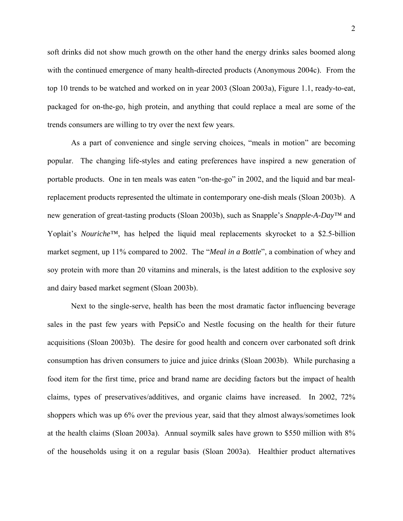soft drinks did not show much growth on the other hand the energy drinks sales boomed along with the continued emergence of many health-directed products (Anonymous 2004c). From the top 10 trends to be watched and worked on in year 2003 (Sloan 2003a), Figure 1.1, ready-to-eat, packaged for on-the-go, high protein, and anything that could replace a meal are some of the trends consumers are willing to try over the next few years.

As a part of convenience and single serving choices, "meals in motion" are becoming popular. The changing life-styles and eating preferences have inspired a new generation of portable products. One in ten meals was eaten "on-the-go" in 2002, and the liquid and bar mealreplacement products represented the ultimate in contemporary one-dish meals (Sloan 2003b). A new generation of great-tasting products (Sloan 2003b), such as Snapple's *Snapple-A-Day™* and Yoplait's *Nouriche™*, has helped the liquid meal replacements skyrocket to a \$2.5-billion market segment, up 11% compared to 2002. The "*Meal in a Bottle*", a combination of whey and soy protein with more than 20 vitamins and minerals, is the latest addition to the explosive soy and dairy based market segment (Sloan 2003b).

Next to the single-serve, health has been the most dramatic factor influencing beverage sales in the past few years with PepsiCo and Nestle focusing on the health for their future acquisitions (Sloan 2003b). The desire for good health and concern over carbonated soft drink consumption has driven consumers to juice and juice drinks (Sloan 2003b). While purchasing a food item for the first time, price and brand name are deciding factors but the impact of health claims, types of preservatives/additives, and organic claims have increased. In 2002, 72% shoppers which was up 6% over the previous year, said that they almost always/sometimes look at the health claims (Sloan 2003a). Annual soymilk sales have grown to \$550 million with 8% of the households using it on a regular basis (Sloan 2003a). Healthier product alternatives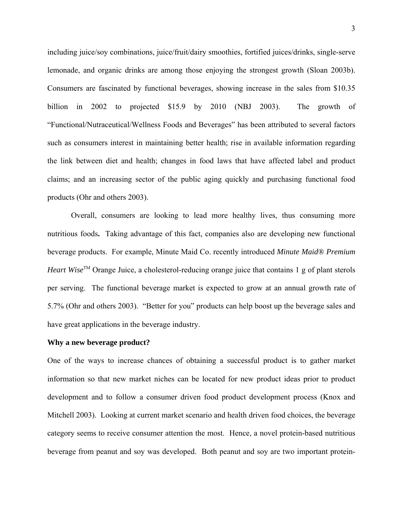including juice/soy combinations, juice/fruit/dairy smoothies, fortified juices/drinks, single-serve lemonade, and organic drinks are among those enjoying the strongest growth (Sloan 2003b). Consumers are fascinated by functional beverages, showing increase in the sales from \$10.35 billion in 2002 to projected \$15.9 by 2010 (NBJ 2003). The growth of "Functional/Nutraceutical/Wellness Foods and Beverages" has been attributed to several factors such as consumers interest in maintaining better health; rise in available information regarding the link between diet and health; changes in food laws that have affected label and product claims; and an increasing sector of the public aging quickly and purchasing functional food products (Ohr and others 2003).

Overall, consumers are looking to lead more healthy lives, thus consuming more nutritious foods**.** Taking advantage of this fact, companies also are developing new functional beverage products. For example, Minute Maid Co. recently introduced *Minute Maid® Premium Heart Wise*<sup>TM</sup> Orange Juice, a cholesterol-reducing orange juice that contains 1 g of plant sterols per serving. The functional beverage market is expected to grow at an annual growth rate of 5.7% (Ohr and others 2003). "Better for you" products can help boost up the beverage sales and have great applications in the beverage industry.

#### **Why a new beverage product?**

One of the ways to increase chances of obtaining a successful product is to gather market information so that new market niches can be located for new product ideas prior to product development and to follow a consumer driven food product development process (Knox and Mitchell 2003). Looking at current market scenario and health driven food choices, the beverage category seems to receive consumer attention the most. Hence, a novel protein-based nutritious beverage from peanut and soy was developed. Both peanut and soy are two important protein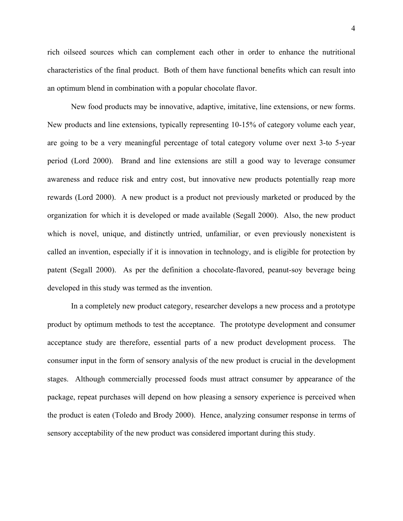rich oilseed sources which can complement each other in order to enhance the nutritional characteristics of the final product. Both of them have functional benefits which can result into an optimum blend in combination with a popular chocolate flavor.

New food products may be innovative, adaptive, imitative, line extensions, or new forms. New products and line extensions, typically representing 10-15% of category volume each year, are going to be a very meaningful percentage of total category volume over next 3-to 5-year period (Lord 2000). Brand and line extensions are still a good way to leverage consumer awareness and reduce risk and entry cost, but innovative new products potentially reap more rewards (Lord 2000). A new product is a product not previously marketed or produced by the organization for which it is developed or made available (Segall 2000). Also, the new product which is novel, unique, and distinctly untried, unfamiliar, or even previously nonexistent is called an invention, especially if it is innovation in technology, and is eligible for protection by patent (Segall 2000). As per the definition a chocolate-flavored, peanut-soy beverage being developed in this study was termed as the invention.

In a completely new product category, researcher develops a new process and a prototype product by optimum methods to test the acceptance. The prototype development and consumer acceptance study are therefore, essential parts of a new product development process. The consumer input in the form of sensory analysis of the new product is crucial in the development stages. Although commercially processed foods must attract consumer by appearance of the package, repeat purchases will depend on how pleasing a sensory experience is perceived when the product is eaten (Toledo and Brody 2000). Hence, analyzing consumer response in terms of sensory acceptability of the new product was considered important during this study.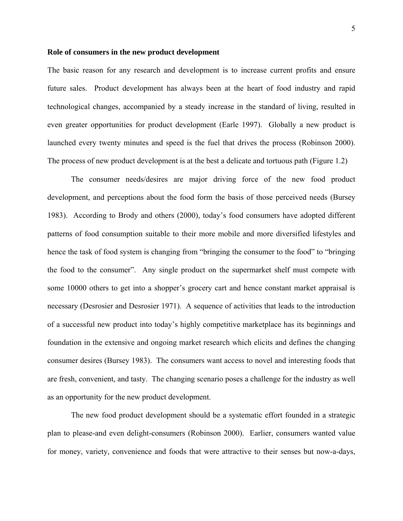#### **Role of consumers in the new product development**

The basic reason for any research and development is to increase current profits and ensure future sales. Product development has always been at the heart of food industry and rapid technological changes, accompanied by a steady increase in the standard of living, resulted in even greater opportunities for product development (Earle 1997). Globally a new product is launched every twenty minutes and speed is the fuel that drives the process (Robinson 2000). The process of new product development is at the best a delicate and tortuous path (Figure 1.2)

The consumer needs/desires are major driving force of the new food product development, and perceptions about the food form the basis of those perceived needs (Bursey 1983). According to Brody and others (2000), today's food consumers have adopted different patterns of food consumption suitable to their more mobile and more diversified lifestyles and hence the task of food system is changing from "bringing the consumer to the food" to "bringing the food to the consumer". Any single product on the supermarket shelf must compete with some 10000 others to get into a shopper's grocery cart and hence constant market appraisal is necessary (Desrosier and Desrosier 1971). A sequence of activities that leads to the introduction of a successful new product into today's highly competitive marketplace has its beginnings and foundation in the extensive and ongoing market research which elicits and defines the changing consumer desires (Bursey 1983). The consumers want access to novel and interesting foods that are fresh, convenient, and tasty. The changing scenario poses a challenge for the industry as well as an opportunity for the new product development.

 The new food product development should be a systematic effort founded in a strategic plan to please-and even delight-consumers (Robinson 2000). Earlier, consumers wanted value for money, variety, convenience and foods that were attractive to their senses but now-a-days,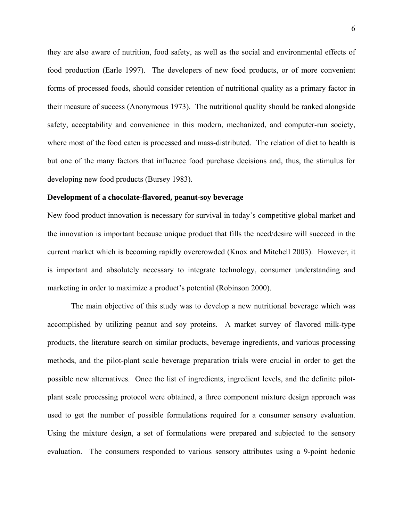they are also aware of nutrition, food safety, as well as the social and environmental effects of food production (Earle 1997). The developers of new food products, or of more convenient forms of processed foods, should consider retention of nutritional quality as a primary factor in their measure of success (Anonymous 1973). The nutritional quality should be ranked alongside safety, acceptability and convenience in this modern, mechanized, and computer-run society, where most of the food eaten is processed and mass-distributed. The relation of diet to health is but one of the many factors that influence food purchase decisions and, thus, the stimulus for developing new food products (Bursey 1983).

#### **Development of a chocolate-flavored, peanut-soy beverage**

New food product innovation is necessary for survival in today's competitive global market and the innovation is important because unique product that fills the need/desire will succeed in the current market which is becoming rapidly overcrowded (Knox and Mitchell 2003). However, it is important and absolutely necessary to integrate technology, consumer understanding and marketing in order to maximize a product's potential (Robinson 2000).

The main objective of this study was to develop a new nutritional beverage which was accomplished by utilizing peanut and soy proteins. A market survey of flavored milk-type products, the literature search on similar products, beverage ingredients, and various processing methods, and the pilot-plant scale beverage preparation trials were crucial in order to get the possible new alternatives. Once the list of ingredients, ingredient levels, and the definite pilotplant scale processing protocol were obtained, a three component mixture design approach was used to get the number of possible formulations required for a consumer sensory evaluation. Using the mixture design, a set of formulations were prepared and subjected to the sensory evaluation. The consumers responded to various sensory attributes using a 9-point hedonic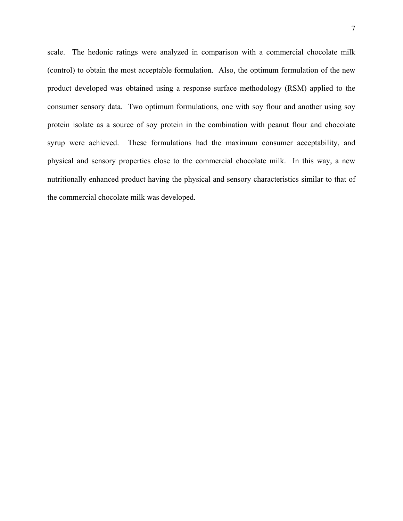scale. The hedonic ratings were analyzed in comparison with a commercial chocolate milk (control) to obtain the most acceptable formulation. Also, the optimum formulation of the new product developed was obtained using a response surface methodology (RSM) applied to the consumer sensory data. Two optimum formulations, one with soy flour and another using soy protein isolate as a source of soy protein in the combination with peanut flour and chocolate syrup were achieved. These formulations had the maximum consumer acceptability, and physical and sensory properties close to the commercial chocolate milk. In this way, a new nutritionally enhanced product having the physical and sensory characteristics similar to that of the commercial chocolate milk was developed.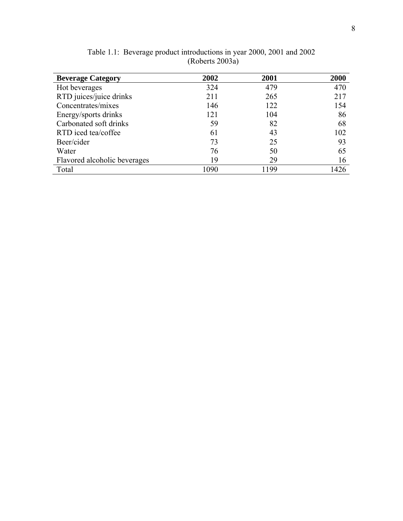| <b>Beverage Category</b>     | 2002 | 2001 | 2000 |
|------------------------------|------|------|------|
| Hot beverages                | 324  | 479  | 470  |
| RTD juices/juice drinks      | 211  | 265  | 217  |
| Concentrates/mixes           | 146  | 122  | 154  |
| Energy/sports drinks         | 121  | 104  | 86   |
| Carbonated soft drinks       | 59   | 82   | 68   |
| RTD iced tea/coffee          | 61   | 43   | 102  |
| Beer/cider                   | 73   | 25   | 93   |
| Water                        | 76   | 50   | 65   |
| Flavored alcoholic beverages | 19   | 29   | 16   |
| Total                        | 1090 | 1199 | 1426 |

Table 1.1: Beverage product introductions in year 2000, 2001 and 2002 (Roberts 2003a)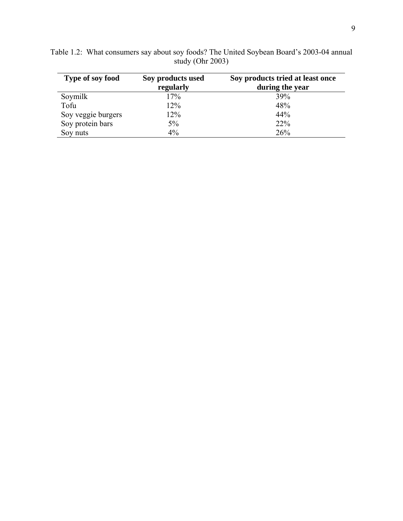| Type of soy food   | Soy products used | Soy products tried at least once |
|--------------------|-------------------|----------------------------------|
|                    | regularly         | during the year                  |
| Soymilk            | 17%               | 39%                              |
| Tofu               | 12%               | 48%                              |
| Soy veggie burgers | 12%               | 44%                              |
| Soy protein bars   | 5%                | 22%                              |
| Soy nuts           | $4\%$             | 26%                              |

Table 1.2: What consumers say about soy foods? The United Soybean Board's 2003-04 annual study (Ohr 2003)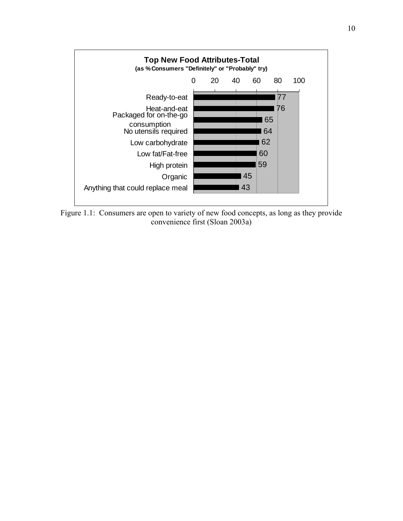

Figure 1.1: Consumers are open to variety of new food concepts, as long as they provide convenience first (Sloan 2003a)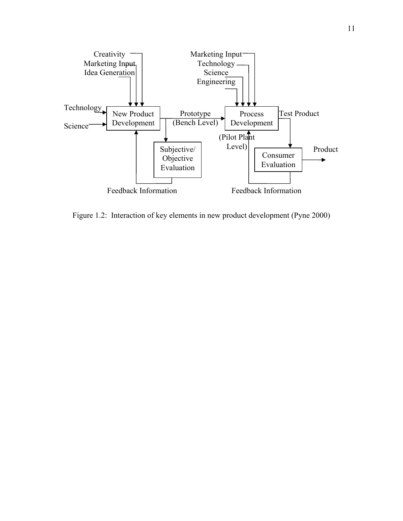

Figure 1.2: Interaction of key elements in new product development (Pyne 2000)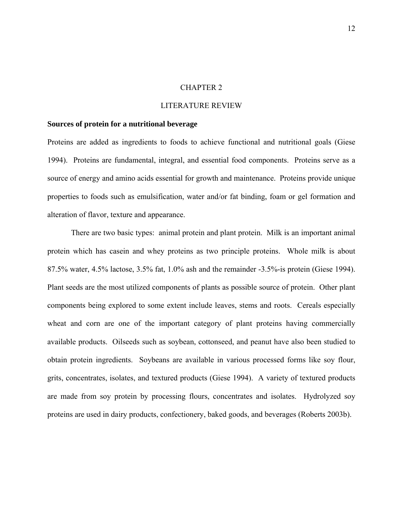#### CHAPTER 2

#### LITERATURE REVIEW

#### **Sources of protein for a nutritional beverage**

Proteins are added as ingredients to foods to achieve functional and nutritional goals (Giese 1994). Proteins are fundamental, integral, and essential food components. Proteins serve as a source of energy and amino acids essential for growth and maintenance. Proteins provide unique properties to foods such as emulsification, water and/or fat binding, foam or gel formation and alteration of flavor, texture and appearance.

There are two basic types: animal protein and plant protein. Milk is an important animal protein which has casein and whey proteins as two principle proteins. Whole milk is about 87.5% water, 4.5% lactose, 3.5% fat, 1.0% ash and the remainder -3.5%-is protein (Giese 1994). Plant seeds are the most utilized components of plants as possible source of protein. Other plant components being explored to some extent include leaves, stems and roots. Cereals especially wheat and corn are one of the important category of plant proteins having commercially available products. Oilseeds such as soybean, cottonseed, and peanut have also been studied to obtain protein ingredients. Soybeans are available in various processed forms like soy flour, grits, concentrates, isolates, and textured products (Giese 1994). A variety of textured products are made from soy protein by processing flours, concentrates and isolates. Hydrolyzed soy proteins are used in dairy products, confectionery, baked goods, and beverages (Roberts 2003b).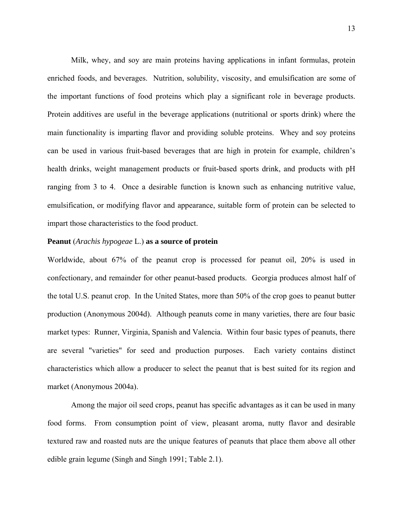Milk, whey, and soy are main proteins having applications in infant formulas, protein enriched foods, and beverages. Nutrition, solubility, viscosity, and emulsification are some of the important functions of food proteins which play a significant role in beverage products. Protein additives are useful in the beverage applications (nutritional or sports drink) where the main functionality is imparting flavor and providing soluble proteins. Whey and soy proteins can be used in various fruit-based beverages that are high in protein for example, children's health drinks, weight management products or fruit-based sports drink, and products with pH ranging from 3 to 4. Once a desirable function is known such as enhancing nutritive value, emulsification, or modifying flavor and appearance, suitable form of protein can be selected to impart those characteristics to the food product.

#### **Peanut** (*Arachis hypogeae* L.) **as a source of protein**

Worldwide, about 67% of the peanut crop is processed for peanut oil, 20% is used in confectionary, and remainder for other peanut-based products. Georgia produces almost half of the total U.S. peanut crop. In the United States, more than 50% of the crop goes to peanut butter production (Anonymous 2004d). Although peanuts come in many varieties, there are four basic market types: Runner, Virginia, Spanish and Valencia. Within four basic types of peanuts, there are several "varieties" for seed and production purposes. Each variety contains distinct characteristics which allow a producer to select the peanut that is best suited for its region and market (Anonymous 2004a).

Among the major oil seed crops, peanut has specific advantages as it can be used in many food forms. From consumption point of view, pleasant aroma, nutty flavor and desirable textured raw and roasted nuts are the unique features of peanuts that place them above all other edible grain legume (Singh and Singh 1991; Table 2.1).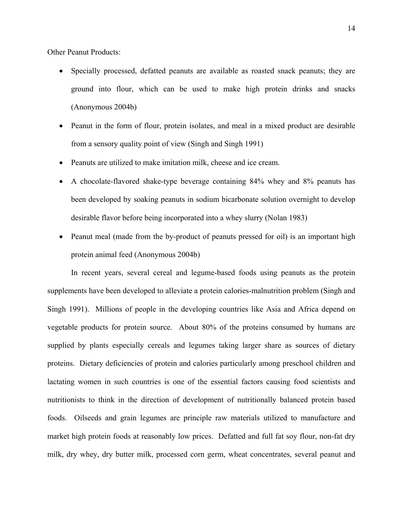Other Peanut Products:

- Specially processed, defatted peanuts are available as roasted snack peanuts; they are ground into flour, which can be used to make high protein drinks and snacks (Anonymous 2004b)
- Peanut in the form of flour, protein isolates, and meal in a mixed product are desirable from a sensory quality point of view (Singh and Singh 1991)
- Peanuts are utilized to make imitation milk, cheese and ice cream.
- A chocolate-flavored shake-type beverage containing 84% whey and 8% peanuts has been developed by soaking peanuts in sodium bicarbonate solution overnight to develop desirable flavor before being incorporated into a whey slurry (Nolan 1983)
- Peanut meal (made from the by-product of peanuts pressed for oil) is an important high protein animal feed (Anonymous 2004b)

In recent years, several cereal and legume-based foods using peanuts as the protein supplements have been developed to alleviate a protein calories-malnutrition problem (Singh and Singh 1991). Millions of people in the developing countries like Asia and Africa depend on vegetable products for protein source. About 80% of the proteins consumed by humans are supplied by plants especially cereals and legumes taking larger share as sources of dietary proteins. Dietary deficiencies of protein and calories particularly among preschool children and lactating women in such countries is one of the essential factors causing food scientists and nutritionists to think in the direction of development of nutritionally balanced protein based foods. Oilseeds and grain legumes are principle raw materials utilized to manufacture and market high protein foods at reasonably low prices. Defatted and full fat soy flour, non-fat dry milk, dry whey, dry butter milk, processed corn germ, wheat concentrates, several peanut and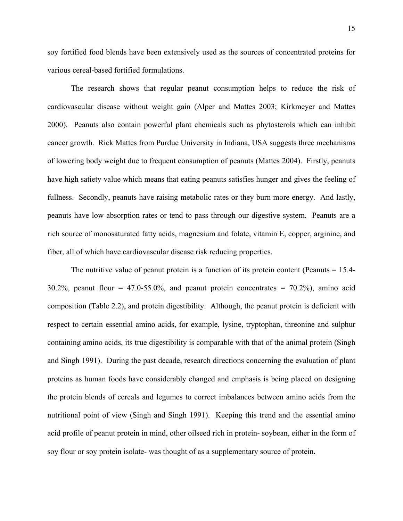soy fortified food blends have been extensively used as the sources of concentrated proteins for various cereal-based fortified formulations.

 The research shows that regular peanut consumption helps to reduce the risk of cardiovascular disease without weight gain (Alper and Mattes 2003; Kirkmeyer and Mattes 2000). Peanuts also contain powerful plant chemicals such as phytosterols which can inhibit cancer growth. Rick Mattes from Purdue University in Indiana, USA suggests three mechanisms of lowering body weight due to frequent consumption of peanuts (Mattes 2004). Firstly, peanuts have high satiety value which means that eating peanuts satisfies hunger and gives the feeling of fullness. Secondly, peanuts have raising metabolic rates or they burn more energy. And lastly, peanuts have low absorption rates or tend to pass through our digestive system. Peanuts are a rich source of monosaturated fatty acids, magnesium and folate, vitamin E, copper, arginine, and fiber, all of which have cardiovascular disease risk reducing properties.

The nutritive value of peanut protein is a function of its protein content (Peanuts = 15.4-  $30.2\%$ , peanut flour = 47.0-55.0%, and peanut protein concentrates = 70.2%), amino acid composition (Table 2.2), and protein digestibility. Although, the peanut protein is deficient with respect to certain essential amino acids, for example, lysine, tryptophan, threonine and sulphur containing amino acids, its true digestibility is comparable with that of the animal protein (Singh and Singh 1991). During the past decade, research directions concerning the evaluation of plant proteins as human foods have considerably changed and emphasis is being placed on designing the protein blends of cereals and legumes to correct imbalances between amino acids from the nutritional point of view (Singh and Singh 1991). Keeping this trend and the essential amino acid profile of peanut protein in mind, other oilseed rich in protein- soybean, either in the form of soy flour or soy protein isolate- was thought of as a supplementary source of protein**.**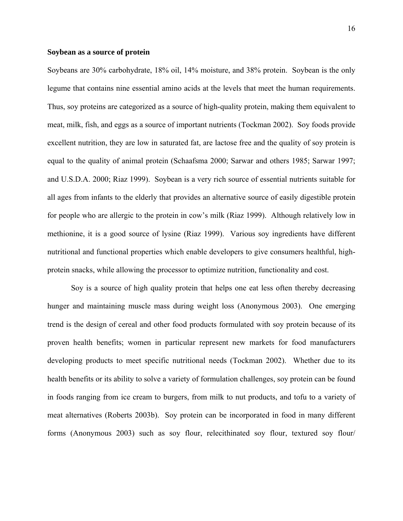#### **Soybean as a source of protein**

Soybeans are 30% carbohydrate, 18% oil, 14% moisture, and 38% protein. Soybean is the only legume that contains nine essential amino acids at the levels that meet the human requirements. Thus, soy proteins are categorized as a source of high-quality protein, making them equivalent to meat, milk, fish, and eggs as a source of important nutrients (Tockman 2002). Soy foods provide excellent nutrition, they are low in saturated fat, are lactose free and the quality of soy protein is equal to the quality of animal protein (Schaafsma 2000; Sarwar and others 1985; Sarwar 1997; and U.S.D.A. 2000; Riaz 1999). Soybean is a very rich source of essential nutrients suitable for all ages from infants to the elderly that provides an alternative source of easily digestible protein for people who are allergic to the protein in cow's milk (Riaz 1999). Although relatively low in methionine, it is a good source of lysine (Riaz 1999). Various soy ingredients have different nutritional and functional properties which enable developers to give consumers healthful, highprotein snacks, while allowing the processor to optimize nutrition, functionality and cost.

Soy is a source of high quality protein that helps one eat less often thereby decreasing hunger and maintaining muscle mass during weight loss (Anonymous 2003). One emerging trend is the design of cereal and other food products formulated with soy protein because of its proven health benefits; women in particular represent new markets for food manufacturers developing products to meet specific nutritional needs (Tockman 2002). Whether due to its health benefits or its ability to solve a variety of formulation challenges, soy protein can be found in foods ranging from ice cream to burgers, from milk to nut products, and tofu to a variety of meat alternatives (Roberts 2003b). Soy protein can be incorporated in food in many different forms (Anonymous 2003) such as soy flour, relecithinated soy flour, textured soy flour/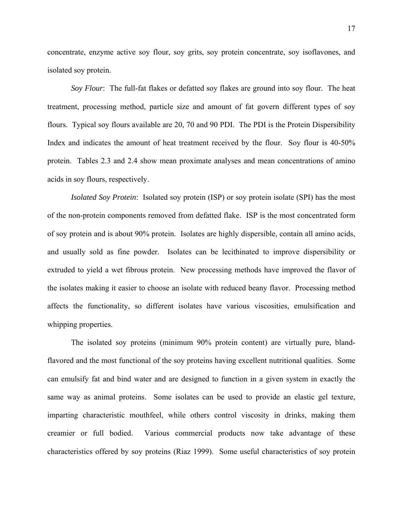concentrate, enzyme active soy flour, soy grits, soy protein concentrate, soy isoflavones, and isolated soy protein.

*Soy Flour*: The full-fat flakes or defatted soy flakes are ground into soy flour. The heat treatment, processing method, particle size and amount of fat govern different types of soy flours. Typical soy flours available are 20, 70 and 90 PDI. The PDI is the Protein Dispersibility Index and indicates the amount of heat treatment received by the flour. Soy flour is 40-50% protein. Tables 2.3 and 2.4 show mean proximate analyses and mean concentrations of amino acids in soy flours, respectively.

*Isolated Soy Protein*: Isolated soy protein (ISP) or soy protein isolate (SPI) has the most of the non-protein components removed from defatted flake. ISP is the most concentrated form of soy protein and is about 90% protein. Isolates are highly dispersible, contain all amino acids, and usually sold as fine powder. Isolates can be lecithinated to improve dispersibility or extruded to yield a wet fibrous protein. New processing methods have improved the flavor of the isolates making it easier to choose an isolate with reduced beany flavor. Processing method affects the functionality, so different isolates have various viscosities, emulsification and whipping properties.

The isolated soy proteins (minimum 90% protein content) are virtually pure, blandflavored and the most functional of the soy proteins having excellent nutritional qualities. Some can emulsify fat and bind water and are designed to function in a given system in exactly the same way as animal proteins. Some isolates can be used to provide an elastic gel texture, imparting characteristic mouthfeel, while others control viscosity in drinks, making them creamier or full bodied. Various commercial products now take advantage of these characteristics offered by soy proteins (Riaz 1999). Some useful characteristics of soy protein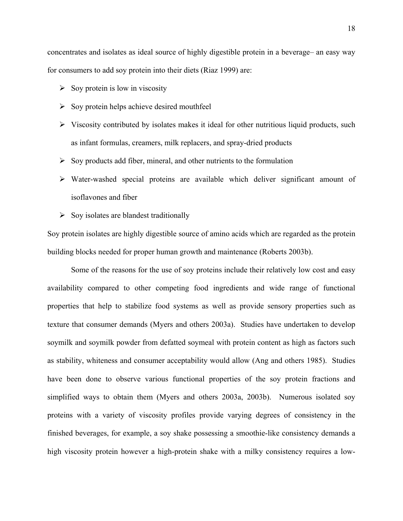concentrates and isolates as ideal source of highly digestible protein in a beverage– an easy way for consumers to add soy protein into their diets (Riaz 1999) are:

- $\triangleright$  Soy protein is low in viscosity
- $\triangleright$  Soy protein helps achieve desired mouthfeel
- $\triangleright$  Viscosity contributed by isolates makes it ideal for other nutritious liquid products, such as infant formulas, creamers, milk replacers, and spray-dried products
- $\triangleright$  Soy products add fiber, mineral, and other nutrients to the formulation
- ¾ Water-washed special proteins are available which deliver significant amount of isoflavones and fiber
- $\triangleright$  Soy isolates are blandest traditionally

Soy protein isolates are highly digestible source of amino acids which are regarded as the protein building blocks needed for proper human growth and maintenance (Roberts 2003b).

Some of the reasons for the use of soy proteins include their relatively low cost and easy availability compared to other competing food ingredients and wide range of functional properties that help to stabilize food systems as well as provide sensory properties such as texture that consumer demands (Myers and others 2003a). Studies have undertaken to develop soymilk and soymilk powder from defatted soymeal with protein content as high as factors such as stability, whiteness and consumer acceptability would allow (Ang and others 1985). Studies have been done to observe various functional properties of the soy protein fractions and simplified ways to obtain them (Myers and others 2003a, 2003b). Numerous isolated soy proteins with a variety of viscosity profiles provide varying degrees of consistency in the finished beverages, for example, a soy shake possessing a smoothie-like consistency demands a high viscosity protein however a high-protein shake with a milky consistency requires a low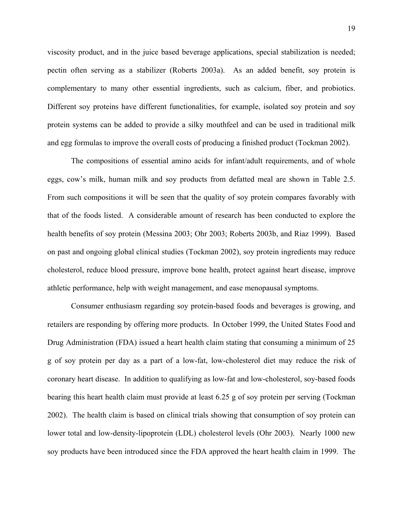viscosity product, and in the juice based beverage applications, special stabilization is needed; pectin often serving as a stabilizer (Roberts 2003a). As an added benefit, soy protein is complementary to many other essential ingredients, such as calcium, fiber, and probiotics. Different soy proteins have different functionalities, for example, isolated soy protein and soy protein systems can be added to provide a silky mouthfeel and can be used in traditional milk and egg formulas to improve the overall costs of producing a finished product (Tockman 2002).

The compositions of essential amino acids for infant/adult requirements, and of whole eggs, cow's milk, human milk and soy products from defatted meal are shown in Table 2.5. From such compositions it will be seen that the quality of soy protein compares favorably with that of the foods listed. A considerable amount of research has been conducted to explore the health benefits of soy protein (Messina 2003; Ohr 2003; Roberts 2003b, and Riaz 1999). Based on past and ongoing global clinical studies (Tockman 2002), soy protein ingredients may reduce cholesterol, reduce blood pressure, improve bone health, protect against heart disease, improve athletic performance, help with weight management, and ease menopausal symptoms.

Consumer enthusiasm regarding soy protein-based foods and beverages is growing, and retailers are responding by offering more products. In October 1999, the United States Food and Drug Administration (FDA) issued a heart health claim stating that consuming a minimum of 25 g of soy protein per day as a part of a low-fat, low-cholesterol diet may reduce the risk of coronary heart disease. In addition to qualifying as low-fat and low-cholesterol, soy-based foods bearing this heart health claim must provide at least 6.25 g of soy protein per serving (Tockman 2002). The health claim is based on clinical trials showing that consumption of soy protein can lower total and low-density-lipoprotein (LDL) cholesterol levels (Ohr 2003). Nearly 1000 new soy products have been introduced since the FDA approved the heart health claim in 1999. The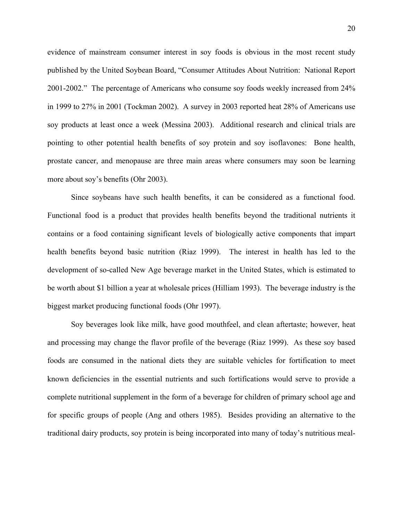evidence of mainstream consumer interest in soy foods is obvious in the most recent study published by the United Soybean Board, "Consumer Attitudes About Nutrition: National Report 2001-2002." The percentage of Americans who consume soy foods weekly increased from 24% in 1999 to 27% in 2001 (Tockman 2002). A survey in 2003 reported heat 28% of Americans use soy products at least once a week (Messina 2003). Additional research and clinical trials are pointing to other potential health benefits of soy protein and soy isoflavones: Bone health, prostate cancer, and menopause are three main areas where consumers may soon be learning more about soy's benefits (Ohr 2003).

Since soybeans have such health benefits, it can be considered as a functional food. Functional food is a product that provides health benefits beyond the traditional nutrients it contains or a food containing significant levels of biologically active components that impart health benefits beyond basic nutrition (Riaz 1999). The interest in health has led to the development of so-called New Age beverage market in the United States, which is estimated to be worth about \$1 billion a year at wholesale prices (Hilliam 1993). The beverage industry is the biggest market producing functional foods (Ohr 1997).

Soy beverages look like milk, have good mouthfeel, and clean aftertaste; however, heat and processing may change the flavor profile of the beverage (Riaz 1999). As these soy based foods are consumed in the national diets they are suitable vehicles for fortification to meet known deficiencies in the essential nutrients and such fortifications would serve to provide a complete nutritional supplement in the form of a beverage for children of primary school age and for specific groups of people (Ang and others 1985). Besides providing an alternative to the traditional dairy products, soy protein is being incorporated into many of today's nutritious meal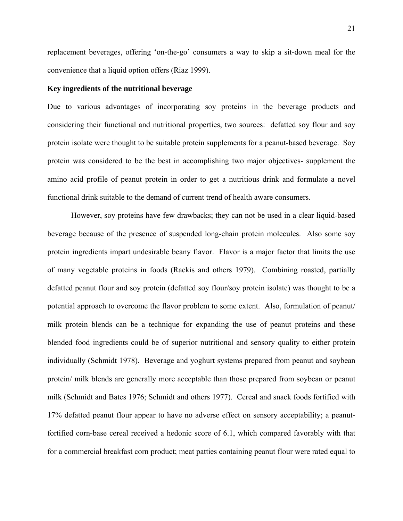replacement beverages, offering 'on-the-go' consumers a way to skip a sit-down meal for the convenience that a liquid option offers (Riaz 1999).

#### **Key ingredients of the nutritional beverage**

Due to various advantages of incorporating soy proteins in the beverage products and considering their functional and nutritional properties, two sources: defatted soy flour and soy protein isolate were thought to be suitable protein supplements for a peanut-based beverage. Soy protein was considered to be the best in accomplishing two major objectives- supplement the amino acid profile of peanut protein in order to get a nutritious drink and formulate a novel functional drink suitable to the demand of current trend of health aware consumers.

However, soy proteins have few drawbacks; they can not be used in a clear liquid-based beverage because of the presence of suspended long-chain protein molecules. Also some soy protein ingredients impart undesirable beany flavor. Flavor is a major factor that limits the use of many vegetable proteins in foods (Rackis and others 1979). Combining roasted, partially defatted peanut flour and soy protein (defatted soy flour/soy protein isolate) was thought to be a potential approach to overcome the flavor problem to some extent. Also, formulation of peanut/ milk protein blends can be a technique for expanding the use of peanut proteins and these blended food ingredients could be of superior nutritional and sensory quality to either protein individually (Schmidt 1978). Beverage and yoghurt systems prepared from peanut and soybean protein/ milk blends are generally more acceptable than those prepared from soybean or peanut milk (Schmidt and Bates 1976; Schmidt and others 1977). Cereal and snack foods fortified with 17% defatted peanut flour appear to have no adverse effect on sensory acceptability; a peanutfortified corn-base cereal received a hedonic score of 6.1, which compared favorably with that for a commercial breakfast corn product; meat patties containing peanut flour were rated equal to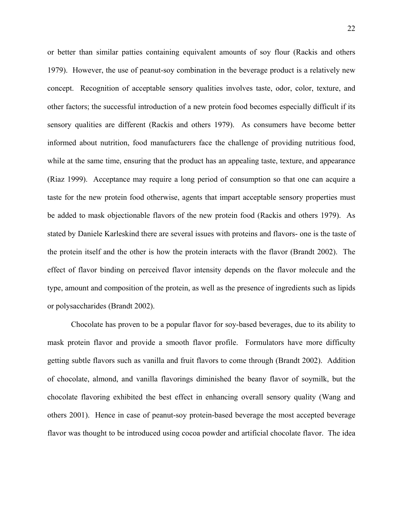or better than similar patties containing equivalent amounts of soy flour (Rackis and others 1979). However, the use of peanut-soy combination in the beverage product is a relatively new concept. Recognition of acceptable sensory qualities involves taste, odor, color, texture, and other factors; the successful introduction of a new protein food becomes especially difficult if its sensory qualities are different (Rackis and others 1979). As consumers have become better informed about nutrition, food manufacturers face the challenge of providing nutritious food, while at the same time, ensuring that the product has an appealing taste, texture, and appearance (Riaz 1999). Acceptance may require a long period of consumption so that one can acquire a taste for the new protein food otherwise, agents that impart acceptable sensory properties must be added to mask objectionable flavors of the new protein food (Rackis and others 1979). As stated by Daniele Karleskind there are several issues with proteins and flavors- one is the taste of the protein itself and the other is how the protein interacts with the flavor (Brandt 2002). The effect of flavor binding on perceived flavor intensity depends on the flavor molecule and the type, amount and composition of the protein, as well as the presence of ingredients such as lipids or polysaccharides (Brandt 2002).

Chocolate has proven to be a popular flavor for soy-based beverages, due to its ability to mask protein flavor and provide a smooth flavor profile. Formulators have more difficulty getting subtle flavors such as vanilla and fruit flavors to come through (Brandt 2002). Addition of chocolate, almond, and vanilla flavorings diminished the beany flavor of soymilk, but the chocolate flavoring exhibited the best effect in enhancing overall sensory quality (Wang and others 2001). Hence in case of peanut-soy protein-based beverage the most accepted beverage flavor was thought to be introduced using cocoa powder and artificial chocolate flavor. The idea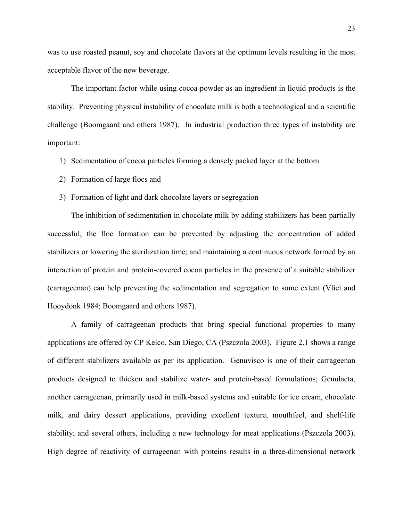was to use roasted peanut, soy and chocolate flavors at the optimum levels resulting in the most acceptable flavor of the new beverage.

The important factor while using cocoa powder as an ingredient in liquid products is the stability. Preventing physical instability of chocolate milk is both a technological and a scientific challenge (Boomgaard and others 1987). In industrial production three types of instability are important:

- 1) Sedimentation of cocoa particles forming a densely packed layer at the bottom
- 2) Formation of large flocs and
- 3) Formation of light and dark chocolate layers or segregation

The inhibition of sedimentation in chocolate milk by adding stabilizers has been partially successful; the floc formation can be prevented by adjusting the concentration of added stabilizers or lowering the sterilization time; and maintaining a continuous network formed by an interaction of protein and protein-covered cocoa particles in the presence of a suitable stabilizer (carrageenan) can help preventing the sedimentation and segregation to some extent (Vliet and Hooydonk 1984; Boomgaard and others 1987).

A family of carrageenan products that bring special functional properties to many applications are offered by CP Kelco, San Diego, CA (Pszczola 2003). Figure 2.1 shows a range of different stabilizers available as per its application. Genuvisco is one of their carrageenan products designed to thicken and stabilize water- and protein-based formulations; Genulacta, another carrageenan, primarily used in milk-based systems and suitable for ice cream, chocolate milk, and dairy dessert applications, providing excellent texture, mouthfeel, and shelf-life stability; and several others, including a new technology for meat applications (Pszczola 2003). High degree of reactivity of carrageenan with proteins results in a three-dimensional network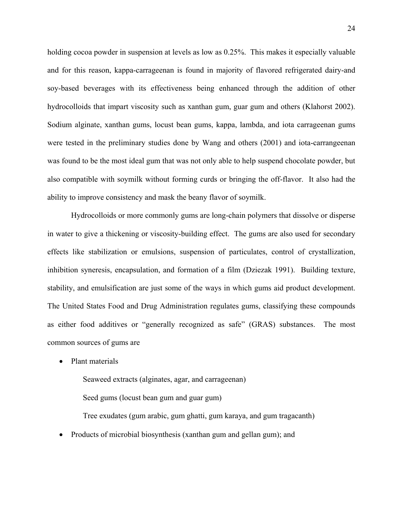holding cocoa powder in suspension at levels as low as 0.25%. This makes it especially valuable and for this reason, kappa-carrageenan is found in majority of flavored refrigerated dairy-and soy-based beverages with its effectiveness being enhanced through the addition of other hydrocolloids that impart viscosity such as xanthan gum, guar gum and others (Klahorst 2002). Sodium alginate, xanthan gums, locust bean gums, kappa, lambda, and iota carrageenan gums were tested in the preliminary studies done by Wang and others (2001) and iota-carrangeenan was found to be the most ideal gum that was not only able to help suspend chocolate powder, but also compatible with soymilk without forming curds or bringing the off-flavor. It also had the ability to improve consistency and mask the beany flavor of soymilk.

Hydrocolloids or more commonly gums are long-chain polymers that dissolve or disperse in water to give a thickening or viscosity-building effect. The gums are also used for secondary effects like stabilization or emulsions, suspension of particulates, control of crystallization, inhibition syneresis, encapsulation, and formation of a film (Dziezak 1991). Building texture, stability, and emulsification are just some of the ways in which gums aid product development. The United States Food and Drug Administration regulates gums, classifying these compounds as either food additives or "generally recognized as safe" (GRAS) substances. The most common sources of gums are

• Plant materials

Seaweed extracts (alginates, agar, and carrageenan) Seed gums (locust bean gum and guar gum)

Tree exudates (gum arabic, gum ghatti, gum karaya, and gum tragacanth)

• Products of microbial biosynthesis (xanthan gum and gellan gum); and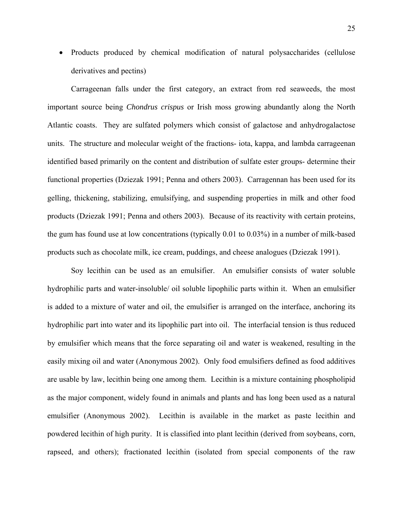• Products produced by chemical modification of natural polysaccharides (cellulose derivatives and pectins)

Carrageenan falls under the first category, an extract from red seaweeds, the most important source being *Chondrus crispus* or Irish moss growing abundantly along the North Atlantic coasts. They are sulfated polymers which consist of galactose and anhydrogalactose units. The structure and molecular weight of the fractions- iota, kappa, and lambda carrageenan identified based primarily on the content and distribution of sulfate ester groups- determine their functional properties (Dziezak 1991; Penna and others 2003). Carragennan has been used for its gelling, thickening, stabilizing, emulsifying, and suspending properties in milk and other food products (Dziezak 1991; Penna and others 2003). Because of its reactivity with certain proteins, the gum has found use at low concentrations (typically 0.01 to 0.03%) in a number of milk-based products such as chocolate milk, ice cream, puddings, and cheese analogues (Dziezak 1991).

Soy lecithin can be used as an emulsifier. An emulsifier consists of water soluble hydrophilic parts and water-insoluble/ oil soluble lipophilic parts within it. When an emulsifier is added to a mixture of water and oil, the emulsifier is arranged on the interface, anchoring its hydrophilic part into water and its lipophilic part into oil. The interfacial tension is thus reduced by emulsifier which means that the force separating oil and water is weakened, resulting in the easily mixing oil and water (Anonymous 2002). Only food emulsifiers defined as food additives are usable by law, lecithin being one among them. Lecithin is a mixture containing phospholipid as the major component, widely found in animals and plants and has long been used as a natural emulsifier (Anonymous 2002). Lecithin is available in the market as paste lecithin and powdered lecithin of high purity. It is classified into plant lecithin (derived from soybeans, corn, rapseed, and others); fractionated lecithin (isolated from special components of the raw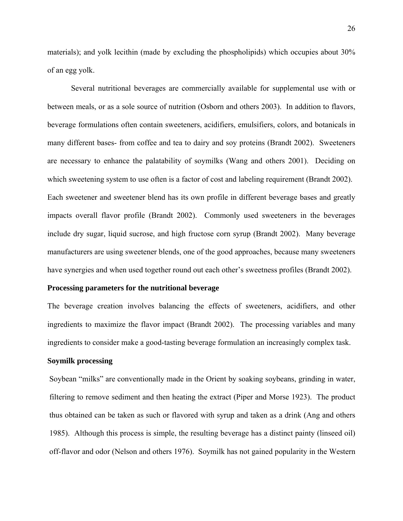materials); and yolk lecithin (made by excluding the phospholipids) which occupies about 30% of an egg yolk.

Several nutritional beverages are commercially available for supplemental use with or between meals, or as a sole source of nutrition (Osborn and others 2003). In addition to flavors, beverage formulations often contain sweeteners, acidifiers, emulsifiers, colors, and botanicals in many different bases- from coffee and tea to dairy and soy proteins (Brandt 2002). Sweeteners are necessary to enhance the palatability of soymilks (Wang and others 2001). Deciding on which sweetening system to use often is a factor of cost and labeling requirement (Brandt 2002). Each sweetener and sweetener blend has its own profile in different beverage bases and greatly impacts overall flavor profile (Brandt 2002). Commonly used sweeteners in the beverages include dry sugar, liquid sucrose, and high fructose corn syrup (Brandt 2002). Many beverage manufacturers are using sweetener blends, one of the good approaches, because many sweeteners have synergies and when used together round out each other's sweetness profiles (Brandt 2002).

### **Processing parameters for the nutritional beverage**

The beverage creation involves balancing the effects of sweeteners, acidifiers, and other ingredients to maximize the flavor impact (Brandt 2002). The processing variables and many ingredients to consider make a good-tasting beverage formulation an increasingly complex task.

### **Soymilk processing**

Soybean "milks" are conventionally made in the Orient by soaking soybeans, grinding in water, filtering to remove sediment and then heating the extract (Piper and Morse 1923). The product thus obtained can be taken as such or flavored with syrup and taken as a drink (Ang and others 1985). Although this process is simple, the resulting beverage has a distinct painty (linseed oil) off-flavor and odor (Nelson and others 1976). Soymilk has not gained popularity in the Western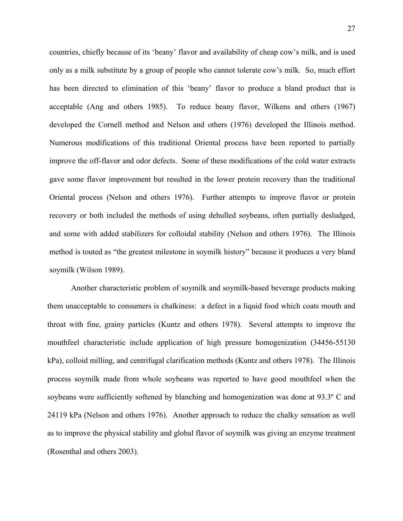countries, chiefly because of its 'beany' flavor and availability of cheap cow's milk, and is used only as a milk substitute by a group of people who cannot tolerate cow's milk. So, much effort has been directed to elimination of this 'beany' flavor to produce a bland product that is acceptable (Ang and others 1985). To reduce beany flavor, Wilkens and others (1967) developed the Cornell method and Nelson and others (1976) developed the Illinois method. Numerous modifications of this traditional Oriental process have been reported to partially improve the off-flavor and odor defects. Some of these modifications of the cold water extracts gave some flavor improvement but resulted in the lower protein recovery than the traditional Oriental process (Nelson and others 1976). Further attempts to improve flavor or protein recovery or both included the methods of using dehulled soybeans, often partially desludged, and some with added stabilizers for colloidal stability (Nelson and others 1976). The Illinois method is touted as "the greatest milestone in soymilk history" because it produces a very bland soymilk (Wilson 1989).

Another characteristic problem of soymilk and soymilk-based beverage products making them unacceptable to consumers is chalkiness: a defect in a liquid food which coats mouth and throat with fine, grainy particles (Kuntz and others 1978). Several attempts to improve the mouthfeel characteristic include application of high pressure homogenization (34456-55130 kPa), colloid milling, and centrifugal clarification methods (Kuntz and others 1978). The Illinois process soymilk made from whole soybeans was reported to have good mouthfeel when the soybeans were sufficiently softened by blanching and homogenization was done at 93.3º C and 24119 kPa (Nelson and others 1976). Another approach to reduce the chalky sensation as well as to improve the physical stability and global flavor of soymilk was giving an enzyme treatment (Rosenthal and others 2003).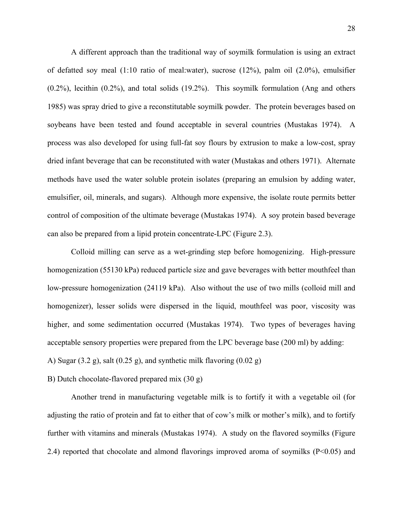A different approach than the traditional way of soymilk formulation is using an extract of defatted soy meal (1:10 ratio of meal:water), sucrose (12%), palm oil (2.0%), emulsifier (0.2%), lecithin (0.2%), and total solids (19.2%). This soymilk formulation (Ang and others 1985) was spray dried to give a reconstitutable soymilk powder. The protein beverages based on soybeans have been tested and found acceptable in several countries (Mustakas 1974). A process was also developed for using full-fat soy flours by extrusion to make a low-cost, spray dried infant beverage that can be reconstituted with water (Mustakas and others 1971). Alternate methods have used the water soluble protein isolates (preparing an emulsion by adding water, emulsifier, oil, minerals, and sugars). Although more expensive, the isolate route permits better control of composition of the ultimate beverage (Mustakas 1974). A soy protein based beverage can also be prepared from a lipid protein concentrate-LPC (Figure 2.3).

Colloid milling can serve as a wet-grinding step before homogenizing. High-pressure homogenization (55130 kPa) reduced particle size and gave beverages with better mouthfeel than low-pressure homogenization (24119 kPa). Also without the use of two mills (colloid mill and homogenizer), lesser solids were dispersed in the liquid, mouthfeel was poor, viscosity was higher, and some sedimentation occurred (Mustakas 1974). Two types of beverages having acceptable sensory properties were prepared from the LPC beverage base (200 ml) by adding:

A) Sugar  $(3.2 \text{ g})$ , salt  $(0.25 \text{ g})$ , and synthetic milk flavoring  $(0.02 \text{ g})$ 

B) Dutch chocolate-flavored prepared mix (30 g)

Another trend in manufacturing vegetable milk is to fortify it with a vegetable oil (for adjusting the ratio of protein and fat to either that of cow's milk or mother's milk), and to fortify further with vitamins and minerals (Mustakas 1974). A study on the flavored soymilks (Figure 2.4) reported that chocolate and almond flavorings improved aroma of soymilks  $(P< 0.05)$  and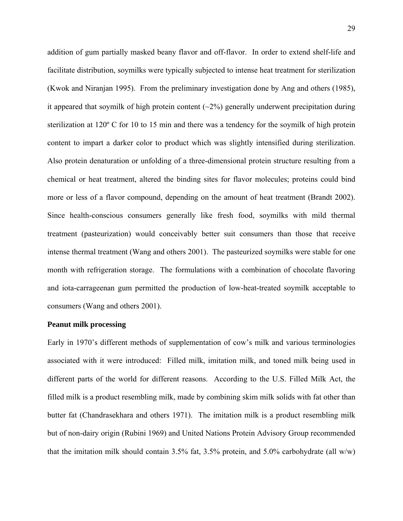addition of gum partially masked beany flavor and off-flavor. In order to extend shelf-life and facilitate distribution, soymilks were typically subjected to intense heat treatment for sterilization (Kwok and Niranjan 1995). From the preliminary investigation done by Ang and others (1985), it appeared that soymilk of high protein content  $(\sim 2\%)$  generally underwent precipitation during sterilization at 120º C for 10 to 15 min and there was a tendency for the soymilk of high protein content to impart a darker color to product which was slightly intensified during sterilization. Also protein denaturation or unfolding of a three-dimensional protein structure resulting from a chemical or heat treatment, altered the binding sites for flavor molecules; proteins could bind more or less of a flavor compound, depending on the amount of heat treatment (Brandt 2002). Since health-conscious consumers generally like fresh food, soymilks with mild thermal treatment (pasteurization) would conceivably better suit consumers than those that receive intense thermal treatment (Wang and others 2001). The pasteurized soymilks were stable for one month with refrigeration storage. The formulations with a combination of chocolate flavoring and iota-carrageenan gum permitted the production of low-heat-treated soymilk acceptable to consumers (Wang and others 2001).

## **Peanut milk processing**

Early in 1970's different methods of supplementation of cow's milk and various terminologies associated with it were introduced: Filled milk, imitation milk, and toned milk being used in different parts of the world for different reasons. According to the U.S. Filled Milk Act, the filled milk is a product resembling milk, made by combining skim milk solids with fat other than butter fat (Chandrasekhara and others 1971). The imitation milk is a product resembling milk but of non-dairy origin (Rubini 1969) and United Nations Protein Advisory Group recommended that the imitation milk should contain 3.5% fat, 3.5% protein, and 5.0% carbohydrate (all w/w)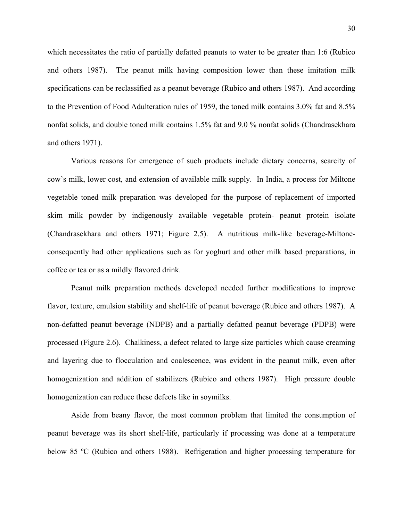which necessitates the ratio of partially defatted peanuts to water to be greater than 1:6 (Rubico and others 1987). The peanut milk having composition lower than these imitation milk specifications can be reclassified as a peanut beverage (Rubico and others 1987). And according to the Prevention of Food Adulteration rules of 1959, the toned milk contains 3.0% fat and 8.5% nonfat solids, and double toned milk contains 1.5% fat and 9.0 % nonfat solids (Chandrasekhara and others 1971).

Various reasons for emergence of such products include dietary concerns, scarcity of cow's milk, lower cost, and extension of available milk supply. In India, a process for Miltone vegetable toned milk preparation was developed for the purpose of replacement of imported skim milk powder by indigenously available vegetable protein- peanut protein isolate (Chandrasekhara and others 1971; Figure 2.5). A nutritious milk-like beverage-Miltoneconsequently had other applications such as for yoghurt and other milk based preparations, in coffee or tea or as a mildly flavored drink.

Peanut milk preparation methods developed needed further modifications to improve flavor, texture, emulsion stability and shelf-life of peanut beverage (Rubico and others 1987). A non-defatted peanut beverage (NDPB) and a partially defatted peanut beverage (PDPB) were processed (Figure 2.6). Chalkiness, a defect related to large size particles which cause creaming and layering due to flocculation and coalescence, was evident in the peanut milk, even after homogenization and addition of stabilizers (Rubico and others 1987). High pressure double homogenization can reduce these defects like in soymilks.

Aside from beany flavor, the most common problem that limited the consumption of peanut beverage was its short shelf-life, particularly if processing was done at a temperature below 85 ºC (Rubico and others 1988). Refrigeration and higher processing temperature for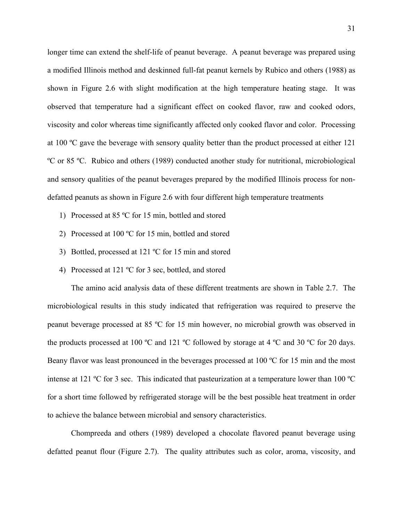longer time can extend the shelf-life of peanut beverage. A peanut beverage was prepared using a modified Illinois method and deskinned full-fat peanut kernels by Rubico and others (1988) as shown in Figure 2.6 with slight modification at the high temperature heating stage. It was observed that temperature had a significant effect on cooked flavor, raw and cooked odors, viscosity and color whereas time significantly affected only cooked flavor and color. Processing at 100 ºC gave the beverage with sensory quality better than the product processed at either 121 ºC or 85 ºC. Rubico and others (1989) conducted another study for nutritional, microbiological and sensory qualities of the peanut beverages prepared by the modified Illinois process for nondefatted peanuts as shown in Figure 2.6 with four different high temperature treatments

- 1) Processed at 85 ºC for 15 min, bottled and stored
- 2) Processed at 100 ºC for 15 min, bottled and stored
- 3) Bottled, processed at 121 ºC for 15 min and stored
- 4) Processed at 121 ºC for 3 sec, bottled, and stored

The amino acid analysis data of these different treatments are shown in Table 2.7. The microbiological results in this study indicated that refrigeration was required to preserve the peanut beverage processed at 85 ºC for 15 min however, no microbial growth was observed in the products processed at 100 ºC and 121 ºC followed by storage at 4 ºC and 30 ºC for 20 days. Beany flavor was least pronounced in the beverages processed at 100 °C for 15 min and the most intense at 121 ºC for 3 sec. This indicated that pasteurization at a temperature lower than 100 ºC for a short time followed by refrigerated storage will be the best possible heat treatment in order to achieve the balance between microbial and sensory characteristics.

Chompreeda and others (1989) developed a chocolate flavored peanut beverage using defatted peanut flour (Figure 2.7). The quality attributes such as color, aroma, viscosity, and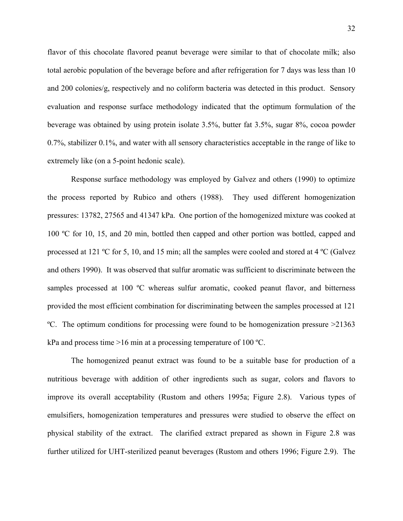flavor of this chocolate flavored peanut beverage were similar to that of chocolate milk; also total aerobic population of the beverage before and after refrigeration for 7 days was less than 10 and 200 colonies/g, respectively and no coliform bacteria was detected in this product. Sensory evaluation and response surface methodology indicated that the optimum formulation of the beverage was obtained by using protein isolate 3.5%, butter fat 3.5%, sugar 8%, cocoa powder 0.7%, stabilizer 0.1%, and water with all sensory characteristics acceptable in the range of like to extremely like (on a 5-point hedonic scale).

Response surface methodology was employed by Galvez and others (1990) to optimize the process reported by Rubico and others (1988). They used different homogenization pressures: 13782, 27565 and 41347 kPa. One portion of the homogenized mixture was cooked at 100 ºC for 10, 15, and 20 min, bottled then capped and other portion was bottled, capped and processed at 121 ºC for 5, 10, and 15 min; all the samples were cooled and stored at 4 ºC (Galvez and others 1990). It was observed that sulfur aromatic was sufficient to discriminate between the samples processed at 100 °C whereas sulfur aromatic, cooked peanut flavor, and bitterness provided the most efficient combination for discriminating between the samples processed at 121 ºC. The optimum conditions for processing were found to be homogenization pressure >21363 kPa and process time >16 min at a processing temperature of 100 ºC.

The homogenized peanut extract was found to be a suitable base for production of a nutritious beverage with addition of other ingredients such as sugar, colors and flavors to improve its overall acceptability (Rustom and others 1995a; Figure 2.8). Various types of emulsifiers, homogenization temperatures and pressures were studied to observe the effect on physical stability of the extract. The clarified extract prepared as shown in Figure 2.8 was further utilized for UHT-sterilized peanut beverages (Rustom and others 1996; Figure 2.9). The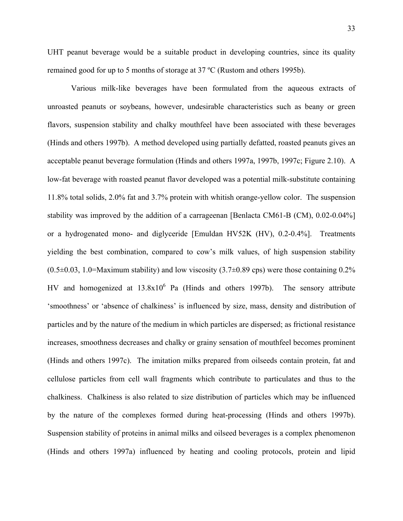UHT peanut beverage would be a suitable product in developing countries, since its quality remained good for up to 5 months of storage at 37 ºC (Rustom and others 1995b).

Various milk-like beverages have been formulated from the aqueous extracts of unroasted peanuts or soybeans, however, undesirable characteristics such as beany or green flavors, suspension stability and chalky mouthfeel have been associated with these beverages (Hinds and others 1997b). A method developed using partially defatted, roasted peanuts gives an acceptable peanut beverage formulation (Hinds and others 1997a, 1997b, 1997c; Figure 2.10). A low-fat beverage with roasted peanut flavor developed was a potential milk-substitute containing 11.8% total solids, 2.0% fat and 3.7% protein with whitish orange-yellow color. The suspension stability was improved by the addition of a carrageenan [Benlacta CM61-B (CM), 0.02-0.04%] or a hydrogenated mono- and diglyceride [Emuldan HV52K (HV), 0.2-0.4%]. Treatments yielding the best combination, compared to cow's milk values, of high suspension stability  $(0.5\pm0.03, 1.0=$ Maximum stability) and low viscosity  $(3.7\pm0.89 \text{ cps})$  were those containing 0.2% HV and homogenized at  $13.8x10^6$  Pa (Hinds and others 1997b). The sensory attribute 'smoothness' or 'absence of chalkiness' is influenced by size, mass, density and distribution of particles and by the nature of the medium in which particles are dispersed; as frictional resistance increases, smoothness decreases and chalky or grainy sensation of mouthfeel becomes prominent (Hinds and others 1997c). The imitation milks prepared from oilseeds contain protein, fat and cellulose particles from cell wall fragments which contribute to particulates and thus to the chalkiness. Chalkiness is also related to size distribution of particles which may be influenced by the nature of the complexes formed during heat-processing (Hinds and others 1997b). Suspension stability of proteins in animal milks and oilseed beverages is a complex phenomenon (Hinds and others 1997a) influenced by heating and cooling protocols, protein and lipid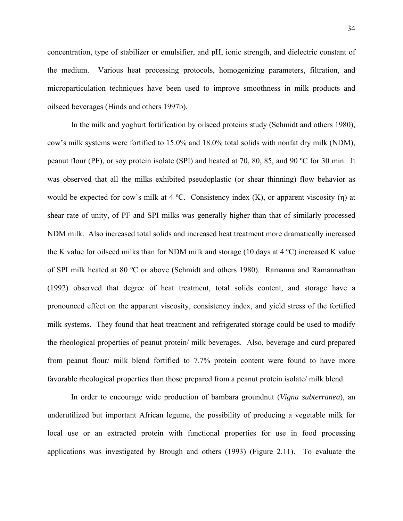concentration, type of stabilizer or emulsifier, and pH, ionic strength, and dielectric constant of the medium. Various heat processing protocols, homogenizing parameters, filtration, and microparticulation techniques have been used to improve smoothness in milk products and oilseed beverages (Hinds and others 1997b).

In the milk and yoghurt fortification by oilseed proteins study (Schmidt and others 1980), cow's milk systems were fortified to 15.0% and 18.0% total solids with nonfat dry milk (NDM), peanut flour (PF), or soy protein isolate (SPI) and heated at 70, 80, 85, and 90 ºC for 30 min. It was observed that all the milks exhibited pseudoplastic (or shear thinning) flow behavior as would be expected for cow's milk at 4 °C. Consistency index  $(K)$ , or apparent viscosity  $(\eta)$  at shear rate of unity, of PF and SPI milks was generally higher than that of similarly processed NDM milk. Also increased total solids and increased heat treatment more dramatically increased the K value for oilseed milks than for NDM milk and storage (10 days at  $4^{\circ}$ C) increased K value of SPI milk heated at 80 ºC or above (Schmidt and others 1980). Ramanna and Ramannathan (1992) observed that degree of heat treatment, total solids content, and storage have a pronounced effect on the apparent viscosity, consistency index, and yield stress of the fortified milk systems. They found that heat treatment and refrigerated storage could be used to modify the rheological properties of peanut protein/ milk beverages. Also, beverage and curd prepared from peanut flour/ milk blend fortified to 7.7% protein content were found to have more favorable rheological properties than those prepared from a peanut protein isolate/ milk blend.

In order to encourage wide production of bambara groundnut (*Vigna subterranea*), an underutilized but important African legume, the possibility of producing a vegetable milk for local use or an extracted protein with functional properties for use in food processing applications was investigated by Brough and others (1993) (Figure 2.11). To evaluate the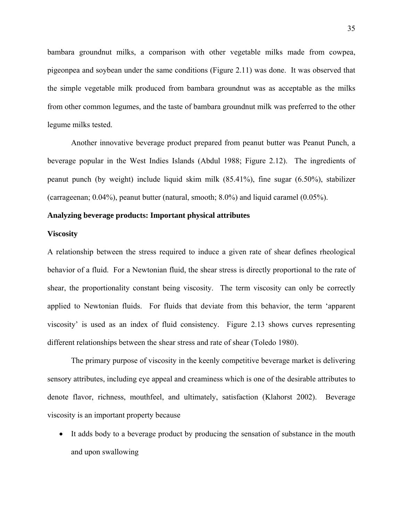bambara groundnut milks, a comparison with other vegetable milks made from cowpea, pigeonpea and soybean under the same conditions (Figure 2.11) was done. It was observed that the simple vegetable milk produced from bambara groundnut was as acceptable as the milks from other common legumes, and the taste of bambara groundnut milk was preferred to the other legume milks tested.

Another innovative beverage product prepared from peanut butter was Peanut Punch, a beverage popular in the West Indies Islands (Abdul 1988; Figure 2.12). The ingredients of peanut punch (by weight) include liquid skim milk (85.41%), fine sugar (6.50%), stabilizer (carrageenan; 0.04%), peanut butter (natural, smooth; 8.0%) and liquid caramel (0.05%).

# **Analyzing beverage products: Important physical attributes**

## **Viscosity**

A relationship between the stress required to induce a given rate of shear defines rheological behavior of a fluid. For a Newtonian fluid, the shear stress is directly proportional to the rate of shear, the proportionality constant being viscosity. The term viscosity can only be correctly applied to Newtonian fluids. For fluids that deviate from this behavior, the term 'apparent viscosity' is used as an index of fluid consistency. Figure 2.13 shows curves representing different relationships between the shear stress and rate of shear (Toledo 1980).

The primary purpose of viscosity in the keenly competitive beverage market is delivering sensory attributes, including eye appeal and creaminess which is one of the desirable attributes to denote flavor, richness, mouthfeel, and ultimately, satisfaction (Klahorst 2002). Beverage viscosity is an important property because

• It adds body to a beverage product by producing the sensation of substance in the mouth and upon swallowing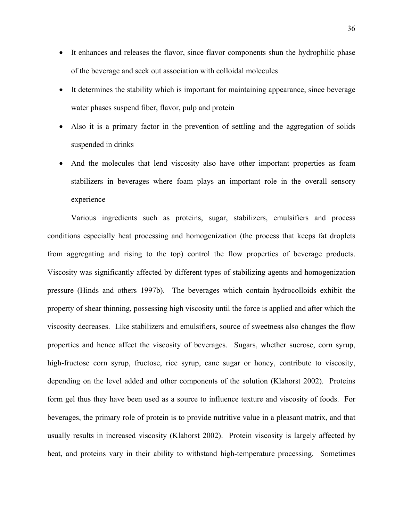- It enhances and releases the flavor, since flavor components shun the hydrophilic phase of the beverage and seek out association with colloidal molecules
- It determines the stability which is important for maintaining appearance, since beverage water phases suspend fiber, flavor, pulp and protein
- Also it is a primary factor in the prevention of settling and the aggregation of solids suspended in drinks
- And the molecules that lend viscosity also have other important properties as foam stabilizers in beverages where foam plays an important role in the overall sensory experience

Various ingredients such as proteins, sugar, stabilizers, emulsifiers and process conditions especially heat processing and homogenization (the process that keeps fat droplets from aggregating and rising to the top) control the flow properties of beverage products. Viscosity was significantly affected by different types of stabilizing agents and homogenization pressure (Hinds and others 1997b). The beverages which contain hydrocolloids exhibit the property of shear thinning, possessing high viscosity until the force is applied and after which the viscosity decreases. Like stabilizers and emulsifiers, source of sweetness also changes the flow properties and hence affect the viscosity of beverages. Sugars, whether sucrose, corn syrup, high-fructose corn syrup, fructose, rice syrup, cane sugar or honey, contribute to viscosity, depending on the level added and other components of the solution (Klahorst 2002). Proteins form gel thus they have been used as a source to influence texture and viscosity of foods. For beverages, the primary role of protein is to provide nutritive value in a pleasant matrix, and that usually results in increased viscosity (Klahorst 2002). Protein viscosity is largely affected by heat, and proteins vary in their ability to withstand high-temperature processing. Sometimes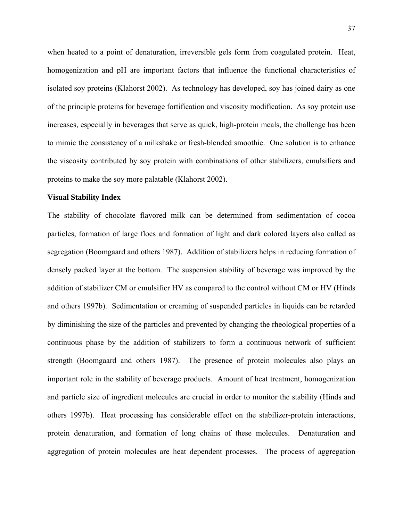when heated to a point of denaturation, irreversible gels form from coagulated protein. Heat, homogenization and pH are important factors that influence the functional characteristics of isolated soy proteins (Klahorst 2002). As technology has developed, soy has joined dairy as one of the principle proteins for beverage fortification and viscosity modification. As soy protein use increases, especially in beverages that serve as quick, high-protein meals, the challenge has been to mimic the consistency of a milkshake or fresh-blended smoothie. One solution is to enhance the viscosity contributed by soy protein with combinations of other stabilizers, emulsifiers and proteins to make the soy more palatable (Klahorst 2002).

## **Visual Stability Index**

The stability of chocolate flavored milk can be determined from sedimentation of cocoa particles, formation of large flocs and formation of light and dark colored layers also called as segregation (Boomgaard and others 1987). Addition of stabilizers helps in reducing formation of densely packed layer at the bottom. The suspension stability of beverage was improved by the addition of stabilizer CM or emulsifier HV as compared to the control without CM or HV (Hinds and others 1997b). Sedimentation or creaming of suspended particles in liquids can be retarded by diminishing the size of the particles and prevented by changing the rheological properties of a continuous phase by the addition of stabilizers to form a continuous network of sufficient strength (Boomgaard and others 1987). The presence of protein molecules also plays an important role in the stability of beverage products. Amount of heat treatment, homogenization and particle size of ingredient molecules are crucial in order to monitor the stability (Hinds and others 1997b). Heat processing has considerable effect on the stabilizer-protein interactions, protein denaturation, and formation of long chains of these molecules. Denaturation and aggregation of protein molecules are heat dependent processes. The process of aggregation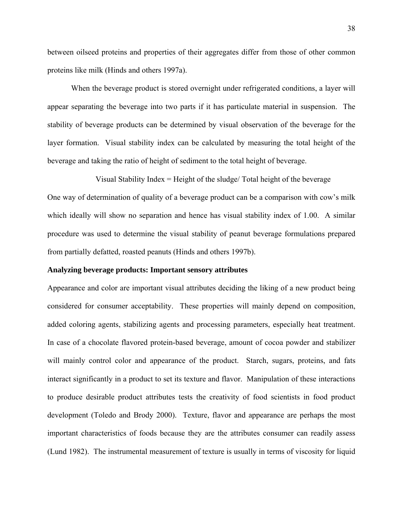between oilseed proteins and properties of their aggregates differ from those of other common proteins like milk (Hinds and others 1997a).

When the beverage product is stored overnight under refrigerated conditions, a layer will appear separating the beverage into two parts if it has particulate material in suspension. The stability of beverage products can be determined by visual observation of the beverage for the layer formation. Visual stability index can be calculated by measuring the total height of the beverage and taking the ratio of height of sediment to the total height of beverage.

Visual Stability Index = Height of the sludge/ Total height of the beverage One way of determination of quality of a beverage product can be a comparison with cow's milk which ideally will show no separation and hence has visual stability index of 1.00. A similar procedure was used to determine the visual stability of peanut beverage formulations prepared from partially defatted, roasted peanuts (Hinds and others 1997b).

### **Analyzing beverage products: Important sensory attributes**

Appearance and color are important visual attributes deciding the liking of a new product being considered for consumer acceptability. These properties will mainly depend on composition, added coloring agents, stabilizing agents and processing parameters, especially heat treatment. In case of a chocolate flavored protein-based beverage, amount of cocoa powder and stabilizer will mainly control color and appearance of the product. Starch, sugars, proteins, and fats interact significantly in a product to set its texture and flavor. Manipulation of these interactions to produce desirable product attributes tests the creativity of food scientists in food product development (Toledo and Brody 2000). Texture, flavor and appearance are perhaps the most important characteristics of foods because they are the attributes consumer can readily assess (Lund 1982). The instrumental measurement of texture is usually in terms of viscosity for liquid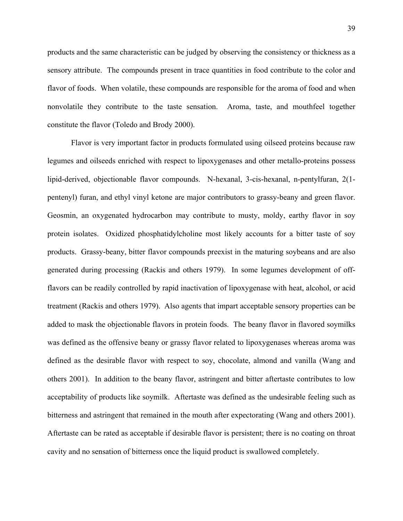products and the same characteristic can be judged by observing the consistency or thickness as a sensory attribute. The compounds present in trace quantities in food contribute to the color and flavor of foods. When volatile, these compounds are responsible for the aroma of food and when nonvolatile they contribute to the taste sensation. Aroma, taste, and mouthfeel together constitute the flavor (Toledo and Brody 2000).

 Flavor is very important factor in products formulated using oilseed proteins because raw legumes and oilseeds enriched with respect to lipoxygenases and other metallo-proteins possess lipid-derived, objectionable flavor compounds. N-hexanal, 3-cis-hexanal, n-pentylfuran, 2(1 pentenyl) furan, and ethyl vinyl ketone are major contributors to grassy-beany and green flavor. Geosmin, an oxygenated hydrocarbon may contribute to musty, moldy, earthy flavor in soy protein isolates. Oxidized phosphatidylcholine most likely accounts for a bitter taste of soy products. Grassy-beany, bitter flavor compounds preexist in the maturing soybeans and are also generated during processing (Rackis and others 1979). In some legumes development of offflavors can be readily controlled by rapid inactivation of lipoxygenase with heat, alcohol, or acid treatment (Rackis and others 1979). Also agents that impart acceptable sensory properties can be added to mask the objectionable flavors in protein foods. The beany flavor in flavored soymilks was defined as the offensive beany or grassy flavor related to lipoxygenases whereas aroma was defined as the desirable flavor with respect to soy, chocolate, almond and vanilla (Wang and others 2001). In addition to the beany flavor, astringent and bitter aftertaste contributes to low acceptability of products like soymilk. Aftertaste was defined as the undesirable feeling such as bitterness and astringent that remained in the mouth after expectorating (Wang and others 2001). Aftertaste can be rated as acceptable if desirable flavor is persistent; there is no coating on throat cavity and no sensation of bitterness once the liquid product is swallowed completely.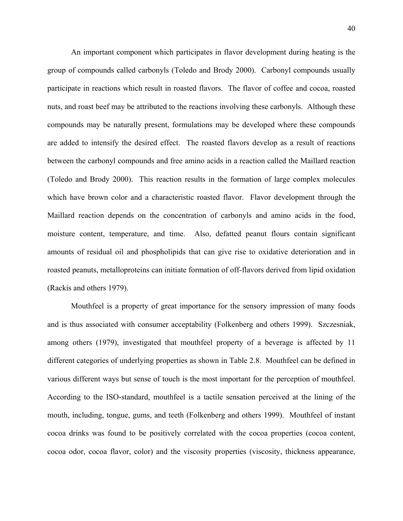An important component which participates in flavor development during heating is the group of compounds called carbonyls (Toledo and Brody 2000). Carbonyl compounds usually participate in reactions which result in roasted flavors. The flavor of coffee and cocoa, roasted nuts, and roast beef may be attributed to the reactions involving these carbonyls. Although these compounds may be naturally present, formulations may be developed where these compounds are added to intensify the desired effect. The roasted flavors develop as a result of reactions between the carbonyl compounds and free amino acids in a reaction called the Maillard reaction (Toledo and Brody 2000). This reaction results in the formation of large complex molecules which have brown color and a characteristic roasted flavor. Flavor development through the Maillard reaction depends on the concentration of carbonyls and amino acids in the food, moisture content, temperature, and time. Also, defatted peanut flours contain significant amounts of residual oil and phospholipids that can give rise to oxidative deterioration and in roasted peanuts, metalloproteins can initiate formation of off-flavors derived from lipid oxidation (Rackis and others 1979).

Mouthfeel is a property of great importance for the sensory impression of many foods and is thus associated with consumer acceptability (Folkenberg and others 1999). Szczesniak, among others (1979), investigated that mouthfeel property of a beverage is affected by 11 different categories of underlying properties as shown in Table 2.8. Mouthfeel can be defined in various different ways but sense of touch is the most important for the perception of mouthfeel. According to the ISO-standard, mouthfeel is a tactile sensation perceived at the lining of the mouth, including, tongue, gums, and teeth (Folkenberg and others 1999). Mouthfeel of instant cocoa drinks was found to be positively correlated with the cocoa properties (cocoa content, cocoa odor, cocoa flavor, color) and the viscosity properties (viscosity, thickness appearance,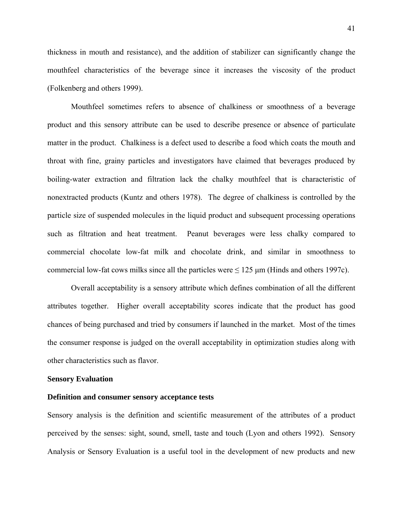thickness in mouth and resistance), and the addition of stabilizer can significantly change the mouthfeel characteristics of the beverage since it increases the viscosity of the product (Folkenberg and others 1999).

Mouthfeel sometimes refers to absence of chalkiness or smoothness of a beverage product and this sensory attribute can be used to describe presence or absence of particulate matter in the product. Chalkiness is a defect used to describe a food which coats the mouth and throat with fine, grainy particles and investigators have claimed that beverages produced by boiling-water extraction and filtration lack the chalky mouthfeel that is characteristic of nonextracted products (Kuntz and others 1978). The degree of chalkiness is controlled by the particle size of suspended molecules in the liquid product and subsequent processing operations such as filtration and heat treatment. Peanut beverages were less chalky compared to commercial chocolate low-fat milk and chocolate drink, and similar in smoothness to commercial low-fat cows milks since all the particles were  $\leq 125 \mu m$  (Hinds and others 1997c).

 Overall acceptability is a sensory attribute which defines combination of all the different attributes together. Higher overall acceptability scores indicate that the product has good chances of being purchased and tried by consumers if launched in the market. Most of the times the consumer response is judged on the overall acceptability in optimization studies along with other characteristics such as flavor.

### **Sensory Evaluation**

#### **Definition and consumer sensory acceptance tests**

Sensory analysis is the definition and scientific measurement of the attributes of a product perceived by the senses: sight, sound, smell, taste and touch (Lyon and others 1992). Sensory Analysis or Sensory Evaluation is a useful tool in the development of new products and new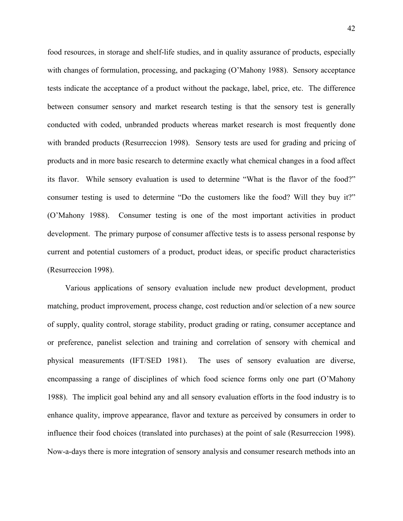food resources, in storage and shelf-life studies, and in quality assurance of products, especially with changes of formulation, processing, and packaging (O'Mahony 1988). Sensory acceptance tests indicate the acceptance of a product without the package, label, price, etc. The difference between consumer sensory and market research testing is that the sensory test is generally conducted with coded, unbranded products whereas market research is most frequently done with branded products (Resurreccion 1998). Sensory tests are used for grading and pricing of products and in more basic research to determine exactly what chemical changes in a food affect its flavor. While sensory evaluation is used to determine "What is the flavor of the food?" consumer testing is used to determine "Do the customers like the food? Will they buy it?" (O'Mahony 1988). Consumer testing is one of the most important activities in product development. The primary purpose of consumer affective tests is to assess personal response by current and potential customers of a product, product ideas, or specific product characteristics (Resurreccion 1998).

Various applications of sensory evaluation include new product development, product matching, product improvement, process change, cost reduction and/or selection of a new source of supply, quality control, storage stability, product grading or rating, consumer acceptance and or preference, panelist selection and training and correlation of sensory with chemical and physical measurements (IFT/SED 1981). The uses of sensory evaluation are diverse, encompassing a range of disciplines of which food science forms only one part (O'Mahony 1988). The implicit goal behind any and all sensory evaluation efforts in the food industry is to enhance quality, improve appearance, flavor and texture as perceived by consumers in order to influence their food choices (translated into purchases) at the point of sale (Resurreccion 1998). Now-a-days there is more integration of sensory analysis and consumer research methods into an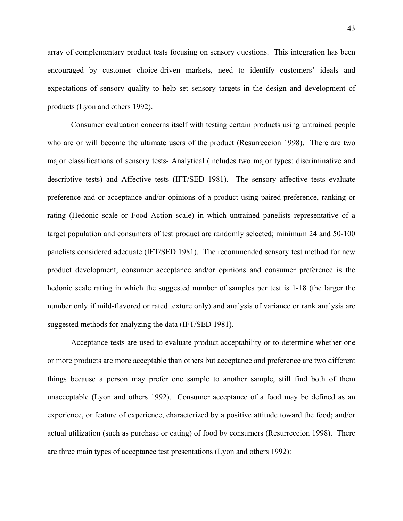array of complementary product tests focusing on sensory questions. This integration has been encouraged by customer choice-driven markets, need to identify customers' ideals and expectations of sensory quality to help set sensory targets in the design and development of products (Lyon and others 1992).

 Consumer evaluation concerns itself with testing certain products using untrained people who are or will become the ultimate users of the product (Resurreccion 1998). There are two major classifications of sensory tests- Analytical (includes two major types: discriminative and descriptive tests) and Affective tests (IFT/SED 1981). The sensory affective tests evaluate preference and or acceptance and/or opinions of a product using paired-preference, ranking or rating (Hedonic scale or Food Action scale) in which untrained panelists representative of a target population and consumers of test product are randomly selected; minimum 24 and 50-100 panelists considered adequate (IFT/SED 1981). The recommended sensory test method for new product development, consumer acceptance and/or opinions and consumer preference is the hedonic scale rating in which the suggested number of samples per test is 1-18 (the larger the number only if mild-flavored or rated texture only) and analysis of variance or rank analysis are suggested methods for analyzing the data (IFT/SED 1981).

Acceptance tests are used to evaluate product acceptability or to determine whether one or more products are more acceptable than others but acceptance and preference are two different things because a person may prefer one sample to another sample, still find both of them unacceptable (Lyon and others 1992). Consumer acceptance of a food may be defined as an experience, or feature of experience, characterized by a positive attitude toward the food; and/or actual utilization (such as purchase or eating) of food by consumers (Resurreccion 1998). There are three main types of acceptance test presentations (Lyon and others 1992):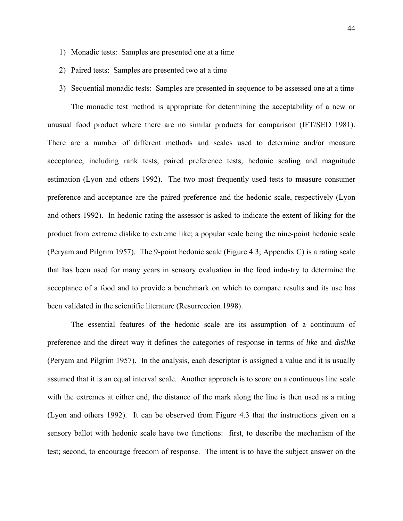- 1) Monadic tests: Samples are presented one at a time
- 2) Paired tests: Samples are presented two at a time
- 3) Sequential monadic tests: Samples are presented in sequence to be assessed one at a time

The monadic test method is appropriate for determining the acceptability of a new or unusual food product where there are no similar products for comparison (IFT/SED 1981). There are a number of different methods and scales used to determine and/or measure acceptance, including rank tests, paired preference tests, hedonic scaling and magnitude estimation (Lyon and others 1992). The two most frequently used tests to measure consumer preference and acceptance are the paired preference and the hedonic scale, respectively (Lyon and others 1992). In hedonic rating the assessor is asked to indicate the extent of liking for the product from extreme dislike to extreme like; a popular scale being the nine-point hedonic scale (Peryam and Pilgrim 1957). The 9-point hedonic scale (Figure 4.3; Appendix C) is a rating scale that has been used for many years in sensory evaluation in the food industry to determine the acceptance of a food and to provide a benchmark on which to compare results and its use has been validated in the scientific literature (Resurreccion 1998).

The essential features of the hedonic scale are its assumption of a continuum of preference and the direct way it defines the categories of response in terms of *like* and *dislike* (Peryam and Pilgrim 1957). In the analysis, each descriptor is assigned a value and it is usually assumed that it is an equal interval scale. Another approach is to score on a continuous line scale with the extremes at either end, the distance of the mark along the line is then used as a rating (Lyon and others 1992). It can be observed from Figure 4.3 that the instructions given on a sensory ballot with hedonic scale have two functions: first, to describe the mechanism of the test; second, to encourage freedom of response. The intent is to have the subject answer on the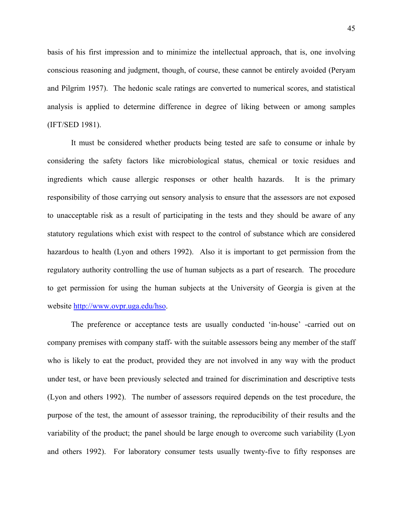basis of his first impression and to minimize the intellectual approach, that is, one involving conscious reasoning and judgment, though, of course, these cannot be entirely avoided (Peryam and Pilgrim 1957). The hedonic scale ratings are converted to numerical scores, and statistical analysis is applied to determine difference in degree of liking between or among samples (IFT/SED 1981).

It must be considered whether products being tested are safe to consume or inhale by considering the safety factors like microbiological status, chemical or toxic residues and ingredients which cause allergic responses or other health hazards. It is the primary responsibility of those carrying out sensory analysis to ensure that the assessors are not exposed to unacceptable risk as a result of participating in the tests and they should be aware of any statutory regulations which exist with respect to the control of substance which are considered hazardous to health (Lyon and others 1992). Also it is important to get permission from the regulatory authority controlling the use of human subjects as a part of research. The procedure to get permission for using the human subjects at the University of Georgia is given at the website [http://www.ovpr.uga.edu/hso.](http://www.ovpr.uga.edu/hso)

The preference or acceptance tests are usually conducted 'in-house' -carried out on company premises with company staff- with the suitable assessors being any member of the staff who is likely to eat the product, provided they are not involved in any way with the product under test, or have been previously selected and trained for discrimination and descriptive tests (Lyon and others 1992). The number of assessors required depends on the test procedure, the purpose of the test, the amount of assessor training, the reproducibility of their results and the variability of the product; the panel should be large enough to overcome such variability (Lyon and others 1992). For laboratory consumer tests usually twenty-five to fifty responses are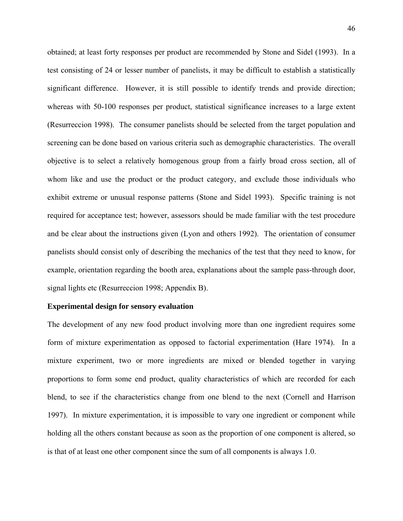obtained; at least forty responses per product are recommended by Stone and Sidel (1993). In a test consisting of 24 or lesser number of panelists, it may be difficult to establish a statistically significant difference. However, it is still possible to identify trends and provide direction; whereas with 50-100 responses per product, statistical significance increases to a large extent (Resurreccion 1998). The consumer panelists should be selected from the target population and screening can be done based on various criteria such as demographic characteristics. The overall objective is to select a relatively homogenous group from a fairly broad cross section, all of whom like and use the product or the product category, and exclude those individuals who exhibit extreme or unusual response patterns (Stone and Sidel 1993). Specific training is not required for acceptance test; however, assessors should be made familiar with the test procedure and be clear about the instructions given (Lyon and others 1992). The orientation of consumer panelists should consist only of describing the mechanics of the test that they need to know, for example, orientation regarding the booth area, explanations about the sample pass-through door, signal lights etc (Resurreccion 1998; Appendix B).

## **Experimental design for sensory evaluation**

The development of any new food product involving more than one ingredient requires some form of mixture experimentation as opposed to factorial experimentation (Hare 1974). In a mixture experiment, two or more ingredients are mixed or blended together in varying proportions to form some end product, quality characteristics of which are recorded for each blend, to see if the characteristics change from one blend to the next (Cornell and Harrison 1997). In mixture experimentation, it is impossible to vary one ingredient or component while holding all the others constant because as soon as the proportion of one component is altered, so is that of at least one other component since the sum of all components is always 1.0.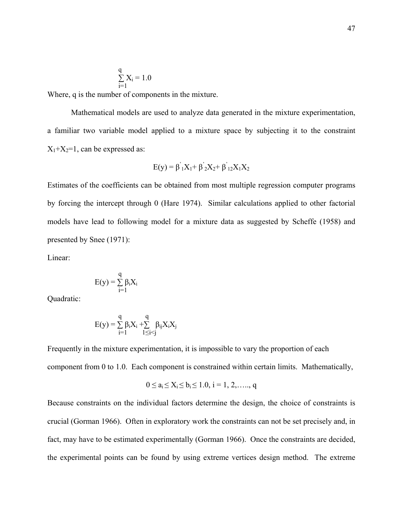$$
\sum_{i=1}^{q} X_i = 1.0
$$

Where, q is the number of components in the mixture.

Mathematical models are used to analyze data generated in the mixture experimentation, a familiar two variable model applied to a mixture space by subjecting it to the constraint  $X_1+X_2=1$ , can be expressed as:

$$
E(y) = \beta_{1}^{'}X_{1} + \beta_{2}^{'}X_{2} + \beta_{12}^{'}X_{1}X_{2}
$$

Estimates of the coefficients can be obtained from most multiple regression computer programs by forcing the intercept through 0 (Hare 1974). Similar calculations applied to other factorial models have lead to following model for a mixture data as suggested by Scheffe (1958) and presented by Snee (1971):

Linear:

$$
E(y) = \sum_{i=1}^{q} \beta_i X_i
$$

Quadratic:

$$
E(y) = \sum_{i=1}^q \beta_i X_i + \sum_{1 \leq i < j}^q \beta_{ij} X_i X_j
$$

Frequently in the mixture experimentation, it is impossible to vary the proportion of each component from 0 to 1.0. Each component is constrained within certain limits. Mathematically,

$$
0 \le a_i \le X_i \le b_i \le 1.0, i = 1, 2, \ldots, q
$$

Because constraints on the individual factors determine the design, the choice of constraints is crucial (Gorman 1966). Often in exploratory work the constraints can not be set precisely and, in fact, may have to be estimated experimentally (Gorman 1966). Once the constraints are decided, the experimental points can be found by using extreme vertices design method. The extreme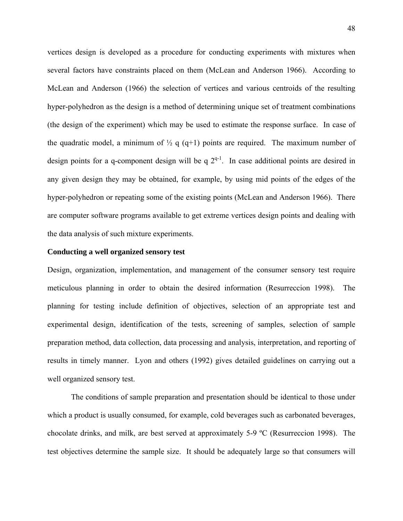vertices design is developed as a procedure for conducting experiments with mixtures when several factors have constraints placed on them (McLean and Anderson 1966). According to McLean and Anderson (1966) the selection of vertices and various centroids of the resulting hyper-polyhedron as the design is a method of determining unique set of treatment combinations (the design of the experiment) which may be used to estimate the response surface. In case of the quadratic model, a minimum of  $\frac{1}{2}$  q (q+1) points are required. The maximum number of design points for a q-component design will be q  $2^{q-1}$ . In case additional points are desired in any given design they may be obtained, for example, by using mid points of the edges of the hyper-polyhedron or repeating some of the existing points (McLean and Anderson 1966). There are computer software programs available to get extreme vertices design points and dealing with the data analysis of such mixture experiments.

## **Conducting a well organized sensory test**

Design, organization, implementation, and management of the consumer sensory test require meticulous planning in order to obtain the desired information (Resurreccion 1998). The planning for testing include definition of objectives, selection of an appropriate test and experimental design, identification of the tests, screening of samples, selection of sample preparation method, data collection, data processing and analysis, interpretation, and reporting of results in timely manner. Lyon and others (1992) gives detailed guidelines on carrying out a well organized sensory test.

The conditions of sample preparation and presentation should be identical to those under which a product is usually consumed, for example, cold beverages such as carbonated beverages, chocolate drinks, and milk, are best served at approximately 5-9 ºC (Resurreccion 1998). The test objectives determine the sample size. It should be adequately large so that consumers will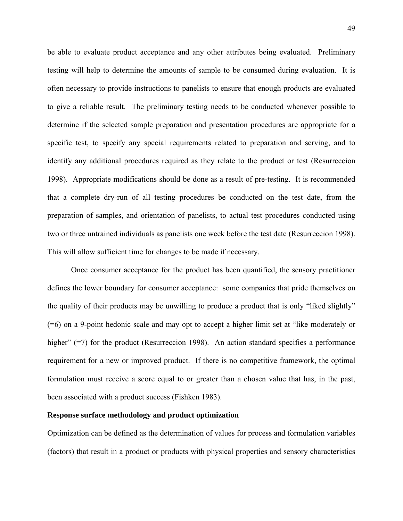be able to evaluate product acceptance and any other attributes being evaluated. Preliminary testing will help to determine the amounts of sample to be consumed during evaluation. It is often necessary to provide instructions to panelists to ensure that enough products are evaluated to give a reliable result. The preliminary testing needs to be conducted whenever possible to determine if the selected sample preparation and presentation procedures are appropriate for a specific test, to specify any special requirements related to preparation and serving, and to identify any additional procedures required as they relate to the product or test (Resurreccion 1998). Appropriate modifications should be done as a result of pre-testing. It is recommended that a complete dry-run of all testing procedures be conducted on the test date, from the preparation of samples, and orientation of panelists, to actual test procedures conducted using two or three untrained individuals as panelists one week before the test date (Resurreccion 1998). This will allow sufficient time for changes to be made if necessary.

 Once consumer acceptance for the product has been quantified, the sensory practitioner defines the lower boundary for consumer acceptance: some companies that pride themselves on the quality of their products may be unwilling to produce a product that is only "liked slightly" (=6) on a 9-point hedonic scale and may opt to accept a higher limit set at "like moderately or higher" (=7) for the product (Resurreccion 1998). An action standard specifies a performance requirement for a new or improved product. If there is no competitive framework, the optimal formulation must receive a score equal to or greater than a chosen value that has, in the past, been associated with a product success (Fishken 1983).

# **Response surface methodology and product optimization**

Optimization can be defined as the determination of values for process and formulation variables (factors) that result in a product or products with physical properties and sensory characteristics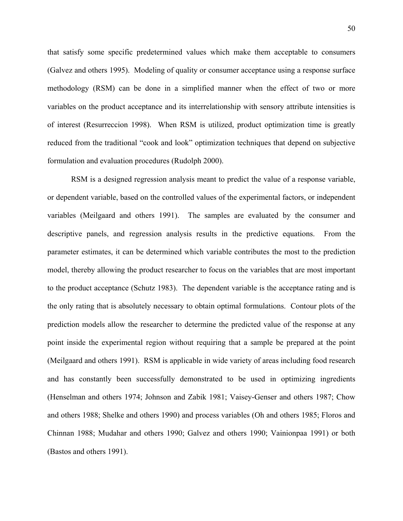that satisfy some specific predetermined values which make them acceptable to consumers (Galvez and others 1995). Modeling of quality or consumer acceptance using a response surface methodology (RSM) can be done in a simplified manner when the effect of two or more variables on the product acceptance and its interrelationship with sensory attribute intensities is of interest (Resurreccion 1998). When RSM is utilized, product optimization time is greatly reduced from the traditional "cook and look" optimization techniques that depend on subjective formulation and evaluation procedures (Rudolph 2000).

RSM is a designed regression analysis meant to predict the value of a response variable, or dependent variable, based on the controlled values of the experimental factors, or independent variables (Meilgaard and others 1991). The samples are evaluated by the consumer and descriptive panels, and regression analysis results in the predictive equations. From the parameter estimates, it can be determined which variable contributes the most to the prediction model, thereby allowing the product researcher to focus on the variables that are most important to the product acceptance (Schutz 1983). The dependent variable is the acceptance rating and is the only rating that is absolutely necessary to obtain optimal formulations. Contour plots of the prediction models allow the researcher to determine the predicted value of the response at any point inside the experimental region without requiring that a sample be prepared at the point (Meilgaard and others 1991). RSM is applicable in wide variety of areas including food research and has constantly been successfully demonstrated to be used in optimizing ingredients (Henselman and others 1974; Johnson and Zabik 1981; Vaisey-Genser and others 1987; Chow and others 1988; Shelke and others 1990) and process variables (Oh and others 1985; Floros and Chinnan 1988; Mudahar and others 1990; Galvez and others 1990; Vainionpaa 1991) or both (Bastos and others 1991).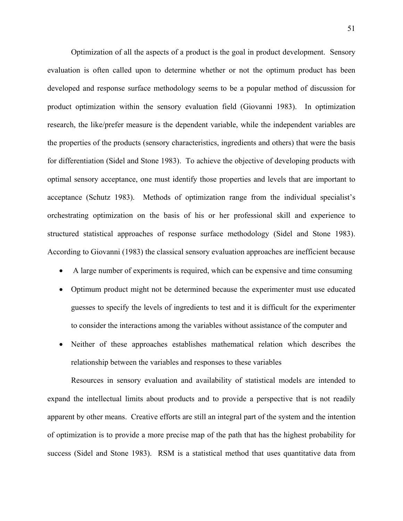Optimization of all the aspects of a product is the goal in product development. Sensory evaluation is often called upon to determine whether or not the optimum product has been developed and response surface methodology seems to be a popular method of discussion for product optimization within the sensory evaluation field (Giovanni 1983). In optimization research, the like/prefer measure is the dependent variable, while the independent variables are the properties of the products (sensory characteristics, ingredients and others) that were the basis for differentiation (Sidel and Stone 1983). To achieve the objective of developing products with optimal sensory acceptance, one must identify those properties and levels that are important to acceptance (Schutz 1983). Methods of optimization range from the individual specialist's orchestrating optimization on the basis of his or her professional skill and experience to structured statistical approaches of response surface methodology (Sidel and Stone 1983). According to Giovanni (1983) the classical sensory evaluation approaches are inefficient because

- A large number of experiments is required, which can be expensive and time consuming
- Optimum product might not be determined because the experimenter must use educated guesses to specify the levels of ingredients to test and it is difficult for the experimenter to consider the interactions among the variables without assistance of the computer and
- Neither of these approaches establishes mathematical relation which describes the relationship between the variables and responses to these variables

Resources in sensory evaluation and availability of statistical models are intended to expand the intellectual limits about products and to provide a perspective that is not readily apparent by other means. Creative efforts are still an integral part of the system and the intention of optimization is to provide a more precise map of the path that has the highest probability for success (Sidel and Stone 1983). RSM is a statistical method that uses quantitative data from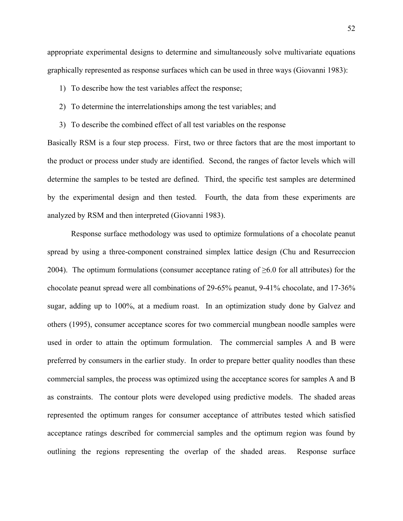appropriate experimental designs to determine and simultaneously solve multivariate equations graphically represented as response surfaces which can be used in three ways (Giovanni 1983):

- 1) To describe how the test variables affect the response;
- 2) To determine the interrelationships among the test variables; and
- 3) To describe the combined effect of all test variables on the response

Basically RSM is a four step process. First, two or three factors that are the most important to the product or process under study are identified. Second, the ranges of factor levels which will determine the samples to be tested are defined. Third, the specific test samples are determined by the experimental design and then tested. Fourth, the data from these experiments are analyzed by RSM and then interpreted (Giovanni 1983).

Response surface methodology was used to optimize formulations of a chocolate peanut spread by using a three-component constrained simplex lattice design (Chu and Resurreccion 2004). The optimum formulations (consumer acceptance rating of  $\geq 6.0$  for all attributes) for the chocolate peanut spread were all combinations of 29-65% peanut, 9-41% chocolate, and 17-36% sugar, adding up to 100%, at a medium roast. In an optimization study done by Galvez and others (1995), consumer acceptance scores for two commercial mungbean noodle samples were used in order to attain the optimum formulation. The commercial samples A and B were preferred by consumers in the earlier study. In order to prepare better quality noodles than these commercial samples, the process was optimized using the acceptance scores for samples A and B as constraints. The contour plots were developed using predictive models. The shaded areas represented the optimum ranges for consumer acceptance of attributes tested which satisfied acceptance ratings described for commercial samples and the optimum region was found by outlining the regions representing the overlap of the shaded areas. Response surface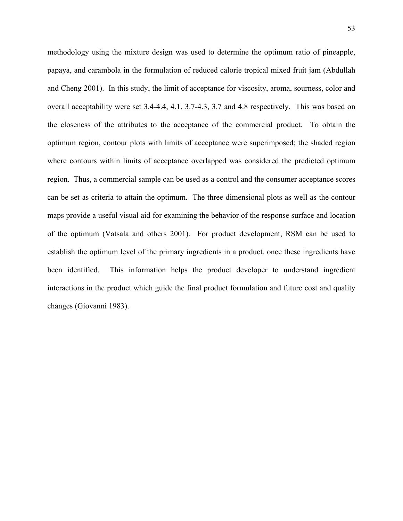methodology using the mixture design was used to determine the optimum ratio of pineapple, papaya, and carambola in the formulation of reduced calorie tropical mixed fruit jam (Abdullah and Cheng 2001). In this study, the limit of acceptance for viscosity, aroma, sourness, color and overall acceptability were set 3.4-4.4, 4.1, 3.7-4.3, 3.7 and 4.8 respectively. This was based on the closeness of the attributes to the acceptance of the commercial product. To obtain the optimum region, contour plots with limits of acceptance were superimposed; the shaded region where contours within limits of acceptance overlapped was considered the predicted optimum region. Thus, a commercial sample can be used as a control and the consumer acceptance scores can be set as criteria to attain the optimum. The three dimensional plots as well as the contour maps provide a useful visual aid for examining the behavior of the response surface and location of the optimum (Vatsala and others 2001). For product development, RSM can be used to establish the optimum level of the primary ingredients in a product, once these ingredients have been identified. This information helps the product developer to understand ingredient interactions in the product which guide the final product formulation and future cost and quality changes (Giovanni 1983).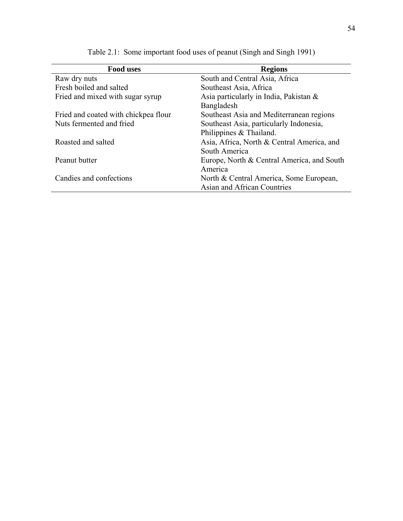| <b>Food uses</b>                     | <b>Regions</b>                             |
|--------------------------------------|--------------------------------------------|
| Raw dry nuts                         | South and Central Asia, Africa             |
| Fresh boiled and salted              | Southeast Asia, Africa                     |
| Fried and mixed with sugar syrup     | Asia particularly in India, Pakistan $\&$  |
|                                      | Bangladesh                                 |
| Fried and coated with chickpea flour | Southeast Asia and Mediterranean regions   |
| Nuts fermented and fried             | Southeast Asia, particularly Indonesia,    |
|                                      | Philippines & Thailand.                    |
| Roasted and salted                   | Asia, Africa, North & Central America, and |
|                                      | South America                              |
| Peanut butter                        | Europe, North & Central America, and South |
|                                      | America                                    |
| Candies and confections              | North & Central America, Some European,    |
|                                      | Asian and African Countries                |

Table 2.1: Some important food uses of peanut (Singh and Singh 1991)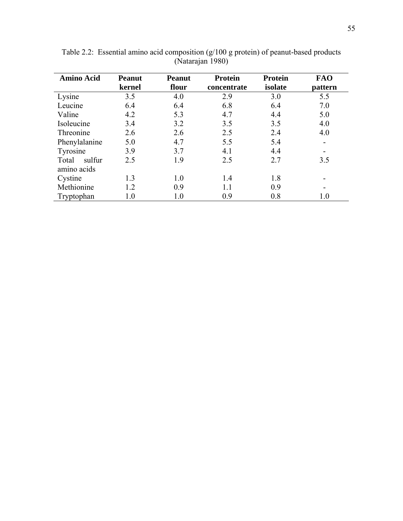| <b>Amino Acid</b> | <b>Peanut</b> | <b>Peanut</b> | <b>Protein</b> | <b>Protein</b> | <b>FAO</b>               |  |  |
|-------------------|---------------|---------------|----------------|----------------|--------------------------|--|--|
|                   | kernel        | flour         | concentrate    | isolate        | pattern                  |  |  |
| Lysine            | 3.5           | 4.0           | 2.9            | 3.0            | 5.5                      |  |  |
| Leucine           | 6.4           | 6.4           | 6.8            | 6.4            | 7.0                      |  |  |
| Valine            | 4.2           | 5.3           | 4.7            | 4.4            | 5.0                      |  |  |
| Isoleucine        | 3.4           | 3.2           | 3.5            | 3.5            | 4.0                      |  |  |
| Threonine         | 2.6           | 2.6           | 2.5            | 2.4            | 4.0                      |  |  |
| Phenylalanine     | 5.0           | 4.7           | 5.5            | 5.4            | $\overline{\phantom{0}}$ |  |  |
| Tyrosine          | 3.9           | 3.7           | 4.1            | 4.4            | -                        |  |  |
| sulfur<br>Total   | 2.5           | 1.9           | 2.5            | 2.7            | 3.5                      |  |  |
| amino acids       |               |               |                |                |                          |  |  |
| Cystine           | 1.3           | 1.0           | 1.4            | 1.8            |                          |  |  |
| Methionine        | 1.2           | 0.9           | 1.1            | 0.9            |                          |  |  |
| Tryptophan        | $1.0\,$       | $1.0\,$       | 0.9            | 0.8            | $1.0\,$                  |  |  |

Table 2.2: Essential amino acid composition (g/100 g protein) of peanut-based products (Natarajan 1980)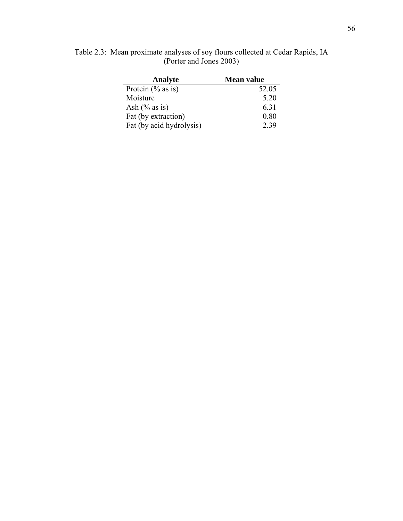| Analyte                  | <b>Mean value</b> |
|--------------------------|-------------------|
| Protein $(\%$ as is)     | 52.05             |
| Moisture                 | 5.20              |
| Ash $(\%$ as is)         | 6.31              |
| Fat (by extraction)      | 0.80              |
| Fat (by acid hydrolysis) | 2.39              |

Table 2.3: Mean proximate analyses of soy flours collected at Cedar Rapids, IA (Porter and Jones 2003)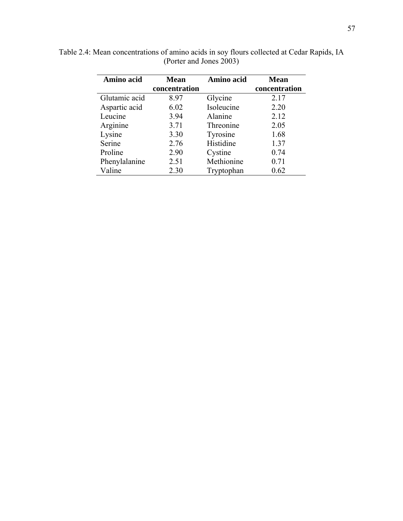| Amino acid    | <b>Mean</b>   | Amino acid | <b>Mean</b>   |  |  |
|---------------|---------------|------------|---------------|--|--|
|               | concentration |            | concentration |  |  |
| Glutamic acid | 8.97          | Glycine    | 2.17          |  |  |
| Aspartic acid | 6.02          | Isoleucine | 2.20          |  |  |
| Leucine       | 3.94          | Alanine    | 2.12          |  |  |
| Arginine      | 3.71          | Threonine  | 2.05          |  |  |
| Lysine        | 3.30          | Tyrosine   | 1.68          |  |  |
| Serine        | 2.76          | Histidine  | 1.37          |  |  |
| Proline       | 2.90          | Cystine    | 0.74          |  |  |
| Phenylalanine | 2.51          | Methionine | 0.71          |  |  |
| Valine        | 2.30          | Tryptophan | 0.62          |  |  |

Table 2.4: Mean concentrations of amino acids in soy flours collected at Cedar Rapids, IA (Porter and Jones 2003)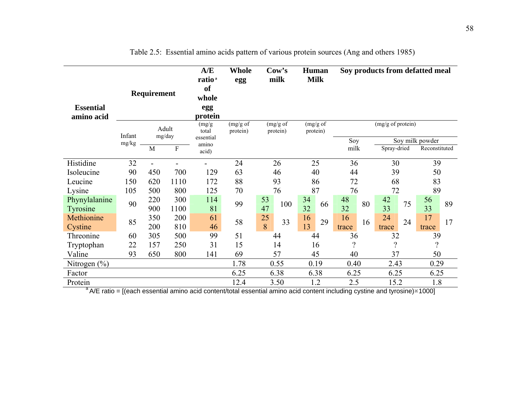| Requirement<br><b>Essential</b><br>amino acid |                 |                                        | A/E<br>ratio <sup>a</sup><br><sub>of</sub><br>whole<br>egg<br>protein | <b>Whole</b><br>egg                            | $\mathbf{Cow's}$<br>milk                     |                 | Human<br><b>Milk</b> |                      |    |                                                                                     | Soy products from defatted meal |             |    |             |    |     |  |
|-----------------------------------------------|-----------------|----------------------------------------|-----------------------------------------------------------------------|------------------------------------------------|----------------------------------------------|-----------------|----------------------|----------------------|----|-------------------------------------------------------------------------------------|---------------------------------|-------------|----|-------------|----|-----|--|
|                                               | Infant<br>mg/kg | Adult<br>mg/day<br>$\overline{F}$<br>M |                                                                       | (mg/g)<br>total<br>essential<br>amino<br>acid) | (mg/g of<br>(mg/g of<br>protein)<br>protein) |                 |                      | (mg/g of<br>protein) |    | (mg/g of protein)<br>Soy<br>Soy milk powder<br>milk<br>Spray-dried<br>Reconstituted |                                 |             |    |             |    |     |  |
| Histidine                                     | 32              |                                        |                                                                       |                                                | 24                                           |                 | 26                   |                      | 25 | 36                                                                                  |                                 | 30          |    | 39          |    |     |  |
| Isoleucine<br>Leucine                         | 90<br>150       | 450<br>620                             | 700<br>1110                                                           | 129<br>172                                     | 63<br>88                                     | 46<br>93        |                      | 40<br>86             |    | 44<br>72                                                                            |                                 | 39<br>68    |    | 50<br>83    |    |     |  |
| Lysine                                        | 105             | 500                                    | 800                                                                   | 125                                            | 70                                           | 76              |                      | 87                   |    | 76                                                                                  |                                 | 72          |    | 89          |    |     |  |
| Phynylalanine<br>Tyrosine                     | 90              | 220<br>900                             | 300<br>1100                                                           | 114<br>81                                      | 99                                           | 53<br>100<br>47 |                      | 34<br>32             | 66 | 48<br>32                                                                            | 80                              | 42<br>33    | 75 | 56<br>33    | 89 |     |  |
| Methionine<br>Cystine                         | 85              | 350<br>200                             | 200<br>810                                                            | 61<br>46                                       | 58                                           | 25<br>8         | 33                   |                      | 29 | 16<br>trace                                                                         | 16                              | 24<br>trace | 24 | 17<br>trace | 17 |     |  |
| Threonine                                     | 60              | 305                                    | 500                                                                   | 99                                             | 51                                           | 44              |                      | 13<br>44             |    | 36                                                                                  |                                 | 32          |    | 39          |    |     |  |
| Tryptophan                                    | 22              | 157                                    | 250                                                                   | 31                                             | 15                                           | 14              |                      | 16                   |    | $\gamma$                                                                            |                                 | $\gamma$    |    | $\gamma$    |    |     |  |
| Valine                                        | 93              | 650                                    | 800                                                                   | 141                                            | 69                                           | 57              |                      | 45                   |    | 40                                                                                  |                                 | 37          |    | 50          |    |     |  |
| Nitrogen $(\% )$                              |                 |                                        |                                                                       |                                                | 1.78                                         | 0.55            |                      | 0.19                 |    | 0.40                                                                                |                                 | 2.43        |    | 0.29        |    |     |  |
| Factor                                        |                 |                                        |                                                                       |                                                | 6.25                                         | 6.38            |                      |                      |    | 6.38<br>6.25                                                                        |                                 | 6.25        |    | 6.25        |    |     |  |
| Protein                                       |                 |                                        |                                                                       |                                                | 12.4                                         | 3.50            |                      | 1.2                  |    |                                                                                     |                                 | 2.5         |    | 15.2        |    | 1.8 |  |

Table 2.5: Essential amino acids pattern of various protein sources (Ang and others 1985)

 $a^4$  A/E ratio = [(each essential amino acid content/total essential amino acid content including cystine and tyrosine) $*1000$ ]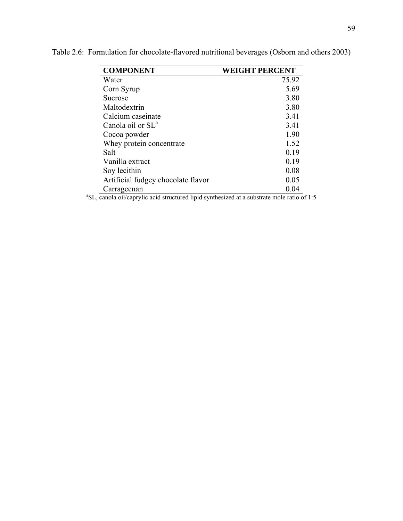| <b>COMPONENT</b>                   | <b>WEIGHT PERCENT</b> |
|------------------------------------|-----------------------|
| Water                              | 75.92                 |
| Corn Syrup                         | 5.69                  |
| Sucrose                            | 3.80                  |
| Maltodextrin                       | 3.80                  |
| Calcium caseinate                  | 3.41                  |
| Canola oil or SL <sup>a</sup>      | 3.41                  |
| Cocoa powder                       | 1.90                  |
| Whey protein concentrate           | 1.52                  |
| Salt                               | 0.19                  |
| Vanilla extract                    | 0.19                  |
| Soy lecithin                       | 0.08                  |
| Artificial fudgey chocolate flavor | 0.05                  |
| Carrageenan                        | 0.04                  |

Table 2.6: Formulation for chocolate-flavored nutritional beverages (Osborn and others 2003)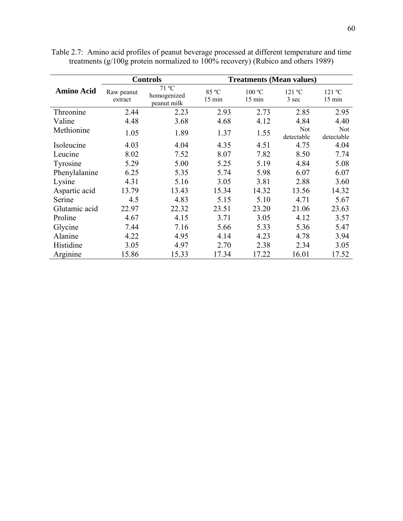|                   |                       | <b>Controls</b>                     |                           |                  | <b>Treatments (Mean values)</b> |                   |
|-------------------|-----------------------|-------------------------------------|---------------------------|------------------|---------------------------------|-------------------|
| <b>Amino Acid</b> | Raw peanut<br>extract | 71 °C<br>homogenized<br>peanut milk | 85 °C<br>$15 \text{ min}$ | 100 °C<br>15 min | 121 °C<br>3 sec                 | 121 °C<br>15 min  |
| Threonine         | 2.44                  | 2.23                                | 2.93                      | 2.73             | 2.85                            | 2.95              |
| Valine            | 4.48                  | 3.68                                | 4.68                      | 4.12             | 4.84                            | 4.40              |
| Methionine        | 1.05                  | 1.89                                | 1.37                      | 1.55             | Not<br>detectable               | Not<br>detectable |
| Isoleucine        | 4.03                  | 4.04                                | 4.35                      | 4.51             | 4.75                            | 4.04              |
| Leucine           | 8.02                  | 7.52                                | 8.07                      | 7.82             | 8.50                            | 7.74              |
| Tyrosine          | 5.29                  | 5.00                                | 5.25                      | 5.19             | 4.84                            | 5.08              |
| Phenylalanine     | 6.25                  | 5.35                                | 5.74                      | 5.98             | 6.07                            | 6.07              |
| Lysine            | 4.31                  | 5.16                                | 3.05                      | 3.81             | 2.88                            | 3.60              |
| Aspartic acid     | 13.79                 | 13.43                               | 15.34                     | 14.32            | 13.56                           | 14.32             |
| Serine            | 4.5                   | 4.83                                | 5.15                      | 5.10             | 4.71                            | 5.67              |
| Glutamic acid     | 22.97                 | 22.32                               | 23.51                     | 23.20            | 21.06                           | 23.63             |
| Proline           | 4.67                  | 4.15                                | 3.71                      | 3.05             | 4.12                            | 3.57              |
| Glycine           | 7.44                  | 7.16                                | 5.66                      | 5.33             | 5.36                            | 5.47              |
| Alanine           | 4.22                  | 4.95                                | 4.14                      | 4.23             | 4.78                            | 3.94              |
| Histidine         | 3.05                  | 4.97                                | 2.70                      | 2.38             | 2.34                            | 3.05              |
| Arginine          | 15.86                 | 15.33                               | 17.34                     | 17.22            | 16.01                           | 17.52             |

Table 2.7: Amino acid profiles of peanut beverage processed at different temperature and time treatments (g/100g protein normalized to 100% recovery) (Rubico and others 1989)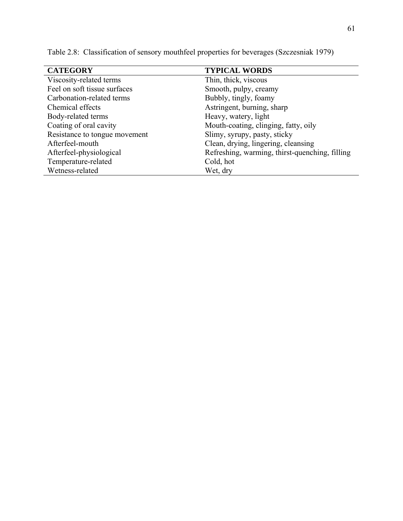| <b>CATEGORY</b>               | <b>TYPICAL WORDS</b>                           |
|-------------------------------|------------------------------------------------|
| Viscosity-related terms       | Thin, thick, viscous                           |
| Feel on soft tissue surfaces  | Smooth, pulpy, creamy                          |
| Carbonation-related terms     | Bubbly, tingly, foamy                          |
| Chemical effects              | Astringent, burning, sharp                     |
| Body-related terms            | Heavy, watery, light                           |
| Coating of oral cavity        | Mouth-coating, clinging, fatty, oily           |
| Resistance to tongue movement | Slimy, syrupy, pasty, sticky                   |
| Afterfeel-mouth               | Clean, drying, lingering, cleansing            |
| Afterfeel-physiological       | Refreshing, warming, thirst-quenching, filling |
| Temperature-related           | Cold, hot                                      |
| Wetness-related               | Wet, dry                                       |

Table 2.8: Classification of sensory mouthfeel properties for beverages (Szczesniak 1979)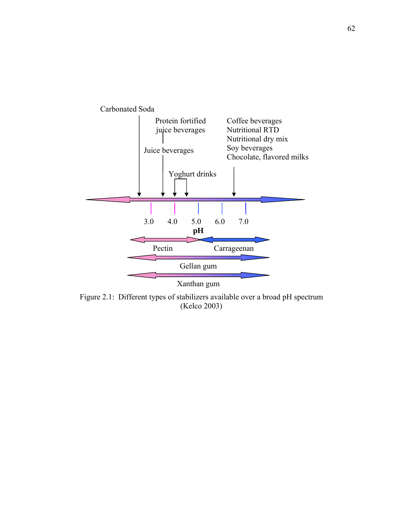

Figure 2.1: Different types of stabilizers available over a broad pH spectrum (Kelco 2003)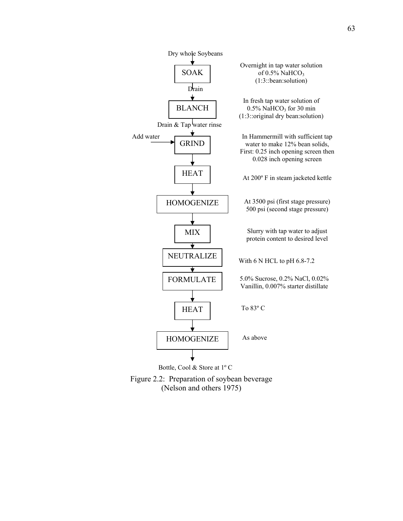

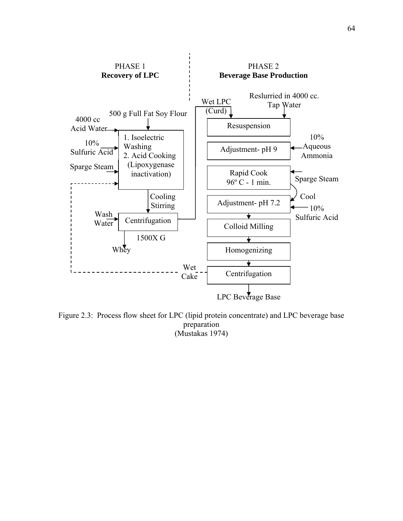

Figure 2.3: Process flow sheet for LPC (lipid protein concentrate) and LPC beverage base preparation (Mustakas 1974)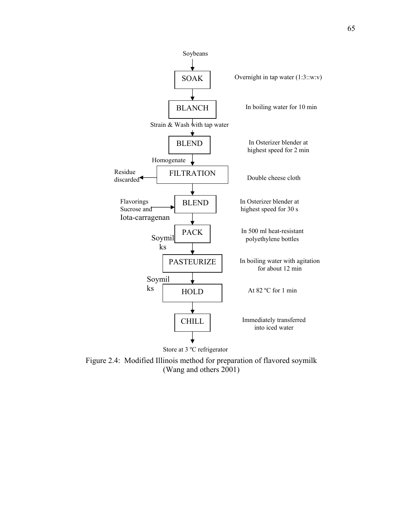

Figure 2.4: Modified Illinois method for preparation of flavored soymilk (Wang and others 2001)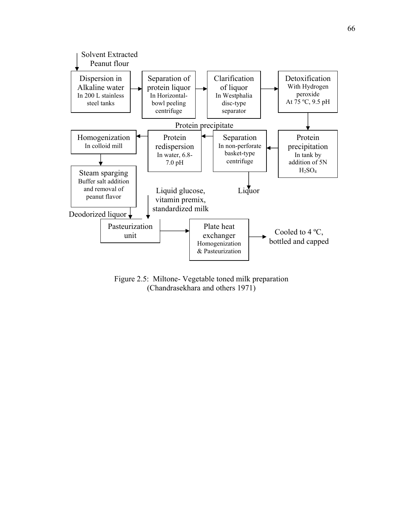

Figure 2.5: Miltone- Vegetable toned milk preparation (Chandrasekhara and others 1971)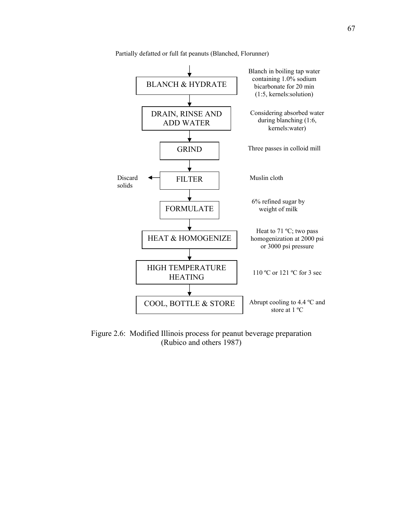

Partially defatted or full fat peanuts (Blanched, Florunner)

Figure 2.6: Modified Illinois process for peanut beverage preparation (Rubico and others 1987)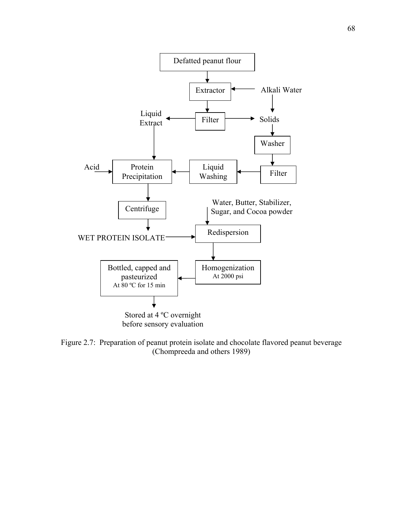

Figure 2.7: Preparation of peanut protein isolate and chocolate flavored peanut beverage (Chompreeda and others 1989)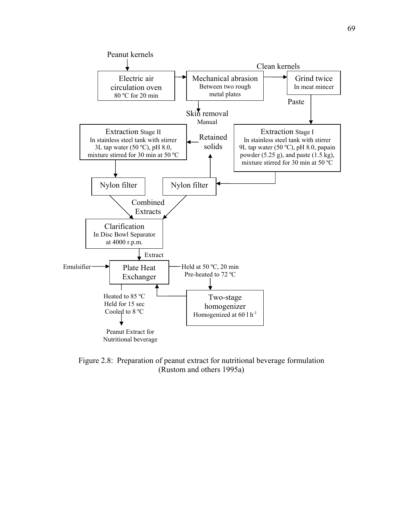

Figure 2.8: Preparation of peanut extract for nutritional beverage formulation (Rustom and others 1995a)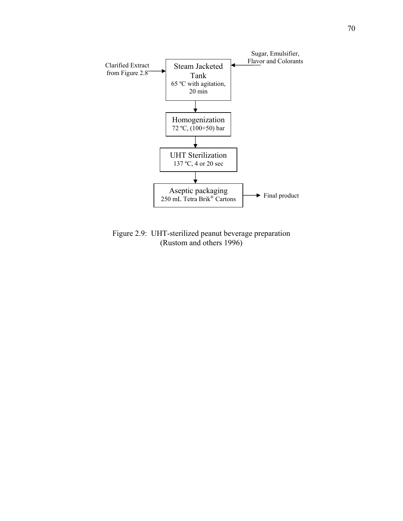

Figure 2.9: UHT-sterilized peanut beverage preparation (Rustom and others 1996)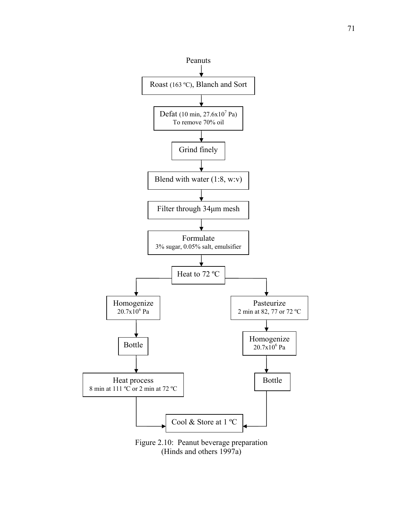

(Hinds and others 1997a)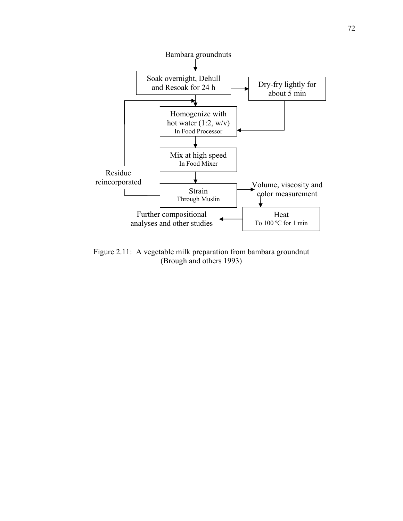

Figure 2.11: A vegetable milk preparation from bambara groundnut (Brough and others 1993)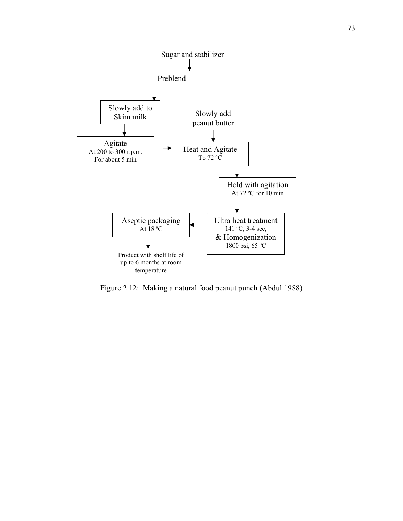

Figure 2.12: Making a natural food peanut punch (Abdul 1988)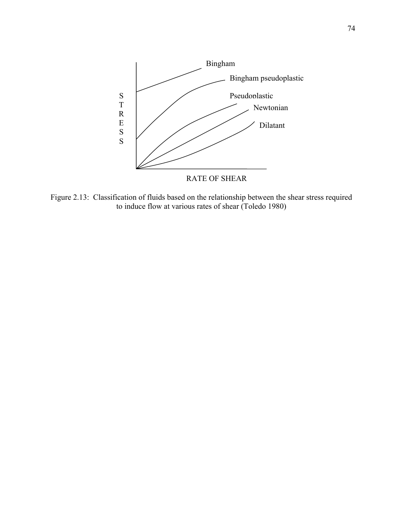

Figure 2.13: Classification of fluids based on the relationship between the shear stress required to induce flow at various rates of shear (Toledo 1980)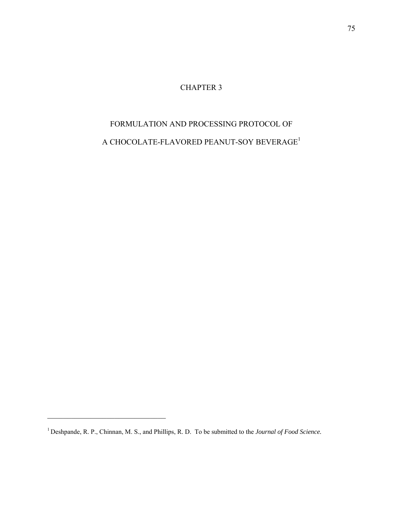CHAPTER 3

# FORMULATION AND PROCESSING PROTOCOL OF A CHOCOLATE-FLAVORED PEANUT-SOY BEVERAGE $^{\rm l}$

 $\mathcal{L}_\text{max}$  , where  $\mathcal{L}_\text{max}$  and  $\mathcal{L}_\text{max}$ 

<sup>1</sup> Deshpande, R. P., Chinnan, M. S., and Phillips, R. D. To be submitted to the *Journal of Food Science.*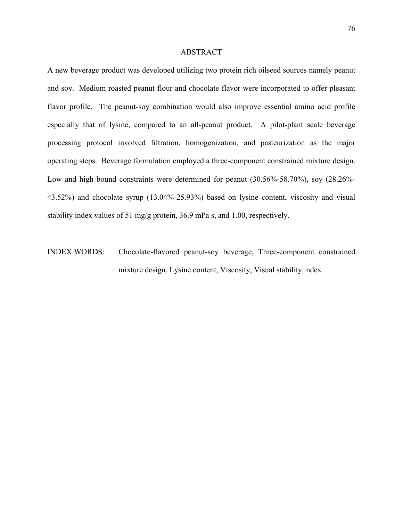#### ABSTRACT

A new beverage product was developed utilizing two protein rich oilseed sources namely peanut and soy. Medium roasted peanut flour and chocolate flavor were incorporated to offer pleasant flavor profile. The peanut-soy combination would also improve essential amino acid profile especially that of lysine, compared to an all-peanut product. A pilot-plant scale beverage processing protocol involved filtration, homogenization, and pasteurization as the major operating steps. Beverage formulation employed a three-component constrained mixture design. Low and high bound constraints were determined for peanut (30.56%-58.70%), soy (28.26%- 43.52%) and chocolate syrup (13.04%-25.93%) based on lysine content, viscosity and visual stability index values of 51 mg/g protein, 36.9 mPa s, and 1.00, respectively.

INDEX WORDS: Chocolate-flavored peanut-soy beverage, Three-component constrained mixture design, Lysine content, Viscosity, Visual stability index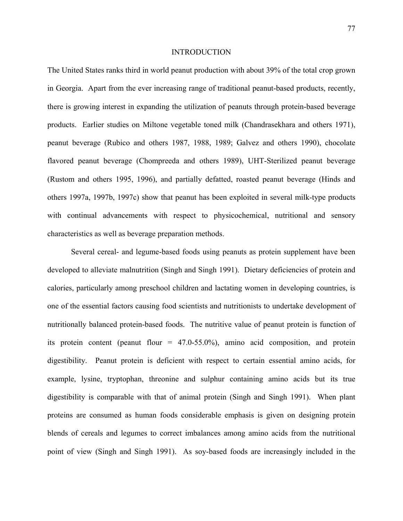#### INTRODUCTION

The United States ranks third in world peanut production with about 39% of the total crop grown in Georgia. Apart from the ever increasing range of traditional peanut-based products, recently, there is growing interest in expanding the utilization of peanuts through protein-based beverage products. Earlier studies on Miltone vegetable toned milk (Chandrasekhara and others 1971), peanut beverage (Rubico and others 1987, 1988, 1989; Galvez and others 1990), chocolate flavored peanut beverage (Chompreeda and others 1989), UHT-Sterilized peanut beverage (Rustom and others 1995, 1996), and partially defatted, roasted peanut beverage (Hinds and others 1997a, 1997b, 1997c) show that peanut has been exploited in several milk-type products with continual advancements with respect to physicochemical, nutritional and sensory characteristics as well as beverage preparation methods.

 Several cereal- and legume-based foods using peanuts as protein supplement have been developed to alleviate malnutrition (Singh and Singh 1991). Dietary deficiencies of protein and calories, particularly among preschool children and lactating women in developing countries, is one of the essential factors causing food scientists and nutritionists to undertake development of nutritionally balanced protein-based foods. The nutritive value of peanut protein is function of its protein content (peanut flour = 47.0-55.0%), amino acid composition, and protein digestibility. Peanut protein is deficient with respect to certain essential amino acids, for example, lysine, tryptophan, threonine and sulphur containing amino acids but its true digestibility is comparable with that of animal protein (Singh and Singh 1991). When plant proteins are consumed as human foods considerable emphasis is given on designing protein blends of cereals and legumes to correct imbalances among amino acids from the nutritional point of view (Singh and Singh 1991). As soy-based foods are increasingly included in the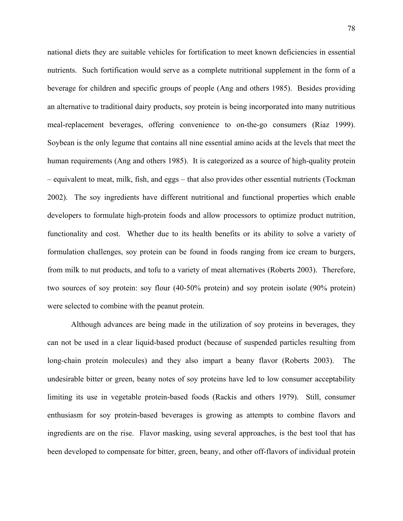national diets they are suitable vehicles for fortification to meet known deficiencies in essential nutrients. Such fortification would serve as a complete nutritional supplement in the form of a beverage for children and specific groups of people (Ang and others 1985). Besides providing an alternative to traditional dairy products, soy protein is being incorporated into many nutritious meal-replacement beverages, offering convenience to on-the-go consumers (Riaz 1999). Soybean is the only legume that contains all nine essential amino acids at the levels that meet the human requirements (Ang and others 1985). It is categorized as a source of high-quality protein – equivalent to meat, milk, fish, and eggs – that also provides other essential nutrients (Tockman 2002). The soy ingredients have different nutritional and functional properties which enable developers to formulate high-protein foods and allow processors to optimize product nutrition, functionality and cost. Whether due to its health benefits or its ability to solve a variety of formulation challenges, soy protein can be found in foods ranging from ice cream to burgers, from milk to nut products, and tofu to a variety of meat alternatives (Roberts 2003). Therefore, two sources of soy protein: soy flour (40-50% protein) and soy protein isolate (90% protein) were selected to combine with the peanut protein.

 Although advances are being made in the utilization of soy proteins in beverages, they can not be used in a clear liquid-based product (because of suspended particles resulting from long-chain protein molecules) and they also impart a beany flavor (Roberts 2003). The undesirable bitter or green, beany notes of soy proteins have led to low consumer acceptability limiting its use in vegetable protein-based foods (Rackis and others 1979). Still, consumer enthusiasm for soy protein-based beverages is growing as attempts to combine flavors and ingredients are on the rise. Flavor masking, using several approaches, is the best tool that has been developed to compensate for bitter, green, beany, and other off-flavors of individual protein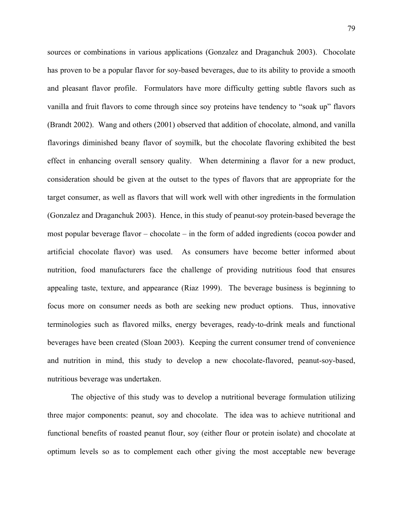sources or combinations in various applications (Gonzalez and Draganchuk 2003). Chocolate has proven to be a popular flavor for soy-based beverages, due to its ability to provide a smooth and pleasant flavor profile. Formulators have more difficulty getting subtle flavors such as vanilla and fruit flavors to come through since soy proteins have tendency to "soak up" flavors (Brandt 2002). Wang and others (2001) observed that addition of chocolate, almond, and vanilla flavorings diminished beany flavor of soymilk, but the chocolate flavoring exhibited the best effect in enhancing overall sensory quality. When determining a flavor for a new product, consideration should be given at the outset to the types of flavors that are appropriate for the target consumer, as well as flavors that will work well with other ingredients in the formulation (Gonzalez and Draganchuk 2003). Hence, in this study of peanut-soy protein-based beverage the most popular beverage flavor – chocolate – in the form of added ingredients (cocoa powder and artificial chocolate flavor) was used. As consumers have become better informed about nutrition, food manufacturers face the challenge of providing nutritious food that ensures appealing taste, texture, and appearance (Riaz 1999). The beverage business is beginning to focus more on consumer needs as both are seeking new product options. Thus, innovative terminologies such as flavored milks, energy beverages, ready-to-drink meals and functional beverages have been created (Sloan 2003). Keeping the current consumer trend of convenience and nutrition in mind, this study to develop a new chocolate-flavored, peanut-soy-based, nutritious beverage was undertaken.

 The objective of this study was to develop a nutritional beverage formulation utilizing three major components: peanut, soy and chocolate. The idea was to achieve nutritional and functional benefits of roasted peanut flour, soy (either flour or protein isolate) and chocolate at optimum levels so as to complement each other giving the most acceptable new beverage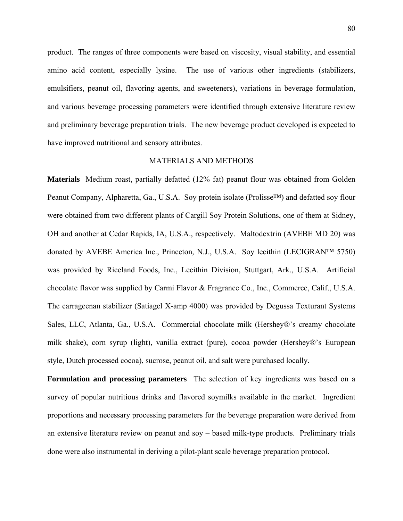product. The ranges of three components were based on viscosity, visual stability, and essential amino acid content, especially lysine. The use of various other ingredients (stabilizers, emulsifiers, peanut oil, flavoring agents, and sweeteners), variations in beverage formulation, and various beverage processing parameters were identified through extensive literature review and preliminary beverage preparation trials. The new beverage product developed is expected to have improved nutritional and sensory attributes.

# MATERIALS AND METHODS

**Materials** Medium roast, partially defatted (12% fat) peanut flour was obtained from Golden Peanut Company, Alpharetta, Ga., U.S.A. Soy protein isolate (Prolisse™) and defatted soy flour were obtained from two different plants of Cargill Soy Protein Solutions, one of them at Sidney, OH and another at Cedar Rapids, IA, U.S.A., respectively. Maltodextrin (AVEBE MD 20) was donated by AVEBE America Inc., Princeton, N.J., U.S.A. Soy lecithin (LECIGRAN™ 5750) was provided by Riceland Foods, Inc., Lecithin Division, Stuttgart, Ark., U.S.A. Artificial chocolate flavor was supplied by Carmi Flavor & Fragrance Co., Inc., Commerce, Calif., U.S.A. The carrageenan stabilizer (Satiagel X-amp 4000) was provided by Degussa Texturant Systems Sales, LLC, Atlanta, Ga., U.S.A. Commercial chocolate milk (Hershey®'s creamy chocolate milk shake), corn syrup (light), vanilla extract (pure), cocoa powder (Hershey®'s European style, Dutch processed cocoa), sucrose, peanut oil, and salt were purchased locally.

**Formulation and processing parameters** The selection of key ingredients was based on a survey of popular nutritious drinks and flavored soymilks available in the market. Ingredient proportions and necessary processing parameters for the beverage preparation were derived from an extensive literature review on peanut and soy – based milk-type products. Preliminary trials done were also instrumental in deriving a pilot-plant scale beverage preparation protocol.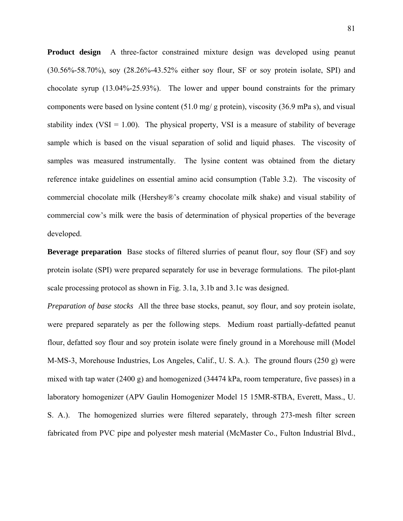**Product design** A three-factor constrained mixture design was developed using peanut (30.56%-58.70%), soy (28.26%-43.52% either soy flour, SF or soy protein isolate, SPI) and chocolate syrup (13.04%-25.93%). The lower and upper bound constraints for the primary components were based on lysine content (51.0 mg/ g protein), viscosity (36.9 mPa s), and visual stability index (VSI =  $1.00$ ). The physical property, VSI is a measure of stability of beverage sample which is based on the visual separation of solid and liquid phases. The viscosity of samples was measured instrumentally. The lysine content was obtained from the dietary reference intake guidelines on essential amino acid consumption (Table 3.2). The viscosity of commercial chocolate milk (Hershey®'s creamy chocolate milk shake) and visual stability of commercial cow's milk were the basis of determination of physical properties of the beverage developed.

**Beverage preparation** Base stocks of filtered slurries of peanut flour, soy flour (SF) and soy protein isolate (SPI) were prepared separately for use in beverage formulations. The pilot-plant scale processing protocol as shown in Fig. 3.1a, 3.1b and 3.1c was designed.

*Preparation of base stocks* All the three base stocks, peanut, soy flour, and soy protein isolate, were prepared separately as per the following steps. Medium roast partially-defatted peanut flour, defatted soy flour and soy protein isolate were finely ground in a Morehouse mill (Model M-MS-3, Morehouse Industries, Los Angeles, Calif., U. S. A.). The ground flours (250 g) were mixed with tap water (2400 g) and homogenized (34474 kPa, room temperature, five passes) in a laboratory homogenizer (APV Gaulin Homogenizer Model 15 15MR-8TBA, Everett, Mass., U. S. A.). The homogenized slurries were filtered separately, through 273-mesh filter screen fabricated from PVC pipe and polyester mesh material (McMaster Co., Fulton Industrial Blvd.,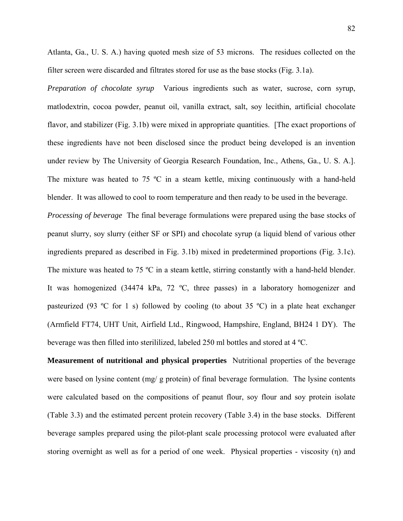Atlanta, Ga., U. S. A.) having quoted mesh size of 53 microns. The residues collected on the filter screen were discarded and filtrates stored for use as the base stocks (Fig. 3.1a).

*Preparation of chocolate syrup* Various ingredients such as water, sucrose, corn syrup, matlodextrin, cocoa powder, peanut oil, vanilla extract, salt, soy lecithin, artificial chocolate flavor, and stabilizer (Fig. 3.1b) were mixed in appropriate quantities. [The exact proportions of these ingredients have not been disclosed since the product being developed is an invention under review by The University of Georgia Research Foundation, Inc., Athens, Ga., U. S. A.]. The mixture was heated to 75  $\degree$ C in a steam kettle, mixing continuously with a hand-held blender. It was allowed to cool to room temperature and then ready to be used in the beverage.

*Processing of beverage* The final beverage formulations were prepared using the base stocks of peanut slurry, soy slurry (either SF or SPI) and chocolate syrup (a liquid blend of various other ingredients prepared as described in Fig. 3.1b) mixed in predetermined proportions (Fig. 3.1c). The mixture was heated to 75 °C in a steam kettle, stirring constantly with a hand-held blender. It was homogenized (34474 kPa, 72 ºC, three passes) in a laboratory homogenizer and pasteurized (93 °C for 1 s) followed by cooling (to about 35 °C) in a plate heat exchanger (Armfield FT74, UHT Unit, Airfield Ltd., Ringwood, Hampshire, England, BH24 1 DY). The beverage was then filled into sterililized, labeled 250 ml bottles and stored at 4 ºC.

**Measurement of nutritional and physical properties** Nutritional properties of the beverage were based on lysine content (mg/ g protein) of final beverage formulation. The lysine contents were calculated based on the compositions of peanut flour, soy flour and soy protein isolate (Table 3.3) and the estimated percent protein recovery (Table 3.4) in the base stocks. Different beverage samples prepared using the pilot-plant scale processing protocol were evaluated after storing overnight as well as for a period of one week. Physical properties - viscosity (η) and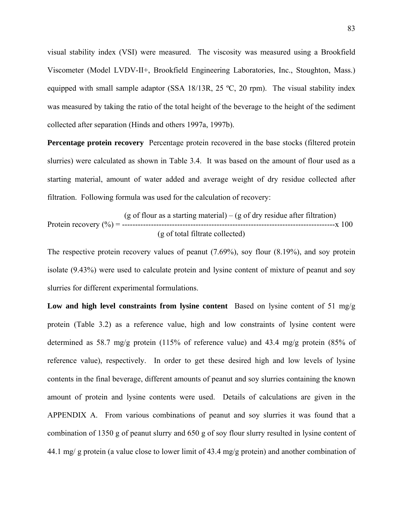visual stability index (VSI) were measured. The viscosity was measured using a Brookfield Viscometer (Model LVDV-II+, Brookfield Engineering Laboratories, Inc., Stoughton, Mass.) equipped with small sample adaptor (SSA 18/13R, 25 ºC, 20 rpm). The visual stability index was measured by taking the ratio of the total height of the beverage to the height of the sediment collected after separation (Hinds and others 1997a, 1997b).

**Percentage protein recovery** Percentage protein recovered in the base stocks (filtered protein slurries) were calculated as shown in Table 3.4. It was based on the amount of flour used as a starting material, amount of water added and average weight of dry residue collected after filtration. Following formula was used for the calculation of recovery:

$$
(g \text{ of flour as a starting material}) - (g \text{ of dry residue after filtration})
$$
\n
$$
Protein recovery (%) = \frac{100}{100} \text{ (g of total filter collected)}
$$

The respective protein recovery values of peanut (7.69%), soy flour (8.19%), and soy protein isolate (9.43%) were used to calculate protein and lysine content of mixture of peanut and soy slurries for different experimental formulations.

**Low and high level constraints from lysine content** Based on lysine content of 51 mg/g protein (Table 3.2) as a reference value, high and low constraints of lysine content were determined as 58.7 mg/g protein (115% of reference value) and 43.4 mg/g protein (85% of reference value), respectively. In order to get these desired high and low levels of lysine contents in the final beverage, different amounts of peanut and soy slurries containing the known amount of protein and lysine contents were used. Details of calculations are given in the APPENDIX A. From various combinations of peanut and soy slurries it was found that a combination of 1350 g of peanut slurry and 650 g of soy flour slurry resulted in lysine content of 44.1 mg/ g protein (a value close to lower limit of 43.4 mg/g protein) and another combination of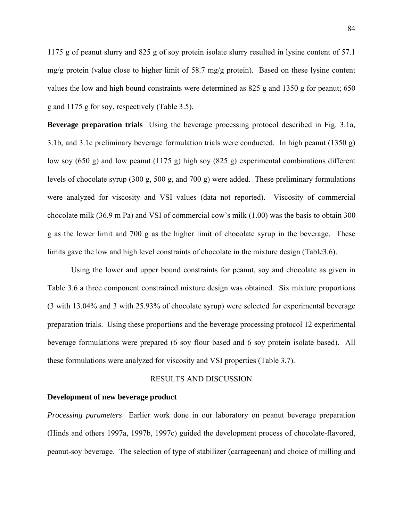1175 g of peanut slurry and 825 g of soy protein isolate slurry resulted in lysine content of 57.1 mg/g protein (value close to higher limit of 58.7 mg/g protein). Based on these lysine content values the low and high bound constraints were determined as 825 g and 1350 g for peanut; 650 g and 1175 g for soy, respectively (Table 3.5).

**Beverage preparation trials** Using the beverage processing protocol described in Fig. 3.1a, 3.1b, and 3.1c preliminary beverage formulation trials were conducted. In high peanut (1350 g) low soy (650 g) and low peanut (1175 g) high soy (825 g) experimental combinations different levels of chocolate syrup (300 g, 500 g, and 700 g) were added. These preliminary formulations were analyzed for viscosity and VSI values (data not reported). Viscosity of commercial chocolate milk (36.9 m Pa) and VSI of commercial cow's milk (1.00) was the basis to obtain 300 g as the lower limit and 700 g as the higher limit of chocolate syrup in the beverage. These limits gave the low and high level constraints of chocolate in the mixture design (Table3.6).

Using the lower and upper bound constraints for peanut, soy and chocolate as given in Table 3.6 a three component constrained mixture design was obtained. Six mixture proportions (3 with 13.04% and 3 with 25.93% of chocolate syrup) were selected for experimental beverage preparation trials. Using these proportions and the beverage processing protocol 12 experimental beverage formulations were prepared (6 soy flour based and 6 soy protein isolate based). All these formulations were analyzed for viscosity and VSI properties (Table 3.7).

#### RESULTS AND DISCUSSION

# **Development of new beverage product**

*Processing parameters* Earlier work done in our laboratory on peanut beverage preparation (Hinds and others 1997a, 1997b, 1997c) guided the development process of chocolate-flavored, peanut-soy beverage. The selection of type of stabilizer (carrageenan) and choice of milling and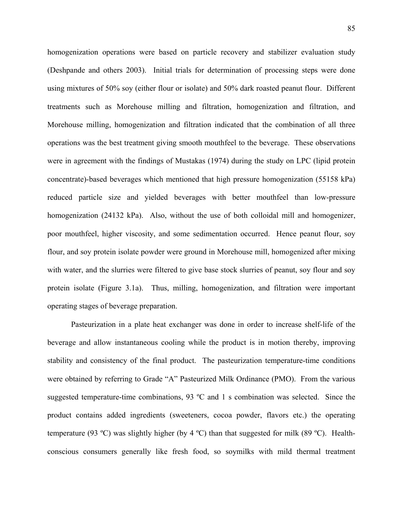homogenization operations were based on particle recovery and stabilizer evaluation study (Deshpande and others 2003). Initial trials for determination of processing steps were done using mixtures of 50% soy (either flour or isolate) and 50% dark roasted peanut flour. Different treatments such as Morehouse milling and filtration, homogenization and filtration, and Morehouse milling, homogenization and filtration indicated that the combination of all three operations was the best treatment giving smooth mouthfeel to the beverage. These observations were in agreement with the findings of Mustakas (1974) during the study on LPC (lipid protein concentrate)-based beverages which mentioned that high pressure homogenization (55158 kPa) reduced particle size and yielded beverages with better mouthfeel than low-pressure homogenization (24132 kPa). Also, without the use of both colloidal mill and homogenizer, poor mouthfeel, higher viscosity, and some sedimentation occurred. Hence peanut flour, soy flour, and soy protein isolate powder were ground in Morehouse mill, homogenized after mixing with water, and the slurries were filtered to give base stock slurries of peanut, soy flour and soy protein isolate (Figure 3.1a). Thus, milling, homogenization, and filtration were important operating stages of beverage preparation.

 Pasteurization in a plate heat exchanger was done in order to increase shelf-life of the beverage and allow instantaneous cooling while the product is in motion thereby, improving stability and consistency of the final product. The pasteurization temperature-time conditions were obtained by referring to Grade "A" Pasteurized Milk Ordinance (PMO). From the various suggested temperature-time combinations, 93 ºC and 1 s combination was selected. Since the product contains added ingredients (sweeteners, cocoa powder, flavors etc.) the operating temperature (93 ºC) was slightly higher (by 4 ºC) than that suggested for milk (89 ºC). Healthconscious consumers generally like fresh food, so soymilks with mild thermal treatment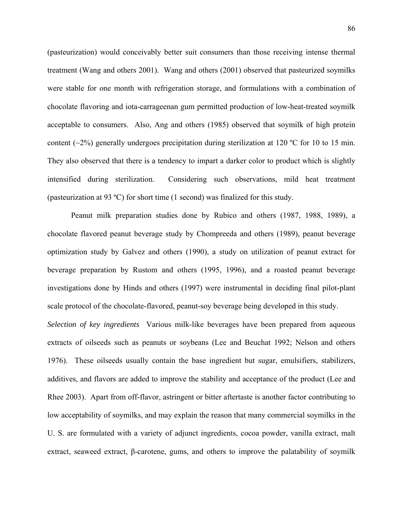(pasteurization) would conceivably better suit consumers than those receiving intense thermal treatment (Wang and others 2001). Wang and others (2001) observed that pasteurized soymilks were stable for one month with refrigeration storage, and formulations with a combination of chocolate flavoring and iota-carrageenan gum permitted production of low-heat-treated soymilk acceptable to consumers. Also, Ang and others (1985) observed that soymilk of high protein content ( $\sim$ 2%) generally undergoes precipitation during sterilization at 120 °C for 10 to 15 min. They also observed that there is a tendency to impart a darker color to product which is slightly intensified during sterilization. Considering such observations, mild heat treatment (pasteurization at 93 ºC) for short time (1 second) was finalized for this study.

 Peanut milk preparation studies done by Rubico and others (1987, 1988, 1989), a chocolate flavored peanut beverage study by Chompreeda and others (1989), peanut beverage optimization study by Galvez and others (1990), a study on utilization of peanut extract for beverage preparation by Rustom and others (1995, 1996), and a roasted peanut beverage investigations done by Hinds and others (1997) were instrumental in deciding final pilot-plant scale protocol of the chocolate-flavored, peanut-soy beverage being developed in this study.

*Selection of key ingredients* Various milk-like beverages have been prepared from aqueous extracts of oilseeds such as peanuts or soybeans (Lee and Beuchat 1992; Nelson and others 1976). These oilseeds usually contain the base ingredient but sugar, emulsifiers, stabilizers, additives, and flavors are added to improve the stability and acceptance of the product (Lee and Rhee 2003). Apart from off-flavor, astringent or bitter aftertaste is another factor contributing to low acceptability of soymilks, and may explain the reason that many commercial soymilks in the U. S. are formulated with a variety of adjunct ingredients, cocoa powder, vanilla extract, malt extract, seaweed extract, β-carotene, gums, and others to improve the palatability of soymilk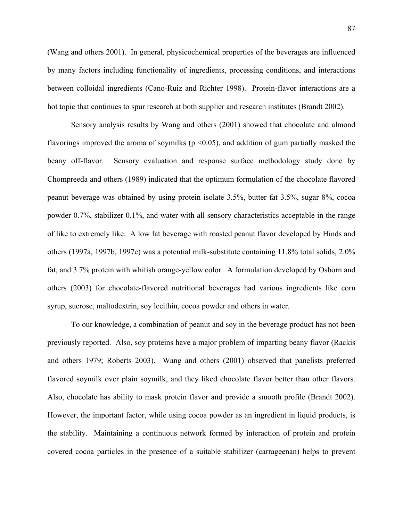(Wang and others 2001). In general, physicochemical properties of the beverages are influenced by many factors including functionality of ingredients, processing conditions, and interactions between colloidal ingredients (Cano-Ruiz and Richter 1998). Protein-flavor interactions are a hot topic that continues to spur research at both supplier and research institutes (Brandt 2002).

 Sensory analysis results by Wang and others (2001) showed that chocolate and almond flavorings improved the aroma of soymilks ( $p \le 0.05$ ), and addition of gum partially masked the beany off-flavor. Sensory evaluation and response surface methodology study done by Chompreeda and others (1989) indicated that the optimum formulation of the chocolate flavored peanut beverage was obtained by using protein isolate 3.5%, butter fat 3.5%, sugar 8%, cocoa powder 0.7%, stabilizer 0.1%, and water with all sensory characteristics acceptable in the range of like to extremely like. A low fat beverage with roasted peanut flavor developed by Hinds and others (1997a, 1997b, 1997c) was a potential milk-substitute containing 11.8% total solids, 2.0% fat, and 3.7% protein with whitish orange-yellow color. A formulation developed by Osborn and others (2003) for chocolate-flavored nutritional beverages had various ingredients like corn syrup, sucrose, maltodextrin, soy lecithin, cocoa powder and others in water.

 To our knowledge, a combination of peanut and soy in the beverage product has not been previously reported. Also, soy proteins have a major problem of imparting beany flavor (Rackis and others 1979; Roberts 2003). Wang and others (2001) observed that panelists preferred flavored soymilk over plain soymilk, and they liked chocolate flavor better than other flavors. Also, chocolate has ability to mask protein flavor and provide a smooth profile (Brandt 2002). However, the important factor, while using cocoa powder as an ingredient in liquid products, is the stability. Maintaining a continuous network formed by interaction of protein and protein covered cocoa particles in the presence of a suitable stabilizer (carrageenan) helps to prevent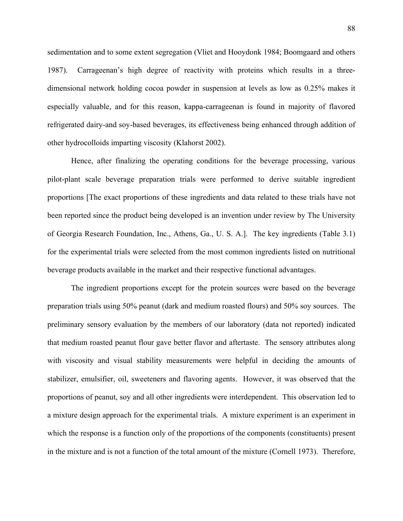sedimentation and to some extent segregation (Vliet and Hooydonk 1984; Boomgaard and others 1987). Carrageenan's high degree of reactivity with proteins which results in a threedimensional network holding cocoa powder in suspension at levels as low as 0.25% makes it especially valuable, and for this reason, kappa-carrageenan is found in majority of flavored refrigerated dairy-and soy-based beverages, its effectiveness being enhanced through addition of other hydrocolloids imparting viscosity (Klahorst 2002).

 Hence, after finalizing the operating conditions for the beverage processing, various pilot-plant scale beverage preparation trials were performed to derive suitable ingredient proportions [The exact proportions of these ingredients and data related to these trials have not been reported since the product being developed is an invention under review by The University of Georgia Research Foundation, Inc., Athens, Ga., U. S. A.]. The key ingredients (Table 3.1) for the experimental trials were selected from the most common ingredients listed on nutritional beverage products available in the market and their respective functional advantages.

 The ingredient proportions except for the protein sources were based on the beverage preparation trials using 50% peanut (dark and medium roasted flours) and 50% soy sources. The preliminary sensory evaluation by the members of our laboratory (data not reported) indicated that medium roasted peanut flour gave better flavor and aftertaste. The sensory attributes along with viscosity and visual stability measurements were helpful in deciding the amounts of stabilizer, emulsifier, oil, sweeteners and flavoring agents. However, it was observed that the proportions of peanut, soy and all other ingredients were interdependent. This observation led to a mixture design approach for the experimental trials. A mixture experiment is an experiment in which the response is a function only of the proportions of the components (constituents) present in the mixture and is not a function of the total amount of the mixture (Cornell 1973). Therefore,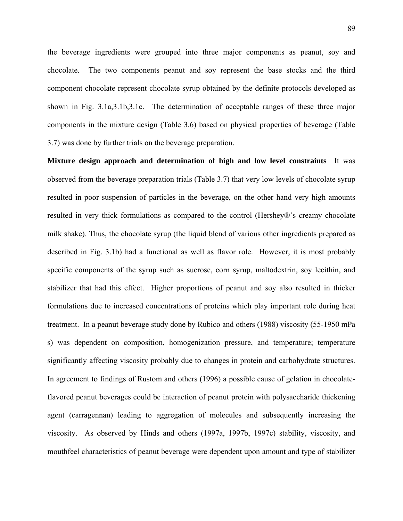the beverage ingredients were grouped into three major components as peanut, soy and chocolate. The two components peanut and soy represent the base stocks and the third component chocolate represent chocolate syrup obtained by the definite protocols developed as shown in Fig. 3.1a,3.1b,3.1c. The determination of acceptable ranges of these three major components in the mixture design (Table 3.6) based on physical properties of beverage (Table 3.7) was done by further trials on the beverage preparation.

**Mixture design approach and determination of high and low level constraints** It was observed from the beverage preparation trials (Table 3.7) that very low levels of chocolate syrup resulted in poor suspension of particles in the beverage, on the other hand very high amounts resulted in very thick formulations as compared to the control (Hershey®'s creamy chocolate milk shake). Thus, the chocolate syrup (the liquid blend of various other ingredients prepared as described in Fig. 3.1b) had a functional as well as flavor role. However, it is most probably specific components of the syrup such as sucrose, corn syrup, maltodextrin, soy lecithin, and stabilizer that had this effect. Higher proportions of peanut and soy also resulted in thicker formulations due to increased concentrations of proteins which play important role during heat treatment. In a peanut beverage study done by Rubico and others (1988) viscosity (55-1950 mPa s) was dependent on composition, homogenization pressure, and temperature; temperature significantly affecting viscosity probably due to changes in protein and carbohydrate structures. In agreement to findings of Rustom and others (1996) a possible cause of gelation in chocolateflavored peanut beverages could be interaction of peanut protein with polysaccharide thickening agent (carragennan) leading to aggregation of molecules and subsequently increasing the viscosity. As observed by Hinds and others (1997a, 1997b, 1997c) stability, viscosity, and mouthfeel characteristics of peanut beverage were dependent upon amount and type of stabilizer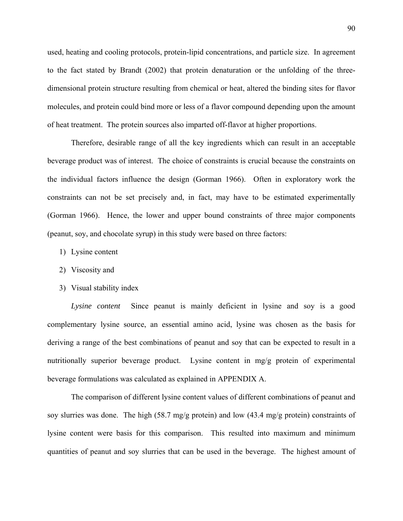used, heating and cooling protocols, protein-lipid concentrations, and particle size. In agreement to the fact stated by Brandt (2002) that protein denaturation or the unfolding of the threedimensional protein structure resulting from chemical or heat, altered the binding sites for flavor molecules, and protein could bind more or less of a flavor compound depending upon the amount of heat treatment. The protein sources also imparted off-flavor at higher proportions.

 Therefore, desirable range of all the key ingredients which can result in an acceptable beverage product was of interest. The choice of constraints is crucial because the constraints on the individual factors influence the design (Gorman 1966). Often in exploratory work the constraints can not be set precisely and, in fact, may have to be estimated experimentally (Gorman 1966). Hence, the lower and upper bound constraints of three major components (peanut, soy, and chocolate syrup) in this study were based on three factors:

- 1) Lysine content
- 2) Viscosity and
- 3) Visual stability index

 *Lysine content* Since peanut is mainly deficient in lysine and soy is a good complementary lysine source, an essential amino acid, lysine was chosen as the basis for deriving a range of the best combinations of peanut and soy that can be expected to result in a nutritionally superior beverage product. Lysine content in mg/g protein of experimental beverage formulations was calculated as explained in APPENDIX A.

 The comparison of different lysine content values of different combinations of peanut and soy slurries was done. The high (58.7 mg/g protein) and low (43.4 mg/g protein) constraints of lysine content were basis for this comparison. This resulted into maximum and minimum quantities of peanut and soy slurries that can be used in the beverage. The highest amount of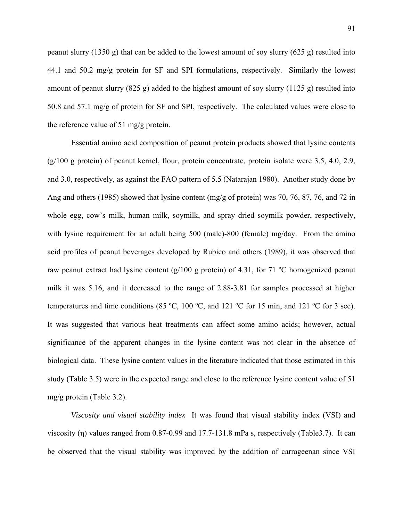peanut slurry (1350 g) that can be added to the lowest amount of soy slurry (625 g) resulted into 44.1 and 50.2 mg/g protein for SF and SPI formulations, respectively. Similarly the lowest amount of peanut slurry  $(825 \text{ g})$  added to the highest amount of soy slurry  $(1125 \text{ g})$  resulted into 50.8 and 57.1 mg/g of protein for SF and SPI, respectively. The calculated values were close to the reference value of 51 mg/g protein.

 Essential amino acid composition of peanut protein products showed that lysine contents  $(g/100 g$  protein) of peanut kernel, flour, protein concentrate, protein isolate were 3.5, 4.0, 2.9, and 3.0, respectively, as against the FAO pattern of 5.5 (Natarajan 1980). Another study done by Ang and others (1985) showed that lysine content (mg/g of protein) was 70, 76, 87, 76, and 72 in whole egg, cow's milk, human milk, soymilk, and spray dried soymilk powder, respectively, with lysine requirement for an adult being 500 (male)-800 (female) mg/day. From the amino acid profiles of peanut beverages developed by Rubico and others (1989), it was observed that raw peanut extract had lysine content (g/100 g protein) of 4.31, for 71 ºC homogenized peanut milk it was 5.16, and it decreased to the range of 2.88-3.81 for samples processed at higher temperatures and time conditions (85 ºC, 100 ºC, and 121 ºC for 15 min, and 121 ºC for 3 sec). It was suggested that various heat treatments can affect some amino acids; however, actual significance of the apparent changes in the lysine content was not clear in the absence of biological data. These lysine content values in the literature indicated that those estimated in this study (Table 3.5) were in the expected range and close to the reference lysine content value of 51 mg/g protein (Table 3.2).

 *Viscosity and visual stability index* It was found that visual stability index (VSI) and viscosity (η) values ranged from 0.87-0.99 and 17.7-131.8 mPa s, respectively (Table3.7). It can be observed that the visual stability was improved by the addition of carrageenan since VSI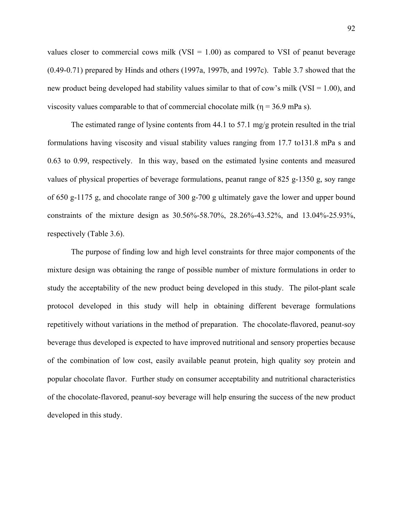values closer to commercial cows milk (VSI  $= 1.00$ ) as compared to VSI of peanut beverage (0.49-0.71) prepared by Hinds and others (1997a, 1997b, and 1997c). Table 3.7 showed that the new product being developed had stability values similar to that of cow's milk (VSI =  $1.00$ ), and viscosity values comparable to that of commercial chocolate milk ( $\eta = 36.9$  mPa s).

The estimated range of lysine contents from 44.1 to 57.1 mg/g protein resulted in the trial formulations having viscosity and visual stability values ranging from 17.7 to131.8 mPa s and 0.63 to 0.99, respectively. In this way, based on the estimated lysine contents and measured values of physical properties of beverage formulations, peanut range of 825 g-1350 g, soy range of 650 g-1175 g, and chocolate range of 300 g-700 g ultimately gave the lower and upper bound constraints of the mixture design as 30.56%-58.70%, 28.26%-43.52%, and 13.04%-25.93%, respectively (Table 3.6).

 The purpose of finding low and high level constraints for three major components of the mixture design was obtaining the range of possible number of mixture formulations in order to study the acceptability of the new product being developed in this study. The pilot-plant scale protocol developed in this study will help in obtaining different beverage formulations repetitively without variations in the method of preparation. The chocolate-flavored, peanut-soy beverage thus developed is expected to have improved nutritional and sensory properties because of the combination of low cost, easily available peanut protein, high quality soy protein and popular chocolate flavor. Further study on consumer acceptability and nutritional characteristics of the chocolate-flavored, peanut-soy beverage will help ensuring the success of the new product developed in this study.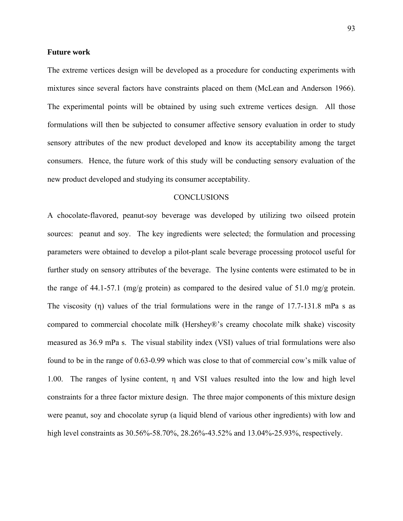# **Future work**

The extreme vertices design will be developed as a procedure for conducting experiments with mixtures since several factors have constraints placed on them (McLean and Anderson 1966). The experimental points will be obtained by using such extreme vertices design. All those formulations will then be subjected to consumer affective sensory evaluation in order to study sensory attributes of the new product developed and know its acceptability among the target consumers. Hence, the future work of this study will be conducting sensory evaluation of the new product developed and studying its consumer acceptability.

### **CONCLUSIONS**

A chocolate-flavored, peanut-soy beverage was developed by utilizing two oilseed protein sources: peanut and soy. The key ingredients were selected; the formulation and processing parameters were obtained to develop a pilot-plant scale beverage processing protocol useful for further study on sensory attributes of the beverage. The lysine contents were estimated to be in the range of 44.1-57.1 (mg/g protein) as compared to the desired value of 51.0 mg/g protein. The viscosity (η) values of the trial formulations were in the range of 17.7-131.8 mPa s as compared to commercial chocolate milk (Hershey®'s creamy chocolate milk shake) viscosity measured as 36.9 mPa s. The visual stability index (VSI) values of trial formulations were also found to be in the range of 0.63-0.99 which was close to that of commercial cow's milk value of 1.00. The ranges of lysine content, η and VSI values resulted into the low and high level constraints for a three factor mixture design. The three major components of this mixture design were peanut, soy and chocolate syrup (a liquid blend of various other ingredients) with low and high level constraints as  $30.56\% - 58.70\%$ ,  $28.26\% - 43.52\%$  and  $13.04\% - 25.93\%$ , respectively.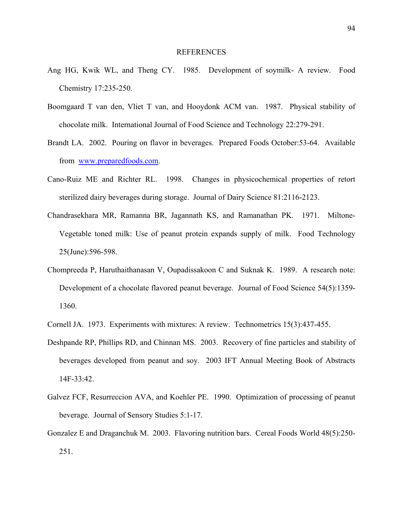#### REFERENCES

- Ang HG, Kwik WL, and Theng CY. 1985. Development of soymilk- A review. Food Chemistry 17:235-250.
- Boomgaard T van den, Vliet T van, and Hooydonk ACM van. 1987. Physical stability of chocolate milk. International Journal of Food Science and Technology 22:279-291.
- Brandt LA. 2002. Pouring on flavor in beverages. Prepared Foods October:53-64. Available from www.preparedfoods.com.
- Cano-Ruiz ME and Richter RL. 1998. Changes in physicochemical properties of retort sterilized dairy beverages during storage. Journal of Dairy Science 81:2116-2123.
- Chandrasekhara MR, Ramanna BR, Jagannath KS, and Ramanathan PK. 1971. Miltone-Vegetable toned milk: Use of peanut protein expands supply of milk. Food Technology 25(June):596-598.
- Chompreeda P, Haruthaithanasan V, Oupadissakoon C and Suknak K. 1989. A research note: Development of a chocolate flavored peanut beverage. Journal of Food Science 54(5):1359- 1360.
- Cornell JA. 1973. Experiments with mixtures: A review. Technometrics 15(3):437-455.
- Deshpande RP, Phillips RD, and Chinnan MS. 2003. Recovery of fine particles and stability of beverages developed from peanut and soy. 2003 IFT Annual Meeting Book of Abstracts 14F-33:42.
- Galvez FCF, Resurreccion AVA, and Koehler PE. 1990. Optimization of processing of peanut beverage. Journal of Sensory Studies 5:1-17.
- Gonzalez E and Draganchuk M. 2003. Flavoring nutrition bars. Cereal Foods World 48(5):250- 251.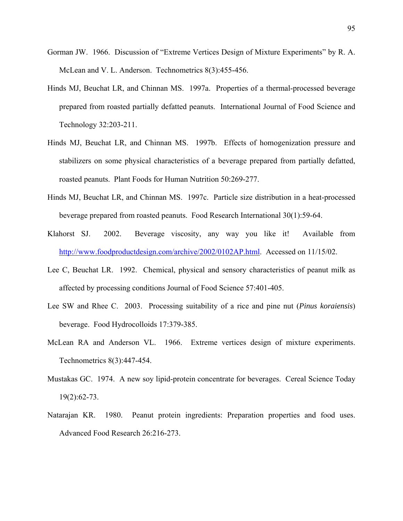- Gorman JW. 1966. Discussion of "Extreme Vertices Design of Mixture Experiments" by R. A. McLean and V. L. Anderson. Technometrics 8(3):455-456.
- Hinds MJ, Beuchat LR, and Chinnan MS. 1997a. Properties of a thermal-processed beverage prepared from roasted partially defatted peanuts. International Journal of Food Science and Technology 32:203-211.
- Hinds MJ, Beuchat LR, and Chinnan MS. 1997b. Effects of homogenization pressure and stabilizers on some physical characteristics of a beverage prepared from partially defatted, roasted peanuts. Plant Foods for Human Nutrition 50:269-277.
- Hinds MJ, Beuchat LR, and Chinnan MS. 1997c. Particle size distribution in a heat-processed beverage prepared from roasted peanuts. Food Research International 30(1):59-64.
- Klahorst SJ. 2002. Beverage viscosity, any way you like it! Available from [http://www.foodproductdesign.com/archive/2002/0102AP.html.](http://www.foodproductdesign.com/archive/2002/0102AP.html) Accessed on 11/15/02.
- Lee C, Beuchat LR. 1992. Chemical, physical and sensory characteristics of peanut milk as affected by processing conditions Journal of Food Science 57:401-405.
- Lee SW and Rhee C. 2003. Processing suitability of a rice and pine nut (*Pinus koraiensis*) beverage. Food Hydrocolloids 17:379-385.
- McLean RA and Anderson VL. 1966. Extreme vertices design of mixture experiments. Technometrics 8(3):447-454.
- Mustakas GC. 1974. A new soy lipid-protein concentrate for beverages. Cereal Science Today 19(2):62-73.
- Natarajan KR. 1980. Peanut protein ingredients: Preparation properties and food uses. Advanced Food Research 26:216-273.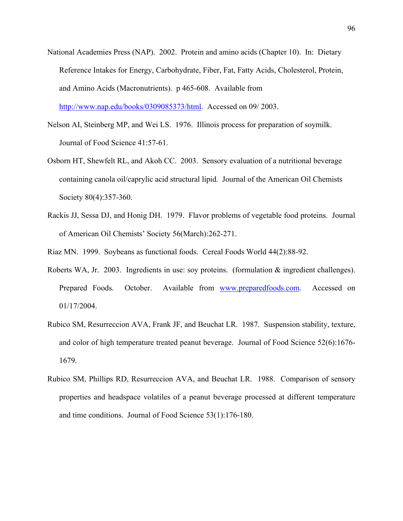- National Academies Press (NAP). 2002. Protein and amino acids (Chapter 10). In: Dietary Reference Intakes for Energy, Carbohydrate, Fiber, Fat, Fatty Acids, Cholesterol, Protein, and Amino Acids (Macronutrients). p 465-608. Available from [http://www.nap.edu/books/0309085373/html.](http://www.nap.edu/books/0309085373/html) Accessed on 09/ 2003.
- Nelson AI, Steinberg MP, and Wei LS. 1976. Illinois process for preparation of soymilk. Journal of Food Science 41:57-61.
- Osborn HT, Shewfelt RL, and Akoh CC. 2003. Sensory evaluation of a nutritional beverage containing canola oil/caprylic acid structural lipid. Journal of the American Oil Chemists Society 80(4):357-360.
- Rackis JJ, Sessa DJ, and Honig DH. 1979. Flavor problems of vegetable food proteins. Journal of American Oil Chemists' Society 56(March):262-271.
- Riaz MN. 1999. Soybeans as functional foods. Cereal Foods World 44(2):88-92.
- Roberts WA, Jr. 2003. Ingredients in use: soy proteins. (formulation & ingredient challenges). Prepared Foods. October. Available from www.preparedfoods.com. Accessed on 01/17/2004.
- Rubico SM, Resurreccion AVA, Frank JF, and Beuchat LR. 1987. Suspension stability, texture, and color of high temperature treated peanut beverage. Journal of Food Science 52(6):1676- 1679.
- Rubico SM, Phillips RD, Resurreccion AVA, and Beuchat LR. 1988. Comparison of sensory properties and headspace volatiles of a peanut beverage processed at different temperature and time conditions. Journal of Food Science 53(1):176-180.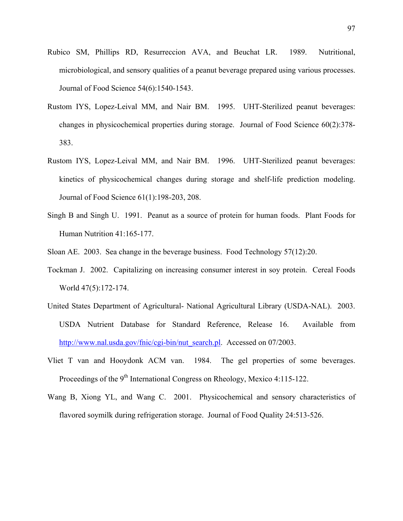- Rubico SM, Phillips RD, Resurreccion AVA, and Beuchat LR. 1989. Nutritional, microbiological, and sensory qualities of a peanut beverage prepared using various processes. Journal of Food Science 54(6):1540-1543.
- Rustom IYS, Lopez-Leival MM, and Nair BM. 1995. UHT-Sterilized peanut beverages: changes in physicochemical properties during storage. Journal of Food Science 60(2):378- 383.
- Rustom IYS, Lopez-Leival MM, and Nair BM. 1996. UHT-Sterilized peanut beverages: kinetics of physicochemical changes during storage and shelf-life prediction modeling. Journal of Food Science 61(1):198-203, 208.
- Singh B and Singh U. 1991. Peanut as a source of protein for human foods. Plant Foods for Human Nutrition 41:165-177.
- Sloan AE. 2003. Sea change in the beverage business. Food Technology 57(12):20.
- Tockman J. 2002. Capitalizing on increasing consumer interest in soy protein. Cereal Foods World 47(5):172-174.
- United States Department of Agricultural- National Agricultural Library (USDA-NAL). 2003. USDA Nutrient Database for Standard Reference, Release 16. Available from [http://www.nal.usda.gov/fnic/cgi-bin/nut\\_search.pl.](http://www.nal.usda.gov/fnic/cgi-bin/nut_search.pl) Accessed on 07/2003.
- Vliet T van and Hooydonk ACM van. 1984. The gel properties of some beverages. Proceedings of the  $9<sup>th</sup>$  International Congress on Rheology, Mexico 4:115-122.
- Wang B, Xiong YL, and Wang C. 2001. Physicochemical and sensory characteristics of flavored soymilk during refrigeration storage. Journal of Food Quality 24:513-526.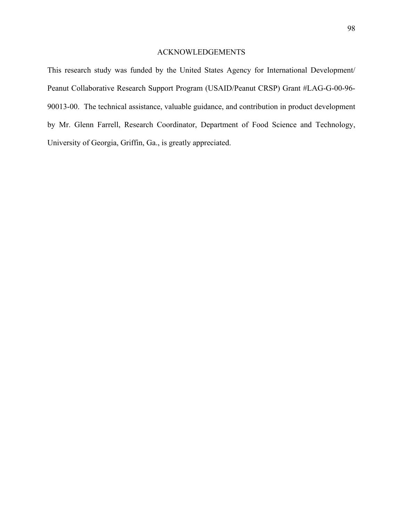# ACKNOWLEDGEMENTS

This research study was funded by the United States Agency for International Development/ Peanut Collaborative Research Support Program (USAID/Peanut CRSP) Grant #LAG-G-00-96- 90013-00. The technical assistance, valuable guidance, and contribution in product development by Mr. Glenn Farrell, Research Coordinator, Department of Food Science and Technology, University of Georgia, Griffin, Ga., is greatly appreciated.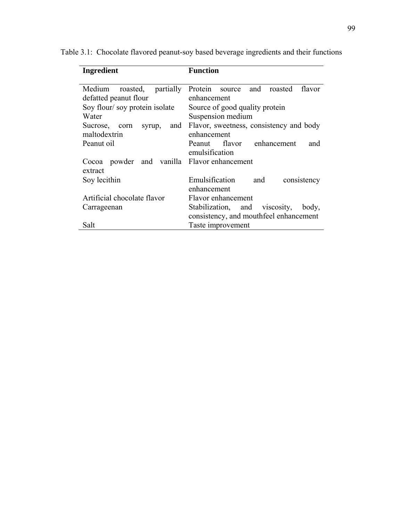| <b>Ingredient</b>                                        | Function                                               |  |  |
|----------------------------------------------------------|--------------------------------------------------------|--|--|
| partially<br>Medium<br>roasted,<br>defatted peanut flour | Protein source and<br>roasted<br>flavor<br>enhancement |  |  |
| Soy flour/soy protein isolate                            | Source of good quality protein                         |  |  |
| Water                                                    | Suspension medium                                      |  |  |
| and<br>Sucrose,<br>syrup,<br>corn<br>maltodextrin        | Flavor, sweetness, consistency and body<br>enhancement |  |  |
| Peanut oil                                               | Peanut flavor enhancement<br>and<br>emulsification     |  |  |
| Cocoa powder<br>extract                                  | and vanilla Flavor enhancement                         |  |  |
| Soy lecithin                                             | Emulsification<br>and<br>consistency                   |  |  |
|                                                          | enhancement                                            |  |  |
| Artificial chocolate flavor                              | Flavor enhancement                                     |  |  |
| Carrageenan                                              | Stabilization, and viscosity,<br>body,                 |  |  |
|                                                          | consistency, and mouthfeel enhancement                 |  |  |
| Salt                                                     | Taste improvement                                      |  |  |

Table 3.1: Chocolate flavored peanut-soy based beverage ingredients and their functions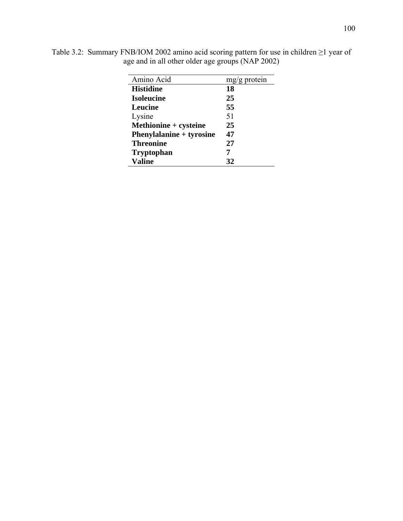| Amino Acid                      | $mg/g$ protein |
|---------------------------------|----------------|
| <b>Histidine</b>                | 18             |
| <b>Isoleucine</b>               | 25             |
| Leucine                         | 55             |
| Lysine                          | 51             |
| Methionine + cysteine           | 25             |
| <b>Phenylalanine + tyrosine</b> | 47             |
| <b>Threonine</b>                | 27             |
| <b>Tryptophan</b>               |                |
| <b>Valine</b>                   | 32             |

Table 3.2: Summary FNB/IOM 2002 amino acid scoring pattern for use in children ≥1 year of age and in all other older age groups (NAP 2002)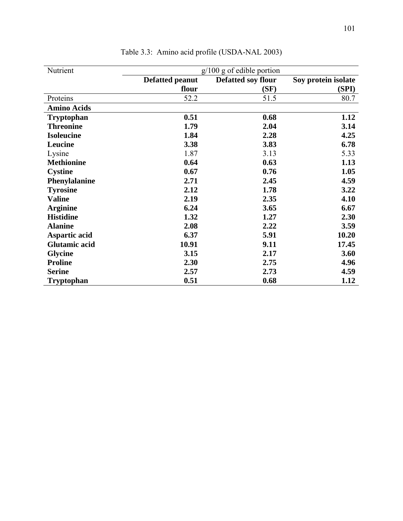| Nutrient             | $g/100$ g of edible portion |                    |                     |  |  |
|----------------------|-----------------------------|--------------------|---------------------|--|--|
|                      | <b>Defatted peanut</b>      | Defatted soy flour | Soy protein isolate |  |  |
|                      | flour                       | (SF)               | (SPI)               |  |  |
| Proteins             | 52.2                        | 51.5               | 80.7                |  |  |
| <b>Amino Acids</b>   |                             |                    |                     |  |  |
| <b>Tryptophan</b>    | 0.51                        | 0.68               | 1.12                |  |  |
| <b>Threonine</b>     | 1.79                        | 2.04               | 3.14                |  |  |
| <b>Isoleucine</b>    | 1.84                        | 2.28               | 4.25                |  |  |
| Leucine              | 3.38                        | 3.83               | 6.78                |  |  |
| Lysine               | 1.87                        | 3.13               | 5.33                |  |  |
| <b>Methionine</b>    | 0.64                        | 0.63               | 1.13                |  |  |
| <b>Cystine</b>       | 0.67                        | 0.76               | 1.05                |  |  |
| Phenylalanine        | 2.71                        | 2.45               | 4.59                |  |  |
| <b>Tyrosine</b>      | 2.12                        | 1.78               | 3.22                |  |  |
| <b>Valine</b>        | 2.19                        | 2.35               | 4.10                |  |  |
| <b>Arginine</b>      | 6.24                        | 3.65               | 6.67                |  |  |
| <b>Histidine</b>     | 1.32                        | 1.27               | 2.30                |  |  |
| <b>Alanine</b>       | 2.08                        | 2.22               | 3.59                |  |  |
| Aspartic acid        | 6.37                        | 5.91               | 10.20               |  |  |
| <b>Glutamic acid</b> | 10.91                       | 9.11               | 17.45               |  |  |
| <b>Glycine</b>       | 3.15                        | 2.17               | 3.60                |  |  |
| <b>Proline</b>       | 2.30                        | 2.75               | 4.96                |  |  |
| <b>Serine</b>        | 2.57                        | 2.73               | 4.59                |  |  |
| <b>Tryptophan</b>    | 0.51                        | 0.68               | 1.12                |  |  |

Table 3.3: Amino acid profile (USDA-NAL 2003)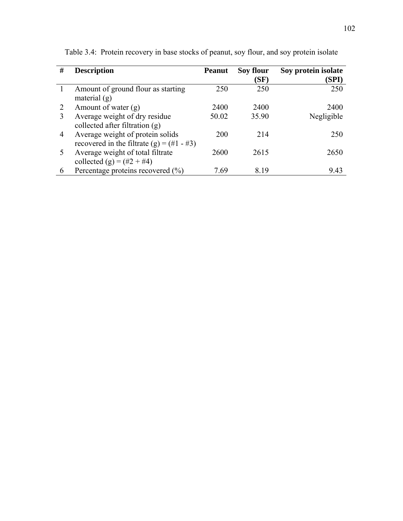| # | <b>Description</b>                                                                | <b>Peanut</b> | Soy flour<br>(SF) | Soy protein isolate<br>(SPI) |
|---|-----------------------------------------------------------------------------------|---------------|-------------------|------------------------------|
|   | Amount of ground flour as starting<br>material $(g)$                              | 250           | 250               | 250                          |
|   | Amount of water (g)                                                               | 2400          | 2400              | 2400                         |
| 3 | Average weight of dry residue<br>collected after filtration (g)                   | 50.02         | 35.90             | Negligible                   |
| 4 | Average weight of protein solids<br>recovered in the filtrate (g) = $(\#1 - \#3)$ | 200           | 214               | 250                          |
|   | Average weight of total filtrate<br>collected (g) = $(\#2 + \#4)$                 | 2600          | 2615              | 2650                         |
| 6 | Percentage proteins recovered (%)                                                 | 7 69          | 8 1 9             | 9.43                         |

Table 3.4: Protein recovery in base stocks of peanut, soy flour, and soy protein isolate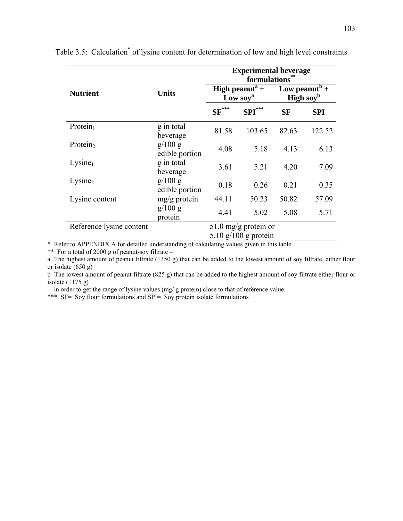|                          |                           | <b>Experimental beverage</b><br>formulations       |           |                                           |            |
|--------------------------|---------------------------|----------------------------------------------------|-----------|-------------------------------------------|------------|
| <b>Nutrient</b>          | <b>Units</b>              | High peanut <sup>a</sup> +<br>Low soy <sup>a</sup> |           | Low peanut <sup>b</sup> +<br>High soy $b$ |            |
|                          |                           | $SF^{***}$                                         | $SPI$ *** | <b>SF</b>                                 | <b>SPI</b> |
| Protein $_1$             | g in total<br>beverage    | 81.58                                              | 103.65    | 82.63                                     | 122.52     |
| Protein <sub>2</sub>     | g/100 g<br>edible portion | 4.08                                               | 5.18      | 4.13                                      | 6.13       |
| Lysine <sub>1</sub>      | g in total<br>beverage    | 3.61                                               | 5.21      | 4.20                                      | 7.09       |
| Lysine <sub>2</sub>      | g/100 g<br>edible portion | 0.18                                               | 0.26      | 0.21                                      | 0.35       |
| Lysine content           | $mg/g$ protein            | 44.11                                              | 50.23     | 50.82                                     | 57.09      |
|                          | g/100 g<br>protein        | 4.41                                               | 5.02      | 5.08                                      | 5.71       |
| Reference lysine content | 51.0 mg/g protein or      |                                                    |           |                                           |            |
|                          | $5.10$ g/100 g protein    |                                                    |           |                                           |            |

Table 3.5: Calculation<sup>\*</sup> of lysine content for determination of low and high level constraints

\* Refer to APPENDIX A for detailed understanding of calculating values given in this table

\*\* For a total of 2000 g of peanut-soy filtrate –

a The highest amount of peanut filtrate (1350 g) that can be added to the lowest amount of soy filtrate, either flour or isolate (650 g)

b The lowest amount of peanut filtrate (825 g) that can be added to the highest amount of soy filtrate either flour or isolate (1175 g)

– in order to get the range of lysine values (mg/ g protein) close to that of reference value

\*\*\* SF= Soy flour formulations and SPI= Soy protein isolate formulations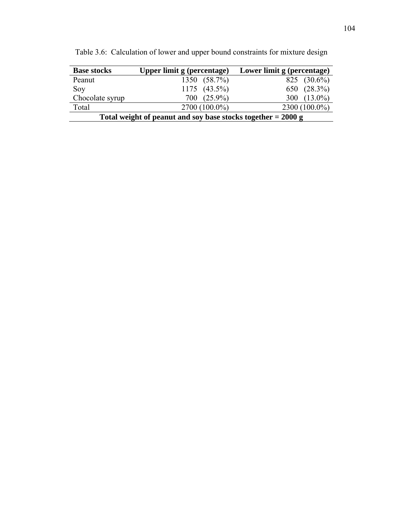| <b>Base stocks</b>                                             | Upper limit g (percentage) | Lower limit g (percentage) |  |  |
|----------------------------------------------------------------|----------------------------|----------------------------|--|--|
| Peanut                                                         | 1350 (58.7%)               | 825 $(30.6\%)$             |  |  |
| Soy                                                            | $1175$ $(43.5\%)$          | 650 (28.3%)                |  |  |
| Chocolate syrup                                                | 700 (25.9%)                | 300 $(13.0\%)$             |  |  |
| Total                                                          | $2700(100.0\%)$            | $2300(100.0\%)$            |  |  |
| Total weight of peanut and soy base stocks together $= 2000$ g |                            |                            |  |  |

Table 3.6: Calculation of lower and upper bound constraints for mixture design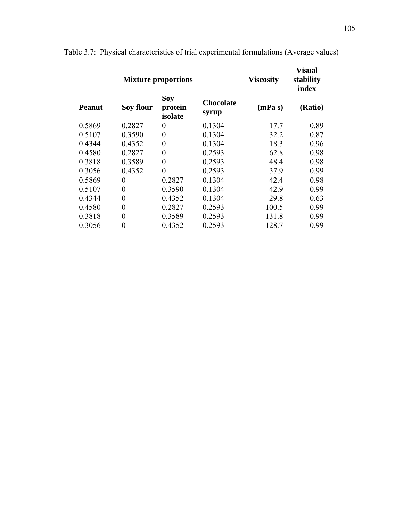| <b>Mixture proportions</b> |                  |                                  |                           | <b>Viscosity</b> | <b>Visual</b><br>stability<br>index |  |
|----------------------------|------------------|----------------------------------|---------------------------|------------------|-------------------------------------|--|
| <b>Peanut</b>              | Soy flour        | <b>Soy</b><br>protein<br>isolate | <b>Chocolate</b><br>syrup | (mPa s)          | (Ratio)                             |  |
| 0.5869                     | 0.2827           | $\boldsymbol{0}$                 | 0.1304                    | 17.7             | 0.89                                |  |
| 0.5107                     | 0.3590           | $\boldsymbol{0}$                 | 0.1304                    | 32.2             | 0.87                                |  |
| 0.4344                     | 0.4352           | $\overline{0}$                   | 0.1304                    | 18.3             | 0.96                                |  |
| 0.4580                     | 0.2827           | $\boldsymbol{0}$                 | 0.2593                    | 62.8             | 0.98                                |  |
| 0.3818                     | 0.3589           | $\boldsymbol{0}$                 | 0.2593                    | 48.4             | 0.98                                |  |
| 0.3056                     | 0.4352           | $\overline{0}$                   | 0.2593                    | 37.9             | 0.99                                |  |
| 0.5869                     | $\boldsymbol{0}$ | 0.2827                           | 0.1304                    | 42.4             | 0.98                                |  |
| 0.5107                     | $\boldsymbol{0}$ | 0.3590                           | 0.1304                    | 42.9             | 0.99                                |  |
| 0.4344                     | $\overline{0}$   | 0.4352                           | 0.1304                    | 29.8             | 0.63                                |  |
| 0.4580                     | $\overline{0}$   | 0.2827                           | 0.2593                    | 100.5            | 0.99                                |  |
| 0.3818                     | 0                | 0.3589                           | 0.2593                    | 131.8            | 0.99                                |  |
| 0.3056                     | $\boldsymbol{0}$ | 0.4352                           | 0.2593                    | 128.7            | 0.99                                |  |

Table 3.7: Physical characteristics of trial experimental formulations (Average values)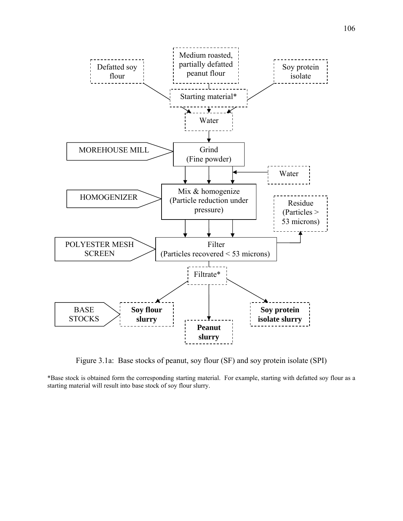

Figure 3.1a: Base stocks of peanut, soy flour (SF) and soy protein isolate (SPI)

\*Base stock is obtained form the corresponding starting material. For example, starting with defatted soy flour as a starting material will result into base stock of soy flour slurry.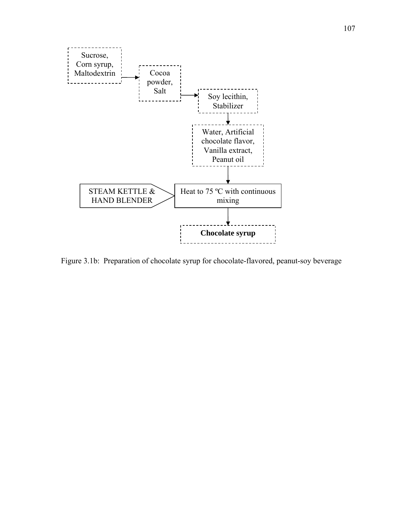

Figure 3.1b: Preparation of chocolate syrup for chocolate-flavored, peanut-soy beverage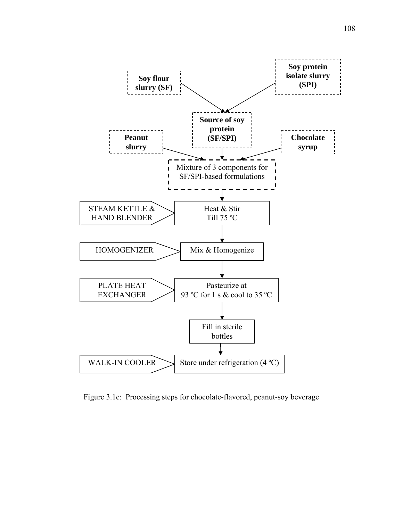

Figure 3.1c: Processing steps for chocolate-flavored, peanut-soy beverage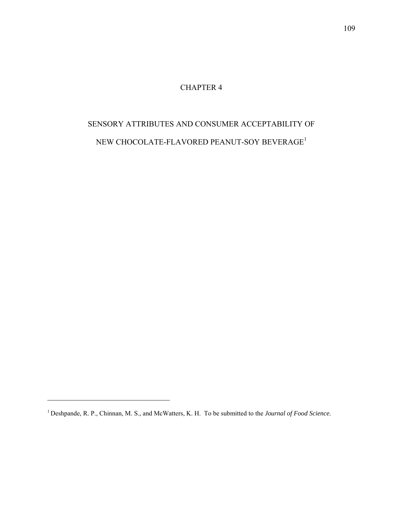# CHAPTER 4

# SENSORY ATTRIBUTES AND CONSUMER ACCEPTABILITY OF NEW CHOCOLATE-FLAVORED PEANUT-SOY BEVERAGE<sup>1</sup>

 $\mathcal{L}_\text{max}$  , and the set of the set of the set of the set of the set of the set of the set of the set of the set of the set of the set of the set of the set of the set of the set of the set of the set of the set of the

<sup>1</sup> Deshpande, R. P., Chinnan, M. S., and McWatters, K. H. To be submitted to the *Journal of Food Science.*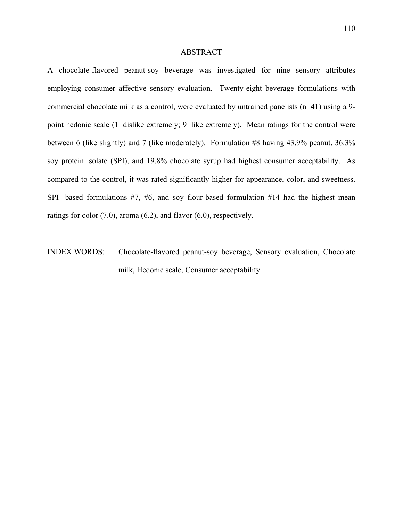#### ABSTRACT

A chocolate-flavored peanut-soy beverage was investigated for nine sensory attributes employing consumer affective sensory evaluation. Twenty-eight beverage formulations with commercial chocolate milk as a control, were evaluated by untrained panelists (n=41) using a 9 point hedonic scale (1=dislike extremely; 9=like extremely). Mean ratings for the control were between 6 (like slightly) and 7 (like moderately). Formulation #8 having 43.9% peanut, 36.3% soy protein isolate (SPI), and 19.8% chocolate syrup had highest consumer acceptability. As compared to the control, it was rated significantly higher for appearance, color, and sweetness. SPI- based formulations  $#7, #6,$  and soy flour-based formulation  $#14$  had the highest mean ratings for color (7.0), aroma (6.2), and flavor (6.0), respectively.

INDEX WORDS: Chocolate-flavored peanut-soy beverage, Sensory evaluation, Chocolate milk, Hedonic scale, Consumer acceptability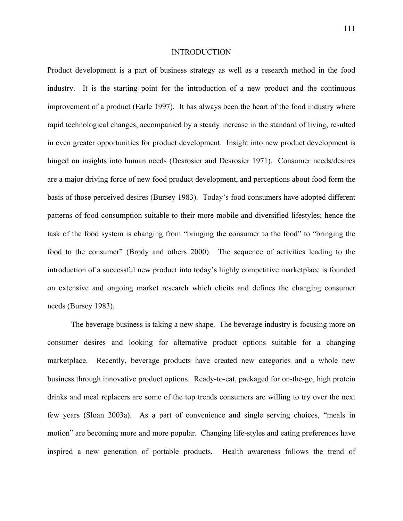#### INTRODUCTION

Product development is a part of business strategy as well as a research method in the food industry. It is the starting point for the introduction of a new product and the continuous improvement of a product (Earle 1997). It has always been the heart of the food industry where rapid technological changes, accompanied by a steady increase in the standard of living, resulted in even greater opportunities for product development. Insight into new product development is hinged on insights into human needs (Desrosier and Desrosier 1971). Consumer needs/desires are a major driving force of new food product development, and perceptions about food form the basis of those perceived desires (Bursey 1983). Today's food consumers have adopted different patterns of food consumption suitable to their more mobile and diversified lifestyles; hence the task of the food system is changing from "bringing the consumer to the food" to "bringing the food to the consumer" (Brody and others 2000). The sequence of activities leading to the introduction of a successful new product into today's highly competitive marketplace is founded on extensive and ongoing market research which elicits and defines the changing consumer needs (Bursey 1983).

 The beverage business is taking a new shape. The beverage industry is focusing more on consumer desires and looking for alternative product options suitable for a changing marketplace. Recently, beverage products have created new categories and a whole new business through innovative product options. Ready-to-eat, packaged for on-the-go, high protein drinks and meal replacers are some of the top trends consumers are willing to try over the next few years (Sloan 2003a). As a part of convenience and single serving choices, "meals in motion" are becoming more and more popular. Changing life-styles and eating preferences have inspired a new generation of portable products. Health awareness follows the trend of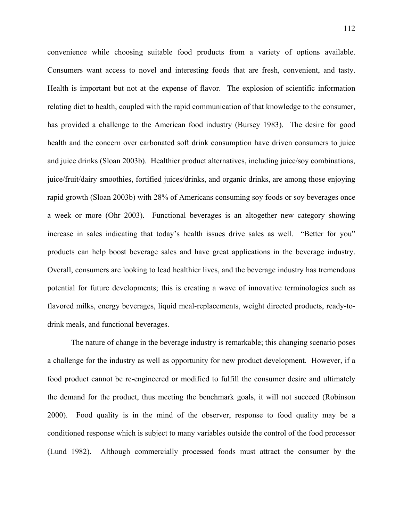convenience while choosing suitable food products from a variety of options available. Consumers want access to novel and interesting foods that are fresh, convenient, and tasty. Health is important but not at the expense of flavor. The explosion of scientific information relating diet to health, coupled with the rapid communication of that knowledge to the consumer, has provided a challenge to the American food industry (Bursey 1983). The desire for good health and the concern over carbonated soft drink consumption have driven consumers to juice and juice drinks (Sloan 2003b). Healthier product alternatives, including juice/soy combinations, juice/fruit/dairy smoothies, fortified juices/drinks, and organic drinks, are among those enjoying rapid growth (Sloan 2003b) with 28% of Americans consuming soy foods or soy beverages once a week or more (Ohr 2003). Functional beverages is an altogether new category showing increase in sales indicating that today's health issues drive sales as well. "Better for you" products can help boost beverage sales and have great applications in the beverage industry. Overall, consumers are looking to lead healthier lives, and the beverage industry has tremendous potential for future developments; this is creating a wave of innovative terminologies such as flavored milks, energy beverages, liquid meal-replacements, weight directed products, ready-todrink meals, and functional beverages.

 The nature of change in the beverage industry is remarkable; this changing scenario poses a challenge for the industry as well as opportunity for new product development. However, if a food product cannot be re-engineered or modified to fulfill the consumer desire and ultimately the demand for the product, thus meeting the benchmark goals, it will not succeed (Robinson 2000). Food quality is in the mind of the observer, response to food quality may be a conditioned response which is subject to many variables outside the control of the food processor (Lund 1982). Although commercially processed foods must attract the consumer by the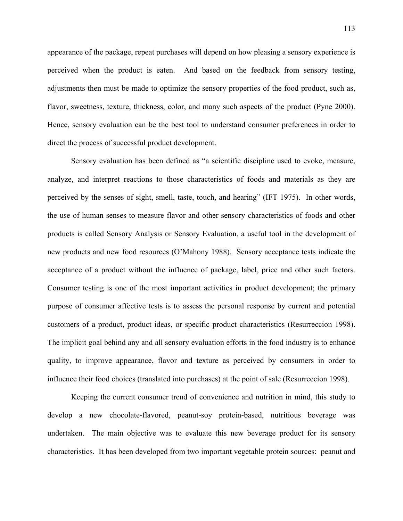appearance of the package, repeat purchases will depend on how pleasing a sensory experience is perceived when the product is eaten. And based on the feedback from sensory testing, adjustments then must be made to optimize the sensory properties of the food product, such as, flavor, sweetness, texture, thickness, color, and many such aspects of the product (Pyne 2000). Hence, sensory evaluation can be the best tool to understand consumer preferences in order to direct the process of successful product development.

 Sensory evaluation has been defined as "a scientific discipline used to evoke, measure, analyze, and interpret reactions to those characteristics of foods and materials as they are perceived by the senses of sight, smell, taste, touch, and hearing" (IFT 1975). In other words, the use of human senses to measure flavor and other sensory characteristics of foods and other products is called Sensory Analysis or Sensory Evaluation, a useful tool in the development of new products and new food resources (O'Mahony 1988). Sensory acceptance tests indicate the acceptance of a product without the influence of package, label, price and other such factors. Consumer testing is one of the most important activities in product development; the primary purpose of consumer affective tests is to assess the personal response by current and potential customers of a product, product ideas, or specific product characteristics (Resurreccion 1998). The implicit goal behind any and all sensory evaluation efforts in the food industry is to enhance quality, to improve appearance, flavor and texture as perceived by consumers in order to influence their food choices (translated into purchases) at the point of sale (Resurreccion 1998).

 Keeping the current consumer trend of convenience and nutrition in mind, this study to develop a new chocolate-flavored, peanut-soy protein-based, nutritious beverage was undertaken. The main objective was to evaluate this new beverage product for its sensory characteristics. It has been developed from two important vegetable protein sources: peanut and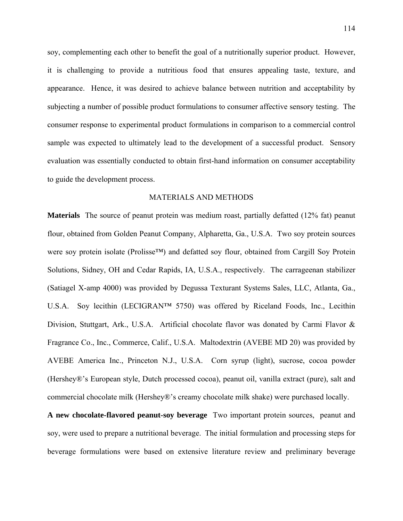soy, complementing each other to benefit the goal of a nutritionally superior product. However, it is challenging to provide a nutritious food that ensures appealing taste, texture, and appearance. Hence, it was desired to achieve balance between nutrition and acceptability by subjecting a number of possible product formulations to consumer affective sensory testing. The consumer response to experimental product formulations in comparison to a commercial control sample was expected to ultimately lead to the development of a successful product. Sensory evaluation was essentially conducted to obtain first-hand information on consumer acceptability to guide the development process.

## MATERIALS AND METHODS

**Materials** The source of peanut protein was medium roast, partially defatted (12% fat) peanut flour, obtained from Golden Peanut Company, Alpharetta, Ga., U.S.A. Two soy protein sources were soy protein isolate (Prolisse™) and defatted soy flour, obtained from Cargill Soy Protein Solutions, Sidney, OH and Cedar Rapids, IA, U.S.A., respectively. The carrageenan stabilizer (Satiagel X-amp 4000) was provided by Degussa Texturant Systems Sales, LLC, Atlanta, Ga., U.S.A. Soy lecithin (LECIGRAN™ 5750) was offered by Riceland Foods, Inc., Lecithin Division, Stuttgart, Ark., U.S.A. Artificial chocolate flavor was donated by Carmi Flavor & Fragrance Co., Inc., Commerce, Calif., U.S.A. Maltodextrin (AVEBE MD 20) was provided by AVEBE America Inc., Princeton N.J., U.S.A. Corn syrup (light), sucrose, cocoa powder (Hershey®'s European style, Dutch processed cocoa), peanut oil, vanilla extract (pure), salt and commercial chocolate milk (Hershey®'s creamy chocolate milk shake) were purchased locally.

**A new chocolate-flavored peanut-soy beverage** Two important protein sources, peanut and soy, were used to prepare a nutritional beverage. The initial formulation and processing steps for beverage formulations were based on extensive literature review and preliminary beverage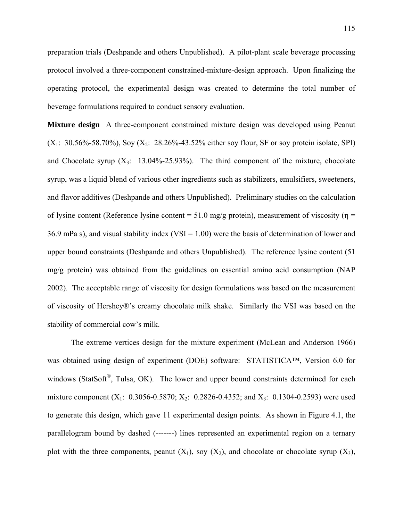preparation trials (Deshpande and others Unpublished). A pilot-plant scale beverage processing protocol involved a three-component constrained-mixture-design approach. Upon finalizing the operating protocol, the experimental design was created to determine the total number of beverage formulations required to conduct sensory evaluation.

**Mixture design** A three-component constrained mixture design was developed using Peanut  $(X_1: 30.56\% - 58.70\%)$ , Soy  $(X_2: 28.26\% - 43.52\%$  either soy flour, SF or soy protein isolate, SPI) and Chocolate syrup  $(X_3: 13.04\% - 25.93\%)$ . The third component of the mixture, chocolate syrup, was a liquid blend of various other ingredients such as stabilizers, emulsifiers, sweeteners, and flavor additives (Deshpande and others Unpublished). Preliminary studies on the calculation of lysine content (Reference lysine content = 51.0 mg/g protein), measurement of viscosity ( $\eta$  = 36.9 mPa s), and visual stability index (VSI =  $1.00$ ) were the basis of determination of lower and upper bound constraints (Deshpande and others Unpublished). The reference lysine content (51 mg/g protein) was obtained from the guidelines on essential amino acid consumption (NAP 2002). The acceptable range of viscosity for design formulations was based on the measurement of viscosity of Hershey®'s creamy chocolate milk shake. Similarly the VSI was based on the stability of commercial cow's milk.

 The extreme vertices design for the mixture experiment (McLean and Anderson 1966) was obtained using design of experiment (DOE) software: STATISTICA™, Version 6.0 for windows (StatSoft<sup>®</sup>, Tulsa, OK). The lower and upper bound constraints determined for each mixture component  $(X_1: 0.3056 - 0.5870; X_2: 0.2826 - 0.4352;$  and  $X_3: 0.1304 - 0.2593$ ) were used to generate this design, which gave 11 experimental design points. As shown in Figure 4.1, the parallelogram bound by dashed (-------) lines represented an experimental region on a ternary plot with the three components, peanut  $(X_1)$ , soy  $(X_2)$ , and chocolate or chocolate syrup  $(X_3)$ ,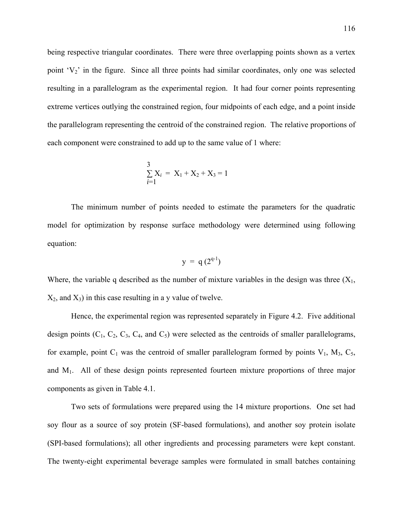being respective triangular coordinates. There were three overlapping points shown as a vertex point  $V_2$  in the figure. Since all three points had similar coordinates, only one was selected resulting in a parallelogram as the experimental region. It had four corner points representing extreme vertices outlying the constrained region, four midpoints of each edge, and a point inside the parallelogram representing the centroid of the constrained region. The relative proportions of each component were constrained to add up to the same value of 1 where:

$$
\sum_{i=1}^{3} X_i = X_1 + X_2 + X_3 = 1
$$

 The minimum number of points needed to estimate the parameters for the quadratic model for optimization by response surface methodology were determined using following equation:

$$
y = q(2^{q-1})
$$

Where, the variable q described as the number of mixture variables in the design was three  $(X_1,$  $X_2$ , and  $X_3$ ) in this case resulting in a y value of twelve.

 Hence, the experimental region was represented separately in Figure 4.2. Five additional design points  $(C_1, C_2, C_3, C_4,$  and  $C_5$ ) were selected as the centroids of smaller parallelograms, for example, point  $C_1$  was the centroid of smaller parallelogram formed by points  $V_1$ ,  $M_3$ ,  $C_5$ , and  $M_1$ . All of these design points represented fourteen mixture proportions of three major components as given in Table 4.1.

 Two sets of formulations were prepared using the 14 mixture proportions. One set had soy flour as a source of soy protein (SF-based formulations), and another soy protein isolate (SPI-based formulations); all other ingredients and processing parameters were kept constant. The twenty-eight experimental beverage samples were formulated in small batches containing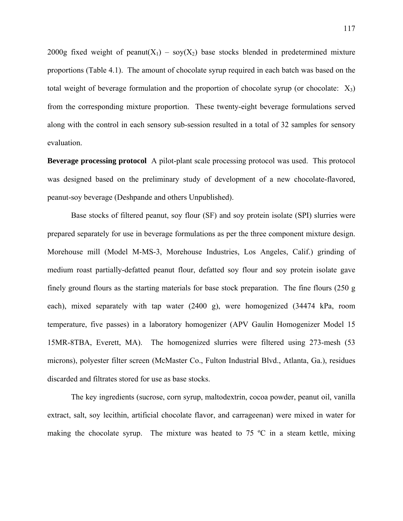2000g fixed weight of peanut( $X_1$ ) – soy( $X_2$ ) base stocks blended in predetermined mixture proportions (Table 4.1). The amount of chocolate syrup required in each batch was based on the total weight of beverage formulation and the proportion of chocolate syrup (or chocolate:  $X_3$ ) from the corresponding mixture proportion. These twenty-eight beverage formulations served along with the control in each sensory sub-session resulted in a total of 32 samples for sensory evaluation.

**Beverage processing protocol** A pilot-plant scale processing protocol was used. This protocol was designed based on the preliminary study of development of a new chocolate-flavored, peanut-soy beverage (Deshpande and others Unpublished).

Base stocks of filtered peanut, soy flour (SF) and soy protein isolate (SPI) slurries were prepared separately for use in beverage formulations as per the three component mixture design. Morehouse mill (Model M-MS-3, Morehouse Industries, Los Angeles, Calif.) grinding of medium roast partially-defatted peanut flour, defatted soy flour and soy protein isolate gave finely ground flours as the starting materials for base stock preparation. The fine flours (250 g each), mixed separately with tap water (2400 g), were homogenized (34474 kPa, room temperature, five passes) in a laboratory homogenizer (APV Gaulin Homogenizer Model 15 15MR-8TBA, Everett, MA). The homogenized slurries were filtered using 273-mesh (53 microns), polyester filter screen (McMaster Co., Fulton Industrial Blvd., Atlanta, Ga.), residues discarded and filtrates stored for use as base stocks.

The key ingredients (sucrose, corn syrup, maltodextrin, cocoa powder, peanut oil, vanilla extract, salt, soy lecithin, artificial chocolate flavor, and carrageenan) were mixed in water for making the chocolate syrup. The mixture was heated to 75  $\degree$ C in a steam kettle, mixing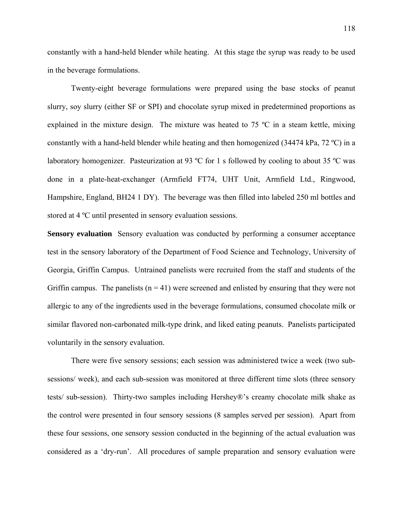constantly with a hand-held blender while heating. At this stage the syrup was ready to be used in the beverage formulations.

Twenty-eight beverage formulations were prepared using the base stocks of peanut slurry, soy slurry (either SF or SPI) and chocolate syrup mixed in predetermined proportions as explained in the mixture design. The mixture was heated to 75 ºC in a steam kettle, mixing constantly with a hand-held blender while heating and then homogenized (34474 kPa, 72 °C) in a laboratory homogenizer. Pasteurization at 93 °C for 1 s followed by cooling to about 35 °C was done in a plate-heat-exchanger (Armfield FT74, UHT Unit, Armfield Ltd., Ringwood, Hampshire, England, BH24 1 DY). The beverage was then filled into labeled 250 ml bottles and stored at 4 ºC until presented in sensory evaluation sessions.

**Sensory evaluation** Sensory evaluation was conducted by performing a consumer acceptance test in the sensory laboratory of the Department of Food Science and Technology, University of Georgia, Griffin Campus. Untrained panelists were recruited from the staff and students of the Griffin campus. The panelists  $(n = 41)$  were screened and enlisted by ensuring that they were not allergic to any of the ingredients used in the beverage formulations, consumed chocolate milk or similar flavored non-carbonated milk-type drink, and liked eating peanuts. Panelists participated voluntarily in the sensory evaluation.

 There were five sensory sessions; each session was administered twice a week (two subsessions/ week), and each sub-session was monitored at three different time slots (three sensory tests/ sub-session). Thirty-two samples including Hershey®'s creamy chocolate milk shake as the control were presented in four sensory sessions (8 samples served per session). Apart from these four sessions, one sensory session conducted in the beginning of the actual evaluation was considered as a 'dry-run'. All procedures of sample preparation and sensory evaluation were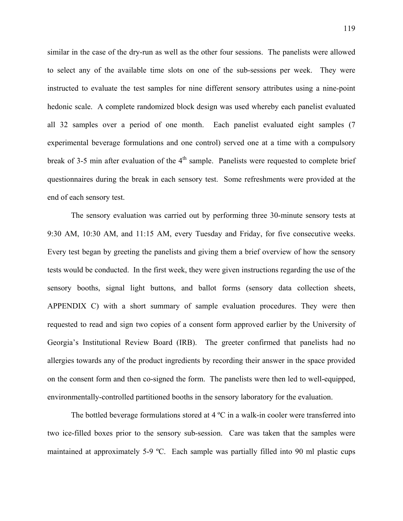similar in the case of the dry-run as well as the other four sessions. The panelists were allowed to select any of the available time slots on one of the sub-sessions per week. They were instructed to evaluate the test samples for nine different sensory attributes using a nine-point hedonic scale. A complete randomized block design was used whereby each panelist evaluated all 32 samples over a period of one month. Each panelist evaluated eight samples (7 experimental beverage formulations and one control) served one at a time with a compulsory break of 3-5 min after evaluation of the  $4<sup>th</sup>$  sample. Panelists were requested to complete brief questionnaires during the break in each sensory test. Some refreshments were provided at the end of each sensory test.

 The sensory evaluation was carried out by performing three 30-minute sensory tests at 9:30 AM, 10:30 AM, and 11:15 AM, every Tuesday and Friday, for five consecutive weeks. Every test began by greeting the panelists and giving them a brief overview of how the sensory tests would be conducted. In the first week, they were given instructions regarding the use of the sensory booths, signal light buttons, and ballot forms (sensory data collection sheets, APPENDIX C) with a short summary of sample evaluation procedures. They were then requested to read and sign two copies of a consent form approved earlier by the University of Georgia's Institutional Review Board (IRB). The greeter confirmed that panelists had no allergies towards any of the product ingredients by recording their answer in the space provided on the consent form and then co-signed the form. The panelists were then led to well-equipped, environmentally-controlled partitioned booths in the sensory laboratory for the evaluation.

The bottled beverage formulations stored at  $4^{\circ}$ C in a walk-in cooler were transferred into two ice-filled boxes prior to the sensory sub-session. Care was taken that the samples were maintained at approximately 5-9 ºC. Each sample was partially filled into 90 ml plastic cups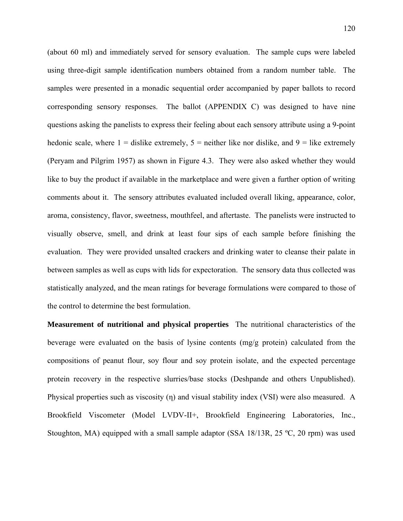(about 60 ml) and immediately served for sensory evaluation. The sample cups were labeled using three-digit sample identification numbers obtained from a random number table. The samples were presented in a monadic sequential order accompanied by paper ballots to record corresponding sensory responses. The ballot (APPENDIX C) was designed to have nine questions asking the panelists to express their feeling about each sensory attribute using a 9-point hedonic scale, where  $1 =$  dislike extremely,  $5 =$  neither like nor dislike, and  $9 =$  like extremely (Peryam and Pilgrim 1957) as shown in Figure 4.3. They were also asked whether they would like to buy the product if available in the marketplace and were given a further option of writing comments about it. The sensory attributes evaluated included overall liking, appearance, color, aroma, consistency, flavor, sweetness, mouthfeel, and aftertaste. The panelists were instructed to visually observe, smell, and drink at least four sips of each sample before finishing the evaluation. They were provided unsalted crackers and drinking water to cleanse their palate in between samples as well as cups with lids for expectoration. The sensory data thus collected was statistically analyzed, and the mean ratings for beverage formulations were compared to those of the control to determine the best formulation.

**Measurement of nutritional and physical properties** The nutritional characteristics of the beverage were evaluated on the basis of lysine contents (mg/g protein) calculated from the compositions of peanut flour, soy flour and soy protein isolate, and the expected percentage protein recovery in the respective slurries/base stocks (Deshpande and others Unpublished). Physical properties such as viscosity (η) and visual stability index (VSI) were also measured. A Brookfield Viscometer (Model LVDV-II+, Brookfield Engineering Laboratories, Inc., Stoughton, MA) equipped with a small sample adaptor (SSA 18/13R, 25 °C, 20 rpm) was used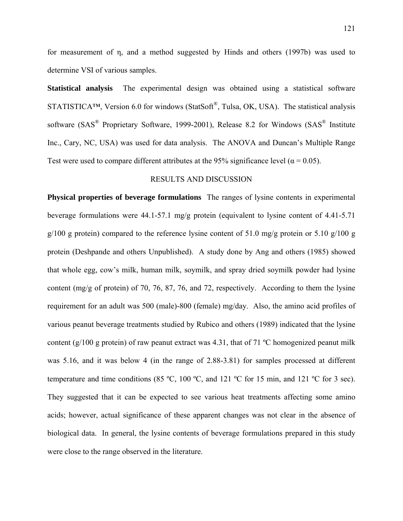for measurement of η, and a method suggested by Hinds and others (1997b) was used to determine VSI of various samples.

**Statistical analysis** The experimental design was obtained using a statistical software STATISTICA™, Version 6.0 for windows (StatSoft<sup>®</sup>, Tulsa, OK, USA). The statistical analysis software (SAS<sup>®</sup> Proprietary Software, 1999-2001), Release 8.2 for Windows (SAS<sup>®</sup> Institute Inc., Cary, NC, USA) was used for data analysis. The ANOVA and Duncan's Multiple Range Test were used to compare different attributes at the 95% significance level ( $\alpha$  = 0.05).

## RESULTS AND DISCUSSION

**Physical properties of beverage formulations** The ranges of lysine contents in experimental beverage formulations were  $44.1 - 57.1$  mg/g protein (equivalent to lysine content of  $4.41 - 5.71$ )  $g/100$  g protein) compared to the reference lysine content of 51.0 mg/g protein or 5.10 g/100 g protein (Deshpande and others Unpublished). A study done by Ang and others (1985) showed that whole egg, cow's milk, human milk, soymilk, and spray dried soymilk powder had lysine content (mg/g of protein) of 70, 76, 87, 76, and 72, respectively. According to them the lysine requirement for an adult was 500 (male)-800 (female) mg/day. Also, the amino acid profiles of various peanut beverage treatments studied by Rubico and others (1989) indicated that the lysine content (g/100 g protein) of raw peanut extract was 4.31, that of 71  $^{\circ}$ C homogenized peanut milk was 5.16, and it was below 4 (in the range of 2.88-3.81) for samples processed at different temperature and time conditions (85 ºC, 100 ºC, and 121 ºC for 15 min, and 121 ºC for 3 sec). They suggested that it can be expected to see various heat treatments affecting some amino acids; however, actual significance of these apparent changes was not clear in the absence of biological data. In general, the lysine contents of beverage formulations prepared in this study were close to the range observed in the literature.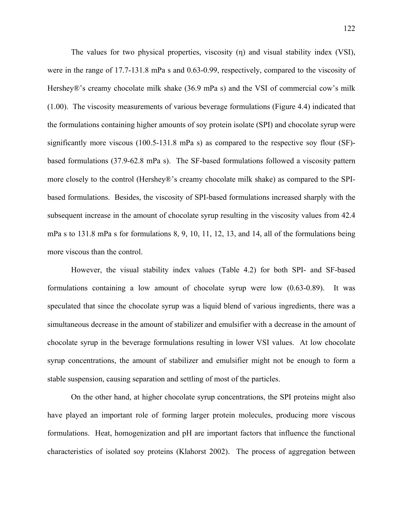The values for two physical properties, viscosity (η) and visual stability index (VSI), were in the range of 17.7-131.8 mPa s and 0.63-0.99, respectively, compared to the viscosity of Hershey®'s creamy chocolate milk shake (36.9 mPa s) and the VSI of commercial cow's milk (1.00). The viscosity measurements of various beverage formulations (Figure 4.4) indicated that the formulations containing higher amounts of soy protein isolate (SPI) and chocolate syrup were significantly more viscous (100.5-131.8 mPa s) as compared to the respective soy flour (SF) based formulations (37.9-62.8 mPa s). The SF-based formulations followed a viscosity pattern more closely to the control (Hershey®'s creamy chocolate milk shake) as compared to the SPIbased formulations. Besides, the viscosity of SPI-based formulations increased sharply with the subsequent increase in the amount of chocolate syrup resulting in the viscosity values from 42.4 mPa s to 131.8 mPa s for formulations 8, 9, 10, 11, 12, 13, and 14, all of the formulations being more viscous than the control.

 However, the visual stability index values (Table 4.2) for both SPI- and SF-based formulations containing a low amount of chocolate syrup were low (0.63-0.89). It was speculated that since the chocolate syrup was a liquid blend of various ingredients, there was a simultaneous decrease in the amount of stabilizer and emulsifier with a decrease in the amount of chocolate syrup in the beverage formulations resulting in lower VSI values. At low chocolate syrup concentrations, the amount of stabilizer and emulsifier might not be enough to form a stable suspension, causing separation and settling of most of the particles.

 On the other hand, at higher chocolate syrup concentrations, the SPI proteins might also have played an important role of forming larger protein molecules, producing more viscous formulations. Heat, homogenization and pH are important factors that influence the functional characteristics of isolated soy proteins (Klahorst 2002). The process of aggregation between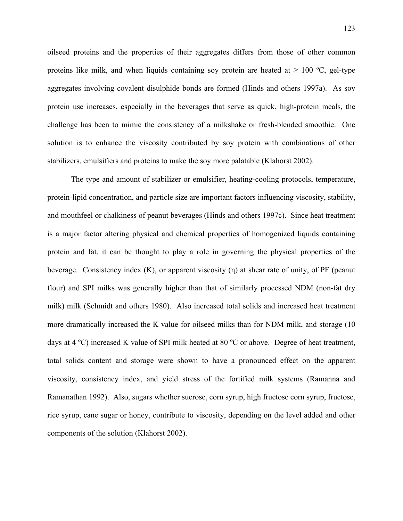oilseed proteins and the properties of their aggregates differs from those of other common proteins like milk, and when liquids containing soy protein are heated at  $\geq 100$  °C, gel-type aggregates involving covalent disulphide bonds are formed (Hinds and others 1997a). As soy protein use increases, especially in the beverages that serve as quick, high-protein meals, the challenge has been to mimic the consistency of a milkshake or fresh-blended smoothie. One solution is to enhance the viscosity contributed by soy protein with combinations of other stabilizers, emulsifiers and proteins to make the soy more palatable (Klahorst 2002).

 The type and amount of stabilizer or emulsifier, heating-cooling protocols, temperature, protein-lipid concentration, and particle size are important factors influencing viscosity, stability, and mouthfeel or chalkiness of peanut beverages (Hinds and others 1997c). Since heat treatment is a major factor altering physical and chemical properties of homogenized liquids containing protein and fat, it can be thought to play a role in governing the physical properties of the beverage. Consistency index (K), or apparent viscosity (η) at shear rate of unity, of PF (peanut flour) and SPI milks was generally higher than that of similarly processed NDM (non-fat dry milk) milk (Schmidt and others 1980). Also increased total solids and increased heat treatment more dramatically increased the K value for oilseed milks than for NDM milk, and storage (10 days at 4 ºC) increased K value of SPI milk heated at 80 ºC or above. Degree of heat treatment, total solids content and storage were shown to have a pronounced effect on the apparent viscosity, consistency index, and yield stress of the fortified milk systems (Ramanna and Ramanathan 1992). Also, sugars whether sucrose, corn syrup, high fructose corn syrup, fructose, rice syrup, cane sugar or honey, contribute to viscosity, depending on the level added and other components of the solution (Klahorst 2002).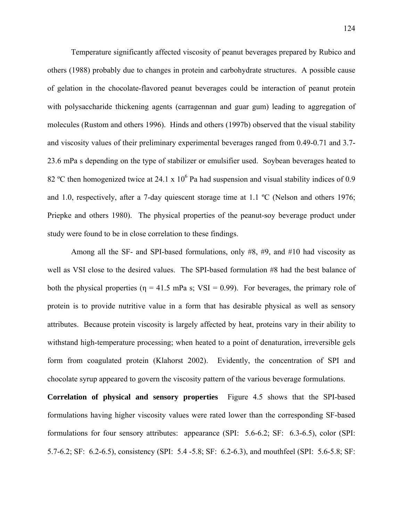Temperature significantly affected viscosity of peanut beverages prepared by Rubico and others (1988) probably due to changes in protein and carbohydrate structures. A possible cause of gelation in the chocolate-flavored peanut beverages could be interaction of peanut protein with polysaccharide thickening agents (carragennan and guar gum) leading to aggregation of molecules (Rustom and others 1996). Hinds and others (1997b) observed that the visual stability and viscosity values of their preliminary experimental beverages ranged from 0.49-0.71 and 3.7- 23.6 mPa s depending on the type of stabilizer or emulsifier used. Soybean beverages heated to 82 °C then homogenized twice at 24.1 x  $10^6$  Pa had suspension and visual stability indices of 0.9 and 1.0, respectively, after a 7-day quiescent storage time at 1.1 °C (Nelson and others 1976; Priepke and others 1980). The physical properties of the peanut-soy beverage product under study were found to be in close correlation to these findings.

 Among all the SF- and SPI-based formulations, only #8, #9, and #10 had viscosity as well as VSI close to the desired values. The SPI-based formulation #8 had the best balance of both the physical properties ( $\eta = 41.5$  mPa s; VSI = 0.99). For beverages, the primary role of protein is to provide nutritive value in a form that has desirable physical as well as sensory attributes. Because protein viscosity is largely affected by heat, proteins vary in their ability to withstand high-temperature processing; when heated to a point of denaturation, irreversible gels form from coagulated protein (Klahorst 2002). Evidently, the concentration of SPI and chocolate syrup appeared to govern the viscosity pattern of the various beverage formulations.

**Correlation of physical and sensory properties** Figure 4.5 shows that the SPI-based formulations having higher viscosity values were rated lower than the corresponding SF-based formulations for four sensory attributes: appearance (SPI: 5.6-6.2; SF: 6.3-6.5), color (SPI: 5.7-6.2; SF: 6.2-6.5), consistency (SPI: 5.4 -5.8; SF: 6.2-6.3), and mouthfeel (SPI: 5.6-5.8; SF: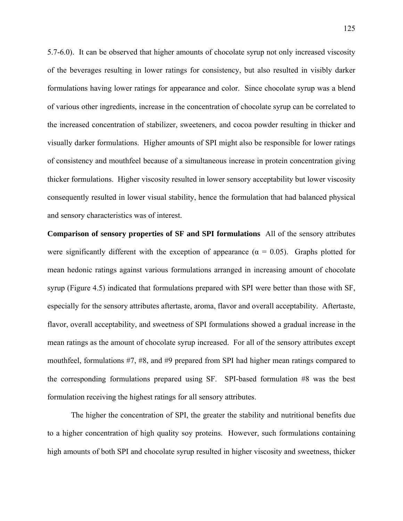5.7-6.0). It can be observed that higher amounts of chocolate syrup not only increased viscosity of the beverages resulting in lower ratings for consistency, but also resulted in visibly darker formulations having lower ratings for appearance and color. Since chocolate syrup was a blend of various other ingredients, increase in the concentration of chocolate syrup can be correlated to the increased concentration of stabilizer, sweeteners, and cocoa powder resulting in thicker and visually darker formulations. Higher amounts of SPI might also be responsible for lower ratings of consistency and mouthfeel because of a simultaneous increase in protein concentration giving thicker formulations. Higher viscosity resulted in lower sensory acceptability but lower viscosity consequently resulted in lower visual stability, hence the formulation that had balanced physical and sensory characteristics was of interest.

**Comparison of sensory properties of SF and SPI formulations** All of the sensory attributes were significantly different with the exception of appearance ( $\alpha = 0.05$ ). Graphs plotted for mean hedonic ratings against various formulations arranged in increasing amount of chocolate syrup (Figure 4.5) indicated that formulations prepared with SPI were better than those with SF, especially for the sensory attributes aftertaste, aroma, flavor and overall acceptability. Aftertaste, flavor, overall acceptability, and sweetness of SPI formulations showed a gradual increase in the mean ratings as the amount of chocolate syrup increased. For all of the sensory attributes except mouthfeel, formulations #7, #8, and #9 prepared from SPI had higher mean ratings compared to the corresponding formulations prepared using SF. SPI-based formulation #8 was the best formulation receiving the highest ratings for all sensory attributes.

 The higher the concentration of SPI, the greater the stability and nutritional benefits due to a higher concentration of high quality soy proteins. However, such formulations containing high amounts of both SPI and chocolate syrup resulted in higher viscosity and sweetness, thicker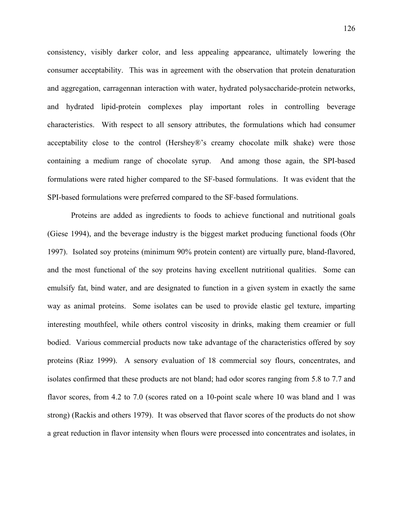consistency, visibly darker color, and less appealing appearance, ultimately lowering the consumer acceptability. This was in agreement with the observation that protein denaturation and aggregation, carragennan interaction with water, hydrated polysaccharide-protein networks, and hydrated lipid-protein complexes play important roles in controlling beverage characteristics. With respect to all sensory attributes, the formulations which had consumer acceptability close to the control (Hershey®'s creamy chocolate milk shake) were those containing a medium range of chocolate syrup. And among those again, the SPI-based formulations were rated higher compared to the SF-based formulations. It was evident that the SPI-based formulations were preferred compared to the SF-based formulations.

 Proteins are added as ingredients to foods to achieve functional and nutritional goals (Giese 1994), and the beverage industry is the biggest market producing functional foods (Ohr 1997). Isolated soy proteins (minimum 90% protein content) are virtually pure, bland-flavored, and the most functional of the soy proteins having excellent nutritional qualities. Some can emulsify fat, bind water, and are designated to function in a given system in exactly the same way as animal proteins. Some isolates can be used to provide elastic gel texture, imparting interesting mouthfeel, while others control viscosity in drinks, making them creamier or full bodied. Various commercial products now take advantage of the characteristics offered by soy proteins (Riaz 1999). A sensory evaluation of 18 commercial soy flours, concentrates, and isolates confirmed that these products are not bland; had odor scores ranging from 5.8 to 7.7 and flavor scores, from 4.2 to 7.0 (scores rated on a 10-point scale where 10 was bland and 1 was strong) (Rackis and others 1979). It was observed that flavor scores of the products do not show a great reduction in flavor intensity when flours were processed into concentrates and isolates, in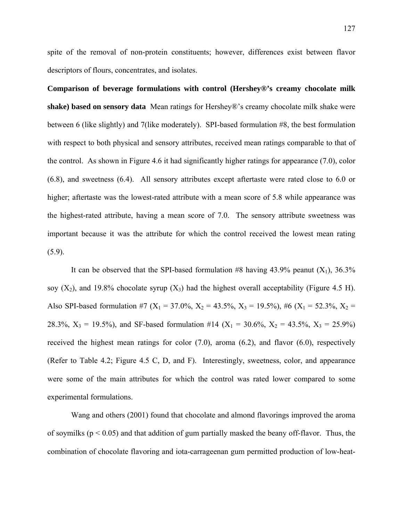spite of the removal of non-protein constituents; however, differences exist between flavor descriptors of flours, concentrates, and isolates.

**Comparison of beverage formulations with control (Hershey®'s creamy chocolate milk shake) based on sensory data** Mean ratings for Hershey®'s creamy chocolate milk shake were between 6 (like slightly) and 7(like moderately). SPI-based formulation #8, the best formulation with respect to both physical and sensory attributes, received mean ratings comparable to that of the control. As shown in Figure 4.6 it had significantly higher ratings for appearance (7.0), color (6.8), and sweetness (6.4). All sensory attributes except aftertaste were rated close to 6.0 or higher; aftertaste was the lowest-rated attribute with a mean score of 5.8 while appearance was the highest-rated attribute, having a mean score of 7.0. The sensory attribute sweetness was important because it was the attribute for which the control received the lowest mean rating  $(5.9)$ .

It can be observed that the SPI-based formulation #8 having 43.9% peanut  $(X_1)$ , 36.3% soy  $(X_2)$ , and 19.8% chocolate syrup  $(X_3)$  had the highest overall acceptability (Figure 4.5 H). Also SPI-based formulation #7 (X<sub>1</sub> = 37.0%, X<sub>2</sub> = 43.5%, X<sub>3</sub> = 19.5%), #6 (X<sub>1</sub> = 52.3%, X<sub>2</sub> = 28.3%,  $X_3 = 19.5\%$ ), and SF-based formulation #14 (X<sub>1</sub> = 30.6%, X<sub>2</sub> = 43.5%, X<sub>3</sub> = 25.9%) received the highest mean ratings for color (7.0), aroma (6.2), and flavor (6.0), respectively (Refer to Table 4.2; Figure 4.5 C, D, and F). Interestingly, sweetness, color, and appearance were some of the main attributes for which the control was rated lower compared to some experimental formulations.

 Wang and others (2001) found that chocolate and almond flavorings improved the aroma of soymilks ( $p < 0.05$ ) and that addition of gum partially masked the beany off-flavor. Thus, the combination of chocolate flavoring and iota-carrageenan gum permitted production of low-heat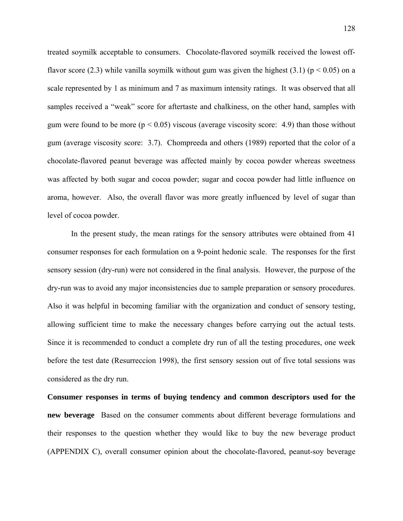treated soymilk acceptable to consumers. Chocolate-flavored soymilk received the lowest offflavor score (2.3) while vanilla soymilk without gum was given the highest (3.1) ( $p < 0.05$ ) on a scale represented by 1 as minimum and 7 as maximum intensity ratings. It was observed that all samples received a "weak" score for aftertaste and chalkiness, on the other hand, samples with gum were found to be more ( $p < 0.05$ ) viscous (average viscosity score: 4.9) than those without gum (average viscosity score: 3.7). Chompreeda and others (1989) reported that the color of a chocolate-flavored peanut beverage was affected mainly by cocoa powder whereas sweetness was affected by both sugar and cocoa powder; sugar and cocoa powder had little influence on aroma, however. Also, the overall flavor was more greatly influenced by level of sugar than level of cocoa powder.

 In the present study, the mean ratings for the sensory attributes were obtained from 41 consumer responses for each formulation on a 9-point hedonic scale. The responses for the first sensory session (dry-run) were not considered in the final analysis. However, the purpose of the dry-run was to avoid any major inconsistencies due to sample preparation or sensory procedures. Also it was helpful in becoming familiar with the organization and conduct of sensory testing, allowing sufficient time to make the necessary changes before carrying out the actual tests. Since it is recommended to conduct a complete dry run of all the testing procedures, one week before the test date (Resurreccion 1998), the first sensory session out of five total sessions was considered as the dry run.

**Consumer responses in terms of buying tendency and common descriptors used for the new beverage** Based on the consumer comments about different beverage formulations and their responses to the question whether they would like to buy the new beverage product (APPENDIX C), overall consumer opinion about the chocolate-flavored, peanut-soy beverage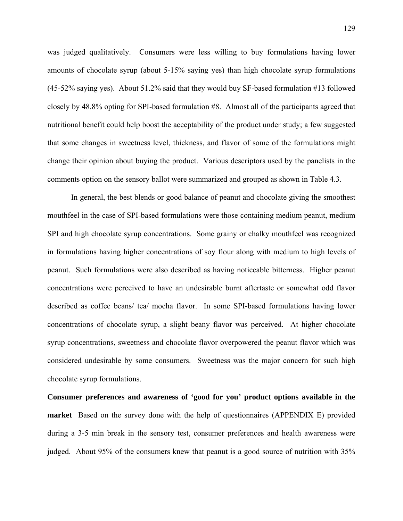was judged qualitatively. Consumers were less willing to buy formulations having lower amounts of chocolate syrup (about 5-15% saying yes) than high chocolate syrup formulations (45-52% saying yes). About 51.2% said that they would buy SF-based formulation #13 followed closely by 48.8% opting for SPI-based formulation #8. Almost all of the participants agreed that nutritional benefit could help boost the acceptability of the product under study; a few suggested that some changes in sweetness level, thickness, and flavor of some of the formulations might change their opinion about buying the product. Various descriptors used by the panelists in the comments option on the sensory ballot were summarized and grouped as shown in Table 4.3.

 In general, the best blends or good balance of peanut and chocolate giving the smoothest mouthfeel in the case of SPI-based formulations were those containing medium peanut, medium SPI and high chocolate syrup concentrations. Some grainy or chalky mouthfeel was recognized in formulations having higher concentrations of soy flour along with medium to high levels of peanut. Such formulations were also described as having noticeable bitterness. Higher peanut concentrations were perceived to have an undesirable burnt aftertaste or somewhat odd flavor described as coffee beans/ tea/ mocha flavor. In some SPI-based formulations having lower concentrations of chocolate syrup, a slight beany flavor was perceived. At higher chocolate syrup concentrations, sweetness and chocolate flavor overpowered the peanut flavor which was considered undesirable by some consumers. Sweetness was the major concern for such high chocolate syrup formulations.

**Consumer preferences and awareness of 'good for you' product options available in the market** Based on the survey done with the help of questionnaires (APPENDIX E) provided during a 3-5 min break in the sensory test, consumer preferences and health awareness were judged. About 95% of the consumers knew that peanut is a good source of nutrition with 35%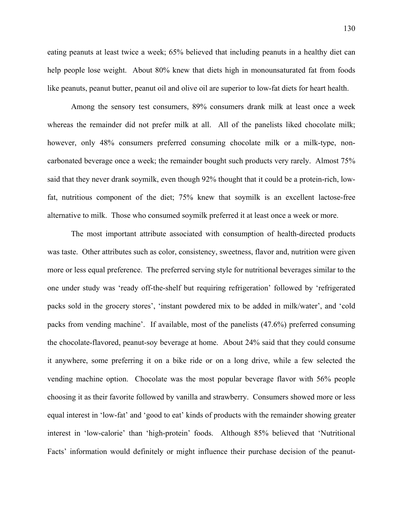eating peanuts at least twice a week; 65% believed that including peanuts in a healthy diet can help people lose weight. About 80% knew that diets high in monounsaturated fat from foods like peanuts, peanut butter, peanut oil and olive oil are superior to low-fat diets for heart health.

 Among the sensory test consumers, 89% consumers drank milk at least once a week whereas the remainder did not prefer milk at all. All of the panelists liked chocolate milk; however, only 48% consumers preferred consuming chocolate milk or a milk-type, noncarbonated beverage once a week; the remainder bought such products very rarely. Almost 75% said that they never drank soymilk, even though 92% thought that it could be a protein-rich, lowfat, nutritious component of the diet; 75% knew that soymilk is an excellent lactose-free alternative to milk. Those who consumed soymilk preferred it at least once a week or more.

 The most important attribute associated with consumption of health-directed products was taste. Other attributes such as color, consistency, sweetness, flavor and, nutrition were given more or less equal preference. The preferred serving style for nutritional beverages similar to the one under study was 'ready off-the-shelf but requiring refrigeration' followed by 'refrigerated packs sold in the grocery stores', 'instant powdered mix to be added in milk/water', and 'cold packs from vending machine'. If available, most of the panelists (47.6%) preferred consuming the chocolate-flavored, peanut-soy beverage at home. About 24% said that they could consume it anywhere, some preferring it on a bike ride or on a long drive, while a few selected the vending machine option. Chocolate was the most popular beverage flavor with 56% people choosing it as their favorite followed by vanilla and strawberry. Consumers showed more or less equal interest in 'low-fat' and 'good to eat' kinds of products with the remainder showing greater interest in 'low-calorie' than 'high-protein' foods. Although 85% believed that 'Nutritional Facts' information would definitely or might influence their purchase decision of the peanut-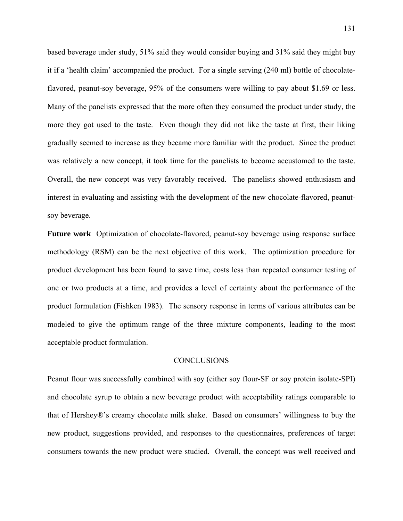based beverage under study, 51% said they would consider buying and 31% said they might buy it if a 'health claim' accompanied the product. For a single serving (240 ml) bottle of chocolateflavored, peanut-soy beverage, 95% of the consumers were willing to pay about \$1.69 or less. Many of the panelists expressed that the more often they consumed the product under study, the more they got used to the taste. Even though they did not like the taste at first, their liking gradually seemed to increase as they became more familiar with the product. Since the product was relatively a new concept, it took time for the panelists to become accustomed to the taste. Overall, the new concept was very favorably received. The panelists showed enthusiasm and interest in evaluating and assisting with the development of the new chocolate-flavored, peanutsoy beverage.

**Future work** Optimization of chocolate-flavored, peanut-soy beverage using response surface methodology (RSM) can be the next objective of this work. The optimization procedure for product development has been found to save time, costs less than repeated consumer testing of one or two products at a time, and provides a level of certainty about the performance of the product formulation (Fishken 1983). The sensory response in terms of various attributes can be modeled to give the optimum range of the three mixture components, leading to the most acceptable product formulation.

#### CONCLUSIONS

Peanut flour was successfully combined with soy (either soy flour-SF or soy protein isolate-SPI) and chocolate syrup to obtain a new beverage product with acceptability ratings comparable to that of Hershey®'s creamy chocolate milk shake. Based on consumers' willingness to buy the new product, suggestions provided, and responses to the questionnaires, preferences of target consumers towards the new product were studied. Overall, the concept was well received and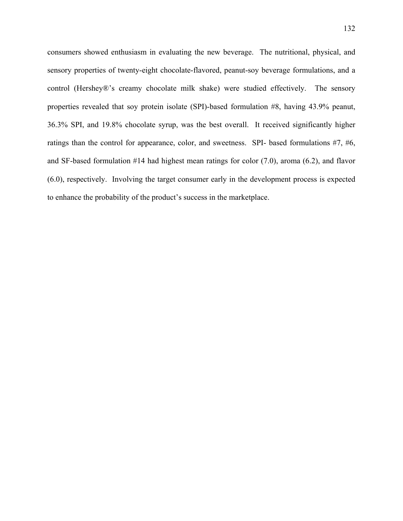consumers showed enthusiasm in evaluating the new beverage. The nutritional, physical, and sensory properties of twenty-eight chocolate-flavored, peanut-soy beverage formulations, and a control (Hershey®'s creamy chocolate milk shake) were studied effectively. The sensory properties revealed that soy protein isolate (SPI)-based formulation #8, having 43.9% peanut, 36.3% SPI, and 19.8% chocolate syrup, was the best overall. It received significantly higher ratings than the control for appearance, color, and sweetness. SPI- based formulations #7, #6, and SF-based formulation #14 had highest mean ratings for color (7.0), aroma (6.2), and flavor (6.0), respectively. Involving the target consumer early in the development process is expected to enhance the probability of the product's success in the marketplace.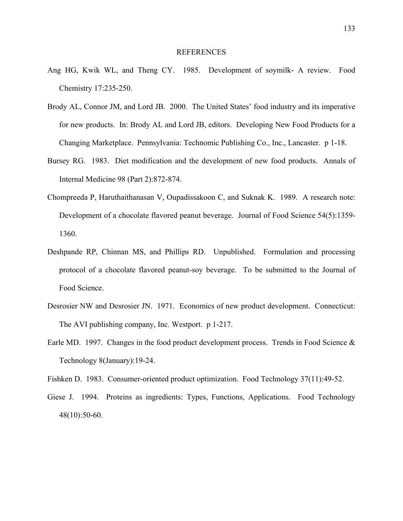### REFERENCES

- Ang HG, Kwik WL, and Theng CY. 1985. Development of soymilk- A review. Food Chemistry 17:235-250.
- Brody AL, Connor JM, and Lord JB. 2000. The United States' food industry and its imperative for new products. In: Brody AL and Lord JB, editors. Developing New Food Products for a Changing Marketplace. Pennsylvania: Technomic Publishing Co., Inc., Lancaster. p 1-18.
- Bursey RG. 1983. Diet modification and the development of new food products. Annals of Internal Medicine 98 (Part 2):872-874.
- Chompreeda P, Haruthaithanasan V, Oupadissakoon C, and Suknak K. 1989. A research note: Development of a chocolate flavored peanut beverage. Journal of Food Science 54(5):1359- 1360.
- Deshpande RP, Chinnan MS, and Phillips RD. Unpublished. Formulation and processing protocol of a chocolate flavored peanut-soy beverage. To be submitted to the Journal of Food Science.
- Desrosier NW and Desrosier JN. 1971. Economics of new product development. Connecticut: The AVI publishing company, Inc. Westport. p 1-217.
- Earle MD. 1997. Changes in the food product development process. Trends in Food Science & Technology 8(January):19-24.
- Fishken D. 1983. Consumer-oriented product optimization. Food Technology 37(11):49-52.
- Giese J. 1994. Proteins as ingredients: Types, Functions, Applications. Food Technology 48(10):50-60.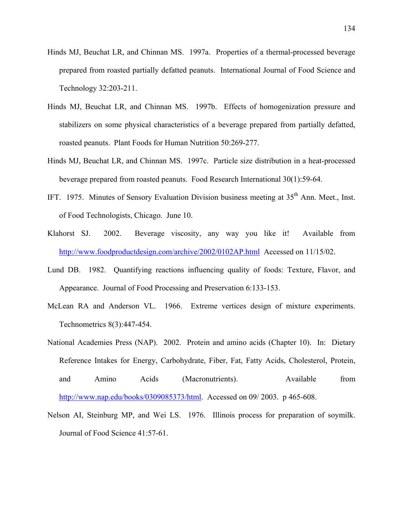- Hinds MJ, Beuchat LR, and Chinnan MS. 1997a. Properties of a thermal-processed beverage prepared from roasted partially defatted peanuts. International Journal of Food Science and Technology 32:203-211.
- Hinds MJ, Beuchat LR, and Chinnan MS. 1997b. Effects of homogenization pressure and stabilizers on some physical characteristics of a beverage prepared from partially defatted, roasted peanuts. Plant Foods for Human Nutrition 50:269-277.
- Hinds MJ, Beuchat LR, and Chinnan MS. 1997c. Particle size distribution in a heat-processed beverage prepared from roasted peanuts. Food Research International 30(1):59-64.
- IFT. 1975. Minutes of Sensory Evaluation Division business meeting at 35<sup>th</sup> Ann. Meet., Inst. of Food Technologists, Chicago. June 10.
- Klahorst SJ. 2002. Beverage viscosity, any way you like it! Available from <http://www.foodproductdesign.com/archive/2002/0102AP.html>Accessed on 11/15/02.
- Lund DB. 1982. Quantifying reactions influencing quality of foods: Texture, Flavor, and Appearance. Journal of Food Processing and Preservation 6:133-153.
- McLean RA and Anderson VL. 1966. Extreme vertices design of mixture experiments. Technometrics 8(3):447-454.
- National Academies Press (NAP). 2002. Protein and amino acids (Chapter 10). In: Dietary Reference Intakes for Energy, Carbohydrate, Fiber, Fat, Fatty Acids, Cholesterol, Protein, and Amino Acids (Macronutrients). Available from [http://www.nap.edu/books/0309085373/html.](http://www.nap.edu/books/0309085373/html) Accessed on 09/ 2003. p 465-608.
- Nelson AI, Steinburg MP, and Wei LS. 1976. Illinois process for preparation of soymilk. Journal of Food Science 41:57-61.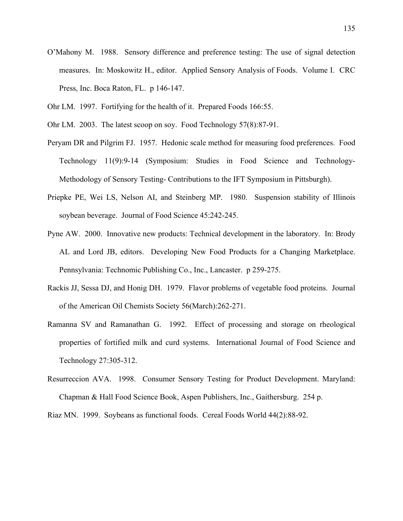- O'Mahony M. 1988. Sensory difference and preference testing: The use of signal detection measures. In: Moskowitz H., editor. Applied Sensory Analysis of Foods. Volume I. CRC Press, Inc. Boca Raton, FL. p 146-147.
- Ohr LM. 1997. Fortifying for the health of it. Prepared Foods 166:55.
- Ohr LM. 2003. The latest scoop on soy. Food Technology 57(8):87-91.
- Peryam DR and Pilgrim FJ. 1957. Hedonic scale method for measuring food preferences. Food Technology 11(9):9-14 (Symposium: Studies in Food Science and Technology-Methodology of Sensory Testing- Contributions to the IFT Symposium in Pittsburgh).
- Priepke PE, Wei LS, Nelson AI, and Steinberg MP. 1980. Suspension stability of Illinois soybean beverage. Journal of Food Science 45:242-245.
- Pyne AW. 2000. Innovative new products: Technical development in the laboratory. In: Brody AL and Lord JB, editors. Developing New Food Products for a Changing Marketplace. Pennsylvania: Technomic Publishing Co., Inc., Lancaster. p 259-275.
- Rackis JJ, Sessa DJ, and Honig DH. 1979. Flavor problems of vegetable food proteins. Journal of the American Oil Chemists Society 56(March):262-271.
- Ramanna SV and Ramanathan G. 1992. Effect of processing and storage on rheological properties of fortified milk and curd systems. International Journal of Food Science and Technology 27:305-312.
- Resurreccion AVA. 1998. Consumer Sensory Testing for Product Development. Maryland: Chapman & Hall Food Science Book, Aspen Publishers, Inc., Gaithersburg. 254 p.

Riaz MN. 1999. Soybeans as functional foods. Cereal Foods World 44(2):88-92.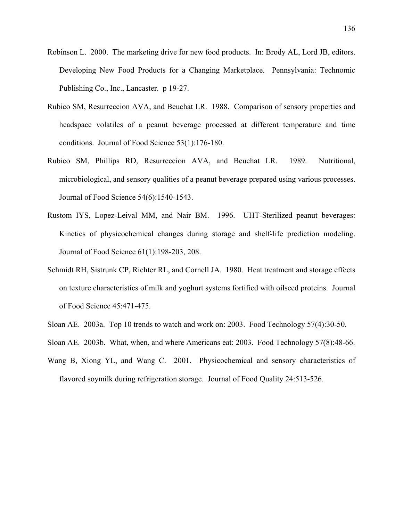- Robinson L. 2000. The marketing drive for new food products. In: Brody AL, Lord JB, editors. Developing New Food Products for a Changing Marketplace. Pennsylvania: Technomic Publishing Co., Inc., Lancaster. p 19-27.
- Rubico SM, Resurreccion AVA, and Beuchat LR. 1988. Comparison of sensory properties and headspace volatiles of a peanut beverage processed at different temperature and time conditions. Journal of Food Science 53(1):176-180.
- Rubico SM, Phillips RD, Resurreccion AVA, and Beuchat LR. 1989. Nutritional, microbiological, and sensory qualities of a peanut beverage prepared using various processes. Journal of Food Science 54(6):1540-1543.
- Rustom IYS, Lopez-Leival MM, and Nair BM. 1996. UHT-Sterilized peanut beverages: Kinetics of physicochemical changes during storage and shelf-life prediction modeling. Journal of Food Science 61(1):198-203, 208.
- Schmidt RH, Sistrunk CP, Richter RL, and Cornell JA. 1980. Heat treatment and storage effects on texture characteristics of milk and yoghurt systems fortified with oilseed proteins. Journal of Food Science 45:471-475.
- Sloan AE. 2003a. Top 10 trends to watch and work on: 2003. Food Technology 57(4):30-50.
- Sloan AE. 2003b. What, when, and where Americans eat: 2003. Food Technology 57(8):48-66.
- Wang B, Xiong YL, and Wang C. 2001. Physicochemical and sensory characteristics of flavored soymilk during refrigeration storage. Journal of Food Quality 24:513-526.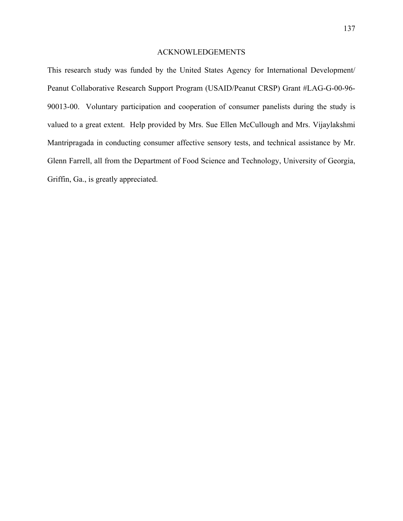## ACKNOWLEDGEMENTS

This research study was funded by the United States Agency for International Development/ Peanut Collaborative Research Support Program (USAID/Peanut CRSP) Grant #LAG-G-00-96- 90013-00. Voluntary participation and cooperation of consumer panelists during the study is valued to a great extent. Help provided by Mrs. Sue Ellen McCullough and Mrs. Vijaylakshmi Mantripragada in conducting consumer affective sensory tests, and technical assistance by Mr. Glenn Farrell, all from the Department of Food Science and Technology, University of Georgia, Griffin, Ga., is greatly appreciated.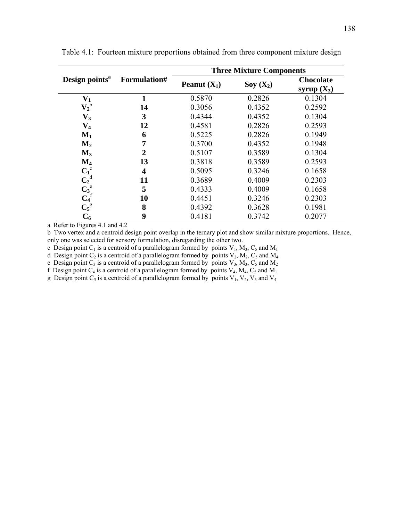|                            | Formulation#            | <b>Three Mixture Components</b> |            |                                   |  |  |
|----------------------------|-------------------------|---------------------------------|------------|-----------------------------------|--|--|
| Design points <sup>a</sup> |                         | <b>Peanut</b> $(X_1)$           | $Soy(X_2)$ | <b>Chocolate</b><br>syrup $(X_3)$ |  |  |
| $\mathbf{V}_1$             | 1                       | 0.5870                          | 0.2826     | 0.1304                            |  |  |
| $\mathbf{V_2}^\mathrm{b}$  | 14                      | 0.3056                          | 0.4352     | 0.2592                            |  |  |
| $\mathbf{V}_3$             | 3                       | 0.4344                          | 0.4352     | 0.1304                            |  |  |
| $V_4$                      | 12                      | 0.4581                          | 0.2826     | 0.2593                            |  |  |
| $\mathbf{M}_1$             | 6                       | 0.5225                          | 0.2826     | 0.1949                            |  |  |
| $\mathbf{M}_2$             | 7                       | 0.3700                          | 0.4352     | 0.1948                            |  |  |
| $M_3$                      | $\mathbf 2$             | 0.5107                          | 0.3589     | 0.1304                            |  |  |
| $\mathbf{M}_4$             | 13                      | 0.3818                          | 0.3589     | 0.2593                            |  |  |
| $C_1^c$                    | $\overline{\mathbf{4}}$ | 0.5095                          | 0.3246     | 0.1658                            |  |  |
| $C_2^d$                    | 11                      | 0.3689                          | 0.4009     | 0.2303                            |  |  |
| $C_3^e$                    | 5                       | 0.4333                          | 0.4009     | 0.1658                            |  |  |
| $C_4$ <sup>f</sup>         | 10                      | 0.4451                          | 0.3246     | 0.2303                            |  |  |
| $C_5^g$                    | 8                       | 0.4392                          | 0.3628     | 0.1981                            |  |  |
| $C_{6}$                    | 9                       | 0.4181                          | 0.3742     | 0.2077                            |  |  |

Table 4.1: Fourteen mixture proportions obtained from three component mixture design

a Refer to Figures 4.1 and 4.2

b Two vertex and a centroid design point overlap in the ternary plot and show similar mixture proportions. Hence, only one was selected for sensory formulation, disregarding the other two.

c Design point  $C_1$  is a centroid of a parallelogram formed by points  $V_1$ ,  $M_3$ ,  $C_5$  and  $M_1$ 

d Design point  $C_2$  is a centroid of a parallelogram formed by points  $V_2$ ,  $M_2$ ,  $C_5$  and  $M_4$ 

e Design point  $C_3$  is a centroid of a parallelogram formed by points  $V_3$ ,  $M_3$ ,  $C_5$  and  $M_2$ 

f Design point  $C_4$  is a centroid of a parallelogram formed by points  $V_4$ ,  $M_4$ ,  $C_5$  and  $M_1$ 

g Design point  $C_5$  is a centroid of a parallelogram formed by points  $V_1$ ,  $V_2$ ,  $V_3$  and  $V_4$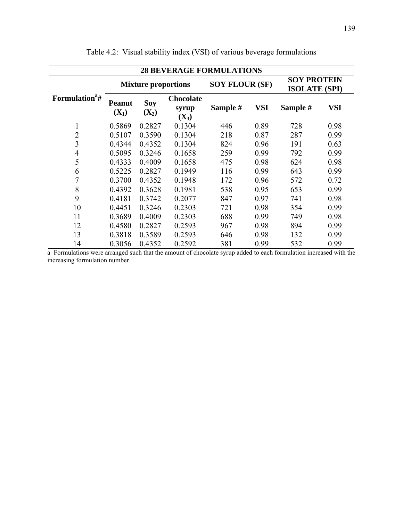| <b>28 BEVERAGE FORMULATIONS</b> |                            |                       |                                      |                       |            |                                            |      |
|---------------------------------|----------------------------|-----------------------|--------------------------------------|-----------------------|------------|--------------------------------------------|------|
|                                 | <b>Mixture proportions</b> |                       |                                      | <b>SOY FLOUR (SF)</b> |            | <b>SOY PROTEIN</b><br><b>ISOLATE (SPI)</b> |      |
| Formulation <sup>a</sup> #      | <b>Peanut</b><br>$(X_1)$   | <b>Soy</b><br>$(X_2)$ | <b>Chocolate</b><br>syrup<br>$(X_3)$ | Sample #              | <b>VSI</b> | Sample #                                   | VSI  |
| 1                               | 0.5869                     | 0.2827                | 0.1304                               | 446                   | 0.89       | 728                                        | 0.98 |
| $\overline{2}$                  | 0.5107                     | 0.3590                | 0.1304                               | 218                   | 0.87       | 287                                        | 0.99 |
| 3                               | 0.4344                     | 0.4352                | 0.1304                               | 824                   | 0.96       | 191                                        | 0.63 |
| $\overline{4}$                  | 0.5095                     | 0.3246                | 0.1658                               | 259                   | 0.99       | 792                                        | 0.99 |
| 5                               | 0.4333                     | 0.4009                | 0.1658                               | 475                   | 0.98       | 624                                        | 0.98 |
| 6                               | 0.5225                     | 0.2827                | 0.1949                               | 116                   | 0.99       | 643                                        | 0.99 |
| $\tau$                          | 0.3700                     | 0.4352                | 0.1948                               | 172                   | 0.96       | 572                                        | 0.72 |
| 8                               | 0.4392                     | 0.3628                | 0.1981                               | 538                   | 0.95       | 653                                        | 0.99 |
| 9                               | 0.4181                     | 0.3742                | 0.2077                               | 847                   | 0.97       | 741                                        | 0.98 |
| 10                              | 0.4451                     | 0.3246                | 0.2303                               | 721                   | 0.98       | 354                                        | 0.99 |
| 11                              | 0.3689                     | 0.4009                | 0.2303                               | 688                   | 0.99       | 749                                        | 0.98 |
| 12                              | 0.4580                     | 0.2827                | 0.2593                               | 967                   | 0.98       | 894                                        | 0.99 |
| 13                              | 0.3818                     | 0.3589                | 0.2593                               | 646                   | 0.98       | 132                                        | 0.99 |
| 14                              | 0.3056                     | 0.4352                | 0.2592                               | 381                   | 0.99       | 532                                        | 0.99 |

Table 4.2: Visual stability index (VSI) of various beverage formulations

a Formulations were arranged such that the amount of chocolate syrup added to each formulation increased with the increasing formulation number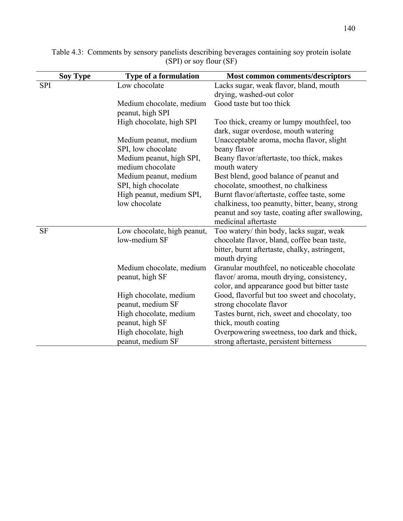|            | <b>Soy Type</b><br><b>Type of a formulation</b> |                                              | <b>Most common comments/descriptors</b>                                                        |  |  |  |
|------------|-------------------------------------------------|----------------------------------------------|------------------------------------------------------------------------------------------------|--|--|--|
| <b>SPI</b> |                                                 | Low chocolate                                | Lacks sugar, weak flavor, bland, mouth                                                         |  |  |  |
|            |                                                 |                                              | drying, washed-out color                                                                       |  |  |  |
|            |                                                 | Medium chocolate, medium                     | Good taste but too thick                                                                       |  |  |  |
|            |                                                 | peanut, high SPI                             |                                                                                                |  |  |  |
|            |                                                 | High chocolate, high SPI                     | Too thick, creamy or lumpy mouthfeel, too<br>dark, sugar overdose, mouth watering              |  |  |  |
|            |                                                 | Medium peanut, medium<br>SPI, low chocolate  | Unacceptable aroma, mocha flavor, slight<br>beany flavor                                       |  |  |  |
|            |                                                 | Medium peanut, high SPI,<br>medium chocolate | Beany flavor/aftertaste, too thick, makes<br>mouth watery                                      |  |  |  |
|            |                                                 | Medium peanut, medium                        | Best blend, good balance of peanut and                                                         |  |  |  |
|            |                                                 | SPI, high chocolate                          | chocolate, smoothest, no chalkiness                                                            |  |  |  |
|            |                                                 | High peanut, medium SPI,<br>low chocolate    | Burnt flavor/aftertaste, coffee taste, some<br>chalkiness, too peanutty, bitter, beany, strong |  |  |  |
|            |                                                 |                                              | peanut and soy taste, coating after swallowing,                                                |  |  |  |
|            |                                                 |                                              | medicinal aftertaste                                                                           |  |  |  |
| <b>SF</b>  |                                                 | Low chocolate, high peanut,                  | Too watery/ thin body, lacks sugar, weak                                                       |  |  |  |
|            |                                                 | low-medium SF                                | chocolate flavor, bland, coffee bean taste,                                                    |  |  |  |
|            |                                                 |                                              | bitter, burnt aftertaste, chalky, astringent,<br>mouth drying                                  |  |  |  |
|            |                                                 | Medium chocolate, medium                     | Granular mouthfeel, no noticeable chocolate                                                    |  |  |  |
|            |                                                 | peanut, high SF                              | flavor/ aroma, mouth drying, consistency,                                                      |  |  |  |
|            |                                                 |                                              | color, and appearance good but bitter taste                                                    |  |  |  |
|            |                                                 | High chocolate, medium                       | Good, flavorful but too sweet and chocolaty,                                                   |  |  |  |
|            |                                                 | peanut, medium SF                            | strong chocolate flavor                                                                        |  |  |  |
|            |                                                 | High chocolate, medium                       | Tastes burnt, rich, sweet and chocolaty, too                                                   |  |  |  |
|            |                                                 | peanut, high SF                              | thick, mouth coating                                                                           |  |  |  |
|            |                                                 | High chocolate, high                         | Overpowering sweetness, too dark and thick,                                                    |  |  |  |
|            |                                                 | peanut, medium SF                            | strong aftertaste, persistent bitterness                                                       |  |  |  |

Table 4.3: Comments by sensory panelists describing beverages containing soy protein isolate (SPI) or soy flour (SF)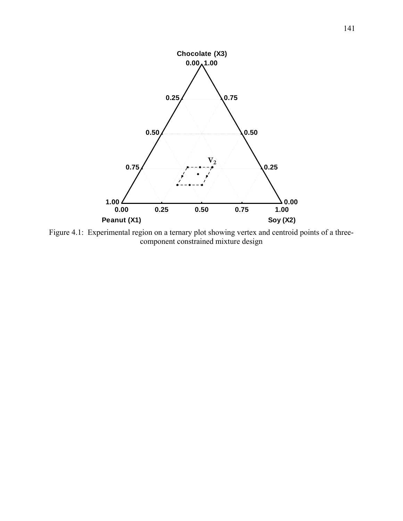

Figure 4.1: Experimental region on a ternary plot showing vertex and centroid points of a threecomponent constrained mixture design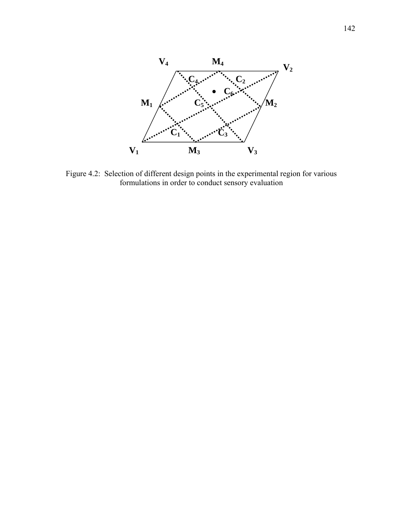

Figure 4.2: Selection of different design points in the experimental region for various formulations in order to conduct sensory evaluation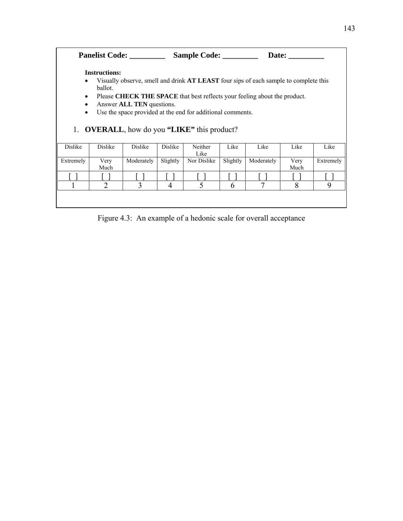| Sample Code:<br><b>Panelist Code:</b><br>Date:                                                         |                                                                                                      |            |          |                 |          |            |      |           |
|--------------------------------------------------------------------------------------------------------|------------------------------------------------------------------------------------------------------|------------|----------|-----------------|----------|------------|------|-----------|
| <b>Instructions:</b>                                                                                   |                                                                                                      |            |          |                 |          |            |      |           |
| Visually observe, smell and drink <b>AT LEAST</b> four sips of each sample to complete this<br>ballot. |                                                                                                      |            |          |                 |          |            |      |           |
| Please CHECK THE SPACE that best reflects your feeling about the product.<br>$\bullet$                 |                                                                                                      |            |          |                 |          |            |      |           |
| $\bullet$                                                                                              | Answer ALL TEN questions.<br>$\bullet$<br>Use the space provided at the end for additional comments. |            |          |                 |          |            |      |           |
|                                                                                                        |                                                                                                      |            |          |                 |          |            |      |           |
| 1. <b>OVERALL</b> , how do you "LIKE" this product?                                                    |                                                                                                      |            |          |                 |          |            |      |           |
|                                                                                                        |                                                                                                      |            |          |                 |          |            |      |           |
| Dislike                                                                                                | Dislike                                                                                              | Dislike    | Dislike  | Neither<br>Like | Like     | Like       | Like | Like      |
| Extremely                                                                                              | Very                                                                                                 | Moderately | Slightly | Nor Dislike     | Slightly | Moderately | Very | Extremely |
|                                                                                                        | Much                                                                                                 |            |          |                 |          |            | Much |           |
|                                                                                                        |                                                                                                      |            |          |                 |          |            |      |           |
|                                                                                                        | $\overline{2}$                                                                                       | 3          | 4        | 5               | 6        |            | 8    | 9         |
|                                                                                                        |                                                                                                      |            |          |                 |          |            |      |           |
|                                                                                                        |                                                                                                      |            |          |                 |          |            |      |           |

Figure 4.3: An example of a hedonic scale for overall acceptance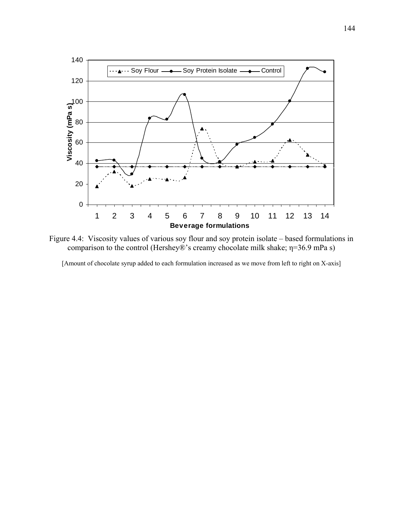

Figure 4.4: Viscosity values of various soy flour and soy protein isolate – based formulations in comparison to the control (Hershey®'s creamy chocolate milk shake; η=36.9 mPa s)

[Amount of chocolate syrup added to each formulation increased as we move from left to right on X-axis]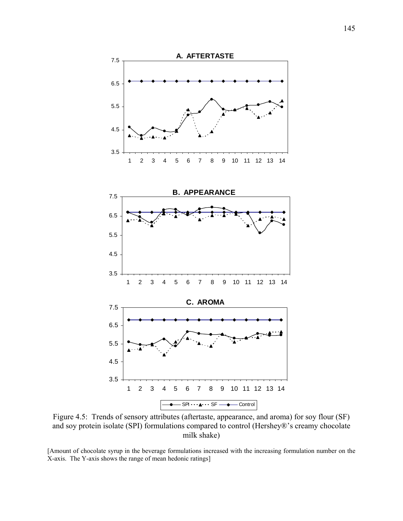

Figure 4.5: Trends of sensory attributes (aftertaste, appearance, and aroma) for soy flour (SF) and soy protein isolate (SPI) formulations compared to control (Hershey®'s creamy chocolate milk shake)

[Amount of chocolate syrup in the beverage formulations increased with the increasing formulation number on the X-axis. The Y-axis shows the range of mean hedonic ratings]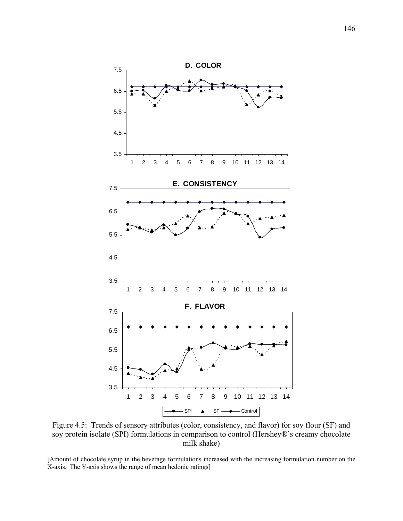

Figure 4.5: Trends of sensory attributes (color, consistency, and flavor) for soy flour (SF) and soy protein isolate (SPI) formulations in comparison to control (Hershey®'s creamy chocolate milk shake)

[Amount of chocolate syrup in the beverage formulations increased with the increasing formulation number on the X-axis. The Y-axis shows the range of mean hedonic ratings]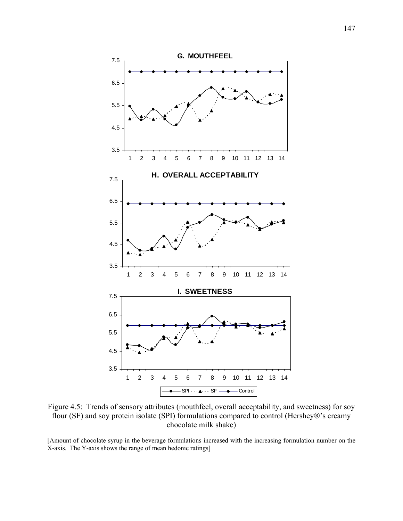

Figure 4.5: Trends of sensory attributes (mouthfeel, overall acceptability, and sweetness) for soy flour (SF) and soy protein isolate (SPI) formulations compared to control (Hershey®'s creamy chocolate milk shake)

[Amount of chocolate syrup in the beverage formulations increased with the increasing formulation number on the X-axis. The Y-axis shows the range of mean hedonic ratings]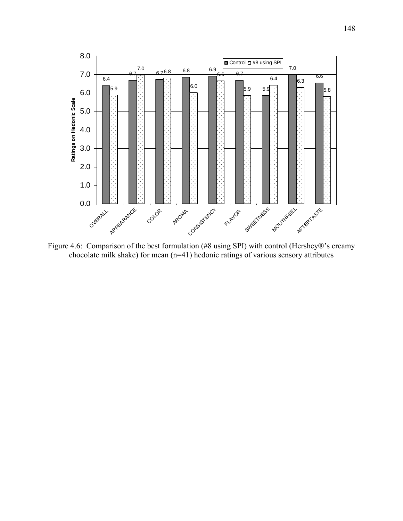

Figure 4.6: Comparison of the best formulation (#8 using SPI) with control (Hershey®'s creamy chocolate milk shake) for mean (n=41) hedonic ratings of various sensory attributes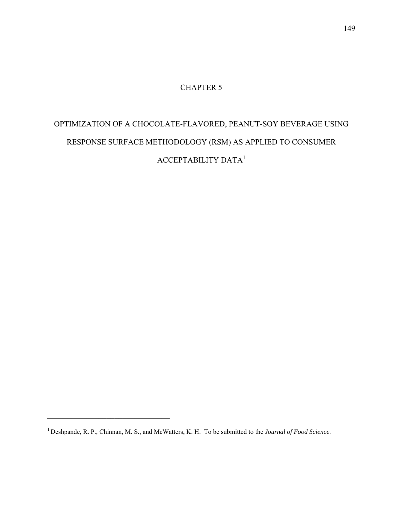# CHAPTER 5

# OPTIMIZATION OF A CHOCOLATE-FLAVORED, PEANUT-SOY BEVERAGE USING RESPONSE SURFACE METHODOLOGY (RSM) AS APPLIED TO CONSUMER ACCEPTABILITY DATA<sup>1</sup>

 $\mathcal{L}_\text{max}$  , and the set of the set of the set of the set of the set of the set of the set of the set of the set of the set of the set of the set of the set of the set of the set of the set of the set of the set of the

<sup>1</sup> Deshpande, R. P., Chinnan, M. S., and McWatters, K. H. To be submitted to the *Journal of Food Science.*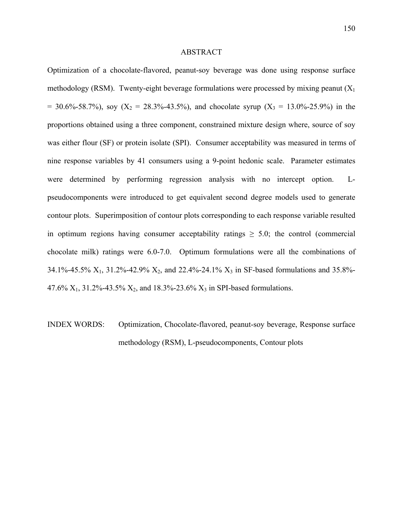### ABSTRACT

Optimization of a chocolate-flavored, peanut-soy beverage was done using response surface methodology (RSM). Twenty-eight beverage formulations were processed by mixing peanut  $(X_1)$  $= 30.6\% - 58.7\%$ , soy (X<sub>2</sub> = 28.3%-43.5%), and chocolate syrup (X<sub>3</sub> = 13.0%-25.9%) in the proportions obtained using a three component, constrained mixture design where, source of soy was either flour (SF) or protein isolate (SPI). Consumer acceptability was measured in terms of nine response variables by 41 consumers using a 9-point hedonic scale. Parameter estimates were determined by performing regression analysis with no intercept option. Lpseudocomponents were introduced to get equivalent second degree models used to generate contour plots. Superimposition of contour plots corresponding to each response variable resulted in optimum regions having consumer acceptability ratings  $\geq$  5.0; the control (commercial chocolate milk) ratings were 6.0-7.0. Optimum formulations were all the combinations of 34.1%-45.5%  $X_1$ , 31.2%-42.9%  $X_2$ , and 22.4%-24.1%  $X_3$  in SF-based formulations and 35.8%-47.6%  $X_1$ , 31.2%-43.5%  $X_2$ , and 18.3%-23.6%  $X_3$  in SPI-based formulations.

INDEX WORDS: Optimization, Chocolate-flavored, peanut-soy beverage, Response surface methodology (RSM), L-pseudocomponents, Contour plots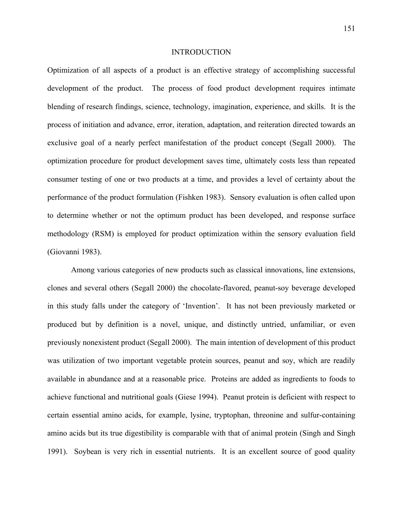### INTRODUCTION

Optimization of all aspects of a product is an effective strategy of accomplishing successful development of the product. The process of food product development requires intimate blending of research findings, science, technology, imagination, experience, and skills. It is the process of initiation and advance, error, iteration, adaptation, and reiteration directed towards an exclusive goal of a nearly perfect manifestation of the product concept (Segall 2000). The optimization procedure for product development saves time, ultimately costs less than repeated consumer testing of one or two products at a time, and provides a level of certainty about the performance of the product formulation (Fishken 1983). Sensory evaluation is often called upon to determine whether or not the optimum product has been developed, and response surface methodology (RSM) is employed for product optimization within the sensory evaluation field (Giovanni 1983).

 Among various categories of new products such as classical innovations, line extensions, clones and several others (Segall 2000) the chocolate-flavored, peanut-soy beverage developed in this study falls under the category of 'Invention'. It has not been previously marketed or produced but by definition is a novel, unique, and distinctly untried, unfamiliar, or even previously nonexistent product (Segall 2000). The main intention of development of this product was utilization of two important vegetable protein sources, peanut and soy, which are readily available in abundance and at a reasonable price. Proteins are added as ingredients to foods to achieve functional and nutritional goals (Giese 1994). Peanut protein is deficient with respect to certain essential amino acids, for example, lysine, tryptophan, threonine and sulfur-containing amino acids but its true digestibility is comparable with that of animal protein (Singh and Singh 1991). Soybean is very rich in essential nutrients. It is an excellent source of good quality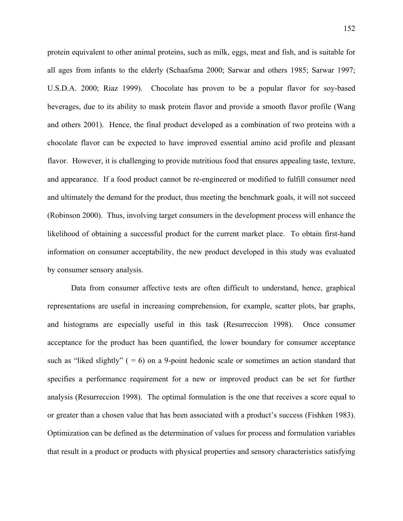protein equivalent to other animal proteins, such as milk, eggs, meat and fish, and is suitable for all ages from infants to the elderly (Schaafsma 2000; Sarwar and others 1985; Sarwar 1997; U.S.D.A. 2000; Riaz 1999). Chocolate has proven to be a popular flavor for soy-based beverages, due to its ability to mask protein flavor and provide a smooth flavor profile (Wang and others 2001). Hence, the final product developed as a combination of two proteins with a chocolate flavor can be expected to have improved essential amino acid profile and pleasant flavor. However, it is challenging to provide nutritious food that ensures appealing taste, texture, and appearance. If a food product cannot be re-engineered or modified to fulfill consumer need and ultimately the demand for the product, thus meeting the benchmark goals, it will not succeed (Robinson 2000). Thus, involving target consumers in the development process will enhance the likelihood of obtaining a successful product for the current market place. To obtain first-hand information on consumer acceptability, the new product developed in this study was evaluated by consumer sensory analysis.

 Data from consumer affective tests are often difficult to understand, hence, graphical representations are useful in increasing comprehension, for example, scatter plots, bar graphs, and histograms are especially useful in this task (Resurreccion 1998). Once consumer acceptance for the product has been quantified, the lower boundary for consumer acceptance such as "liked slightly"  $( = 6)$  on a 9-point hedonic scale or sometimes an action standard that specifies a performance requirement for a new or improved product can be set for further analysis (Resurreccion 1998). The optimal formulation is the one that receives a score equal to or greater than a chosen value that has been associated with a product's success (Fishken 1983). Optimization can be defined as the determination of values for process and formulation variables that result in a product or products with physical properties and sensory characteristics satisfying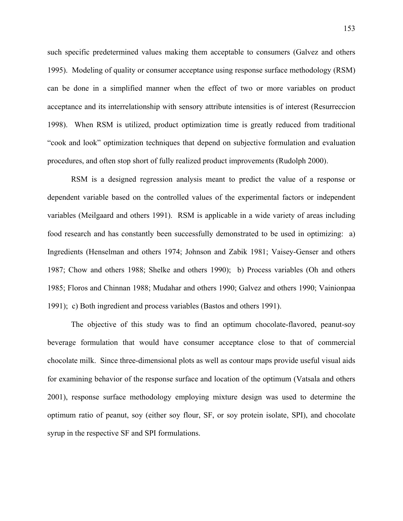such specific predetermined values making them acceptable to consumers (Galvez and others 1995). Modeling of quality or consumer acceptance using response surface methodology (RSM) can be done in a simplified manner when the effect of two or more variables on product acceptance and its interrelationship with sensory attribute intensities is of interest (Resurreccion 1998). When RSM is utilized, product optimization time is greatly reduced from traditional "cook and look" optimization techniques that depend on subjective formulation and evaluation procedures, and often stop short of fully realized product improvements (Rudolph 2000).

RSM is a designed regression analysis meant to predict the value of a response or dependent variable based on the controlled values of the experimental factors or independent variables (Meilgaard and others 1991). RSM is applicable in a wide variety of areas including food research and has constantly been successfully demonstrated to be used in optimizing: a) Ingredients (Henselman and others 1974; Johnson and Zabik 1981; Vaisey-Genser and others 1987; Chow and others 1988; Shelke and others 1990); b) Process variables (Oh and others 1985; Floros and Chinnan 1988; Mudahar and others 1990; Galvez and others 1990; Vainionpaa 1991); c) Both ingredient and process variables (Bastos and others 1991).

 The objective of this study was to find an optimum chocolate-flavored, peanut-soy beverage formulation that would have consumer acceptance close to that of commercial chocolate milk. Since three-dimensional plots as well as contour maps provide useful visual aids for examining behavior of the response surface and location of the optimum (Vatsala and others 2001), response surface methodology employing mixture design was used to determine the optimum ratio of peanut, soy (either soy flour, SF, or soy protein isolate, SPI), and chocolate syrup in the respective SF and SPI formulations.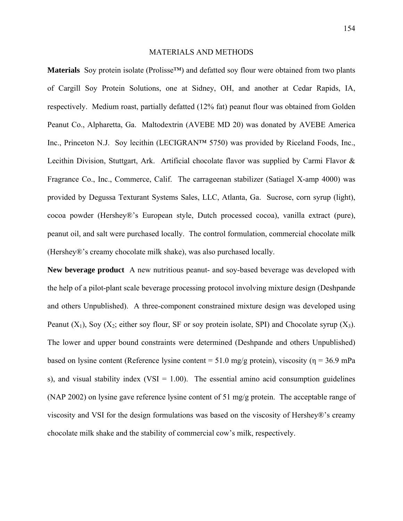### MATERIALS AND METHODS

**Materials** Soy protein isolate (Prolisse™) and defatted soy flour were obtained from two plants of Cargill Soy Protein Solutions, one at Sidney, OH, and another at Cedar Rapids, IA, respectively. Medium roast, partially defatted (12% fat) peanut flour was obtained from Golden Peanut Co., Alpharetta, Ga. Maltodextrin (AVEBE MD 20) was donated by AVEBE America Inc., Princeton N.J. Soy lecithin (LECIGRAN™ 5750) was provided by Riceland Foods, Inc., Lecithin Division, Stuttgart, Ark. Artificial chocolate flavor was supplied by Carmi Flavor & Fragrance Co., Inc., Commerce, Calif. The carrageenan stabilizer (Satiagel X-amp 4000) was provided by Degussa Texturant Systems Sales, LLC, Atlanta, Ga. Sucrose, corn syrup (light), cocoa powder (Hershey®'s European style, Dutch processed cocoa), vanilla extract (pure), peanut oil, and salt were purchased locally. The control formulation, commercial chocolate milk (Hershey®'s creamy chocolate milk shake), was also purchased locally.

**New beverage product** A new nutritious peanut- and soy-based beverage was developed with the help of a pilot-plant scale beverage processing protocol involving mixture design (Deshpande and others Unpublished). A three-component constrained mixture design was developed using Peanut  $(X_1)$ , Soy  $(X_2)$ ; either soy flour, SF or soy protein isolate, SPI) and Chocolate syrup  $(X_3)$ . The lower and upper bound constraints were determined (Deshpande and others Unpublished) based on lysine content (Reference lysine content = 51.0 mg/g protein), viscosity ( $\eta$  = 36.9 mPa s), and visual stability index (VSI =  $1.00$ ). The essential amino acid consumption guidelines (NAP 2002) on lysine gave reference lysine content of 51 mg/g protein. The acceptable range of viscosity and VSI for the design formulations was based on the viscosity of Hershey®'s creamy chocolate milk shake and the stability of commercial cow's milk, respectively.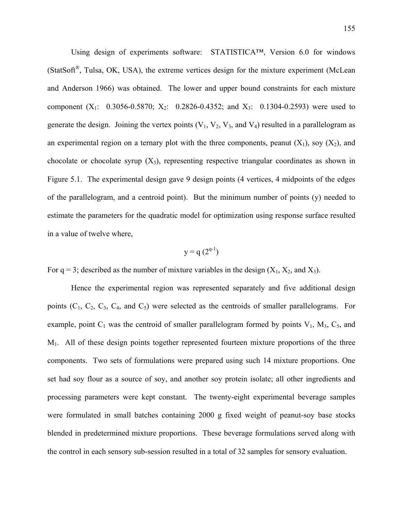Using design of experiments software: STATISTICA™, Version 6.0 for windows  $(StatSoft<sup>®</sup>, Tulsa, OK, USA)$ , the extreme vertices design for the mixture experiment (McLean and Anderson 1966) was obtained. The lower and upper bound constraints for each mixture component  $(X_1: 0.3056-0.5870; X_2: 0.2826-0.4352;$  and  $X_3: 0.1304-0.2593$ ) were used to generate the design. Joining the vertex points  $(V_1, V_2, V_3,$  and  $V_4)$  resulted in a parallelogram as an experimental region on a ternary plot with the three components, peanut  $(X_1)$ , soy  $(X_2)$ , and chocolate or chocolate syrup  $(X_3)$ , representing respective triangular coordinates as shown in Figure 5.1. The experimental design gave 9 design points (4 vertices, 4 midpoints of the edges of the parallelogram, and a centroid point). But the minimum number of points (y) needed to estimate the parameters for the quadratic model for optimization using response surface resulted in a value of twelve where,

$$
y = q(2^{q-1})
$$

For  $q = 3$ ; described as the number of mixture variables in the design  $(X_1, X_2, \text{ and } X_3)$ .

Hence the experimental region was represented separately and five additional design points  $(C_1, C_2, C_3, C_4, and C_5)$  were selected as the centroids of smaller parallelograms. For example, point  $C_1$  was the centroid of smaller parallelogram formed by points  $V_1$ ,  $M_3$ ,  $C_5$ , and M1. All of these design points together represented fourteen mixture proportions of the three components. Two sets of formulations were prepared using such 14 mixture proportions. One set had soy flour as a source of soy, and another soy protein isolate; all other ingredients and processing parameters were kept constant. The twenty-eight experimental beverage samples were formulated in small batches containing 2000 g fixed weight of peanut-soy base stocks blended in predetermined mixture proportions. These beverage formulations served along with the control in each sensory sub-session resulted in a total of 32 samples for sensory evaluation.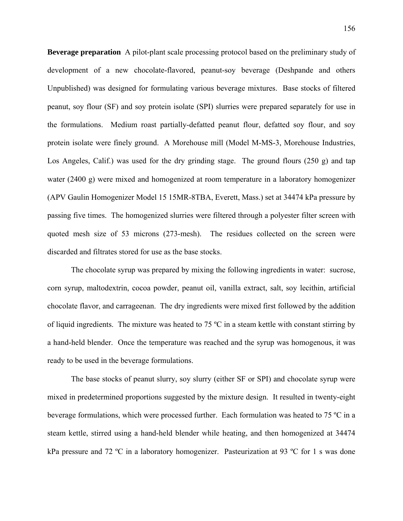**Beverage preparation** A pilot-plant scale processing protocol based on the preliminary study of development of a new chocolate-flavored, peanut-soy beverage (Deshpande and others Unpublished) was designed for formulating various beverage mixtures. Base stocks of filtered peanut, soy flour (SF) and soy protein isolate (SPI) slurries were prepared separately for use in the formulations. Medium roast partially-defatted peanut flour, defatted soy flour, and soy protein isolate were finely ground. A Morehouse mill (Model M-MS-3, Morehouse Industries, Los Angeles, Calif.) was used for the dry grinding stage. The ground flours (250 g) and tap water (2400 g) were mixed and homogenized at room temperature in a laboratory homogenizer (APV Gaulin Homogenizer Model 15 15MR-8TBA, Everett, Mass.) set at 34474 kPa pressure by passing five times. The homogenized slurries were filtered through a polyester filter screen with quoted mesh size of 53 microns (273-mesh). The residues collected on the screen were discarded and filtrates stored for use as the base stocks.

The chocolate syrup was prepared by mixing the following ingredients in water: sucrose, corn syrup, maltodextrin, cocoa powder, peanut oil, vanilla extract, salt, soy lecithin, artificial chocolate flavor, and carrageenan. The dry ingredients were mixed first followed by the addition of liquid ingredients. The mixture was heated to 75 ºC in a steam kettle with constant stirring by a hand-held blender. Once the temperature was reached and the syrup was homogenous, it was ready to be used in the beverage formulations.

The base stocks of peanut slurry, soy slurry (either SF or SPI) and chocolate syrup were mixed in predetermined proportions suggested by the mixture design. It resulted in twenty-eight beverage formulations, which were processed further. Each formulation was heated to 75 ºC in a steam kettle, stirred using a hand-held blender while heating, and then homogenized at 34474 kPa pressure and 72 °C in a laboratory homogenizer. Pasteurization at 93 °C for 1 s was done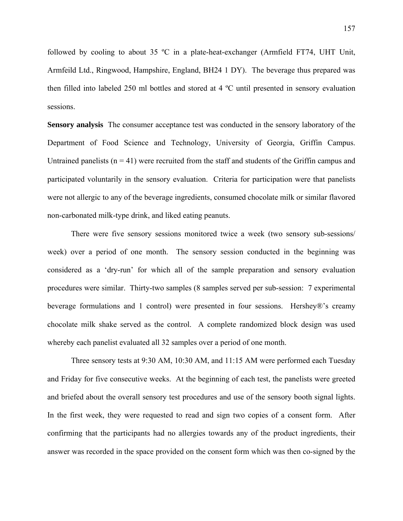followed by cooling to about 35 ºC in a plate-heat-exchanger (Armfield FT74, UHT Unit, Armfeild Ltd., Ringwood, Hampshire, England, BH24 1 DY). The beverage thus prepared was then filled into labeled 250 ml bottles and stored at 4 ºC until presented in sensory evaluation sessions.

**Sensory analysis** The consumer acceptance test was conducted in the sensory laboratory of the Department of Food Science and Technology, University of Georgia, Griffin Campus. Untrained panelists  $(n = 41)$  were recruited from the staff and students of the Griffin campus and participated voluntarily in the sensory evaluation. Criteria for participation were that panelists were not allergic to any of the beverage ingredients, consumed chocolate milk or similar flavored non-carbonated milk-type drink, and liked eating peanuts.

 There were five sensory sessions monitored twice a week (two sensory sub-sessions/ week) over a period of one month. The sensory session conducted in the beginning was considered as a 'dry-run' for which all of the sample preparation and sensory evaluation procedures were similar. Thirty-two samples (8 samples served per sub-session: 7 experimental beverage formulations and 1 control) were presented in four sessions. Hershey®'s creamy chocolate milk shake served as the control. A complete randomized block design was used whereby each panelist evaluated all 32 samples over a period of one month.

 Three sensory tests at 9:30 AM, 10:30 AM, and 11:15 AM were performed each Tuesday and Friday for five consecutive weeks. At the beginning of each test, the panelists were greeted and briefed about the overall sensory test procedures and use of the sensory booth signal lights. In the first week, they were requested to read and sign two copies of a consent form. After confirming that the participants had no allergies towards any of the product ingredients, their answer was recorded in the space provided on the consent form which was then co-signed by the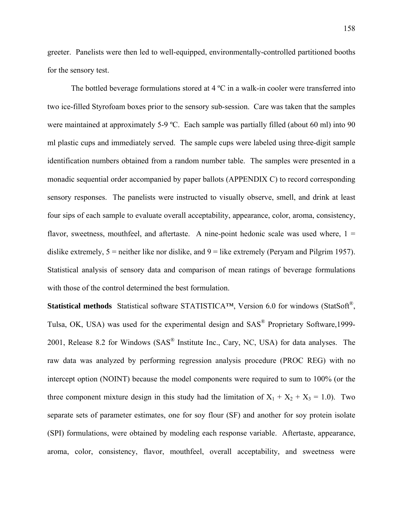greeter. Panelists were then led to well-equipped, environmentally-controlled partitioned booths for the sensory test.

The bottled beverage formulations stored at  $4^{\circ}$ C in a walk-in cooler were transferred into two ice-filled Styrofoam boxes prior to the sensory sub-session. Care was taken that the samples were maintained at approximately 5-9 °C. Each sample was partially filled (about 60 ml) into 90 ml plastic cups and immediately served. The sample cups were labeled using three-digit sample identification numbers obtained from a random number table. The samples were presented in a monadic sequential order accompanied by paper ballots (APPENDIX C) to record corresponding sensory responses. The panelists were instructed to visually observe, smell, and drink at least four sips of each sample to evaluate overall acceptability, appearance, color, aroma, consistency, flavor, sweetness, mouthfeel, and aftertaste. A nine-point hedonic scale was used where,  $1 =$ dislike extremely,  $5$  = neither like nor dislike, and  $9$  = like extremely (Peryam and Pilgrim 1957). Statistical analysis of sensory data and comparison of mean ratings of beverage formulations with those of the control determined the best formulation.

**Statistical methods** Statistical software STATISTICA™, Version 6.0 for windows (StatSoft®, Tulsa, OK, USA) was used for the experimental design and SAS® Proprietary Software,1999- 2001, Release 8.2 for Windows (SAS® Institute Inc., Cary, NC, USA) for data analyses. The raw data was analyzed by performing regression analysis procedure (PROC REG) with no intercept option (NOINT) because the model components were required to sum to 100% (or the three component mixture design in this study had the limitation of  $X_1 + X_2 + X_3 = 1.0$ ). Two separate sets of parameter estimates, one for soy flour (SF) and another for soy protein isolate (SPI) formulations, were obtained by modeling each response variable. Aftertaste, appearance, aroma, color, consistency, flavor, mouthfeel, overall acceptability, and sweetness were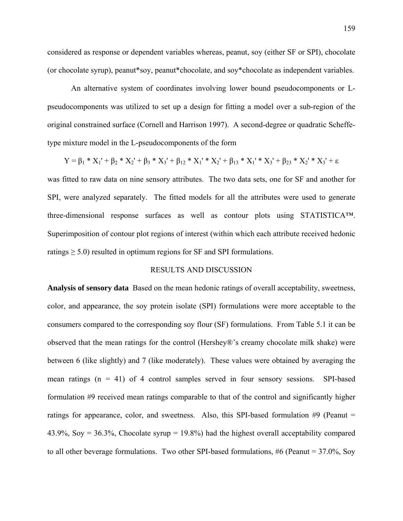considered as response or dependent variables whereas, peanut, soy (either SF or SPI), chocolate (or chocolate syrup), peanut\*soy, peanut\*chocolate, and soy\*chocolate as independent variables.

 An alternative system of coordinates involving lower bound pseudocomponents or Lpseudocomponents was utilized to set up a design for fitting a model over a sub-region of the original constrained surface (Cornell and Harrison 1997). A second-degree or quadratic Scheffetype mixture model in the L-pseudocomponents of the form

$$
Y = \beta_1 * X_1' + \beta_2 * X_2' + \beta_3 * X_3' + \beta_{12} * X_1' * X_2' + \beta_{13} * X_1' * X_3' + \beta_{23} * X_2' * X_3' + \epsilon
$$

was fitted to raw data on nine sensory attributes. The two data sets, one for SF and another for SPI, were analyzed separately. The fitted models for all the attributes were used to generate three-dimensional response surfaces as well as contour plots using STATISTICA™. Superimposition of contour plot regions of interest (within which each attribute received hedonic ratings  $\geq$  5.0) resulted in optimum regions for SF and SPI formulations.

### RESULTS AND DISCUSSION

**Analysis of sensory data** Based on the mean hedonic ratings of overall acceptability, sweetness, color, and appearance, the soy protein isolate (SPI) formulations were more acceptable to the consumers compared to the corresponding soy flour (SF) formulations. From Table 5.1 it can be observed that the mean ratings for the control (Hershey®'s creamy chocolate milk shake) were between 6 (like slightly) and 7 (like moderately). These values were obtained by averaging the mean ratings  $(n = 41)$  of 4 control samples served in four sensory sessions. SPI-based formulation #9 received mean ratings comparable to that of the control and significantly higher ratings for appearance, color, and sweetness. Also, this SPI-based formulation  $\#9$  (Peanut = 43.9%, Soy = 36.3%, Chocolate syrup = 19.8%) had the highest overall acceptability compared to all other beverage formulations. Two other SPI-based formulations, #6 (Peanut = 37.0%, Soy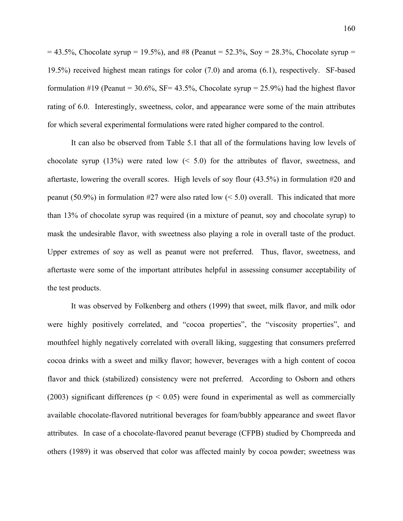$= 43.5\%$ , Chocolate syrup  $= 19.5\%$ ), and #8 (Peanut  $= 52.3\%$ , Soy  $= 28.3\%$ , Chocolate syrup  $= 19.5\%$ 19.5%) received highest mean ratings for color (7.0) and aroma (6.1), respectively. SF-based formulation #19 (Peanut =  $30.6\%$ , SF=  $43.5\%$ , Chocolate syrup =  $25.9\%$ ) had the highest flavor rating of 6.0. Interestingly, sweetness, color, and appearance were some of the main attributes for which several experimental formulations were rated higher compared to the control.

 It can also be observed from Table 5.1 that all of the formulations having low levels of chocolate syrup (13%) were rated low  $(5.0)$  for the attributes of flavor, sweetness, and aftertaste, lowering the overall scores. High levels of soy flour (43.5%) in formulation #20 and peanut (50.9%) in formulation #27 were also rated low ( $\leq$  5.0) overall. This indicated that more than 13% of chocolate syrup was required (in a mixture of peanut, soy and chocolate syrup) to mask the undesirable flavor, with sweetness also playing a role in overall taste of the product. Upper extremes of soy as well as peanut were not preferred. Thus, flavor, sweetness, and aftertaste were some of the important attributes helpful in assessing consumer acceptability of the test products.

 It was observed by Folkenberg and others (1999) that sweet, milk flavor, and milk odor were highly positively correlated, and "cocoa properties", the "viscosity properties", and mouthfeel highly negatively correlated with overall liking, suggesting that consumers preferred cocoa drinks with a sweet and milky flavor; however, beverages with a high content of cocoa flavor and thick (stabilized) consistency were not preferred. According to Osborn and others (2003) significant differences ( $p < 0.05$ ) were found in experimental as well as commercially available chocolate-flavored nutritional beverages for foam/bubbly appearance and sweet flavor attributes. In case of a chocolate-flavored peanut beverage (CFPB) studied by Chompreeda and others (1989) it was observed that color was affected mainly by cocoa powder; sweetness was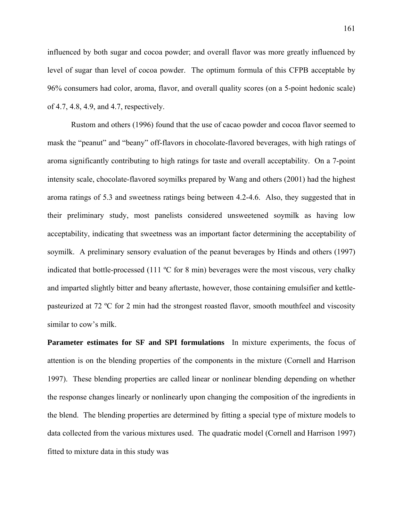influenced by both sugar and cocoa powder; and overall flavor was more greatly influenced by level of sugar than level of cocoa powder. The optimum formula of this CFPB acceptable by 96% consumers had color, aroma, flavor, and overall quality scores (on a 5-point hedonic scale) of 4.7, 4.8, 4.9, and 4.7, respectively.

 Rustom and others (1996) found that the use of cacao powder and cocoa flavor seemed to mask the "peanut" and "beany" off-flavors in chocolate-flavored beverages, with high ratings of aroma significantly contributing to high ratings for taste and overall acceptability. On a 7-point intensity scale, chocolate-flavored soymilks prepared by Wang and others (2001) had the highest aroma ratings of 5.3 and sweetness ratings being between 4.2-4.6. Also, they suggested that in their preliminary study, most panelists considered unsweetened soymilk as having low acceptability, indicating that sweetness was an important factor determining the acceptability of soymilk. A preliminary sensory evaluation of the peanut beverages by Hinds and others (1997) indicated that bottle-processed (111 ºC for 8 min) beverages were the most viscous, very chalky and imparted slightly bitter and beany aftertaste, however, those containing emulsifier and kettlepasteurized at 72 ºC for 2 min had the strongest roasted flavor, smooth mouthfeel and viscosity similar to cow's milk.

**Parameter estimates for SF and SPI formulations** In mixture experiments, the focus of attention is on the blending properties of the components in the mixture (Cornell and Harrison 1997). These blending properties are called linear or nonlinear blending depending on whether the response changes linearly or nonlinearly upon changing the composition of the ingredients in the blend. The blending properties are determined by fitting a special type of mixture models to data collected from the various mixtures used. The quadratic model (Cornell and Harrison 1997) fitted to mixture data in this study was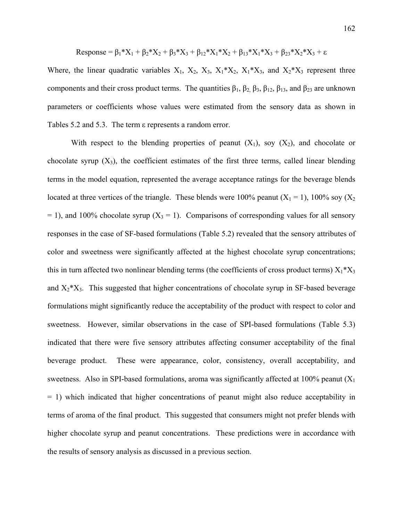Response = 
$$
\beta_1^*X_1 + \beta_2^*X_2 + \beta_3^*X_3 + \beta_{12}^*X_1^*X_2 + \beta_{13}^*X_1^*X_3 + \beta_{23}^*X_2^*X_3 + \varepsilon
$$

Where, the linear quadratic variables  $X_1$ ,  $X_2$ ,  $X_3$ ,  $X_1^*X_2$ ,  $X_1^*X_3$ , and  $X_2^*X_3$  represent three components and their cross product terms. The quantities  $\beta_1$ ,  $\beta_2$ ,  $\beta_3$ ,  $\beta_{12}$ ,  $\beta_{13}$ , and  $\beta_{23}$  are unknown parameters or coefficients whose values were estimated from the sensory data as shown in Tables 5.2 and 5.3. The term ε represents a random error.

With respect to the blending properties of peanut  $(X_1)$ , soy  $(X_2)$ , and chocolate or chocolate syrup  $(X_3)$ , the coefficient estimates of the first three terms, called linear blending terms in the model equation, represented the average acceptance ratings for the beverage blends located at three vertices of the triangle. These blends were 100% peanut  $(X_1 = 1)$ , 100% soy  $(X_2$  $= 1$ ), and 100% chocolate syrup (X<sub>3</sub> = 1). Comparisons of corresponding values for all sensory responses in the case of SF-based formulations (Table 5.2) revealed that the sensory attributes of color and sweetness were significantly affected at the highest chocolate syrup concentrations; this in turn affected two nonlinear blending terms (the coefficients of cross product terms)  $X_1^*X_3$ and  $X_2^*X_3$ . This suggested that higher concentrations of chocolate syrup in SF-based beverage formulations might significantly reduce the acceptability of the product with respect to color and sweetness. However, similar observations in the case of SPI-based formulations (Table 5.3) indicated that there were five sensory attributes affecting consumer acceptability of the final beverage product. These were appearance, color, consistency, overall acceptability, and sweetness. Also in SPI-based formulations, aroma was significantly affected at 100% peanut  $(X_1)$ = 1) which indicated that higher concentrations of peanut might also reduce acceptability in terms of aroma of the final product. This suggested that consumers might not prefer blends with higher chocolate syrup and peanut concentrations. These predictions were in accordance with the results of sensory analysis as discussed in a previous section.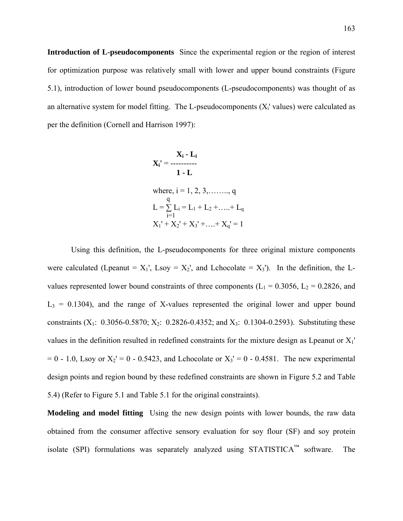**Introduction of L-pseudocomponents** Since the experimental region or the region of interest for optimization purpose was relatively small with lower and upper bound constraints (Figure 5.1), introduction of lower bound pseudocomponents (L-pseudocomponents) was thought of as an alternative system for model fitting. The L-pseudocomponents  $(X<sub>i</sub>'$  values) were calculated as per the definition (Cornell and Harrison 1997):

$$
\mathbf{X_i} \cdot \mathbf{L_i}
$$
\n
$$
\mathbf{X_i} \cdot \mathbf{L_i}
$$
\n
$$
\mathbf{1} \cdot \mathbf{L}
$$
\nwhere, i = 1, 2, 3, \dots, q  
\n
$$
L = \sum_{i=1}^{q} L_i = L_1 + L_2 + \dots + L_q
$$
\n
$$
X_1' + X_2' + X_3' + \dots + X_q' = 1
$$

 Using this definition, the L-pseudocomponents for three original mixture components were calculated (Lpeanut =  $X_1$ ', Lsoy =  $X_2$ ', and Lchocolate =  $X_3$ '). In the definition, the Lvalues represented lower bound constraints of three components ( $L_1 = 0.3056$ ,  $L_2 = 0.2826$ , and  $L_3$  = 0.1304), and the range of X-values represented the original lower and upper bound constraints  $(X_1: 0.3056 - 0.5870; X_2: 0.2826 - 0.4352;$  and  $X_3: 0.1304 - 0.2593$ ). Substituting these values in the definition resulted in redefined constraints for the mixture design as Lpeanut or X1'  $= 0 - 1.0$ , Lsoy or  $X_2' = 0 - 0.5423$ , and Lchocolate or  $X_3' = 0 - 0.4581$ . The new experimental design points and region bound by these redefined constraints are shown in Figure 5.2 and Table 5.4) (Refer to Figure 5.1 and Table 5.1 for the original constraints).

**Modeling and model fitting** Using the new design points with lower bounds, the raw data obtained from the consumer affective sensory evaluation for soy flour (SF) and soy protein isolate (SPI) formulations was separately analyzed using  $STATISTICA^{\mathbb{M}}$  software. The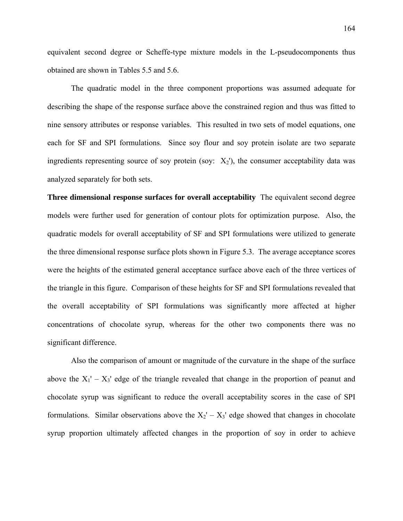equivalent second degree or Scheffe-type mixture models in the L-pseudocomponents thus obtained are shown in Tables 5.5 and 5.6.

 The quadratic model in the three component proportions was assumed adequate for describing the shape of the response surface above the constrained region and thus was fitted to nine sensory attributes or response variables. This resulted in two sets of model equations, one each for SF and SPI formulations. Since soy flour and soy protein isolate are two separate ingredients representing source of soy protein (soy:  $X_2$ ), the consumer acceptability data was analyzed separately for both sets.

**Three dimensional response surfaces for overall acceptability** The equivalent second degree models were further used for generation of contour plots for optimization purpose. Also, the quadratic models for overall acceptability of SF and SPI formulations were utilized to generate the three dimensional response surface plots shown in Figure 5.3. The average acceptance scores were the heights of the estimated general acceptance surface above each of the three vertices of the triangle in this figure. Comparison of these heights for SF and SPI formulations revealed that the overall acceptability of SPI formulations was significantly more affected at higher concentrations of chocolate syrup, whereas for the other two components there was no significant difference.

 Also the comparison of amount or magnitude of the curvature in the shape of the surface above the  $X_1' - X_3'$  edge of the triangle revealed that change in the proportion of peanut and chocolate syrup was significant to reduce the overall acceptability scores in the case of SPI formulations. Similar observations above the  $X_2' - X_3'$  edge showed that changes in chocolate syrup proportion ultimately affected changes in the proportion of soy in order to achieve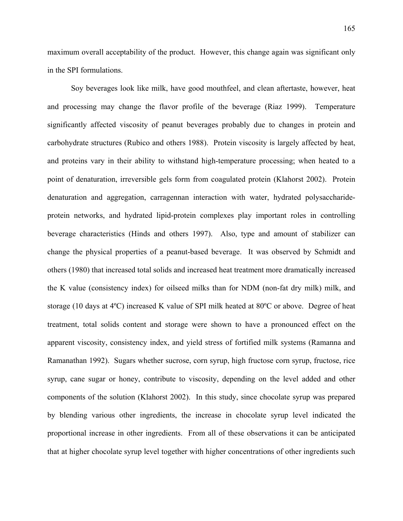maximum overall acceptability of the product. However, this change again was significant only in the SPI formulations.

 Soy beverages look like milk, have good mouthfeel, and clean aftertaste, however, heat and processing may change the flavor profile of the beverage (Riaz 1999). Temperature significantly affected viscosity of peanut beverages probably due to changes in protein and carbohydrate structures (Rubico and others 1988). Protein viscosity is largely affected by heat, and proteins vary in their ability to withstand high-temperature processing; when heated to a point of denaturation, irreversible gels form from coagulated protein (Klahorst 2002). Protein denaturation and aggregation, carragennan interaction with water, hydrated polysaccharideprotein networks, and hydrated lipid-protein complexes play important roles in controlling beverage characteristics (Hinds and others 1997). Also, type and amount of stabilizer can change the physical properties of a peanut-based beverage. It was observed by Schmidt and others (1980) that increased total solids and increased heat treatment more dramatically increased the K value (consistency index) for oilseed milks than for NDM (non-fat dry milk) milk, and storage (10 days at 4ºC) increased K value of SPI milk heated at 80ºC or above. Degree of heat treatment, total solids content and storage were shown to have a pronounced effect on the apparent viscosity, consistency index, and yield stress of fortified milk systems (Ramanna and Ramanathan 1992). Sugars whether sucrose, corn syrup, high fructose corn syrup, fructose, rice syrup, cane sugar or honey, contribute to viscosity, depending on the level added and other components of the solution (Klahorst 2002). In this study, since chocolate syrup was prepared by blending various other ingredients, the increase in chocolate syrup level indicated the proportional increase in other ingredients. From all of these observations it can be anticipated that at higher chocolate syrup level together with higher concentrations of other ingredients such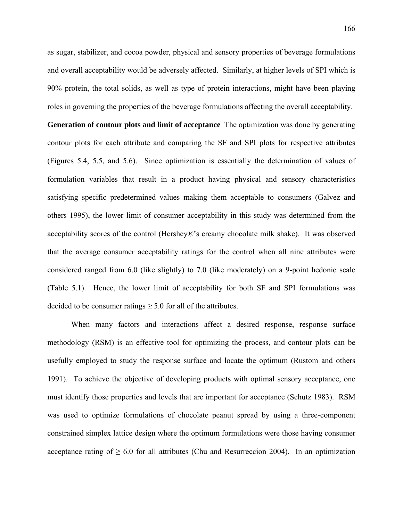as sugar, stabilizer, and cocoa powder, physical and sensory properties of beverage formulations and overall acceptability would be adversely affected. Similarly, at higher levels of SPI which is 90% protein, the total solids, as well as type of protein interactions, might have been playing roles in governing the properties of the beverage formulations affecting the overall acceptability.

**Generation of contour plots and limit of acceptance** The optimization was done by generating contour plots for each attribute and comparing the SF and SPI plots for respective attributes (Figures 5.4, 5.5, and 5.6). Since optimization is essentially the determination of values of formulation variables that result in a product having physical and sensory characteristics satisfying specific predetermined values making them acceptable to consumers (Galvez and others 1995), the lower limit of consumer acceptability in this study was determined from the acceptability scores of the control (Hershey®'s creamy chocolate milk shake). It was observed that the average consumer acceptability ratings for the control when all nine attributes were considered ranged from 6.0 (like slightly) to 7.0 (like moderately) on a 9-point hedonic scale (Table 5.1). Hence, the lower limit of acceptability for both SF and SPI formulations was decided to be consumer ratings  $\geq 5.0$  for all of the attributes.

 When many factors and interactions affect a desired response, response surface methodology (RSM) is an effective tool for optimizing the process, and contour plots can be usefully employed to study the response surface and locate the optimum (Rustom and others 1991). To achieve the objective of developing products with optimal sensory acceptance, one must identify those properties and levels that are important for acceptance (Schutz 1983). RSM was used to optimize formulations of chocolate peanut spread by using a three-component constrained simplex lattice design where the optimum formulations were those having consumer acceptance rating of  $\geq 6.0$  for all attributes (Chu and Resurreccion 2004). In an optimization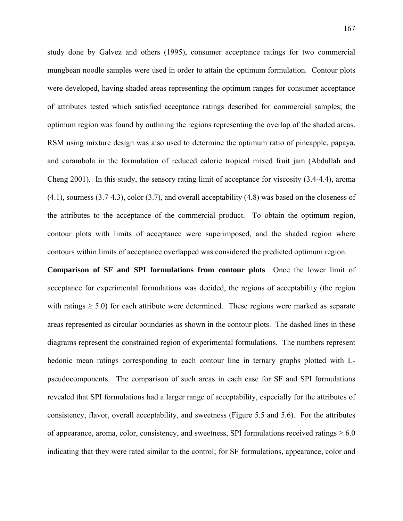study done by Galvez and others (1995), consumer acceptance ratings for two commercial mungbean noodle samples were used in order to attain the optimum formulation. Contour plots were developed, having shaded areas representing the optimum ranges for consumer acceptance of attributes tested which satisfied acceptance ratings described for commercial samples; the optimum region was found by outlining the regions representing the overlap of the shaded areas. RSM using mixture design was also used to determine the optimum ratio of pineapple, papaya, and carambola in the formulation of reduced calorie tropical mixed fruit jam (Abdullah and Cheng 2001). In this study, the sensory rating limit of acceptance for viscosity (3.4-4.4), aroma (4.1), sourness (3.7-4.3), color (3.7), and overall acceptability (4.8) was based on the closeness of the attributes to the acceptance of the commercial product. To obtain the optimum region, contour plots with limits of acceptance were superimposed, and the shaded region where contours within limits of acceptance overlapped was considered the predicted optimum region.

**Comparison of SF and SPI formulations from contour plots** Once the lower limit of acceptance for experimental formulations was decided, the regions of acceptability (the region with ratings  $\geq 5.0$ ) for each attribute were determined. These regions were marked as separate areas represented as circular boundaries as shown in the contour plots. The dashed lines in these diagrams represent the constrained region of experimental formulations. The numbers represent hedonic mean ratings corresponding to each contour line in ternary graphs plotted with Lpseudocomponents. The comparison of such areas in each case for SF and SPI formulations revealed that SPI formulations had a larger range of acceptability, especially for the attributes of consistency, flavor, overall acceptability, and sweetness (Figure 5.5 and 5.6). For the attributes of appearance, aroma, color, consistency, and sweetness, SPI formulations received ratings  $\geq 6.0$ indicating that they were rated similar to the control; for SF formulations, appearance, color and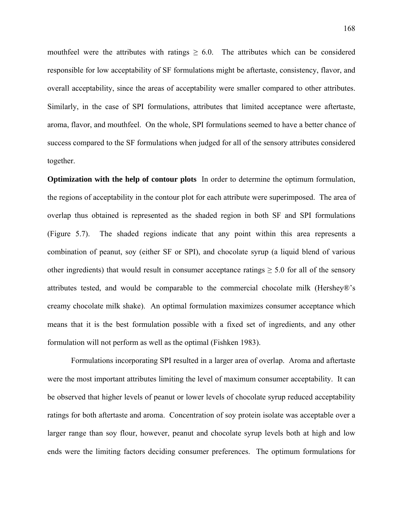mouthfeel were the attributes with ratings  $\geq 6.0$ . The attributes which can be considered responsible for low acceptability of SF formulations might be aftertaste, consistency, flavor, and overall acceptability, since the areas of acceptability were smaller compared to other attributes. Similarly, in the case of SPI formulations, attributes that limited acceptance were aftertaste, aroma, flavor, and mouthfeel. On the whole, SPI formulations seemed to have a better chance of success compared to the SF formulations when judged for all of the sensory attributes considered together.

**Optimization with the help of contour plots** In order to determine the optimum formulation, the regions of acceptability in the contour plot for each attribute were superimposed. The area of overlap thus obtained is represented as the shaded region in both SF and SPI formulations (Figure 5.7). The shaded regions indicate that any point within this area represents a combination of peanut, soy (either SF or SPI), and chocolate syrup (a liquid blend of various other ingredients) that would result in consumer acceptance ratings  $\geq 5.0$  for all of the sensory attributes tested, and would be comparable to the commercial chocolate milk (Hershey®'s creamy chocolate milk shake). An optimal formulation maximizes consumer acceptance which means that it is the best formulation possible with a fixed set of ingredients, and any other formulation will not perform as well as the optimal (Fishken 1983).

 Formulations incorporating SPI resulted in a larger area of overlap. Aroma and aftertaste were the most important attributes limiting the level of maximum consumer acceptability. It can be observed that higher levels of peanut or lower levels of chocolate syrup reduced acceptability ratings for both aftertaste and aroma. Concentration of soy protein isolate was acceptable over a larger range than soy flour, however, peanut and chocolate syrup levels both at high and low ends were the limiting factors deciding consumer preferences. The optimum formulations for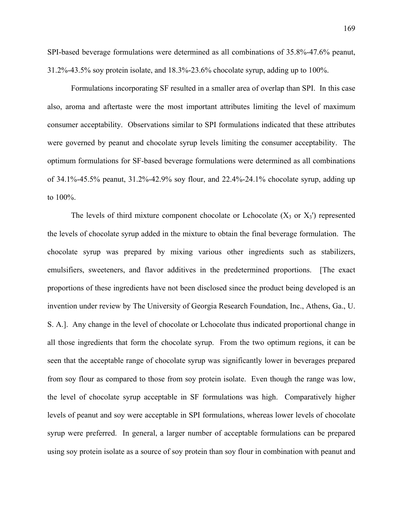SPI-based beverage formulations were determined as all combinations of 35.8%-47.6% peanut, 31.2%-43.5% soy protein isolate, and 18.3%-23.6% chocolate syrup, adding up to 100%.

 Formulations incorporating SF resulted in a smaller area of overlap than SPI. In this case also, aroma and aftertaste were the most important attributes limiting the level of maximum consumer acceptability. Observations similar to SPI formulations indicated that these attributes were governed by peanut and chocolate syrup levels limiting the consumer acceptability. The optimum formulations for SF-based beverage formulations were determined as all combinations of 34.1%-45.5% peanut, 31.2%-42.9% soy flour, and 22.4%-24.1% chocolate syrup, adding up to 100%.

The levels of third mixture component chocolate or Lchocolate  $(X_3 \text{ or } X_3)$  represented the levels of chocolate syrup added in the mixture to obtain the final beverage formulation. The chocolate syrup was prepared by mixing various other ingredients such as stabilizers, emulsifiers, sweeteners, and flavor additives in the predetermined proportions. [The exact proportions of these ingredients have not been disclosed since the product being developed is an invention under review by The University of Georgia Research Foundation, Inc., Athens, Ga., U. S. A.]. Any change in the level of chocolate or Lchocolate thus indicated proportional change in all those ingredients that form the chocolate syrup. From the two optimum regions, it can be seen that the acceptable range of chocolate syrup was significantly lower in beverages prepared from soy flour as compared to those from soy protein isolate. Even though the range was low, the level of chocolate syrup acceptable in SF formulations was high. Comparatively higher levels of peanut and soy were acceptable in SPI formulations, whereas lower levels of chocolate syrup were preferred. In general, a larger number of acceptable formulations can be prepared using soy protein isolate as a source of soy protein than soy flour in combination with peanut and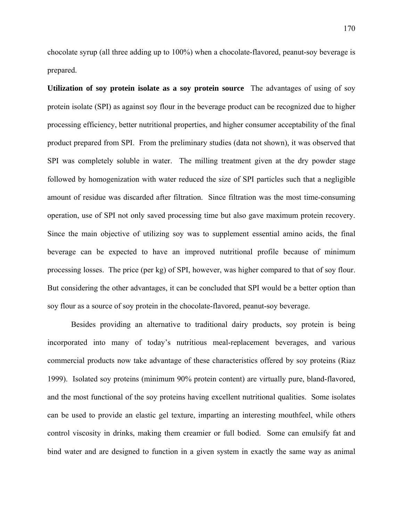chocolate syrup (all three adding up to 100%) when a chocolate-flavored, peanut-soy beverage is prepared.

**Utilization of soy protein isolate as a soy protein source** The advantages of using of soy protein isolate (SPI) as against soy flour in the beverage product can be recognized due to higher processing efficiency, better nutritional properties, and higher consumer acceptability of the final product prepared from SPI. From the preliminary studies (data not shown), it was observed that SPI was completely soluble in water. The milling treatment given at the dry powder stage followed by homogenization with water reduced the size of SPI particles such that a negligible amount of residue was discarded after filtration. Since filtration was the most time-consuming operation, use of SPI not only saved processing time but also gave maximum protein recovery. Since the main objective of utilizing soy was to supplement essential amino acids, the final beverage can be expected to have an improved nutritional profile because of minimum processing losses. The price (per kg) of SPI, however, was higher compared to that of soy flour. But considering the other advantages, it can be concluded that SPI would be a better option than soy flour as a source of soy protein in the chocolate-flavored, peanut-soy beverage.

Besides providing an alternative to traditional dairy products, soy protein is being incorporated into many of today's nutritious meal-replacement beverages, and various commercial products now take advantage of these characteristics offered by soy proteins (Riaz 1999). Isolated soy proteins (minimum 90% protein content) are virtually pure, bland-flavored, and the most functional of the soy proteins having excellent nutritional qualities. Some isolates can be used to provide an elastic gel texture, imparting an interesting mouthfeel, while others control viscosity in drinks, making them creamier or full bodied. Some can emulsify fat and bind water and are designed to function in a given system in exactly the same way as animal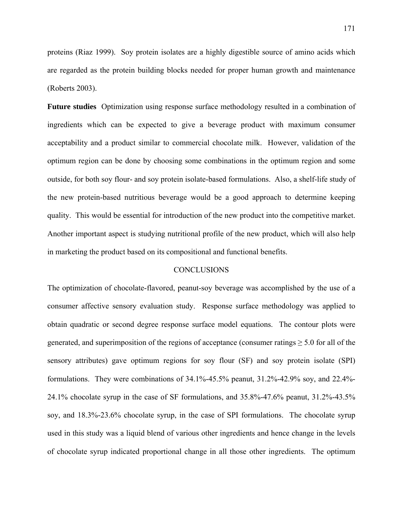proteins (Riaz 1999). Soy protein isolates are a highly digestible source of amino acids which are regarded as the protein building blocks needed for proper human growth and maintenance (Roberts 2003).

**Future studies** Optimization using response surface methodology resulted in a combination of ingredients which can be expected to give a beverage product with maximum consumer acceptability and a product similar to commercial chocolate milk. However, validation of the optimum region can be done by choosing some combinations in the optimum region and some outside, for both soy flour- and soy protein isolate-based formulations. Also, a shelf-life study of the new protein-based nutritious beverage would be a good approach to determine keeping quality. This would be essential for introduction of the new product into the competitive market. Another important aspect is studying nutritional profile of the new product, which will also help in marketing the product based on its compositional and functional benefits.

## CONCLUSIONS

The optimization of chocolate-flavored, peanut-soy beverage was accomplished by the use of a consumer affective sensory evaluation study. Response surface methodology was applied to obtain quadratic or second degree response surface model equations. The contour plots were generated, and superimposition of the regions of acceptance (consumer ratings  $\geq 5.0$  for all of the sensory attributes) gave optimum regions for soy flour (SF) and soy protein isolate (SPI) formulations. They were combinations of 34.1%-45.5% peanut, 31.2%-42.9% soy, and 22.4%- 24.1% chocolate syrup in the case of SF formulations, and 35.8%-47.6% peanut, 31.2%-43.5% soy, and 18.3%-23.6% chocolate syrup, in the case of SPI formulations. The chocolate syrup used in this study was a liquid blend of various other ingredients and hence change in the levels of chocolate syrup indicated proportional change in all those other ingredients. The optimum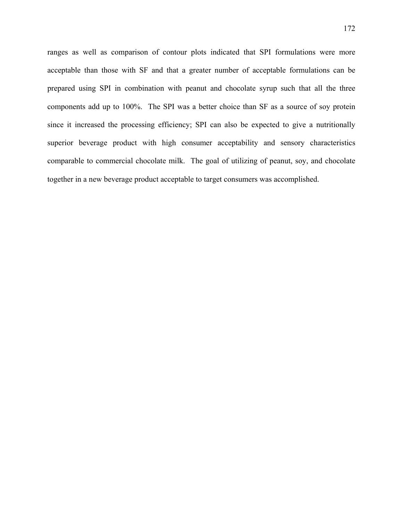ranges as well as comparison of contour plots indicated that SPI formulations were more acceptable than those with SF and that a greater number of acceptable formulations can be prepared using SPI in combination with peanut and chocolate syrup such that all the three components add up to 100%. The SPI was a better choice than SF as a source of soy protein since it increased the processing efficiency; SPI can also be expected to give a nutritionally superior beverage product with high consumer acceptability and sensory characteristics comparable to commercial chocolate milk. The goal of utilizing of peanut, soy, and chocolate together in a new beverage product acceptable to target consumers was accomplished.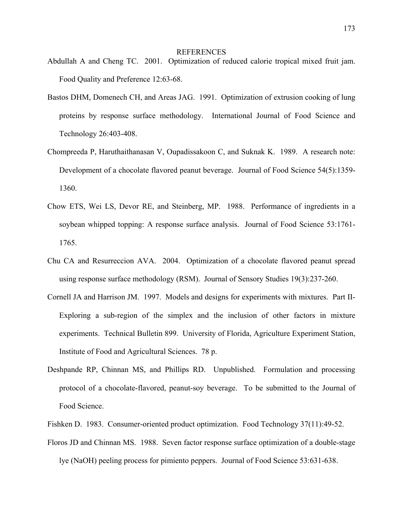#### REFERENCES

- Abdullah A and Cheng TC. 2001. Optimization of reduced calorie tropical mixed fruit jam. Food Quality and Preference 12:63-68.
- Bastos DHM, Domenech CH, and Areas JAG. 1991. Optimization of extrusion cooking of lung proteins by response surface methodology. International Journal of Food Science and Technology 26:403-408.
- Chompreeda P, Haruthaithanasan V, Oupadissakoon C, and Suknak K. 1989. A research note: Development of a chocolate flavored peanut beverage. Journal of Food Science 54(5):1359- 1360.
- Chow ETS, Wei LS, Devor RE, and Steinberg, MP. 1988. Performance of ingredients in a soybean whipped topping: A response surface analysis. Journal of Food Science 53:1761- 1765.
- Chu CA and Resurreccion AVA. 2004. Optimization of a chocolate flavored peanut spread using response surface methodology (RSM). Journal of Sensory Studies 19(3):237-260.
- Cornell JA and Harrison JM. 1997. Models and designs for experiments with mixtures. Part II-Exploring a sub-region of the simplex and the inclusion of other factors in mixture experiments. Technical Bulletin 899. University of Florida, Agriculture Experiment Station, Institute of Food and Agricultural Sciences. 78 p.
- Deshpande RP, Chinnan MS, and Phillips RD. Unpublished. Formulation and processing protocol of a chocolate-flavored, peanut-soy beverage. To be submitted to the Journal of Food Science.
- Fishken D. 1983. Consumer-oriented product optimization. Food Technology 37(11):49-52.
- Floros JD and Chinnan MS. 1988. Seven factor response surface optimization of a double-stage lye (NaOH) peeling process for pimiento peppers. Journal of Food Science 53:631-638.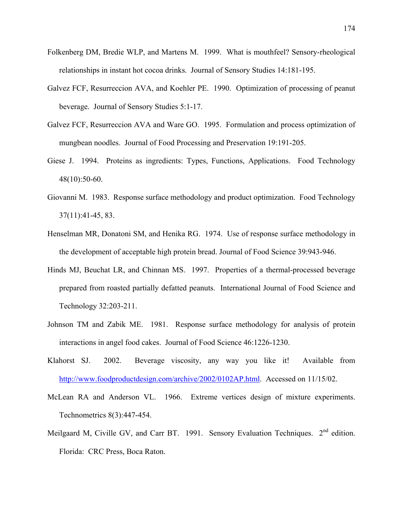- Folkenberg DM, Bredie WLP, and Martens M. 1999. What is mouthfeel? Sensory-rheological relationships in instant hot cocoa drinks. Journal of Sensory Studies 14:181-195.
- Galvez FCF, Resurreccion AVA, and Koehler PE. 1990. Optimization of processing of peanut beverage. Journal of Sensory Studies 5:1-17.
- Galvez FCF, Resurreccion AVA and Ware GO. 1995. Formulation and process optimization of mungbean noodles. Journal of Food Processing and Preservation 19:191-205.
- Giese J. 1994. Proteins as ingredients: Types, Functions, Applications. Food Technology 48(10):50-60.
- Giovanni M. 1983. Response surface methodology and product optimization. Food Technology 37(11):41-45, 83.
- Henselman MR, Donatoni SM, and Henika RG. 1974. Use of response surface methodology in the development of acceptable high protein bread. Journal of Food Science 39:943-946.
- Hinds MJ, Beuchat LR, and Chinnan MS. 1997. Properties of a thermal-processed beverage prepared from roasted partially defatted peanuts. International Journal of Food Science and Technology 32:203-211.
- Johnson TM and Zabik ME. 1981. Response surface methodology for analysis of protein interactions in angel food cakes. Journal of Food Science 46:1226-1230.
- Klahorst SJ. 2002. Beverage viscosity, any way you like it! Available from [http://www.foodproductdesign.com/archive/2002/0102AP.html.](http://www.foodproductdesign.com/archive/2002/0102AP.html) Accessed on 11/15/02.
- McLean RA and Anderson VL. 1966. Extreme vertices design of mixture experiments. Technometrics 8(3):447-454.
- Meilgaard M, Civille GV, and Carr BT. 1991. Sensory Evaluation Techniques. 2<sup>nd</sup> edition. Florida: CRC Press, Boca Raton.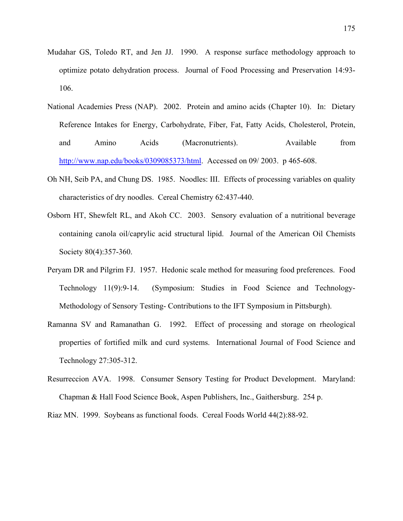- Mudahar GS, Toledo RT, and Jen JJ. 1990. A response surface methodology approach to optimize potato dehydration process. Journal of Food Processing and Preservation 14:93- 106.
- National Academies Press (NAP). 2002. Protein and amino acids (Chapter 10). In: Dietary Reference Intakes for Energy, Carbohydrate, Fiber, Fat, Fatty Acids, Cholesterol, Protein, and Amino Acids (Macronutrients). Available from [http://www.nap.edu/books/0309085373/html.](http://www.nap.edu/books/0309085373/html) Accessed on 09/ 2003. p 465-608.
- Oh NH, Seib PA, and Chung DS. 1985. Noodles: III. Effects of processing variables on quality characteristics of dry noodles. Cereal Chemistry 62:437-440.
- Osborn HT, Shewfelt RL, and Akoh CC. 2003. Sensory evaluation of a nutritional beverage containing canola oil/caprylic acid structural lipid. Journal of the American Oil Chemists Society 80(4):357-360.
- Peryam DR and Pilgrim FJ. 1957. Hedonic scale method for measuring food preferences. Food Technology 11(9):9-14. (Symposium: Studies in Food Science and Technology-Methodology of Sensory Testing- Contributions to the IFT Symposium in Pittsburgh).
- Ramanna SV and Ramanathan G. 1992. Effect of processing and storage on rheological properties of fortified milk and curd systems. International Journal of Food Science and Technology 27:305-312.
- Resurreccion AVA. 1998. Consumer Sensory Testing for Product Development. Maryland: Chapman & Hall Food Science Book, Aspen Publishers, Inc., Gaithersburg. 254 p.

Riaz MN. 1999. Soybeans as functional foods. Cereal Foods World 44(2):88-92.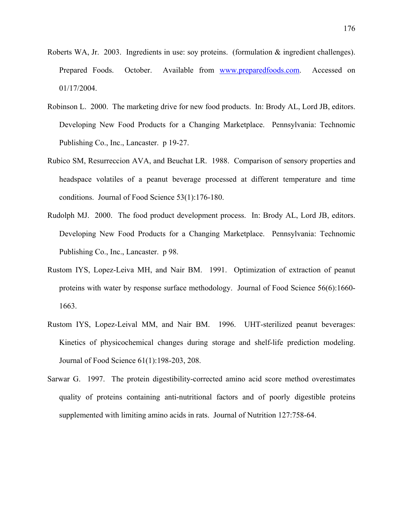- Roberts WA, Jr. 2003. Ingredients in use: soy proteins. (formulation & ingredient challenges). Prepared Foods. October. Available from www.preparedfoods.com. Accessed on 01/17/2004.
- Robinson L. 2000. The marketing drive for new food products. In: Brody AL, Lord JB, editors. Developing New Food Products for a Changing Marketplace. Pennsylvania: Technomic Publishing Co., Inc., Lancaster. p 19-27.
- Rubico SM, Resurreccion AVA, and Beuchat LR. 1988. Comparison of sensory properties and headspace volatiles of a peanut beverage processed at different temperature and time conditions. Journal of Food Science 53(1):176-180.
- Rudolph MJ. 2000. The food product development process. In: Brody AL, Lord JB, editors. Developing New Food Products for a Changing Marketplace. Pennsylvania: Technomic Publishing Co., Inc., Lancaster. p 98.
- Rustom IYS, Lopez-Leiva MH, and Nair BM. 1991. Optimization of extraction of peanut proteins with water by response surface methodology. Journal of Food Science 56(6):1660- 1663.
- Rustom IYS, Lopez-Leival MM, and Nair BM. 1996. UHT-sterilized peanut beverages: Kinetics of physicochemical changes during storage and shelf-life prediction modeling. Journal of Food Science 61(1):198-203, 208.
- Sarwar G. 1997. The protein digestibility-corrected amino acid score method overestimates quality of proteins containing anti-nutritional factors and of poorly digestible proteins supplemented with limiting amino acids in rats. Journal of Nutrition 127:758-64.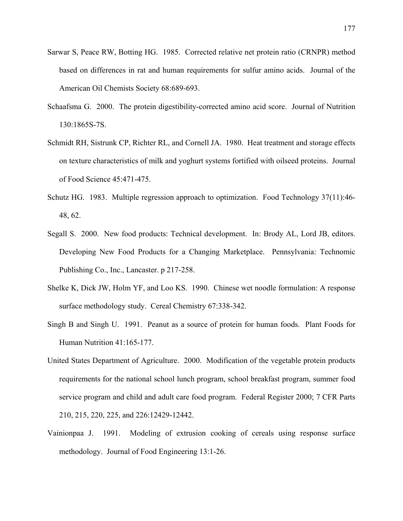- Sarwar S, Peace RW, Botting HG. 1985. Corrected relative net protein ratio (CRNPR) method based on differences in rat and human requirements for sulfur amino acids. Journal of the American Oil Chemists Society 68:689-693.
- Schaafsma G. 2000. The protein digestibility-corrected amino acid score. Journal of Nutrition 130:1865S-7S.
- Schmidt RH, Sistrunk CP, Richter RL, and Cornell JA. 1980. Heat treatment and storage effects on texture characteristics of milk and yoghurt systems fortified with oilseed proteins. Journal of Food Science 45:471-475.
- Schutz HG. 1983. Multiple regression approach to optimization. Food Technology 37(11):46- 48, 62.
- Segall S. 2000. New food products: Technical development. In: Brody AL, Lord JB, editors. Developing New Food Products for a Changing Marketplace. Pennsylvania: Technomic Publishing Co., Inc., Lancaster. p 217-258.
- Shelke K, Dick JW, Holm YF, and Loo KS. 1990. Chinese wet noodle formulation: A response surface methodology study. Cereal Chemistry 67:338-342.
- Singh B and Singh U. 1991. Peanut as a source of protein for human foods. Plant Foods for Human Nutrition 41:165-177.
- United States Department of Agriculture. 2000. Modification of the vegetable protein products requirements for the national school lunch program, school breakfast program, summer food service program and child and adult care food program. Federal Register 2000; 7 CFR Parts 210, 215, 220, 225, and 226:12429-12442.
- Vainionpaa J. 1991. Modeling of extrusion cooking of cereals using response surface methodology. Journal of Food Engineering 13:1-26.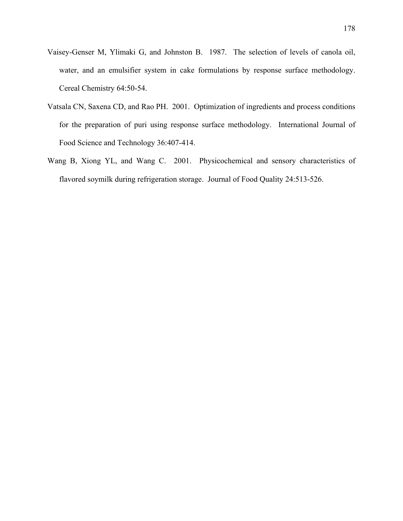- Vaisey-Genser M, Ylimaki G, and Johnston B. 1987. The selection of levels of canola oil, water, and an emulsifier system in cake formulations by response surface methodology. Cereal Chemistry 64:50-54.
- Vatsala CN, Saxena CD, and Rao PH. 2001. Optimization of ingredients and process conditions for the preparation of puri using response surface methodology. International Journal of Food Science and Technology 36:407-414.
- Wang B, Xiong YL, and Wang C. 2001. Physicochemical and sensory characteristics of flavored soymilk during refrigeration storage. Journal of Food Quality 24:513-526.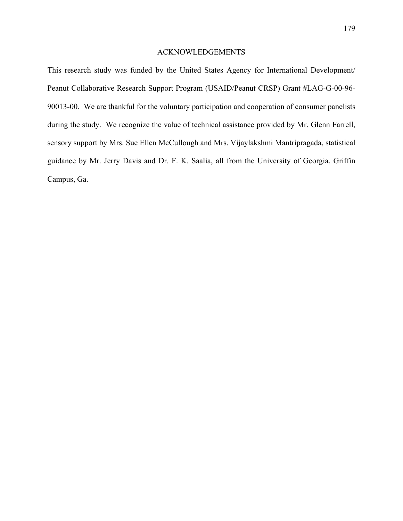# ACKNOWLEDGEMENTS

This research study was funded by the United States Agency for International Development/ Peanut Collaborative Research Support Program (USAID/Peanut CRSP) Grant #LAG-G-00-96- 90013-00. We are thankful for the voluntary participation and cooperation of consumer panelists during the study. We recognize the value of technical assistance provided by Mr. Glenn Farrell, sensory support by Mrs. Sue Ellen McCullough and Mrs. Vijaylakshmi Mantripragada, statistical guidance by Mr. Jerry Davis and Dr. F. K. Saalia, all from the University of Georgia, Griffin Campus, Ga.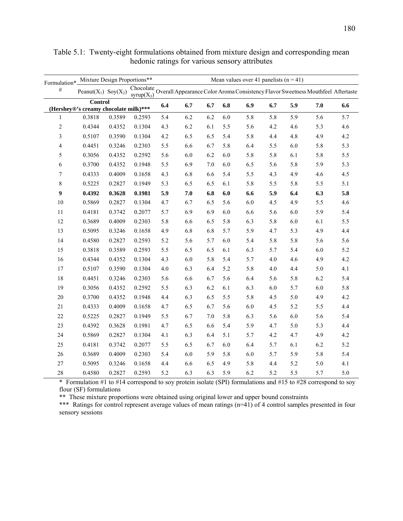| Formulation*            | Mixture Design Proportions**                            |        |                            |     |     | Mean values over 41 panelists $(n = 41)$ |     |     |     |     |         |                                                                                  |
|-------------------------|---------------------------------------------------------|--------|----------------------------|-----|-----|------------------------------------------|-----|-----|-----|-----|---------|----------------------------------------------------------------------------------|
| $\#$                    | Peanut( $X_1$ ) Soy( $X_2$ )                            |        | Chocolate<br>syrup $(X_3)$ |     |     |                                          |     |     |     |     |         | Overall Appearance Color Aroma Consistency Flavor Sweetness Mouthfeel Aftertaste |
|                         | <b>Control</b><br>(Hershey®'s creamy chocolate milk)*** |        |                            | 6.4 | 6.7 | 6.7                                      | 6.8 | 6.9 | 6.7 | 5.9 | 7.0     | 6.6                                                                              |
| $\mathbf{1}$            | 0.3818                                                  | 0.3589 | 0.2593                     | 5.4 | 6.2 | 6.2                                      | 6.0 | 5.8 | 5.8 | 5.9 | 5.6     | 5.7                                                                              |
| $\boldsymbol{2}$        | 0.4344                                                  | 0.4352 | 0.1304                     | 4.3 | 6.2 | 6.1                                      | 5.5 | 5.6 | 4.2 | 4.6 | 5.3     | 4.6                                                                              |
| $\mathfrak{Z}$          | 0.5107                                                  | 0.3590 | 0.1304                     | 4.2 | 6.5 | 6.5                                      | 5.4 | 5.8 | 4.4 | 4.8 | 4.9     | 4.2                                                                              |
| $\overline{\mathbf{4}}$ | 0.4451                                                  | 0.3246 | 0.2303                     | 5.5 | 6.6 | 6.7                                      | 5.8 | 6.4 | 5.5 | 6.0 | 5.8     | 5.3                                                                              |
| 5                       | 0.3056                                                  | 0.4352 | 0.2592                     | 5.6 | 6.0 | 6.2                                      | 6.0 | 5.8 | 5.8 | 6.1 | 5.8     | 5.5                                                                              |
| 6                       | 0.3700                                                  | 0.4352 | 0.1948                     | 5.5 | 6.9 | $7.0\,$                                  | 6.0 | 6.5 | 5.6 | 5.8 | 5.9     | 5.3                                                                              |
| $\boldsymbol{7}$        | 0.4333                                                  | 0.4009 | 0.1658                     | 4.3 | 6.8 | 6.6                                      | 5.4 | 5.5 | 4.3 | 4.9 | 4.6     | 4.5                                                                              |
| $\,$ $\,$               | 0.5225                                                  | 0.2827 | 0.1949                     | 5.3 | 6.5 | 6.5                                      | 6.1 | 5.8 | 5.5 | 5.8 | 5.5     | 5.1                                                                              |
| 9                       | 0.4392                                                  | 0.3628 | 0.1981                     | 5.9 | 7.0 | 6.8                                      | 6.0 | 6.6 | 5.9 | 6.4 | 6.3     | 5.8                                                                              |
| 10                      | 0.5869                                                  | 0.2827 | 0.1304                     | 4.7 | 6.7 | 6.5                                      | 5.6 | 6.0 | 4.5 | 4.9 | 5.5     | 4.6                                                                              |
| 11                      | 0.4181                                                  | 0.3742 | 0.2077                     | 5.7 | 6.9 | 6.9                                      | 6.0 | 6.6 | 5.6 | 6.0 | 5.9     | 5.4                                                                              |
| 12                      | 0.3689                                                  | 0.4009 | 0.2303                     | 5.8 | 6.6 | 6.5                                      | 5.8 | 6.3 | 5.8 | 6.0 | 6.1     | 5.5                                                                              |
| 13                      | 0.5095                                                  | 0.3246 | 0.1658                     | 4.9 | 6.8 | 6.8                                      | 5.7 | 5.9 | 4.7 | 5.3 | 4.9     | 4.4                                                                              |
| 14                      | 0.4580                                                  | 0.2827 | 0.2593                     | 5.2 | 5.6 | 5.7                                      | 6.0 | 5.4 | 5.8 | 5.8 | 5.6     | 5.6                                                                              |
| 15                      | 0.3818                                                  | 0.3589 | 0.2593                     | 5.5 | 6.5 | 6.5                                      | 6.1 | 6.3 | 5.7 | 5.4 | 6.0     | 5.2                                                                              |
| 16                      | 0.4344                                                  | 0.4352 | 0.1304                     | 4.3 | 6.0 | 5.8                                      | 5.4 | 5.7 | 4.0 | 4.6 | 4.9     | 4.2                                                                              |
| 17                      | 0.5107                                                  | 0.3590 | 0.1304                     | 4.0 | 6.3 | 6.4                                      | 5.2 | 5.8 | 4.0 | 4.4 | 5.0     | 4.1                                                                              |
| $18\,$                  | 0.4451                                                  | 0.3246 | 0.2303                     | 5.6 | 6.6 | 6.7                                      | 5.6 | 6.4 | 5.6 | 5.8 | 6.2     | 5.4                                                                              |
| 19                      | 0.3056                                                  | 0.4352 | 0.2592                     | 5.5 | 6.3 | 6.2                                      | 6.1 | 6.3 | 6.0 | 5.7 | 6.0     | 5.8                                                                              |
| $20\,$                  | 0.3700                                                  | 0.4352 | 0.1948                     | 4.4 | 6.3 | 6.5                                      | 5.5 | 5.8 | 4.5 | 5.0 | 4.9     | 4.2                                                                              |
| 21                      | 0.4333                                                  | 0.4009 | 0.1658                     | 4.7 | 6.5 | 6.7                                      | 5.6 | 6.0 | 4.5 | 5.2 | 5.5     | 4.4                                                                              |
| $22\,$                  | 0.5225                                                  | 0.2827 | 0.1949                     | 5.5 | 6.7 | 7.0                                      | 5.8 | 6.3 | 5.6 | 6.0 | 5.6     | 5.4                                                                              |
| $23\,$                  | 0.4392                                                  | 0.3628 | 0.1981                     | 4.7 | 6.5 | 6.6                                      | 5.4 | 5.9 | 4.7 | 5.0 | 5.3     | 4.4                                                                              |
| 24                      | 0.5869                                                  | 0.2827 | 0.1304                     | 4.1 | 6.3 | 6.4                                      | 5.1 | 5.7 | 4.2 | 4.7 | 4.9     | 4.2                                                                              |
| 25                      | 0.4181                                                  | 0.3742 | 0.2077                     | 5.5 | 6.5 | 6.7                                      | 6.0 | 6.4 | 5.7 | 6.1 | $6.2\,$ | 5.2                                                                              |
| 26                      | 0.3689                                                  | 0.4009 | 0.2303                     | 5.4 | 6.0 | 5.9                                      | 5.8 | 6.0 | 5.7 | 5.9 | 5.8     | 5.4                                                                              |
| 27                      | 0.5095                                                  | 0.3246 | 0.1658                     | 4.4 | 6.6 | 6.5                                      | 4.9 | 5.8 | 4.4 | 5.2 | 5.0     | 4.1                                                                              |
| 28                      | 0.4580                                                  | 0.2827 | 0.2593                     | 5.2 | 6.3 | 6.3                                      | 5.9 | 6.2 | 5.2 | 5.5 | 5.7     | 5.0                                                                              |

Table 5.1: Twenty-eight formulations obtained from mixture design and corresponding mean hedonic ratings for various sensory attributes

\* Formulation #1 to #14 correspond to soy protein isolate (SPI) formulations and #15 to #28 correspond to soy flour (SF) formulations

\*\* These mixture proportions were obtained using original lower and upper bound constraints

\*\*\* Ratings for control represent average values of mean ratings (n=41) of 4 control samples presented in four sensory sessions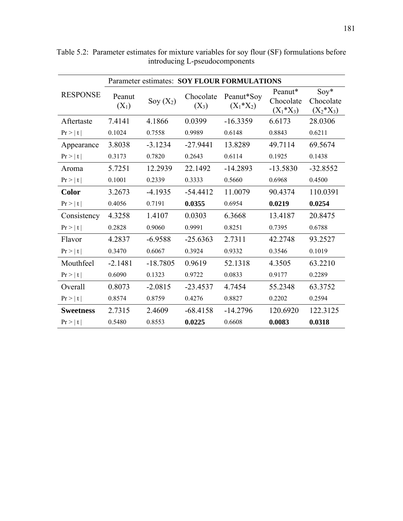|                  | Parameter estimates: SOY FLOUR FORMULATIONS |             |                      |                            |                                      |                                     |  |  |
|------------------|---------------------------------------------|-------------|----------------------|----------------------------|--------------------------------------|-------------------------------------|--|--|
| <b>RESPONSE</b>  | Peanut<br>$(X_1)$                           | Soy $(X_2)$ | Chocolate<br>$(X_3)$ | Peanut*Soy<br>$(X_1^*X_2)$ | Peanut*<br>Chocolate<br>$(X_1^*X_3)$ | $Soy*$<br>Chocolate<br>$(X_2^*X_3)$ |  |  |
| Aftertaste       | 7.4141                                      | 4.1866      | 0.0399               | $-16.3359$                 | 6.6173                               | 28.0306                             |  |  |
| $Pr$ >   t       | 0.1024                                      | 0.7558      | 0.9989               | 0.6148                     | 0.8843                               | 0.6211                              |  |  |
| Appearance       | 3.8038                                      | $-3.1234$   | $-27.9441$           | 13.8289                    | 49.7114                              | 69.5674                             |  |  |
| $Pr$ >   t       | 0.3173                                      | 0.7820      | 0.2643               | 0.6114                     | 0.1925                               | 0.1438                              |  |  |
| Aroma            | 5.7251                                      | 12.2939     | 22.1492              | $-14.2893$                 | $-13.5830$                           | $-32.8552$                          |  |  |
| $Pr$ >   t       | 0.1001                                      | 0.2339      | 0.3333               | 0.5660                     | 0.6968                               | 0.4500                              |  |  |
| <b>Color</b>     | 3.2673                                      | $-4.1935$   | $-54.4412$           | 11.0079                    | 90.4374                              | 110.0391                            |  |  |
| $Pr$ >   t       | 0.4056                                      | 0.7191      | 0.0355               | 0.6954                     | 0.0219                               | 0.0254                              |  |  |
| Consistency      | 4.3258                                      | 1.4107      | 0.0303               | 6.3668                     | 13.4187                              | 20.8475                             |  |  |
| $Pr$ >   t       | 0.2828                                      | 0.9060      | 0.9991               | 0.8251                     | 0.7395                               | 0.6788                              |  |  |
| Flavor           | 4.2837                                      | $-6.9588$   | $-25.6363$           | 2.7311                     | 42.2748                              | 93.2527                             |  |  |
| $Pr$ >   t       | 0.3470                                      | 0.6067      | 0.3924               | 0.9332                     | 0.3546                               | 0.1019                              |  |  |
| Mouthfeel        | $-2.1481$                                   | $-18.7805$  | 0.9619               | 52.1318                    | 4.3505                               | 63.2210                             |  |  |
| $Pr$ >   t       | 0.6090                                      | 0.1323      | 0.9722               | 0.0833                     | 0.9177                               | 0.2289                              |  |  |
| Overall          | 0.8073                                      | $-2.0815$   | $-23.4537$           | 4.7454                     | 55.2348                              | 63.3752                             |  |  |
| $Pr$ >   t       | 0.8574                                      | 0.8759      | 0.4276               | 0.8827                     | 0.2202                               | 0.2594                              |  |  |
| <b>Sweetness</b> | 2.7315                                      | 2.4609      | $-68.4158$           | $-14.2796$                 | 120.6920                             | 122.3125                            |  |  |
| $Pr$ >   t       | 0.5480                                      | 0.8553      | 0.0225               | 0.6608                     | 0.0083                               | 0.0318                              |  |  |

Table 5.2: Parameter estimates for mixture variables for soy flour (SF) formulations before introducing L-pseudocomponents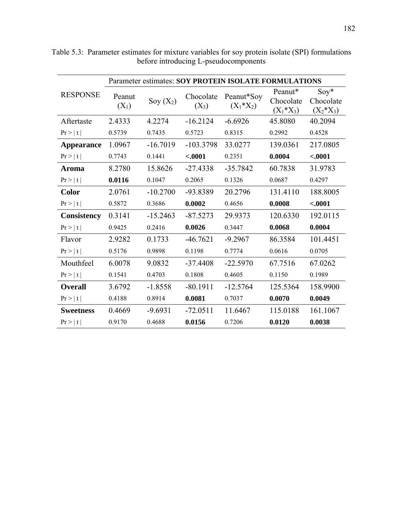|                    | Parameter estimates: SOY PROTEIN ISOLATE FORMULATIONS |             |                      |                            |                                      |                                     |  |  |
|--------------------|-------------------------------------------------------|-------------|----------------------|----------------------------|--------------------------------------|-------------------------------------|--|--|
| <b>RESPONSE</b>    | Peanut<br>$(X_1)$                                     | Soy $(X_2)$ | Chocolate<br>$(X_3)$ | Peanut*Soy<br>$(X_1^*X_2)$ | Peanut*<br>Chocolate<br>$(X_1^*X_3)$ | $Soy*$<br>Chocolate<br>$(X_2^*X_3)$ |  |  |
| Aftertaste         | 2.4333                                                | 4.2274      | $-16.2124$           | $-6.6926$                  | 45.8080                              | 40.2094                             |  |  |
| Pr >  t            | 0.5739                                                | 0.7435      | 0.5723               | 0.8315                     | 0.2992                               | 0.4528                              |  |  |
| Appearance         | 1.0967                                                | $-16.7019$  | $-103.3798$          | 33.0277                    | 139.0361                             | 217.0805                            |  |  |
| Pr >  t            | 0.7743                                                | 0.1441      | $-.0001$             | 0.2351                     | 0.0004                               | $-.0001$                            |  |  |
| Aroma              | 8.2780                                                | 15.8626     | $-27.4338$           | $-35.7842$                 | 60.7838                              | 31.9783                             |  |  |
| $Pr$ >   t         | 0.0116                                                | 0.1047      | 0.2065               | 0.1326                     | 0.0687                               | 0.4297                              |  |  |
| <b>Color</b>       | 2.0761                                                | $-10.2700$  | -93.8389             | 20.2796                    | 131.4110                             | 188.8005                            |  |  |
| $Pr$ >   t         | 0.5872                                                | 0.3686      | 0.0002               | 0.4656                     | 0.0008                               | $-.0001$                            |  |  |
| <b>Consistency</b> | 0.3141                                                | $-15.2463$  | $-87.5273$           | 29.9373                    | 120.6330                             | 192.0115                            |  |  |
| $Pr$ >   t         | 0.9425                                                | 0.2416      | 0.0026               | 0.3447                     | 0.0068                               | 0.0004                              |  |  |
| Flavor             | 2.9282                                                | 0.1733      | $-46.7621$           | $-9.2967$                  | 86.3584                              | 101.4451                            |  |  |
| $Pr$ >   t         | 0.5176                                                | 0.9898      | 0.1198               | 0.7774                     | 0.0616                               | 0.0705                              |  |  |
| Mouthfeel          | 6.0078                                                | 9.0832      | $-37.4408$           | $-22.5970$                 | 67.7516                              | 67.0262                             |  |  |
| $Pr$ >   t         | 0.1541                                                | 0.4703      | 0.1808               | 0.4605                     | 0.1150                               | 0.1989                              |  |  |
| <b>Overall</b>     | 3.6792                                                | $-1.8558$   | $-80.1911$           | $-12.5764$                 | 125.5364                             | 158.9900                            |  |  |
| Pr >  t            | 0.4188                                                | 0.8914      | 0.0081               | 0.7037                     | 0.0070                               | 0.0049                              |  |  |
| <b>Sweetness</b>   | 0.4669                                                | $-9.6931$   | $-72.0511$           | 11.6467                    | 115.0188                             | 161.1067                            |  |  |
| $Pr$ >   t         | 0.9170                                                | 0.4688      | 0.0156               | 0.7206                     | 0.0120                               | 0.0038                              |  |  |

Table 5.3: Parameter estimates for mixture variables for soy protein isolate (SPI) formulations before introducing L-pseudocomponents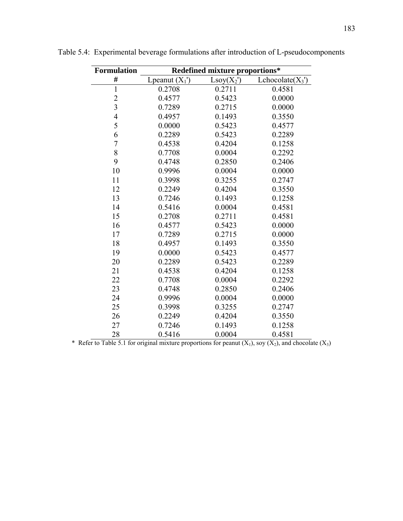| <b>Formulation</b> | Redefined mixture proportions* |              |                             |  |  |  |  |
|--------------------|--------------------------------|--------------|-----------------------------|--|--|--|--|
| #                  | Lpeanut $(X_1)$                | $Lsoy(X_2')$ | Lchocolate(X <sub>3</sub> ) |  |  |  |  |
| $\mathbf{1}$       | 0.2708                         | 0.2711       | 0.4581                      |  |  |  |  |
|                    | 0.4577                         | 0.5423       | 0.0000                      |  |  |  |  |
| $\frac{2}{3}$      | 0.7289                         | 0.2715       | 0.0000                      |  |  |  |  |
| $\overline{4}$     | 0.4957                         | 0.1493       | 0.3550                      |  |  |  |  |
| 5                  | 0.0000                         | 0.5423       | 0.4577                      |  |  |  |  |
| 6                  | 0.2289                         | 0.5423       | 0.2289                      |  |  |  |  |
| $\overline{7}$     | 0.4538                         | 0.4204       | 0.1258                      |  |  |  |  |
| 8                  | 0.7708                         | 0.0004       | 0.2292                      |  |  |  |  |
| 9                  | 0.4748                         | 0.2850       | 0.2406                      |  |  |  |  |
| 10                 | 0.9996                         | 0.0004       | 0.0000                      |  |  |  |  |
| 11                 | 0.3998                         | 0.3255       | 0.2747                      |  |  |  |  |
| 12                 | 0.2249                         | 0.4204       | 0.3550                      |  |  |  |  |
| 13                 | 0.7246                         | 0.1493       | 0.1258                      |  |  |  |  |
| 14                 | 0.5416                         | 0.0004       | 0.4581                      |  |  |  |  |
| 15                 | 0.2708                         | 0.2711       | 0.4581                      |  |  |  |  |
| 16                 | 0.4577                         | 0.5423       | 0.0000                      |  |  |  |  |
| 17                 | 0.7289                         | 0.2715       | 0.0000                      |  |  |  |  |
| 18                 | 0.4957                         | 0.1493       | 0.3550                      |  |  |  |  |
| 19                 | 0.0000                         | 0.5423       | 0.4577                      |  |  |  |  |
| 20                 | 0.2289                         | 0.5423       | 0.2289                      |  |  |  |  |
| 21                 | 0.4538                         | 0.4204       | 0.1258                      |  |  |  |  |
| 22                 | 0.7708                         | 0.0004       | 0.2292                      |  |  |  |  |
| 23                 | 0.4748                         | 0.2850       | 0.2406                      |  |  |  |  |
| 24                 | 0.9996                         | 0.0004       | 0.0000                      |  |  |  |  |
| 25                 | 0.3998                         | 0.3255       | 0.2747                      |  |  |  |  |
| 26                 | 0.2249                         | 0.4204       | 0.3550                      |  |  |  |  |
| 27                 | 0.7246                         | 0.1493       | 0.1258                      |  |  |  |  |
| 28                 | 0.5416                         | 0.0004       | 0.4581                      |  |  |  |  |

Table 5.4: Experimental beverage formulations after introduction of L-pseudocomponents

\* Refer to Table 5.1 for original mixture proportions for peanut  $(X_1)$ , soy  $(X_2)$ , and chocolate  $(X_3)$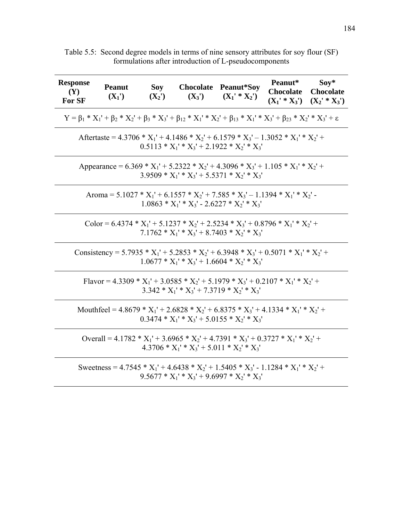| <b>Response</b><br><b>(Y)</b><br>For SF | <b>Peanut</b><br>$(X_1')$                                                                                                                             | $(X_2')$ | Soy Chocolate Peanut*Soy<br>$(X_3')$ | $(X_1' * X_2')$                                                                                                                                 | Peanut*<br><b>Chocolate</b> | $Soy*$<br><b>Chocolate</b><br>$(X_1' * X_3') (X_2' * X_3')$ |  |  |  |  |
|-----------------------------------------|-------------------------------------------------------------------------------------------------------------------------------------------------------|----------|--------------------------------------|-------------------------------------------------------------------------------------------------------------------------------------------------|-----------------------------|-------------------------------------------------------------|--|--|--|--|
|                                         | $Y = \beta_1 * X_1' + \beta_2 * X_2' + \beta_3 * X_3' + \beta_{12} * X_1' * X_2' + \beta_{13} * X_1' * X_3' + \beta_{23} * X_2' * X_3' + \varepsilon$ |          |                                      |                                                                                                                                                 |                             |                                                             |  |  |  |  |
|                                         |                                                                                                                                                       |          |                                      | Aftertaste = $4.3706 * X_1' + 4.1486 * X_2' + 6.1579 * X_3' - 1.3052 * X_1' * X_2' +$<br>$0.5113 * X_1' * X_3' + 2.1922 * X_2' * X_3'$          |                             |                                                             |  |  |  |  |
|                                         |                                                                                                                                                       |          |                                      | Appearance = $6.369 * X_1' + 5.2322 * X_2' + 4.3096 * X_3' + 1.105 * X_1' * X_2' +$<br>$3.9509 * X_1' * X_3' + 5.5371 * X_2' * X_3'$            |                             |                                                             |  |  |  |  |
|                                         |                                                                                                                                                       |          |                                      | Aroma = $5.1027 * X_1' + 6.1557 * X_2' + 7.585 * X_3' - 1.1394 * X_1' * X_2'$<br>$1.0863 * X_1' * X_3' - 2.6227 * X_2' * X_3'$                  |                             |                                                             |  |  |  |  |
|                                         |                                                                                                                                                       |          |                                      | Color = $6.4374 * X_1' + 5.1237 * X_2' + 2.5234 * X_3' + 0.8796 * X_1' * X_2' +$<br>$7.1762 * X_1' * X_3' + 8.7403 * X_2' * X_3'$               |                             |                                                             |  |  |  |  |
|                                         |                                                                                                                                                       |          |                                      | Consistency = 5.7935 * $X_1'$ + 5.2853 * $X_2'$ + 6.3948 * $X_3'$ + 0.5071 * $X_1'$ * $X_2'$ +<br>$1.0677 * X_1' * X_3' + 1.6604 * X_2' * X_3'$ |                             |                                                             |  |  |  |  |
|                                         |                                                                                                                                                       |          |                                      | Flavor = 4.3309 * $X_1'$ + 3.0585 * $X_2'$ + 5.1979 * $X_3'$ + 0.2107 * $X_1'$ * $X_2'$ +<br>$3.342 * X_1' * X_3' + 7.3719 * X_2' * X_3'$       |                             |                                                             |  |  |  |  |
|                                         |                                                                                                                                                       |          |                                      | Mouthfeel = $4.8679 * X_1' + 2.6828 * X_2' + 6.8375 * X_3' + 4.1334 * X_1' * X_2' +$<br>$0.3474 * X_1' * X_3' + 5.0155 * X_2' * X_3'$           |                             |                                                             |  |  |  |  |
|                                         |                                                                                                                                                       |          |                                      | Overall = 4.1782 * $X_1'$ + 3.6965 * $X_2'$ + 4.7391 * $X_3'$ + 0.3727 * $X_1'$ * $X_2'$ +<br>$4.3706 * X_1' * X_3' + 5.011 * X_2' * X_3'$      |                             |                                                             |  |  |  |  |
|                                         |                                                                                                                                                       |          |                                      | Sweetness = $4.7545 * X_1' + 4.6438 * X_2' + 1.5405 * X_3' - 1.1284 * X_1' * X_2' +$<br>$9.5677 * X_1' * X_3' + 9.6997 * X_2' * X_3'$           |                             |                                                             |  |  |  |  |

Table 5.5: Second degree models in terms of nine sensory attributes for soy flour (SF) formulations after introduction of L-pseudocomponents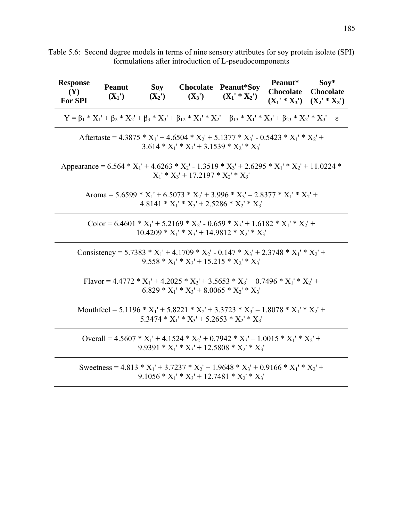| <b>Response</b><br><b>(Y)</b><br><b>For SPI</b> | <b>Peanut</b><br>$(X_1')$                                                                                                                             | Soy<br>$(X_2')$ | $(X_3')$                              | Chocolate Peanut*Soy<br>$(X_1' * X_2')$                                                                                                                | Peanut*<br><b>Chocolate</b><br>$(X_1' * X_3')$ | $Soy*$<br><b>Chocolate</b><br>$(X_2' * X_3')$ |  |  |  |
|-------------------------------------------------|-------------------------------------------------------------------------------------------------------------------------------------------------------|-----------------|---------------------------------------|--------------------------------------------------------------------------------------------------------------------------------------------------------|------------------------------------------------|-----------------------------------------------|--|--|--|
|                                                 | $Y = \beta_1 * X_1' + \beta_2 * X_2' + \beta_3 * X_3' + \beta_{12} * X_1' * X_2' + \beta_{13} * X_1' * X_3' + \beta_{23} * X_2' * X_3' + \varepsilon$ |                 |                                       |                                                                                                                                                        |                                                |                                               |  |  |  |
|                                                 | Aftertaste = $4.3875 * X_1' + 4.6504 * X_2' + 5.1377 * X_3' - 0.5423 * X_1' * X_2' +$<br>$3.614 * X_1' * X_3' + 3.1539 * X_2' * X_3'$                 |                 |                                       |                                                                                                                                                        |                                                |                                               |  |  |  |
|                                                 |                                                                                                                                                       |                 | $X_1' * X_3' + 17.2197 * X_2' * X_3'$ | Appearance = $6.564 * X_1' + 4.6263 * X_2' - 1.3519 * X_3' + 2.6295 * X_1' * X_2' + 11.0224 *$                                                         |                                                |                                               |  |  |  |
|                                                 |                                                                                                                                                       |                 |                                       | Aroma = $5.6599 * X_1' + 6.5073 * X_2' + 3.996 * X_3' - 2.8377 * X_1' * X_2' +$<br>$4.8141 * X_1' * X_3' + 2.5286 * X_2' * X_3'$                       |                                                |                                               |  |  |  |
|                                                 |                                                                                                                                                       |                 |                                       | Color = $6.4601 * X_1' + 5.2169 * X_2' - 0.659 * X_3' + 1.6182 * X_1' * X_2' +$<br>$10.4209 * X_1' * X_3' + 14.9812 * X_2' * X_3'$                     |                                                |                                               |  |  |  |
|                                                 |                                                                                                                                                       |                 |                                       | Consistency = 5.7383 * $X_1'$ + 4.1709 * $X_2'$ - 0.147 * $X_3'$ + 2.3748 * $X_1'$ * $X_2'$ +<br>$9.558 * X_1' * X_3' + 15.215 * X_2' * X_3'$          |                                                |                                               |  |  |  |
|                                                 |                                                                                                                                                       |                 |                                       | Flavor = 4.4772 * $X_1'$ + 4.2025 * $X_2'$ + 3.5653 * $X_3'$ – 0.7496 * $X_1'$ * $X_2'$ +<br>$6.829 * X_1' * X_3' + 8.0065 * X_2' * X_3'$              |                                                |                                               |  |  |  |
|                                                 |                                                                                                                                                       |                 |                                       | Mouthfeel = 5.1196 * $X_1'$ + 5.8221 * $X_2'$ + 3.3723 * $X_3'$ – 1.8078 * $X_1'$ * $X_2'$ +<br>$5.3474 * X_1' * X_3' + 5.2653 * X_2' * X_3'$          |                                                |                                               |  |  |  |
|                                                 |                                                                                                                                                       |                 |                                       | Overall = 4.5607 * $X_1'$ + 4.1524 * $X_2'$ + 0.7942 * $X_3'$ – 1.0015 * $X_1'$ * $X_2'$ +<br>9.9391 * $X_1$ ' * $X_3$ ' + 12.5808 * $X_2$ ' * $X_3$ ' |                                                |                                               |  |  |  |
|                                                 |                                                                                                                                                       |                 |                                       | Sweetness = 4.813 * $X_1'$ + 3.7237 * $X_2'$ + 1.9648 * $X_3'$ + 0.9166 * $X_1'$ * $X_2'$ +<br>$9.1056 * X_1' * X_3' + 12.7481 * X_2' * X_3'$          |                                                |                                               |  |  |  |

Table 5.6: Second degree models in terms of nine sensory attributes for soy protein isolate (SPI) formulations after introduction of L-pseudocomponents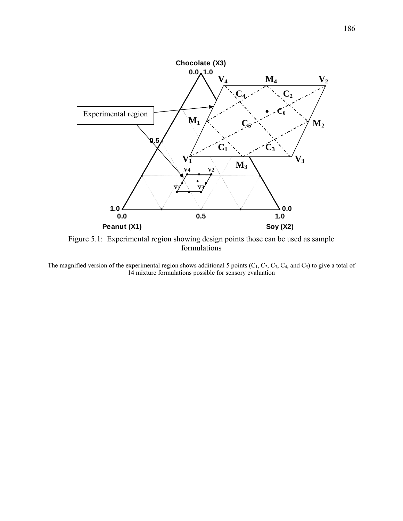

Figure 5.1: Experimental region showing design points those can be used as sample formulations

The magnified version of the experimental region shows additional 5 points  $(C_1, C_2, C_3, C_4,$  and  $C_5$ ) to give a total of 14 mixture formulations possible for sensory evaluation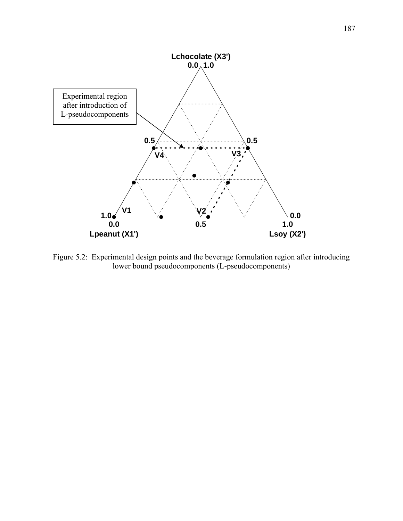

Figure 5.2: Experimental design points and the beverage formulation region after introducing lower bound pseudocomponents (L-pseudocomponents)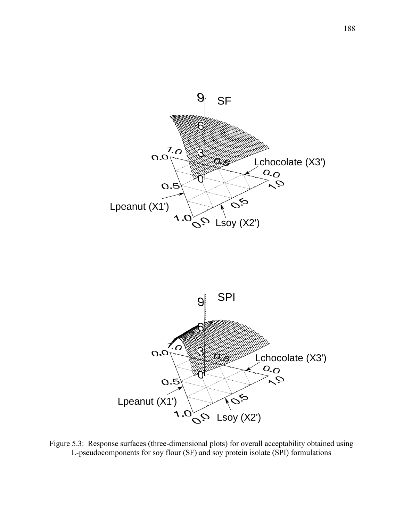



Figure 5.3: Response surfaces (three-dimensional plots) for overall acceptability obtained using L-pseudocomponents for soy flour (SF) and soy protein isolate (SPI) formulations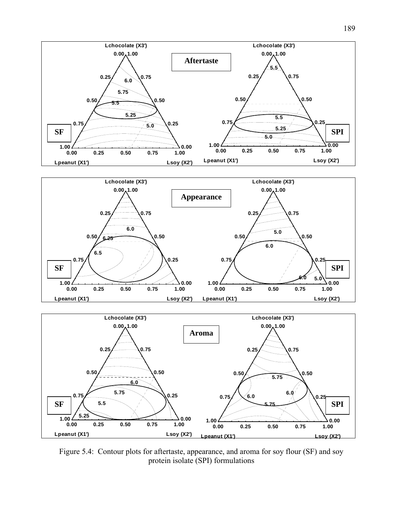





Figure 5.4: Contour plots for aftertaste, appearance, and aroma for soy flour (SF) and soy protein isolate (SPI) formulations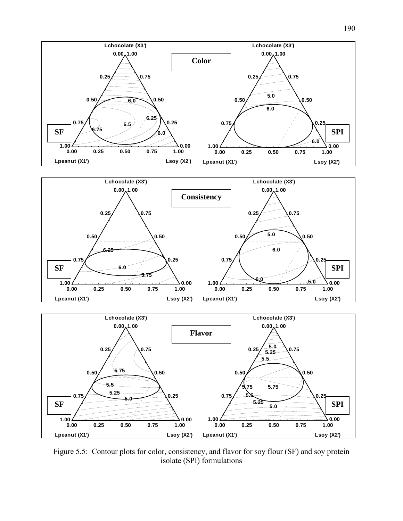





Figure 5.5: Contour plots for color, consistency, and flavor for soy flour (SF) and soy protein isolate (SPI) formulations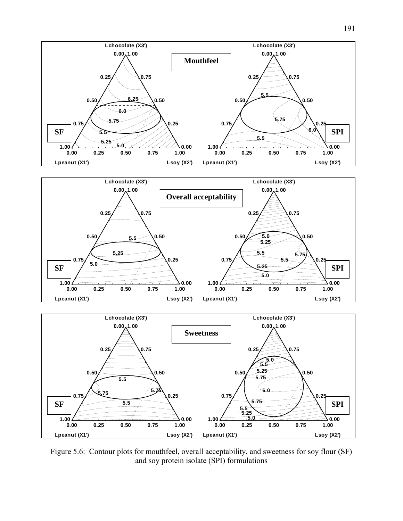





Figure 5.6: Contour plots for mouthfeel, overall acceptability, and sweetness for soy flour (SF) and soy protein isolate (SPI) formulations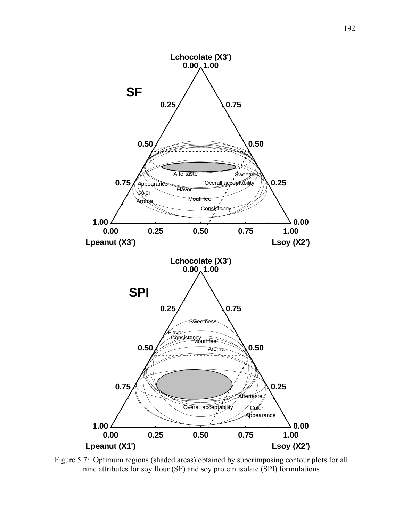

Figure 5.7: Optimum regions (shaded areas) obtained by superimposing contour plots for all nine attributes for soy flour (SF) and soy protein isolate (SPI) formulations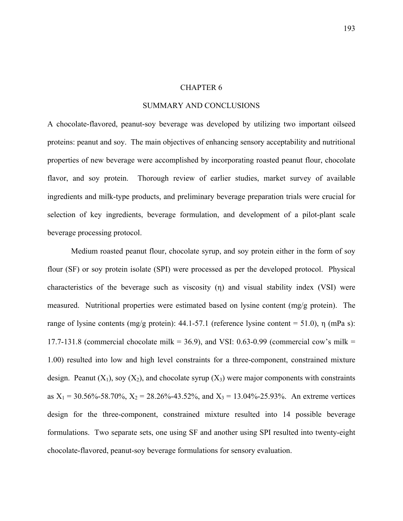## CHAPTER 6

# SUMMARY AND CONCLUSIONS

A chocolate-flavored, peanut-soy beverage was developed by utilizing two important oilseed proteins: peanut and soy. The main objectives of enhancing sensory acceptability and nutritional properties of new beverage were accomplished by incorporating roasted peanut flour, chocolate flavor, and soy protein. Thorough review of earlier studies, market survey of available ingredients and milk-type products, and preliminary beverage preparation trials were crucial for selection of key ingredients, beverage formulation, and development of a pilot-plant scale beverage processing protocol.

 Medium roasted peanut flour, chocolate syrup, and soy protein either in the form of soy flour (SF) or soy protein isolate (SPI) were processed as per the developed protocol. Physical characteristics of the beverage such as viscosity (η) and visual stability index (VSI) were measured. Nutritional properties were estimated based on lysine content (mg/g protein). The range of lysine contents (mg/g protein): 44.1-57.1 (reference lysine content = 51.0), η (mPa s): 17.7-131.8 (commercial chocolate milk = 36.9), and VSI: 0.63-0.99 (commercial cow's milk = 1.00) resulted into low and high level constraints for a three-component, constrained mixture design. Peanut  $(X_1)$ , soy  $(X_2)$ , and chocolate syrup  $(X_3)$  were major components with constraints as  $X_1 = 30.56\% - 58.70\%$ ,  $X_2 = 28.26\% - 43.52\%$ , and  $X_3 = 13.04\% - 25.93\%$ . An extreme vertices design for the three-component, constrained mixture resulted into 14 possible beverage formulations. Two separate sets, one using SF and another using SPI resulted into twenty-eight chocolate-flavored, peanut-soy beverage formulations for sensory evaluation.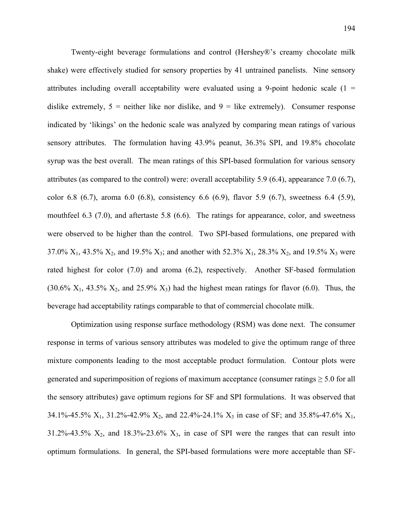Twenty-eight beverage formulations and control (Hershey®'s creamy chocolate milk shake) were effectively studied for sensory properties by 41 untrained panelists. Nine sensory attributes including overall acceptability were evaluated using a 9-point hedonic scale  $(1 =$ dislike extremely,  $5$  = neither like nor dislike, and  $9$  = like extremely). Consumer response indicated by 'likings' on the hedonic scale was analyzed by comparing mean ratings of various sensory attributes. The formulation having 43.9% peanut, 36.3% SPI, and 19.8% chocolate syrup was the best overall. The mean ratings of this SPI-based formulation for various sensory attributes (as compared to the control) were: overall acceptability 5.9 (6.4), appearance 7.0 (6.7), color 6.8 (6.7), aroma 6.0 (6.8), consistency 6.6 (6.9), flavor 5.9 (6.7), sweetness 6.4 (5.9), mouthfeel 6.3 (7.0), and aftertaste 5.8 (6.6). The ratings for appearance, color, and sweetness were observed to be higher than the control. Two SPI-based formulations, one prepared with 37.0%  $X_1$ , 43.5%  $X_2$ , and 19.5%  $X_3$ ; and another with 52.3%  $X_1$ , 28.3%  $X_2$ , and 19.5%  $X_3$  were rated highest for color (7.0) and aroma (6.2), respectively. Another SF-based formulation  $(30.6\% \text{ X}_1, 43.5\% \text{ X}_2, \text{ and } 25.9\% \text{ X}_3)$  had the highest mean ratings for flavor  $(6.0)$ . Thus, the beverage had acceptability ratings comparable to that of commercial chocolate milk.

 Optimization using response surface methodology (RSM) was done next. The consumer response in terms of various sensory attributes was modeled to give the optimum range of three mixture components leading to the most acceptable product formulation. Contour plots were generated and superimposition of regions of maximum acceptance (consumer ratings  $\geq 5.0$  for all the sensory attributes) gave optimum regions for SF and SPI formulations. It was observed that 34.1%-45.5%  $X_1$ , 31.2%-42.9%  $X_2$ , and 22.4%-24.1%  $X_3$  in case of SF; and 35.8%-47.6%  $X_1$ , 31.2%-43.5%  $X_2$ , and 18.3%-23.6%  $X_3$ , in case of SPI were the ranges that can result into optimum formulations. In general, the SPI-based formulations were more acceptable than SF-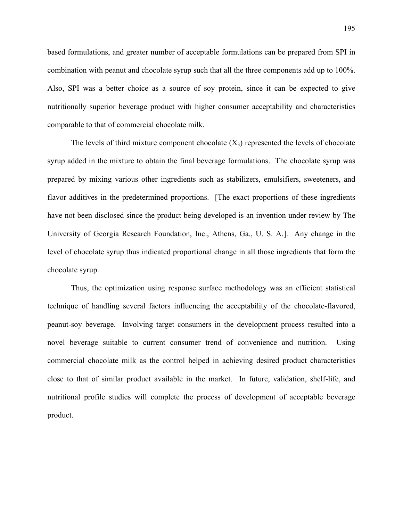based formulations, and greater number of acceptable formulations can be prepared from SPI in combination with peanut and chocolate syrup such that all the three components add up to 100%. Also, SPI was a better choice as a source of soy protein, since it can be expected to give nutritionally superior beverage product with higher consumer acceptability and characteristics comparable to that of commercial chocolate milk.

The levels of third mixture component chocolate  $(X_3)$  represented the levels of chocolate syrup added in the mixture to obtain the final beverage formulations. The chocolate syrup was prepared by mixing various other ingredients such as stabilizers, emulsifiers, sweeteners, and flavor additives in the predetermined proportions. [The exact proportions of these ingredients have not been disclosed since the product being developed is an invention under review by The University of Georgia Research Foundation, Inc., Athens, Ga., U. S. A.]. Any change in the level of chocolate syrup thus indicated proportional change in all those ingredients that form the chocolate syrup.

Thus, the optimization using response surface methodology was an efficient statistical technique of handling several factors influencing the acceptability of the chocolate-flavored, peanut-soy beverage. Involving target consumers in the development process resulted into a novel beverage suitable to current consumer trend of convenience and nutrition. Using commercial chocolate milk as the control helped in achieving desired product characteristics close to that of similar product available in the market. In future, validation, shelf-life, and nutritional profile studies will complete the process of development of acceptable beverage product.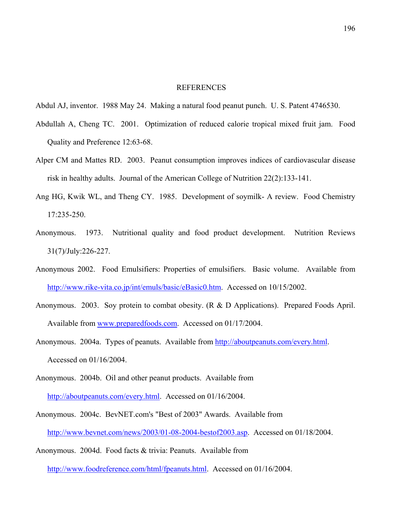### **REFERENCES**

Abdul AJ, inventor. 1988 May 24. Making a natural food peanut punch. U. S. Patent 4746530.

- Abdullah A, Cheng TC. 2001. Optimization of reduced calorie tropical mixed fruit jam. Food Quality and Preference 12:63-68.
- Alper CM and Mattes RD. 2003. Peanut consumption improves indices of cardiovascular disease risk in healthy adults. Journal of the American College of Nutrition 22(2):133-141.
- Ang HG, Kwik WL, and Theng CY. 1985. Development of soymilk- A review. Food Chemistry 17:235-250.
- Anonymous. 1973. Nutritional quality and food product development. Nutrition Reviews 31(7)/July:226-227.
- Anonymous 2002. Food Emulsifiers: Properties of emulsifiers. Basic volume. Available from [http://www.rike-vita.co.jp/int/emuls/basic/eBasic0.htm.](http://www.rike-vita.co.jp/int/emuls/basic/eBasic0.htm) Accessed on 10/15/2002.
- Anonymous. 2003. Soy protein to combat obesity. (R & D Applications). Prepared Foods April. Available from www.preparedfoods.com. Accessed on 01/17/2004.
- Anonymous. 2004a. Types of peanuts. Available from [http://aboutpeanuts.com/every.html.](http://aboutpeanuts.com/every.html)  Accessed on 01/16/2004.
- Anonymous. 2004b. Oil and other peanut products. Available from [http://aboutpeanuts.com/every.html.](http://aboutpeanuts.com/every.html) Accessed on 01/16/2004.
- Anonymous. 2004c. BevNET.com's "Best of 2003" Awards. Available from [http://www.bevnet.com/news/2003/01-08-2004-bestof2003.asp.](http://www.bevnet.com/news/2003/01-08-2004-bestof2003.asp) Accessed on 01/18/2004.
- Anonymous. 2004d. Food facts & trivia: Peanuts. Available from

[http://www.foodreference.com/html/fpeanuts.html.](http://www.foodreference.com/html/fpeanuts.html) Accessed on 01/16/2004.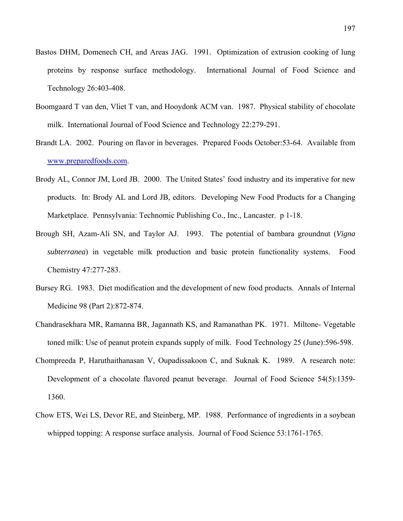- Bastos DHM, Domenech CH, and Areas JAG. 1991. Optimization of extrusion cooking of lung proteins by response surface methodology. International Journal of Food Science and Technology 26:403-408.
- Boomgaard T van den, Vliet T van, and Hooydonk ACM van. 1987. Physical stability of chocolate milk. International Journal of Food Science and Technology 22:279-291.
- Brandt LA. 2002. Pouring on flavor in beverages. Prepared Foods October:53-64. Available from www.preparedfoods.com.
- Brody AL, Connor JM, Lord JB. 2000. The United States' food industry and its imperative for new products. In: Brody AL and Lord JB, editors. Developing New Food Products for a Changing Marketplace. Pennsylvania: Technomic Publishing Co., Inc., Lancaster. p 1-18.
- Brough SH, Azam-Ali SN, and Taylor AJ. 1993. The potential of bambara groundnut (*Vigna subterranea*) in vegetable milk production and basic protein functionality systems. Food Chemistry 47:277-283.
- Bursey RG. 1983. Diet modification and the development of new food products. Annals of Internal Medicine 98 (Part 2):872-874.
- Chandrasekhara MR, Ramanna BR, Jagannath KS, and Ramanathan PK. 1971. Miltone- Vegetable toned milk: Use of peanut protein expands supply of milk. Food Technology 25 (June):596-598.
- Chompreeda P, Haruthaithanasan V, Oupadissakoon C, and Suknak K. 1989. A research note: Development of a chocolate flavored peanut beverage. Journal of Food Science 54(5):1359- 1360.
- Chow ETS, Wei LS, Devor RE, and Steinberg, MP. 1988. Performance of ingredients in a soybean whipped topping: A response surface analysis. Journal of Food Science 53:1761-1765.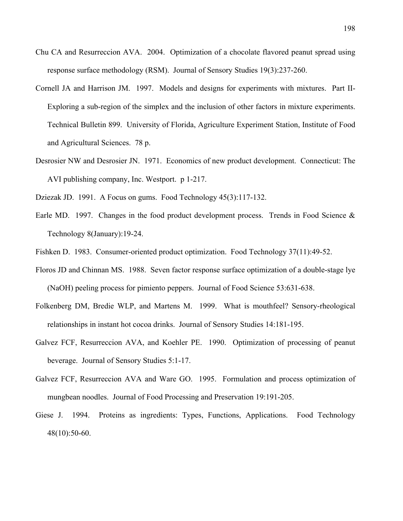- Chu CA and Resurreccion AVA. 2004. Optimization of a chocolate flavored peanut spread using response surface methodology (RSM). Journal of Sensory Studies 19(3):237-260.
- Cornell JA and Harrison JM. 1997. Models and designs for experiments with mixtures. Part II-Exploring a sub-region of the simplex and the inclusion of other factors in mixture experiments. Technical Bulletin 899. University of Florida, Agriculture Experiment Station, Institute of Food and Agricultural Sciences. 78 p.
- Desrosier NW and Desrosier JN. 1971. Economics of new product development. Connecticut: The AVI publishing company, Inc. Westport. p 1-217.
- Dziezak JD. 1991. A Focus on gums. Food Technology 45(3):117-132.
- Earle MD. 1997. Changes in the food product development process. Trends in Food Science & Technology 8(January):19-24.
- Fishken D. 1983. Consumer-oriented product optimization. Food Technology 37(11):49-52.
- Floros JD and Chinnan MS. 1988. Seven factor response surface optimization of a double-stage lye (NaOH) peeling process for pimiento peppers. Journal of Food Science 53:631-638.
- Folkenberg DM, Bredie WLP, and Martens M. 1999. What is mouthfeel? Sensory-rheological relationships in instant hot cocoa drinks. Journal of Sensory Studies 14:181-195.
- Galvez FCF, Resurreccion AVA, and Koehler PE. 1990. Optimization of processing of peanut beverage. Journal of Sensory Studies 5:1-17.
- Galvez FCF, Resurreccion AVA and Ware GO. 1995. Formulation and process optimization of mungbean noodles. Journal of Food Processing and Preservation 19:191-205.
- Giese J. 1994. Proteins as ingredients: Types, Functions, Applications. Food Technology 48(10):50-60.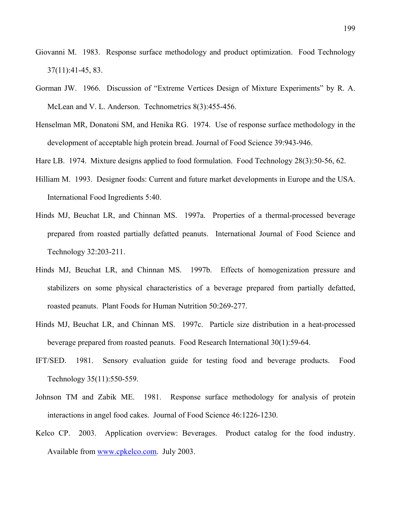- Giovanni M. 1983. Response surface methodology and product optimization. Food Technology 37(11):41-45, 83.
- Gorman JW. 1966. Discussion of "Extreme Vertices Design of Mixture Experiments" by R. A. McLean and V. L. Anderson. Technometrics 8(3):455-456.
- Henselman MR, Donatoni SM, and Henika RG. 1974. Use of response surface methodology in the development of acceptable high protein bread. Journal of Food Science 39:943-946.
- Hare LB. 1974. Mixture designs applied to food formulation. Food Technology 28(3):50-56, 62.
- Hilliam M. 1993. Designer foods: Current and future market developments in Europe and the USA. International Food Ingredients 5:40.
- Hinds MJ, Beuchat LR, and Chinnan MS. 1997a. Properties of a thermal-processed beverage prepared from roasted partially defatted peanuts. International Journal of Food Science and Technology 32:203-211.
- Hinds MJ, Beuchat LR, and Chinnan MS. 1997b. Effects of homogenization pressure and stabilizers on some physical characteristics of a beverage prepared from partially defatted, roasted peanuts. Plant Foods for Human Nutrition 50:269-277.
- Hinds MJ, Beuchat LR, and Chinnan MS. 1997c. Particle size distribution in a heat-processed beverage prepared from roasted peanuts. Food Research International 30(1):59-64.
- IFT/SED. 1981. Sensory evaluation guide for testing food and beverage products. Food Technology 35(11):550-559.
- Johnson TM and Zabik ME. 1981. Response surface methodology for analysis of protein interactions in angel food cakes. Journal of Food Science 46:1226-1230.
- Kelco CP. 2003. Application overview: Beverages. Product catalog for the food industry. Available from www.cpkelco.com. July 2003.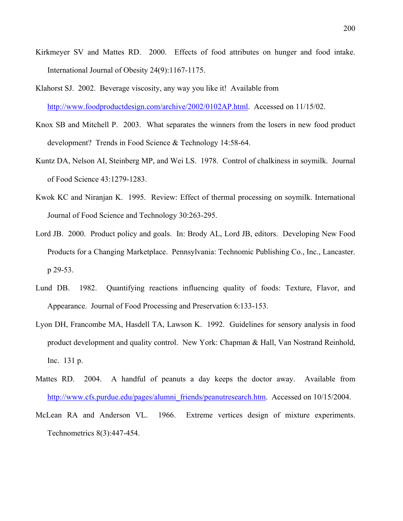- Kirkmeyer SV and Mattes RD. 2000. Effects of food attributes on hunger and food intake. International Journal of Obesity 24(9):1167-1175.
- Klahorst SJ. 2002. Beverage viscosity, any way you like it! Available from [http://www.foodproductdesign.com/archive/2002/0102AP.html.](http://www.foodproductdesign.com/archive/2002/0102AP.html) Accessed on 11/15/02.
- Knox SB and Mitchell P. 2003. What separates the winners from the losers in new food product development? Trends in Food Science & Technology 14:58-64.
- Kuntz DA, Nelson AI, Steinberg MP, and Wei LS. 1978. Control of chalkiness in soymilk. Journal of Food Science 43:1279-1283.
- Kwok KC and Niranjan K. 1995. Review: Effect of thermal processing on soymilk. International Journal of Food Science and Technology 30:263-295.
- Lord JB. 2000. Product policy and goals. In: Brody AL, Lord JB, editors. Developing New Food Products for a Changing Marketplace. Pennsylvania: Technomic Publishing Co., Inc., Lancaster. p 29-53.
- Lund DB. 1982. Quantifying reactions influencing quality of foods: Texture, Flavor, and Appearance. Journal of Food Processing and Preservation 6:133-153.
- Lyon DH, Francombe MA, Hasdell TA, Lawson K. 1992. Guidelines for sensory analysis in food product development and quality control. New York: Chapman & Hall, Van Nostrand Reinhold, Inc. 131 p.
- Mattes RD. 2004. A handful of peanuts a day keeps the doctor away. Available from [http://www.cfs.purdue.edu/pages/alumni\\_friends/peanutresearch.htm.](http://www.cfs.purdue.edu/pages/alumni_friends/peanutresearch.htm) Accessed on 10/15/2004.
- McLean RA and Anderson VL. 1966. Extreme vertices design of mixture experiments. Technometrics 8(3):447-454.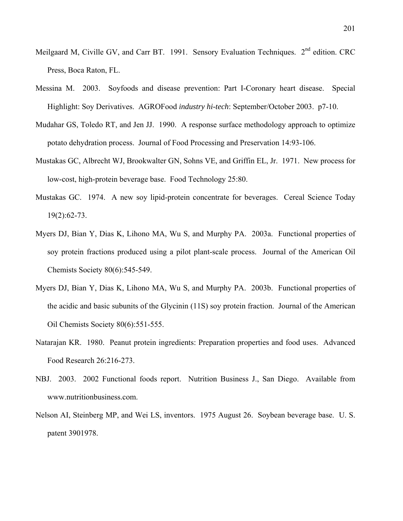- Meilgaard M, Civille GV, and Carr BT. 1991. Sensory Evaluation Techniques. 2<sup>nd</sup> edition. CRC Press, Boca Raton, FL.
- Messina M. 2003. Soyfoods and disease prevention: Part I-Coronary heart disease. Special Highlight: Soy Derivatives. AGROFood *industry hi-tech*: September/October 2003. p7-10.
- Mudahar GS, Toledo RT, and Jen JJ. 1990. A response surface methodology approach to optimize potato dehydration process. Journal of Food Processing and Preservation 14:93-106.
- Mustakas GC, Albrecht WJ, Brookwalter GN, Sohns VE, and Griffin EL, Jr. 1971. New process for low-cost, high-protein beverage base. Food Technology 25:80.
- Mustakas GC. 1974. A new soy lipid-protein concentrate for beverages. Cereal Science Today 19(2):62-73.
- Myers DJ, Bian Y, Dias K, Lihono MA, Wu S, and Murphy PA. 2003a. Functional properties of soy protein fractions produced using a pilot plant-scale process. Journal of the American Oil Chemists Society 80(6):545-549.
- Myers DJ, Bian Y, Dias K, Lihono MA, Wu S, and Murphy PA. 2003b. Functional properties of the acidic and basic subunits of the Glycinin (11S) soy protein fraction. Journal of the American Oil Chemists Society 80(6):551-555.
- Natarajan KR. 1980. Peanut protein ingredients: Preparation properties and food uses. Advanced Food Research 26:216-273.
- NBJ. 2003. 2002 Functional foods report. Nutrition Business J., San Diego. Available from www.nutritionbusiness.com.
- Nelson AI, Steinberg MP, and Wei LS, inventors. 1975 August 26. Soybean beverage base. U. S. patent 3901978.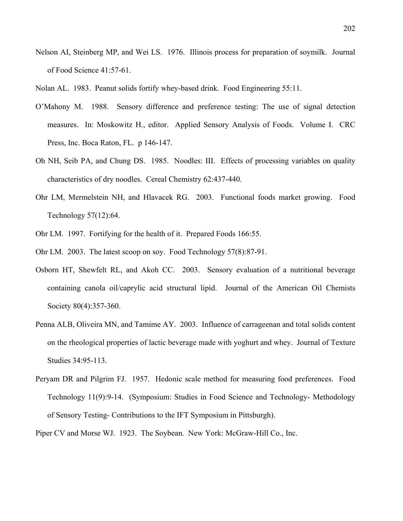Nelson AI, Steinberg MP, and Wei LS. 1976. Illinois process for preparation of soymilk. Journal of Food Science 41:57-61.

Nolan AL. 1983. Peanut solids fortify whey-based drink. Food Engineering 55:11.

- O'Mahony M. 1988. Sensory difference and preference testing: The use of signal detection measures. In: Moskowitz H., editor. Applied Sensory Analysis of Foods. Volume I. CRC Press, Inc. Boca Raton, FL. p 146-147.
- Oh NH, Seib PA, and Chung DS. 1985. Noodles: III. Effects of processing variables on quality characteristics of dry noodles. Cereal Chemistry 62:437-440.
- Ohr LM, Mermelstein NH, and Hlavacek RG. 2003. Functional foods market growing. Food Technology 57(12):64.
- Ohr LM. 1997. Fortifying for the health of it. Prepared Foods 166:55.
- Ohr LM. 2003. The latest scoop on soy. Food Technology 57(8):87-91.
- Osborn HT, Shewfelt RL, and Akoh CC. 2003. Sensory evaluation of a nutritional beverage containing canola oil/caprylic acid structural lipid. Journal of the American Oil Chemists Society 80(4):357-360.
- Penna ALB, Oliveira MN, and Tamime AY. 2003. Influence of carrageenan and total solids content on the rheological properties of lactic beverage made with yoghurt and whey. Journal of Texture Studies 34:95-113.
- Peryam DR and Pilgrim FJ. 1957. Hedonic scale method for measuring food preferences. Food Technology 11(9):9-14. (Symposium: Studies in Food Science and Technology- Methodology of Sensory Testing- Contributions to the IFT Symposium in Pittsburgh).

Piper CV and Morse WJ. 1923. The Soybean. New York: McGraw-Hill Co., Inc.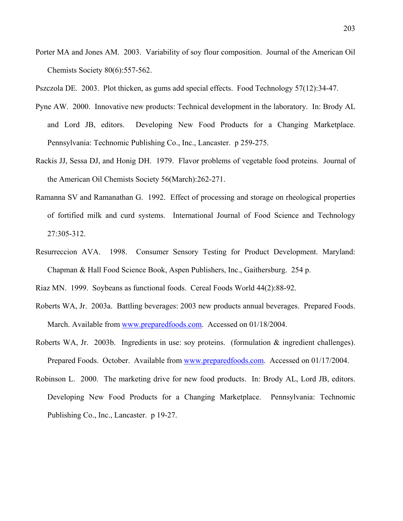Porter MA and Jones AM. 2003. Variability of soy flour composition. Journal of the American Oil Chemists Society 80(6):557-562.

Pszczola DE. 2003. Plot thicken, as gums add special effects. Food Technology 57(12):34-47.

- Pyne AW. 2000. Innovative new products: Technical development in the laboratory. In: Brody AL and Lord JB, editors. Developing New Food Products for a Changing Marketplace. Pennsylvania: Technomic Publishing Co., Inc., Lancaster. p 259-275.
- Rackis JJ, Sessa DJ, and Honig DH. 1979. Flavor problems of vegetable food proteins. Journal of the American Oil Chemists Society 56(March):262-271.
- Ramanna SV and Ramanathan G. 1992. Effect of processing and storage on rheological properties of fortified milk and curd systems. International Journal of Food Science and Technology 27:305-312.
- Resurreccion AVA. 1998. Consumer Sensory Testing for Product Development. Maryland: Chapman & Hall Food Science Book, Aspen Publishers, Inc., Gaithersburg. 254 p.

Riaz MN. 1999. Soybeans as functional foods. Cereal Foods World 44(2):88-92.

- Roberts WA, Jr. 2003a. Battling beverages: 2003 new products annual beverages. Prepared Foods. March. Available from www.preparedfoods.com. Accessed on 01/18/2004.
- Roberts WA, Jr. 2003b. Ingredients in use: soy proteins. (formulation & ingredient challenges). Prepared Foods. October. Available from www.preparedfoods.com. Accessed on 01/17/2004.
- Robinson L. 2000. The marketing drive for new food products. In: Brody AL, Lord JB, editors. Developing New Food Products for a Changing Marketplace. Pennsylvania: Technomic Publishing Co., Inc., Lancaster. p 19-27.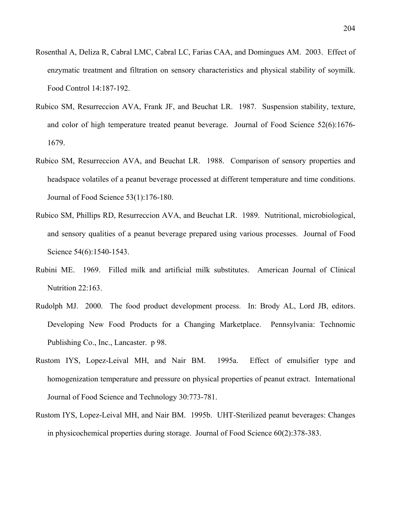- Rosenthal A, Deliza R, Cabral LMC, Cabral LC, Farias CAA, and Domingues AM. 2003. Effect of enzymatic treatment and filtration on sensory characteristics and physical stability of soymilk. Food Control 14:187-192.
- Rubico SM, Resurreccion AVA, Frank JF, and Beuchat LR. 1987. Suspension stability, texture, and color of high temperature treated peanut beverage. Journal of Food Science 52(6):1676- 1679.
- Rubico SM, Resurreccion AVA, and Beuchat LR. 1988. Comparison of sensory properties and headspace volatiles of a peanut beverage processed at different temperature and time conditions. Journal of Food Science 53(1):176-180.
- Rubico SM, Phillips RD, Resurreccion AVA, and Beuchat LR. 1989. Nutritional, microbiological, and sensory qualities of a peanut beverage prepared using various processes. Journal of Food Science 54(6):1540-1543.
- Rubini ME. 1969. Filled milk and artificial milk substitutes. American Journal of Clinical Nutrition 22:163.
- Rudolph MJ. 2000. The food product development process. In: Brody AL, Lord JB, editors. Developing New Food Products for a Changing Marketplace. Pennsylvania: Technomic Publishing Co., Inc., Lancaster. p 98.
- Rustom IYS, Lopez-Leival MH, and Nair BM. 1995a. Effect of emulsifier type and homogenization temperature and pressure on physical properties of peanut extract. International Journal of Food Science and Technology 30:773-781.
- Rustom IYS, Lopez-Leival MH, and Nair BM. 1995b. UHT-Sterilized peanut beverages: Changes in physicochemical properties during storage. Journal of Food Science 60(2):378-383.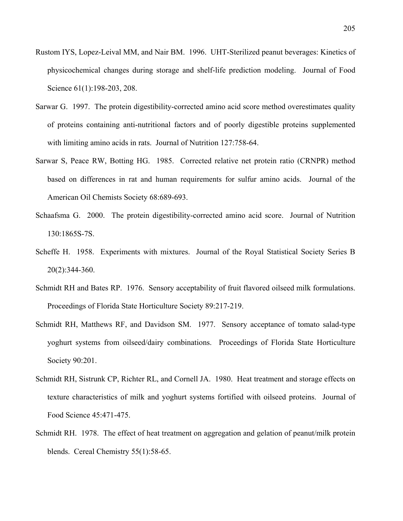- Rustom IYS, Lopez-Leival MM, and Nair BM. 1996. UHT-Sterilized peanut beverages: Kinetics of physicochemical changes during storage and shelf-life prediction modeling. Journal of Food Science 61(1):198-203, 208.
- Sarwar G. 1997. The protein digestibility-corrected amino acid score method overestimates quality of proteins containing anti-nutritional factors and of poorly digestible proteins supplemented with limiting amino acids in rats. Journal of Nutrition 127:758-64.
- Sarwar S, Peace RW, Botting HG. 1985. Corrected relative net protein ratio (CRNPR) method based on differences in rat and human requirements for sulfur amino acids. Journal of the American Oil Chemists Society 68:689-693.
- Schaafsma G. 2000. The protein digestibility-corrected amino acid score. Journal of Nutrition 130:1865S-7S.
- Scheffe H. 1958. Experiments with mixtures. Journal of the Royal Statistical Society Series B 20(2):344-360.
- Schmidt RH and Bates RP. 1976. Sensory acceptability of fruit flavored oilseed milk formulations. Proceedings of Florida State Horticulture Society 89:217-219.
- Schmidt RH, Matthews RF, and Davidson SM. 1977. Sensory acceptance of tomato salad-type yoghurt systems from oilseed/dairy combinations. Proceedings of Florida State Horticulture Society 90:201.
- Schmidt RH, Sistrunk CP, Richter RL, and Cornell JA. 1980. Heat treatment and storage effects on texture characteristics of milk and yoghurt systems fortified with oilseed proteins. Journal of Food Science 45:471-475.
- Schmidt RH. 1978. The effect of heat treatment on aggregation and gelation of peanut/milk protein blends. Cereal Chemistry 55(1):58-65.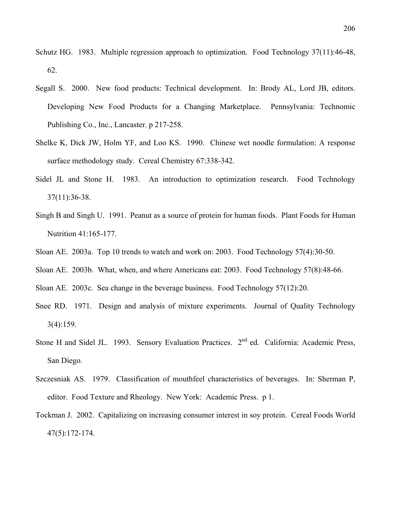- Schutz HG. 1983. Multiple regression approach to optimization. Food Technology 37(11):46-48, 62.
- Segall S. 2000. New food products: Technical development. In: Brody AL, Lord JB, editors. Developing New Food Products for a Changing Marketplace. Pennsylvania: Technomic Publishing Co., Inc., Lancaster. p 217-258.
- Shelke K, Dick JW, Holm YF, and Loo KS. 1990. Chinese wet noodle formulation: A response surface methodology study. Cereal Chemistry 67:338-342.
- Sidel JL and Stone H. 1983. An introduction to optimization research. Food Technology 37(11):36-38.
- Singh B and Singh U. 1991. Peanut as a source of protein for human foods. Plant Foods for Human Nutrition 41:165-177.
- Sloan AE. 2003a. Top 10 trends to watch and work on: 2003. Food Technology 57(4):30-50.
- Sloan AE. 2003b. What, when, and where Americans eat: 2003. Food Technology 57(8):48-66.
- Sloan AE. 2003c. Sea change in the beverage business. Food Technology 57(12):20.
- Snee RD. 1971. Design and analysis of mixture experiments. Journal of Quality Technology 3(4):159.
- Stone H and Sidel JL. 1993. Sensory Evaluation Practices. 2<sup>nd</sup> ed. California: Academic Press, San Diego.
- Szczesniak AS. 1979. Classification of mouthfeel characteristics of beverages. In: Sherman P, editor. Food Texture and Rheology. New York: Academic Press. p 1.
- Tockman J. 2002. Capitalizing on increasing consumer interest in soy protein. Cereal Foods World 47(5):172-174.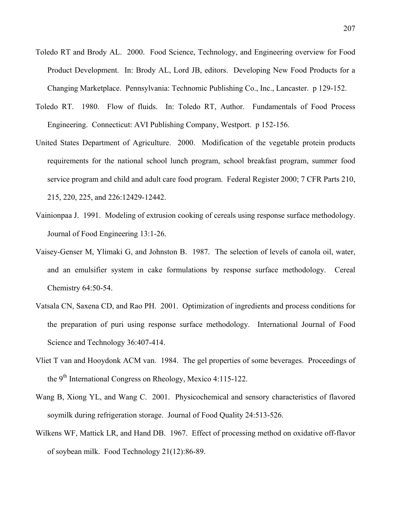- Toledo RT and Brody AL. 2000. Food Science, Technology, and Engineering overview for Food Product Development. In: Brody AL, Lord JB, editors. Developing New Food Products for a Changing Marketplace. Pennsylvania: Technomic Publishing Co., Inc., Lancaster. p 129-152.
- Toledo RT. 1980. Flow of fluids. In: Toledo RT, Author. Fundamentals of Food Process Engineering. Connecticut: AVI Publishing Company, Westport. p 152-156.
- United States Department of Agriculture. 2000. Modification of the vegetable protein products requirements for the national school lunch program, school breakfast program, summer food service program and child and adult care food program. Federal Register 2000; 7 CFR Parts 210, 215, 220, 225, and 226:12429-12442.
- Vainionpaa J. 1991. Modeling of extrusion cooking of cereals using response surface methodology. Journal of Food Engineering 13:1-26.
- Vaisey-Genser M, Ylimaki G, and Johnston B. 1987. The selection of levels of canola oil, water, and an emulsifier system in cake formulations by response surface methodology. Cereal Chemistry 64:50-54.
- Vatsala CN, Saxena CD, and Rao PH. 2001. Optimization of ingredients and process conditions for the preparation of puri using response surface methodology. International Journal of Food Science and Technology 36:407-414.
- Vliet T van and Hooydonk ACM van. 1984. The gel properties of some beverages. Proceedings of the 9th International Congress on Rheology, Mexico 4:115-122.
- Wang B, Xiong YL, and Wang C. 2001. Physicochemical and sensory characteristics of flavored soymilk during refrigeration storage. Journal of Food Quality 24:513-526.
- Wilkens WF, Mattick LR, and Hand DB. 1967. Effect of processing method on oxidative off-flavor of soybean milk. Food Technology 21(12):86-89.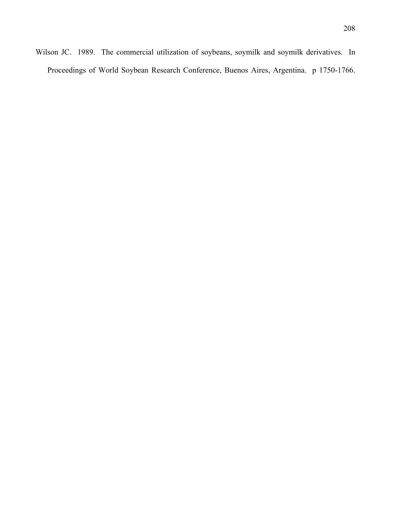Wilson JC. 1989. The commercial utilization of soybeans, soymilk and soymilk derivatives. In Proceedings of World Soybean Research Conference, Buenos Aires, Argentina. p 1750-1766.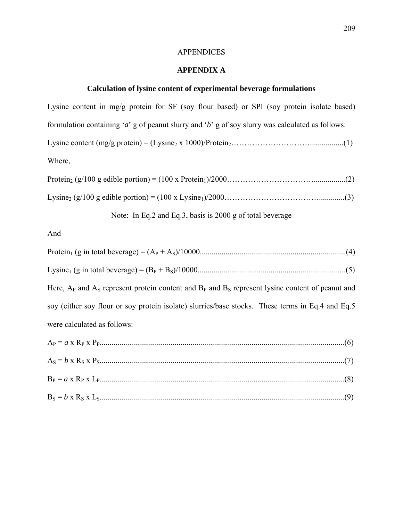# APPENDICES

# **APPENDIX A**

# **Calculation of lysine content of experimental beverage formulations**

| Lysine content in mg/g protein for SF (soy flour based) or SPI (soy protein isolate based)             |
|--------------------------------------------------------------------------------------------------------|
| formulation containing 'a' g of peanut slurry and 'b' g of soy slurry was calculated as follows:       |
|                                                                                                        |
| Where,                                                                                                 |
|                                                                                                        |
|                                                                                                        |
| Note: In Eq.2 and Eq.3, basis is 2000 g of total beverage                                              |
| And                                                                                                    |
|                                                                                                        |
|                                                                                                        |
| Here, $AP$ and $AS$ represent protein content and $BP$ and $BS$ represent lysine content of peanut and |
|                                                                                                        |
| soy (either soy flour or soy protein isolate) slurries/base stocks. These terms in Eq.4 and Eq.5       |
| were calculated as follows:                                                                            |
|                                                                                                        |
|                                                                                                        |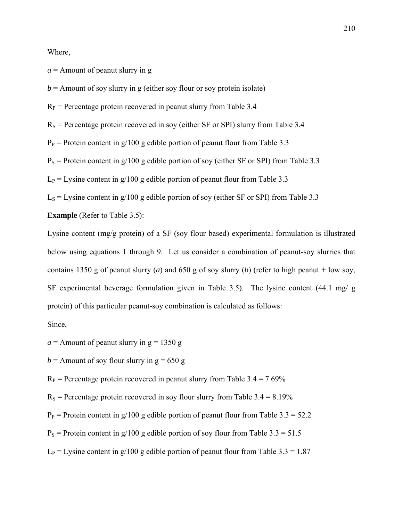Where,

 $a =$  Amount of peanut slurry in g

 $b =$  Amount of soy slurry in g (either soy flour or soy protein isolate)

 $R_P$  = Percentage protein recovered in peanut slurry from Table 3.4

 $R<sub>S</sub>$  = Percentage protein recovered in soy (either SF or SPI) slurry from Table 3.4

 $P_P$  = Protein content in g/100 g edible portion of peanut flour from Table 3.3

 $P<sub>S</sub>$  = Protein content in g/100 g edible portion of soy (either SF or SPI) from Table 3.3

 $L_P = L$ ysine content in g/100 g edible portion of peanut flour from Table 3.3

 $L<sub>S</sub> = L<sub>Y</sub>$ sine content in g/100 g edible portion of soy (either SF or SPI) from Table 3.3

**Example** (Refer to Table 3.5):

Lysine content (mg/g protein) of a SF (soy flour based) experimental formulation is illustrated below using equations 1 through 9. Let us consider a combination of peanut-soy slurries that contains 1350 g of peanut slurry (*a*) and 650 g of soy slurry (*b*) (refer to high peanut + low soy, SF experimental beverage formulation given in Table 3.5). The lysine content (44.1 mg/ g protein) of this particular peanut-soy combination is calculated as follows:

Since,

 $a =$  Amount of peanut slurry in  $g = 1350 g$ 

 $b =$  Amount of soy flour slurry in  $g = 650$  g

 $R_P$  = Percentage protein recovered in peanut slurry from Table 3.4 = 7.69%

 $R<sub>S</sub>$  = Percentage protein recovered in soy flour slurry from Table 3.4 = 8.19%

 $P_P$  = Protein content in g/100 g edible portion of peanut flour from Table 3.3 = 52.2

 $P<sub>S</sub>$  = Protein content in g/100 g edible portion of soy flour from Table 3.3 = 51.5

 $L_P$  = Lysine content in g/100 g edible portion of peanut flour from Table 3.3 = 1.87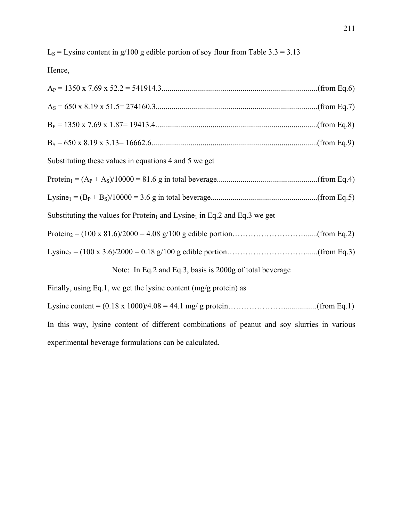$L<sub>S</sub> = L<sub>Y</sub>$ sine content in g/100 g edible portion of soy flour from Table 3.3 = 3.13

Hence,

| Substituting these values in equations 4 and 5 we get                                            |
|--------------------------------------------------------------------------------------------------|
|                                                                                                  |
|                                                                                                  |
| Substituting the values for Protein <sub>1</sub> and Lysine <sub>1</sub> in Eq.2 and Eq.3 we get |
|                                                                                                  |
|                                                                                                  |
| Note: In Eq.2 and Eq.3, basis is 2000g of total beverage                                         |
| Finally, using Eq.1, we get the lysine content $(mg/g)$ protein) as                              |
|                                                                                                  |
| In this way, lysine content of different combinations of peanut and soy slurries in various      |

experimental beverage formulations can be calculated.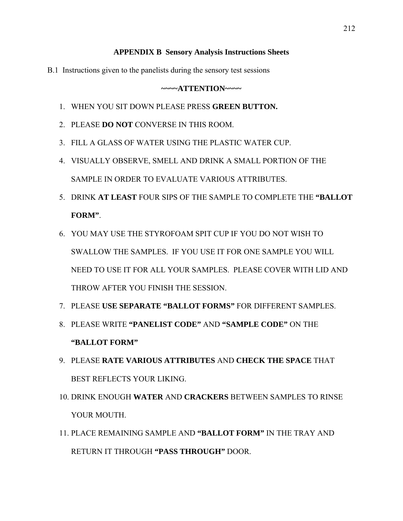### **APPENDIX B Sensory Analysis Instructions Sheets**

B.1 Instructions given to the panelists during the sensory test sessions

### **~~~~ATTENTION~~~~**

- 1. WHEN YOU SIT DOWN PLEASE PRESS **GREEN BUTTON.**
- 2. PLEASE **DO NOT** CONVERSE IN THIS ROOM.
- 3. FILL A GLASS OF WATER USING THE PLASTIC WATER CUP.
- 4. VISUALLY OBSERVE, SMELL AND DRINK A SMALL PORTION OF THE SAMPLE IN ORDER TO EVALUATE VARIOUS ATTRIBUTES.
- 5. DRINK **AT LEAST** FOUR SIPS OF THE SAMPLE TO COMPLETE THE **"BALLOT FORM"**.
- 6. YOU MAY USE THE STYROFOAM SPIT CUP IF YOU DO NOT WISH TO SWALLOW THE SAMPLES. IF YOU USE IT FOR ONE SAMPLE YOU WILL NEED TO USE IT FOR ALL YOUR SAMPLES. PLEASE COVER WITH LID AND THROW AFTER YOU FINISH THE SESSION.
- 7. PLEASE **USE SEPARATE "BALLOT FORMS"** FOR DIFFERENT SAMPLES.
- 8. PLEASE WRITE **"PANELIST CODE"** AND **"SAMPLE CODE"** ON THE **"BALLOT FORM"**
- 9. PLEASE **RATE VARIOUS ATTRIBUTES** AND **CHECK THE SPACE** THAT BEST REFLECTS YOUR LIKING.
- 10. DRINK ENOUGH **WATER** AND **CRACKERS** BETWEEN SAMPLES TO RINSE YOUR MOUTH.
- 11. PLACE REMAINING SAMPLE AND **"BALLOT FORM"** IN THE TRAY AND RETURN IT THROUGH **"PASS THROUGH"** DOOR.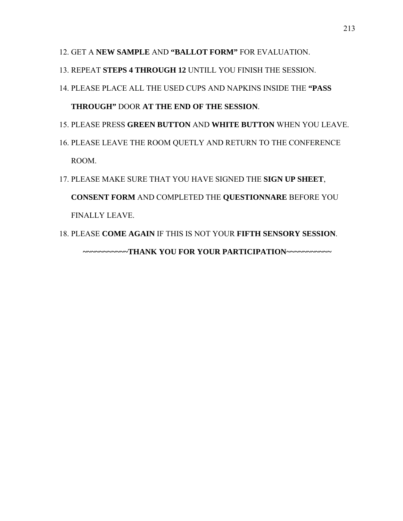- 12. GET A **NEW SAMPLE** AND **"BALLOT FORM"** FOR EVALUATION.
- 13. REPEAT **STEPS 4 THROUGH 12** UNTILL YOU FINISH THE SESSION.
- 14. PLEASE PLACE ALL THE USED CUPS AND NAPKINS INSIDE THE **"PASS THROUGH"** DOOR **AT THE END OF THE SESSION**.
- 15. PLEASE PRESS **GREEN BUTTON** AND **WHITE BUTTON** WHEN YOU LEAVE.
- 16. PLEASE LEAVE THE ROOM QUETLY AND RETURN TO THE CONFERENCE ROOM.
- 17. PLEASE MAKE SURE THAT YOU HAVE SIGNED THE **SIGN UP SHEET**, **CONSENT FORM** AND COMPLETED THE **QUESTIONNARE** BEFORE YOU FINALLY LEAVE.
- 18. PLEASE **COME AGAIN** IF THIS IS NOT YOUR **FIFTH SENSORY SESSION**. **~~~~~~~~~~~THANK YOU FOR YOUR PARTICIPATION~~~~~~~~~~~**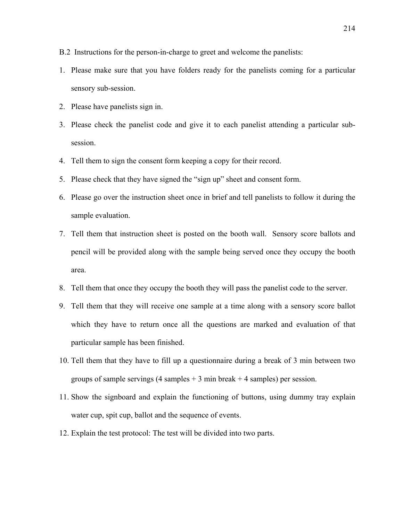- B.2 Instructions for the person-in-charge to greet and welcome the panelists:
- 1. Please make sure that you have folders ready for the panelists coming for a particular sensory sub-session.
- 2. Please have panelists sign in.
- 3. Please check the panelist code and give it to each panelist attending a particular subsession.
- 4. Tell them to sign the consent form keeping a copy for their record.
- 5. Please check that they have signed the "sign up" sheet and consent form.
- 6. Please go over the instruction sheet once in brief and tell panelists to follow it during the sample evaluation.
- 7. Tell them that instruction sheet is posted on the booth wall. Sensory score ballots and pencil will be provided along with the sample being served once they occupy the booth area.
- 8. Tell them that once they occupy the booth they will pass the panelist code to the server.
- 9. Tell them that they will receive one sample at a time along with a sensory score ballot which they have to return once all the questions are marked and evaluation of that particular sample has been finished.
- 10. Tell them that they have to fill up a questionnaire during a break of 3 min between two groups of sample servings  $(4 \text{ samples} + 3 \text{ min break} + 4 \text{ samples})$  per session.
- 11. Show the signboard and explain the functioning of buttons, using dummy tray explain water cup, spit cup, ballot and the sequence of events.
- 12. Explain the test protocol: The test will be divided into two parts.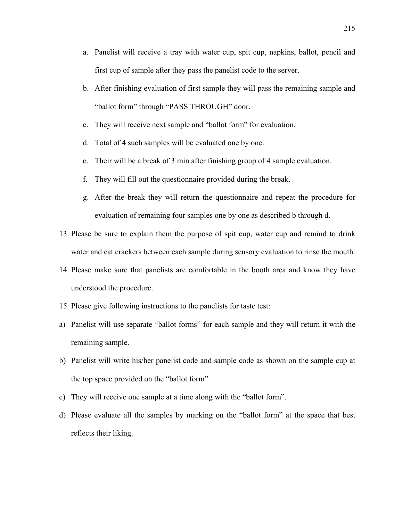- a. Panelist will receive a tray with water cup, spit cup, napkins, ballot, pencil and first cup of sample after they pass the panelist code to the server.
- b. After finishing evaluation of first sample they will pass the remaining sample and "ballot form" through "PASS THROUGH" door.
- c. They will receive next sample and "ballot form" for evaluation.
- d. Total of 4 such samples will be evaluated one by one.
- e. Their will be a break of 3 min after finishing group of 4 sample evaluation.
- f. They will fill out the questionnaire provided during the break.
- g. After the break they will return the questionnaire and repeat the procedure for evaluation of remaining four samples one by one as described b through d.
- 13. Please be sure to explain them the purpose of spit cup, water cup and remind to drink water and eat crackers between each sample during sensory evaluation to rinse the mouth.
- 14. Please make sure that panelists are comfortable in the booth area and know they have understood the procedure.
- 15. Please give following instructions to the panelists for taste test:
- a) Panelist will use separate "ballot forms" for each sample and they will return it with the remaining sample.
- b) Panelist will write his/her panelist code and sample code as shown on the sample cup at the top space provided on the "ballot form".
- c) They will receive one sample at a time along with the "ballot form".
- d) Please evaluate all the samples by marking on the "ballot form" at the space that best reflects their liking.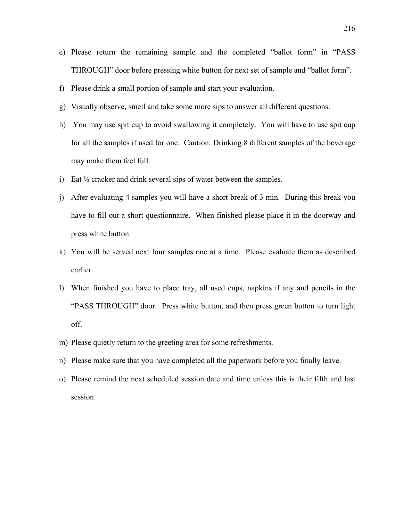- e) Please return the remaining sample and the completed "ballot form" in "PASS THROUGH" door before pressing white button for next set of sample and "ballot form".
- f) Please drink a small portion of sample and start your evaluation.
- g) Visually observe, smell and take some more sips to answer all different questions.
- h) You may use spit cup to avoid swallowing it completely. You will have to use spit cup for all the samples if used for one. Caution: Drinking 8 different samples of the beverage may make them feel full.
- i) Eat  $\frac{1}{2}$  cracker and drink several sips of water between the samples.
- j) After evaluating 4 samples you will have a short break of 3 min. During this break you have to fill out a short questionnaire. When finished please place it in the doorway and press white button.
- k) You will be served next four samples one at a time. Please evaluate them as described earlier.
- l) When finished you have to place tray, all used cups, napkins if any and pencils in the "PASS THROUGH" door. Press white button, and then press green button to turn light off.
- m) Please quietly return to the greeting area for some refreshments.
- n) Please make sure that you have completed all the paperwork before you finally leave.
- o) Please remind the next scheduled session date and time unless this is their fifth and last session.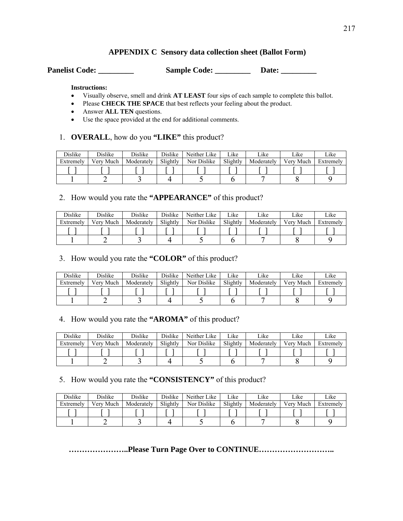## **APPENDIX C Sensory data collection sheet (Ballot Form)**

Panelist Code: \_\_\_\_\_\_\_\_\_\_ Sample Code: \_\_\_\_\_\_\_\_\_ Date: \_\_\_\_\_\_\_\_\_

#### **Instructions:**

- Visually observe, smell and drink **AT LEAST** four sips of each sample to complete this ballot.
- Please **CHECK THE SPACE** that best reflects your feeling about the product.
- Answer **ALL TEN** questions.
- Use the space provided at the end for additional comments.

### 1. **OVERALL**, how do you **"LIKE"** this product?

| <b>Dislike</b> | <b>Dislike</b> | <b>Dislike</b> | <b>Dislike</b> | Neither Like | ∟ike     | Like       | Like      | Like      |
|----------------|----------------|----------------|----------------|--------------|----------|------------|-----------|-----------|
| Extremely      | Verv Much      | Moderately     | Slightly       | Nor Dislike  | Slightly | Moderately | Very Much | Extremely |
|                |                |                |                |              |          |            |           |           |
|                |                |                |                |              |          |            |           |           |

# 2. How would you rate the **"APPEARANCE"** of this product?

| Dislike   | Dislike   | <b>Dislike</b> | Dislike  | Neither Like | ∟ike     | Like       | Like      | Like      |
|-----------|-----------|----------------|----------|--------------|----------|------------|-----------|-----------|
| Extremely | Verv Much | Moderately     | Slightly | Nor Dislike  | Slightly | Moderately | Very Much | Extremely |
|           |           |                |          |              |          |            |           |           |
|           |           |                |          |              |          |            |           |           |

## 3. How would you rate the **"COLOR"** of this product?

| <b>Dislike</b> | <b>Dislike</b> | <b>Dislike</b> | <b>Dislike</b> | Neither Like | ∟ike     | Like       | Like      | Like      |
|----------------|----------------|----------------|----------------|--------------|----------|------------|-----------|-----------|
| Extremely      | Very Much      | Moderately     | Slightly       | Nor Dislike  | Slightly | Moderately | Very Much | Extremely |
|                |                |                |                |              |          |            |           |           |
|                |                |                |                |              |          |            |           |           |

### 4. How would you rate the **"AROMA"** of this product?

| <b>Dislike</b> | <b>Dislike</b> | <b>Dislike</b> | <b>Dislike</b> | Neither Like | Like     | Like       | Like      | Like      |
|----------------|----------------|----------------|----------------|--------------|----------|------------|-----------|-----------|
| Extremely      | Verv Much      | Moderately     | Slightly       | Nor Dislike  | Slightly | Moderately | Verv Much | Extremely |
|                |                |                |                |              |          |            |           |           |
|                |                |                |                |              |          |            |           |           |

### 5. How would you rate the **"CONSISTENCY"** of this product?

| <b>Dislike</b> | <b>Dislike</b> | <b>Dislike</b> | <b>Dislike</b> | Neither Like | Like     | Like       | Like      | Like      |
|----------------|----------------|----------------|----------------|--------------|----------|------------|-----------|-----------|
| Extremely      | Much<br>Verv   | Moderately     | Slightly       | Nor Dislike  | Slightly | Moderately | Verv Much | Extremely |
|                |                |                |                |              |          |            |           |           |
|                |                |                |                |              |          |            |           |           |

**…………………..Please Turn Page Over to CONTINUE………………………..**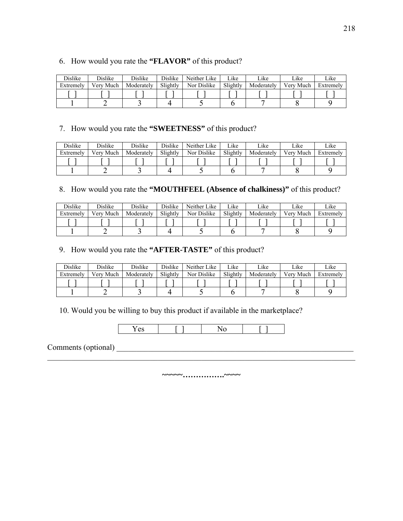### 6. How would you rate the **"FLAVOR"** of this product?

| Dislike   | Dislike   | Dislike    | Dislike  | Neither Like | Like     | Like       | ∟ike      | Like      |
|-----------|-----------|------------|----------|--------------|----------|------------|-----------|-----------|
| Extremely | Very Much | Moderately | Slightly | Nor Dislike  | Slightly | Moderately | Verv Much | Extremely |
|           |           |            |          |              |          |            |           |           |
|           |           |            |          |              |          |            |           |           |

## 7. How would you rate the **"SWEETNESS"** of this product?

| <b>Dislike</b> | <b>Dislike</b> | <b>Dislike</b> | Dislike  | Neither Like | Like     | Like       | Like      | Like      |
|----------------|----------------|----------------|----------|--------------|----------|------------|-----------|-----------|
| Extremely      | Verv Much      | Moderately     | Slightly | Nor Dislike  | Slightly | Moderately | Verv Much | Extremely |
|                |                |                |          |              |          |            |           |           |
|                |                |                |          |              |          |            |           |           |

# 8. How would you rate the **"MOUTHFEEL (Absence of chalkiness)"** of this product?

| <b>Dislike</b> | <b>Dislike</b> | <b>Dislike</b> | <b>Dislike</b> | Neither Like | Like     | Like       | Like      | Like      |
|----------------|----------------|----------------|----------------|--------------|----------|------------|-----------|-----------|
| Extremely      | Verv Much      | Moderately     | Slightly       | Nor Dislike  | Slightly | Moderately | Verv Much | Extremely |
|                |                |                |                |              |          |            |           |           |
|                |                |                |                |              |          |            |           |           |

### 9. How would you rate the **"AFTER-TASTE"** of this product?

| Dislike   | Dislike   | <b>Dislike</b> | <b>Dislike</b> | Neither Like | ∟ike     | Like       | Like      | Like      |
|-----------|-----------|----------------|----------------|--------------|----------|------------|-----------|-----------|
| Extremely | Verv Much | Moderately     | Slightly       | Nor Dislike  | Slightly | Moderately | Very Much | Extremely |
|           |           |                |                |              |          |            |           |           |
|           |           |                |                |              |          |            |           |           |

10. Would you be willing to buy this product if available in the marketplace?



Comments (optional) \_\_\_\_\_\_\_\_\_\_\_\_\_\_\_\_\_\_\_\_\_\_\_\_\_\_\_\_\_\_\_\_\_\_\_\_\_\_\_\_\_\_\_\_\_\_\_\_\_\_\_\_\_\_\_\_\_\_\_\_

**~~~~~…………….~~~~**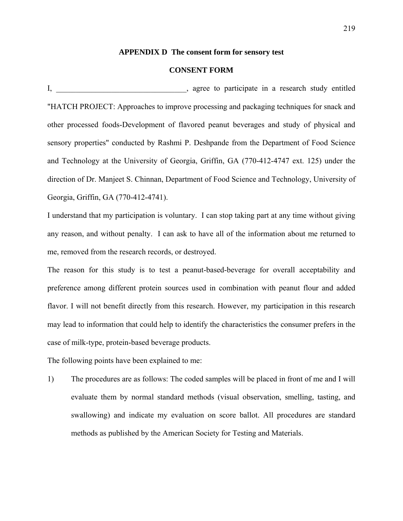#### **APPENDIX D The consent form for sensory test**

### **CONSENT FORM**

I, agree to participate in a research study entitled "HATCH PROJECT: Approaches to improve processing and packaging techniques for snack and other processed foods-Development of flavored peanut beverages and study of physical and sensory properties" conducted by Rashmi P. Deshpande from the Department of Food Science and Technology at the University of Georgia, Griffin, GA (770-412-4747 ext. 125) under the direction of Dr. Manjeet S. Chinnan, Department of Food Science and Technology, University of Georgia, Griffin, GA (770-412-4741).

I understand that my participation is voluntary. I can stop taking part at any time without giving any reason, and without penalty. I can ask to have all of the information about me returned to me, removed from the research records, or destroyed.

The reason for this study is to test a peanut-based-beverage for overall acceptability and preference among different protein sources used in combination with peanut flour and added flavor. I will not benefit directly from this research. However, my participation in this research may lead to information that could help to identify the characteristics the consumer prefers in the case of milk-type, protein-based beverage products.

The following points have been explained to me:

1) The procedures are as follows: The coded samples will be placed in front of me and I will evaluate them by normal standard methods (visual observation, smelling, tasting, and swallowing) and indicate my evaluation on score ballot. All procedures are standard methods as published by the American Society for Testing and Materials.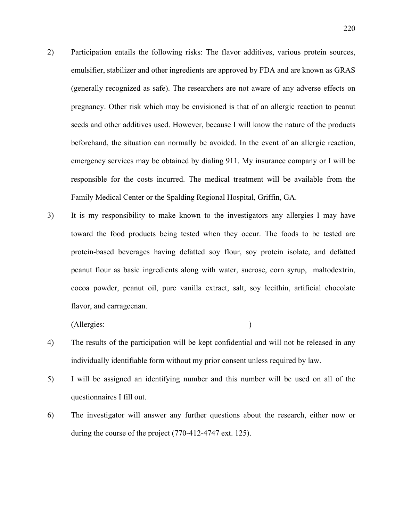- 2) Participation entails the following risks: The flavor additives, various protein sources, emulsifier, stabilizer and other ingredients are approved by FDA and are known as GRAS (generally recognized as safe). The researchers are not aware of any adverse effects on pregnancy. Other risk which may be envisioned is that of an allergic reaction to peanut seeds and other additives used. However, because I will know the nature of the products beforehand, the situation can normally be avoided. In the event of an allergic reaction, emergency services may be obtained by dialing 911. My insurance company or I will be responsible for the costs incurred. The medical treatment will be available from the Family Medical Center or the Spalding Regional Hospital, Griffin, GA.
- 3) It is my responsibility to make known to the investigators any allergies I may have toward the food products being tested when they occur. The foods to be tested are protein-based beverages having defatted soy flour, soy protein isolate, and defatted peanut flour as basic ingredients along with water, sucrose, corn syrup, maltodextrin, cocoa powder, peanut oil, pure vanilla extract, salt, soy lecithin, artificial chocolate flavor, and carrageenan.

(Allergies: )

- 4) The results of the participation will be kept confidential and will not be released in any individually identifiable form without my prior consent unless required by law.
- 5) I will be assigned an identifying number and this number will be used on all of the questionnaires I fill out.
- 6) The investigator will answer any further questions about the research, either now or during the course of the project (770-412-4747 ext. 125).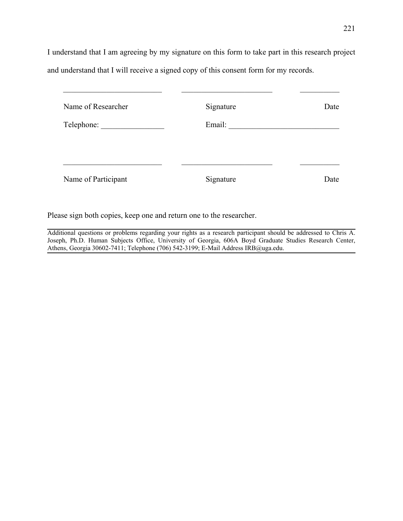I understand that I am agreeing by my signature on this form to take part in this research project and understand that I will receive a signed copy of this consent form for my records.

| Name of Researcher  | Signature | Date |
|---------------------|-----------|------|
| Telephone:          | Email:    |      |
|                     |           |      |
|                     |           |      |
| Name of Participant | Signature | Date |
|                     |           |      |

Please sign both copies, keep one and return one to the researcher.

Additional questions or problems regarding your rights as a research participant should be addressed to Chris A. Joseph, Ph.D. Human Subjects Office, University of Georgia, 606A Boyd Graduate Studies Research Center, Athens, Georgia 30602-7411; Telephone (706) 542-3199; E-Mail Address IRB@uga.edu.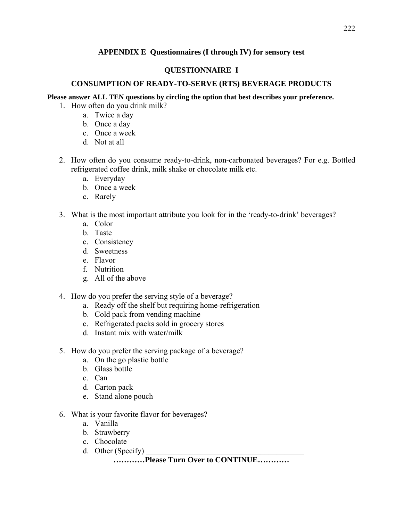### **APPENDIX E Questionnaires (I through IV) for sensory test**

### **QUESTIONNAIRE I**

### **CONSUMPTION OF READY-TO-SERVE (RTS) BEVERAGE PRODUCTS**

### **Please answer ALL TEN questions by circling the option that best describes your preference.**

- 1. How often do you drink milk?
	- a. Twice a day
	- b. Once a day
	- c. Once a week
	- d. Not at all
- 2. How often do you consume ready-to-drink, non-carbonated beverages? For e.g. Bottled refrigerated coffee drink, milk shake or chocolate milk etc.
	- a. Everyday
	- b. Once a week
	- c. Rarely
- 3. What is the most important attribute you look for in the 'ready-to-drink' beverages?
	- a. Color
	- b. Taste
	- c. Consistency
	- d. Sweetness
	- e. Flavor
	- f. Nutrition
	- g. All of the above
- 4. How do you prefer the serving style of a beverage?
	- a. Ready off the shelf but requiring home-refrigeration
	- b. Cold pack from vending machine
	- c. Refrigerated packs sold in grocery stores
	- d. Instant mix with water/milk
- 5. How do you prefer the serving package of a beverage?
	- a. On the go plastic bottle
	- b. Glass bottle
	- c. Can
	- d. Carton pack
	- e. Stand alone pouch
- 6. What is your favorite flavor for beverages?
	- a. Vanilla
	- b. Strawberry
	- c. Chocolate
	- d. Other (Specify)

# **…………Please Turn Over to CONTINUE…………**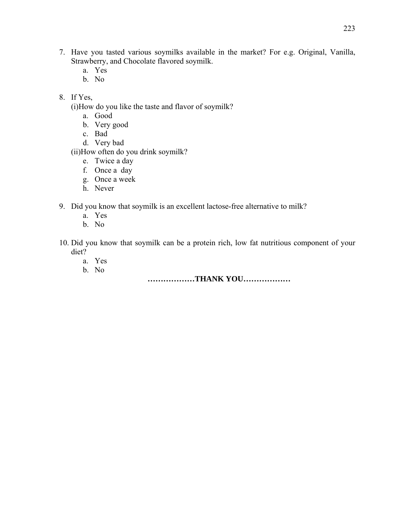- 7. Have you tasted various soymilks available in the market? For e.g. Original, Vanilla, Strawberry, and Chocolate flavored soymilk.
	- a. Yes
	- b. No
- 8. If Yes,
	- (i)How do you like the taste and flavor of soymilk?
		- a. Good
		- b. Very good
		- c. Bad
		- d. Very bad
	- (ii)How often do you drink soymilk?
		- e. Twice a day
		- f. Once a day
		- g. Once a week
		- h. Never
- 9. Did you know that soymilk is an excellent lactose-free alternative to milk?
	- a. Yes
	- b. No
- 10. Did you know that soymilk can be a protein rich, low fat nutritious component of your diet?
	- a. Yes
	- b. No

**………………THANK YOU………………**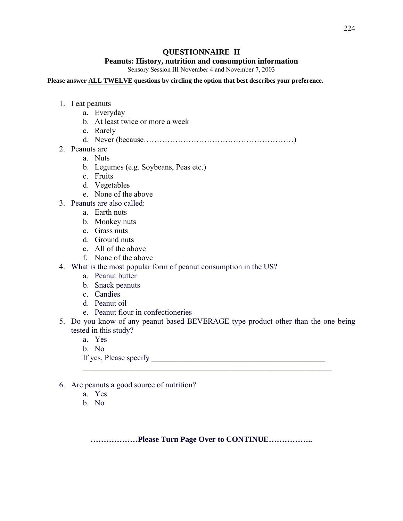### **QUESTIONNAIRE II**

#### **Peanuts: History, nutrition and consumption information**

Sensory Session III November 4 and November 7, 2003

#### **Please answer ALL TWELVE questions by circling the option that best describes your preference.**

- 1. I eat peanuts
	- a. Everyday
	- b. At least twice or more a week
	- c. Rarely
	- d. Never (because…………………………………………………)
- 2. Peanuts are
	- a. Nuts
	- b. Legumes (e.g. Soybeans, Peas etc.)
	- c. Fruits
	- d. Vegetables
	- e. None of the above
- 3. Peanuts are also called:
	- a. Earth nuts
	- b. Monkey nuts
	- c. Grass nuts
	- d. Ground nuts
	- e. All of the above
	- f. None of the above
- 4. What is the most popular form of peanut consumption in the US?
	- a. Peanut butter
	- b. Snack peanuts
	- c. Candies
	- d. Peanut oil
	- e. Peanut flour in confectioneries
- 5. Do you know of any peanut based BEVERAGE type product other than the one being tested in this study?

 $\mathcal{L}_\text{max}$  , and the contribution of the contribution of the contribution of the contribution of the contribution of the contribution of the contribution of the contribution of the contribution of the contribution of t

- a. Yes
- b. No

If yes, Please specify \_\_\_\_\_\_\_\_\_\_\_\_\_\_\_\_\_\_\_\_\_\_\_\_\_\_\_\_\_\_\_\_\_\_\_\_\_\_\_\_\_\_\_\_

- 6. Are peanuts a good source of nutrition?
	- a. Yes
	- b. No

**………………Please Turn Page Over to CONTINUE……………..**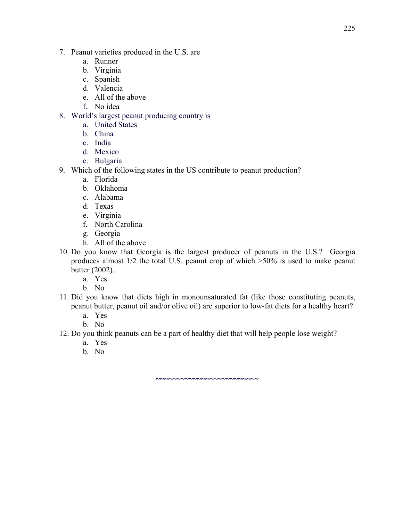- 7. Peanut varieties produced in the U.S. are
	- a. Runner
	- b. Virginia
	- c. Spanish
	- d. Valencia
	- e. All of the above
	- f. No idea
- 8. World's largest peanut producing country is
	- a. United States
	- b. China
	- c. India
	- d. Mexico
	- e. Bulgaria
- 9. Which of the following states in the US contribute to peanut production?
	- a. Florida
	- b. Oklahoma
	- c. Alabama
	- d. Texas
	- e. Virginia
	- f. North Carolina
	- g. Georgia
	- h. All of the above
- 10. Do you know that Georgia is the largest producer of peanuts in the U.S.? Georgia produces almost 1/2 the total U.S. peanut crop of which >50% is used to make peanut butter (2002).
	- a. Yes
	- b. No
- 11. Did you know that diets high in monounsaturated fat (like those constituting peanuts, peanut butter, peanut oil and/or olive oil) are superior to low-fat diets for a healthy heart?

**~~~~~~~~~~~~~~~~~~~~~~~~~** 

- a. Yes
- b. No
- 12. Do you think peanuts can be a part of healthy diet that will help people lose weight?
	- a. Yes
	- b. No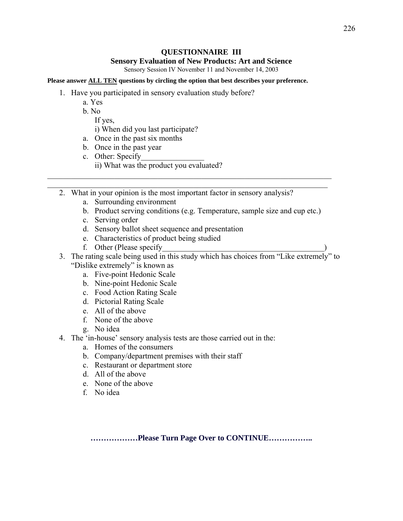### **QUESTIONNAIRE III**

#### **Sensory Evaluation of New Products: Art and Science**

Sensory Session IV November 11 and November 14, 2003

#### **Please answer ALL TEN questions by circling the option that best describes your preference.**

- 1. Have you participated in sensory evaluation study before?
	- a. Yes
	- b. No

If yes,

i) When did you last participate?

- a. Once in the past six months
- b. Once in the past year
- c. Other: Specify

ii) What was the product you evaluated?

2. What in your opinion is the most important factor in sensory analysis?

 $\mathcal{L}_\text{max}$  , and the contribution of the contribution of the contribution of the contribution of the contribution of the contribution of the contribution of the contribution of the contribution of the contribution of t  $\mathcal{L}_\text{max}$  , and the contribution of the contribution of the contribution of the contribution of the contribution of the contribution of the contribution of the contribution of the contribution of the contribution of t

- a. Surrounding environment
- b. Product serving conditions (e.g. Temperature, sample size and cup etc.)
- c. Serving order
- d. Sensory ballot sheet sequence and presentation
- e. Characteristics of product being studied
- f. Other (Please specify
- 3. The rating scale being used in this study which has choices from "Like extremely" to "Dislike extremely" is known as
	- a. Five-point Hedonic Scale
	- b. Nine-point Hedonic Scale
	- c. Food Action Rating Scale
	- d. Pictorial Rating Scale
	- e. All of the above
	- f. None of the above
	- g. No idea
- 4. The 'in-house' sensory analysis tests are those carried out in the:
	- a. Homes of the consumers
	- b. Company/department premises with their staff
	- c. Restaurant or department store
	- d. All of the above
	- e. None of the above
	- f. No idea

**………………Please Turn Page Over to CONTINUE……………..**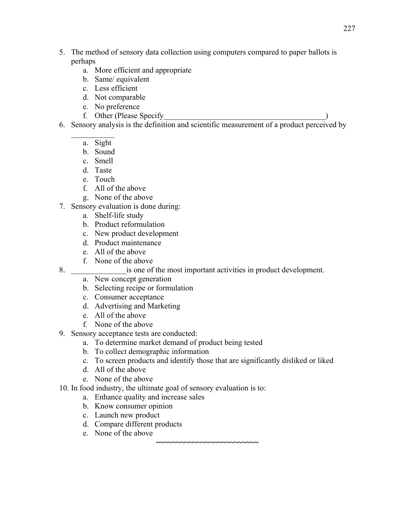- 5. The method of sensory data collection using computers compared to paper ballots is perhaps
	- a. More efficient and appropriate
	- b. Same/ equivalent
	- c. Less efficient
	- d. Not comparable
	- e. No preference
	- f. Other (Please Specify Theorem 2014)
- 6. Sensory analysis is the definition and scientific measurement of a product perceived by
	- $\mathcal{L}_\text{max}$ a. Sight
		- b. Sound
		- c. Smell
		- d. Taste
		- e. Touch
		- f. All of the above
		- g. None of the above
- 7. Sensory evaluation is done during:
	- a. Shelf-life study
	- b. Product reformulation
	- c. New product development
	- d. Product maintenance
	- e. All of the above
	- f. None of the above
- 8.  $\blacksquare$  is one of the most important activities in product development.
	- a. New concept generation
	- b. Selecting recipe or formulation
	- c. Consumer acceptance
	- d. Advertising and Marketing
	- e. All of the above
	- f. None of the above
- 9. Sensory acceptance tests are conducted:
	- a. To determine market demand of product being tested
	- b. To collect demographic information
	- c. To screen products and identify those that are significantly disliked or liked

**~~~~~~~~~~~~~~~~~~~~~~~~~** 

- d. All of the above
- e. None of the above
- 10. In food industry, the ultimate goal of sensory evaluation is to:
	- a. Enhance quality and increase sales
	- b. Know consumer opinion
	- c. Launch new product
	- d. Compare different products
	- e. None of the above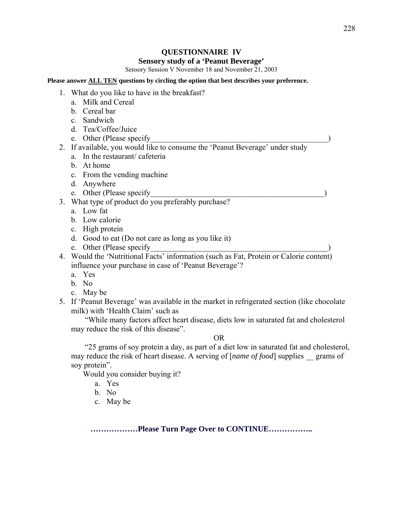#### 228

### **QUESTIONNAIRE IV**

#### **Sensory study of a 'Peanut Beverage'**

Sensory Session V November 18 and November 21, 2003

#### **Please answer ALL TEN questions by circling the option that best describes your preference.**

- 1. What do you like to have in the breakfast?
	- a. Milk and Cereal
	- b. Cereal bar
	- c. Sandwich
	- d. Tea/Coffee/Juice
	- e. Other (Please specify
- 2. If available, you would like to consume the 'Peanut Beverage' under study
	- a. In the restaurant/ cafeteria
	- b. At home
	- c. From the vending machine
	- d. Anywhere
	- e. Other (Please specify
- 3. What type of product do you preferably purchase?
	- a. Low fat
	- b. Low calorie
	- c. High protein
	- d. Good to eat (Do not care as long as you like it)
	- e. Other (Please specify
- 4. Would the 'Nutritional Facts' information (such as Fat, Protein or Calorie content) influence your purchase in case of 'Peanut Beverage'?
	- a. Yes
	- b. No
	- c. May be
- 5. If 'Peanut Beverage' was available in the market in refrigerated section (like chocolate milk) with 'Health Claim' such as

 "While many factors affect heart disease, diets low in saturated fat and cholesterol may reduce the risk of this disease".

#### OR

 "25 grams of soy protein a day, as part of a diet low in saturated fat and cholesterol, may reduce the risk of heart disease. A serving of [*name of food*] supplies grams of soy protein".

Would you consider buying it?

a. Yes

- b. No
- c. May be

**………………Please Turn Page Over to CONTINUE……………..**